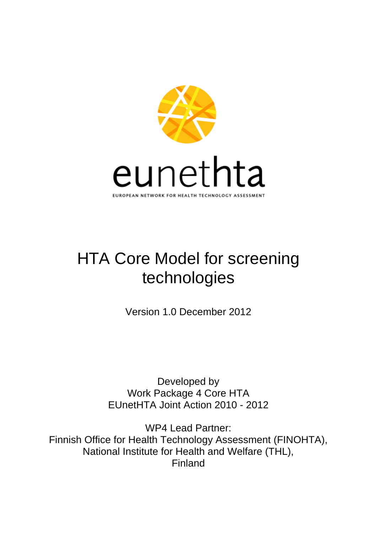

# HTA Core Model for screening technologies

Version 1.0 December 2012

Developed by Work Package 4 Core HTA EUnetHTA Joint Action 2010 - 2012

WP4 Lead Partner: Finnish Office for Health Technology Assessment (FINOHTA), National Institute for Health and Welfare (THL), Finland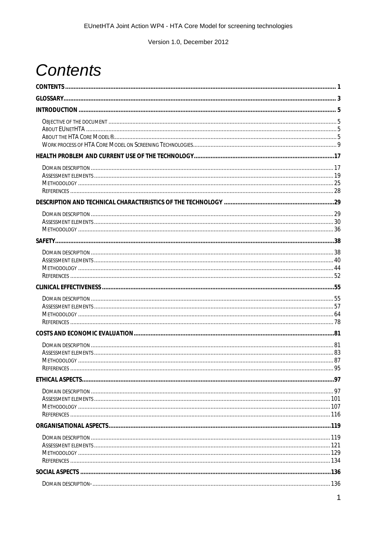# <span id="page-1-0"></span>**Contents**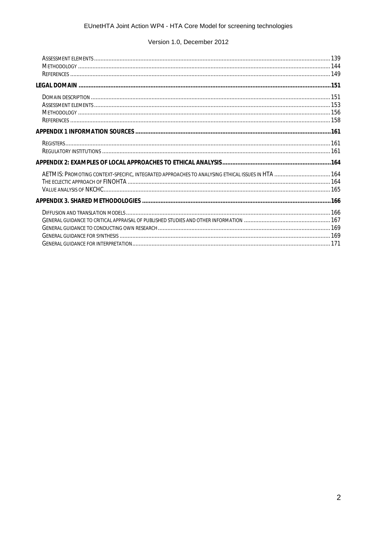| AETMIS: PROMOTING CONTEXT-SPECIFIC, INTEGRATED APPROACHES TO ANALYSING ETHICAL ISSUES IN HTA  164 |  |
|---------------------------------------------------------------------------------------------------|--|
|                                                                                                   |  |
|                                                                                                   |  |
|                                                                                                   |  |
|                                                                                                   |  |
|                                                                                                   |  |
|                                                                                                   |  |
|                                                                                                   |  |
|                                                                                                   |  |
|                                                                                                   |  |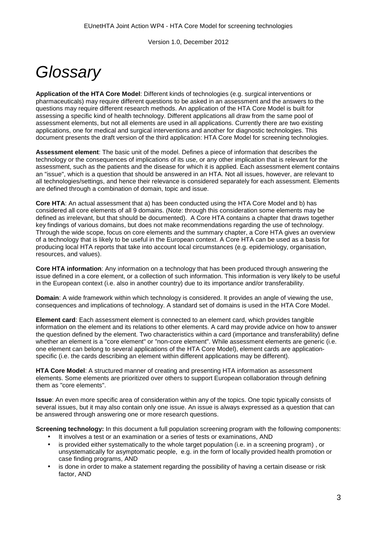# <span id="page-3-0"></span>*Glossary*

**Application of the HTA Core Model**: Different kinds of technologies (e.g. surgical interventions or pharmaceuticals) may require different questions to be asked in an assessment and the answers to the questions may require different research methods. An application of the HTA Core Model is built for assessing a specific kind of health technology. Different applications all draw from the same pool of assessment elements, but not all elements are used in all applications. Currently there are two existing applications, one for medical and surgical interventions and another for diagnostic technologies. This document presents the draft version of the third application: HTA Core Model for screening technologies.

**Assessment element**: The basic unit of the model. Defines a piece of information that describes the technology or the consequences of implications of its use, or any other implication that is relevant for the assessment, such as the patients and the disease for which it is applied. Each assessment element contains an "issue", which is a question that should be answered in an HTA. Not all issues, however, are relevant to all technologies/settings, and hence their relevance is considered separately for each assessment. Elements are defined through a combination of domain, topic and issue.

**Core HTA**: An actual assessment that a) has been conducted using the HTA Core Model and b) has considered all core elements of all 9 domains. (Note: through this consideration some elements may be defined as irrelevant, but that should be documented). A Core HTA contains a chapter that draws together key findings of various domains, but does not make recommendations regarding the use of technology. Through the wide scope, focus on core elements and the summary chapter, a Core HTA gives an overview of a technology that is likely to be useful in the European context. A Core HTA can be used as a basis for producing local HTA reports that take into account local circumstances (e.g. epidemiology, organisation, resources, and values).

**Core HTA information**: Any information on a technology that has been produced through answering the issue defined in a core element, or a collection of such information. This information is very likely to be useful in the European context (i.e. also in another country) due to its importance and/or transferability.

**Domain**: A wide framework within which technology is considered. It provides an angle of viewing the use, consequences and implications of technology. A standard set of domains is used in the HTA Core Model.

**Element card**: Each assessment element is connected to an element card, which provides tangible information on the element and its relations to other elements. A card may provide advice on how to answer the question defined by the element. Two characteristics within a card (importance and transferability) define whether an element is a "core element" or "non-core element". While assessment elements are generic (i.e. one element can belong to several applications of the HTA Core Model), element cards are applicationspecific (i.e. the cards describing an element within different applications may be different).

**HTA Core Model**: A structured manner of creating and presenting HTA information as assessment elements. Some elements are prioritized over others to support European collaboration through defining them as "core elements".

**Issue**: An even more specific area of consideration within any of the topics. One topic typically consists of several issues, but it may also contain only one issue. An issue is always expressed as a question that can be answered through answering one or more research questions.

**Screening technology:** In this document a full population screening program with the following components:

- It involves a test or an examination or a series of tests or examinations, AND
- is provided either systematically to the whole target population (i.e. in a screening program) , or unsystematically for asymptomatic people, e.g. in the form of locally provided health promotion or case finding programs, AND
- is done in order to make a statement regarding the possibility of having a certain disease or risk factor, AND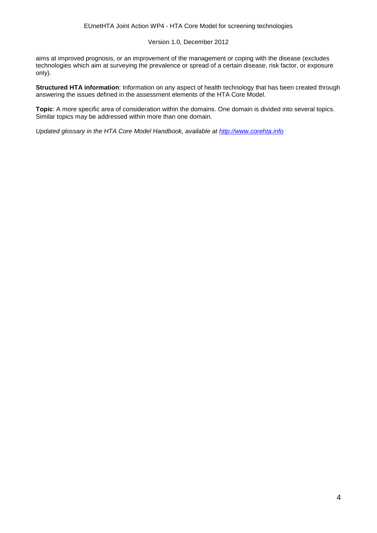aims at improved prognosis, or an improvement of the management or coping with the disease (excludes technologies which aim at surveying the prevalence or spread of a certain disease, risk factor, or exposure only).

**Structured HTA information**: Information on any aspect of health technology that has been created through answering the issues defined in the assessment elements of the HTA Core Model.

**Topic**: A more specific area of consideration within the domains. One domain is divided into several topics. Similar topics may be addressed within more than one domain.

*Updated glossary in the HTA Core Model Handbook, available at [http://www.corehta.info](http://www.corehta.info/)*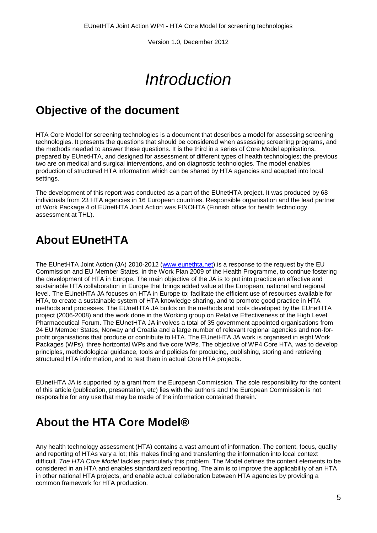# *Introduction*

## <span id="page-5-1"></span><span id="page-5-0"></span>**Objective of the document**

HTA Core Model for screening technologies is a document that describes a model for assessing screening technologies. It presents the questions that should be considered when assessing screening programs, and the methods needed to answer these questions. It is the third in a series of Core Model applications, prepared by EUnetHTA, and designed for assessment of different types of health technologies; the previous two are on medical and surgical interventions, and on diagnostic technologies. The model enables production of structured HTA information which can be shared by HTA agencies and adapted into local settings.

The development of this report was conducted as a part of the EUnetHTA project. It was produced by 68 individuals from 23 HTA agencies in 16 European countries. Responsible organisation and the lead partner of Work Package 4 of EUnetHTA Joint Action was FINOHTA (Finnish office for health technology assessment at THL).

## <span id="page-5-2"></span>**About EUnetHTA**

The EUnetHTA Joint Action (JA) 2010-2012 [\(www.eunethta.net\)](http://www.eunethta.net/).is a response to the request by the EU Commission and EU Member States, in the Work Plan 2009 of the Health Programme, to continue fostering the development of HTA in Europe. The main objective of the JA is to put into practice an effective and sustainable HTA collaboration in Europe that brings added value at the European, national and regional level. The EUnetHTA JA focuses on HTA in Europe to; facilitate the efficient use of resources available for HTA, to create a sustainable system of HTA knowledge sharing, and to promote good practice in HTA methods and processes. The EUnetHTA JA builds on the methods and tools developed by the EUnetHTA project (2006-2008) and the work done in the Working group on Relative Effectiveness of the High Level Pharmaceutical Forum. The EUnetHTA JA involves a total of 35 government appointed organisations from 24 EU Member States, Norway and Croatia and a large number of relevant regional agencies and non-forprofit organisations that produce or contribute to HTA. The EUnetHTA JA work is organised in eight Work Packages (WPs), three horizontal WPs and five core WPs. The objective of WP4 Core HTA, was to develop principles, methodological guidance, tools and policies for producing, publishing, storing and retrieving structured HTA information, and to test them in actual Core HTA projects.

EUnetHTA JA is supported by a grant from the European Commission. The sole responsibility for the content of this article (publication, presentation, etc) lies with the authors and the European Commission is not responsible for any use that may be made of the information contained therein."

## <span id="page-5-3"></span>**About the HTA Core Model®**

Any health technology assessment (HTA) contains a vast amount of information. The content, focus, quality and reporting of HTAs vary a lot; this makes finding and transferring the information into local context difficult. *The HTA Core Model* tackles particularly this problem. The Model defines the content elements to be considered in an HTA and enables standardized reporting. The aim is to improve the applicability of an HTA in other national HTA projects, and enable actual collaboration between HTA agencies by providing a common framework for HTA production.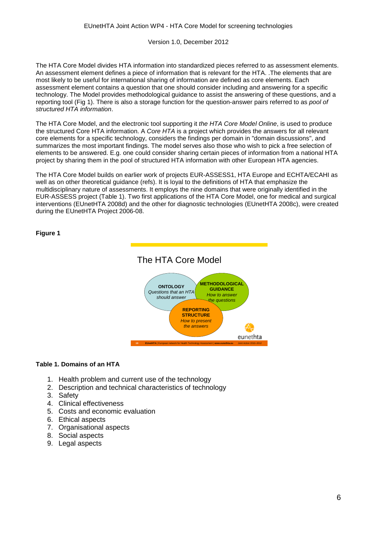The HTA Core Model divides HTA information into standardized pieces referred to as assessment elements. An assessment element defines a piece of information that is relevant for the HTA. .The elements that are most likely to be useful for international sharing of information are defined as core elements. Each assessment element contains a question that one should consider including and answering for a specific technology. The Model provides methodological guidance to assist the answering of these questions, and a reporting tool (Fig 1). There is also a storage function for the question-answer pairs referred to as *pool of structured HTA information*.

The HTA Core Model, and the electronic tool supporting it *the HTA Core Model Online*, is used to produce the structured Core HTA information. A *Core HTA* is a project which provides the answers for all relevant core elements for a specific technology, considers the findings per domain in "domain discussions", and summarizes the most important findings. The model serves also those who wish to pick a free selection of elements to be answered. E.g. one could consider sharing certain pieces of information from a national HTA project by sharing them in the pool of structured HTA information with other European HTA agencies.

The HTA Core Model builds on earlier work of projects EUR-ASSESS1, HTA Europe and ECHTA/ECAHI as well as on other theoretical guidance (refs). It is loyal to the definitions of HTA that emphasize the multidisciplinary nature of assessments. It employs the nine domains that were originally identified in the EUR-ASSESS project (Table 1). Two first applications of the HTA Core Model, one for medical and surgical interventions (EUnetHTA 2008d) and the other for diagnostic technologies (EUnetHTA 2008c), were created during the EUnetHTA Project 2006-08.

#### **Figure 1**



#### **Table 1. Domains of an HTA**

- 1. Health problem and current use of the technology
- 2. Description and technical characteristics of technology
- 3. Safety
- 4. Clinical effectiveness
- 5. Costs and economic evaluation
- 6. Ethical aspects
- 7. Organisational aspects
- 8. Social aspects
- 9. Legal aspects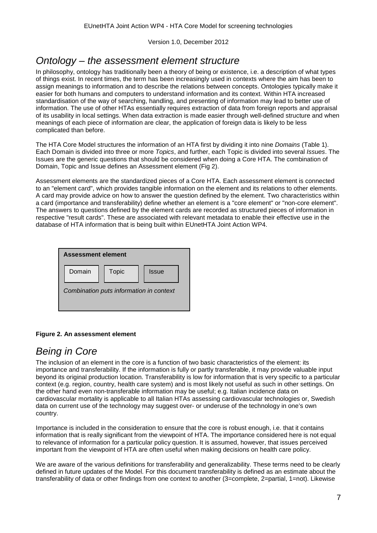## *Ontology – the assessment element structure*

In philosophy, ontology has traditionally been a theory of being or existence, i.e. a description of what types of things exist. In recent times, the term has been increasingly used in contexts where the aim has been to assign meanings to information and to describe the relations between concepts. Ontologies typically make it easier for both humans and computers to understand information and its context. Within HTA increased standardisation of the way of searching, handling, and presenting of information may lead to better use of information. The use of other HTAs essentially requires extraction of data from foreign reports and appraisal of its usability in local settings. When data extraction is made easier through well-defined structure and when meanings of each piece of information are clear, the application of foreign data is likely to be less complicated than before.

The HTA Core Model structures the information of an HTA first by dividing it into nine *Domains* (Table 1). Each Domain is divided into three or more *Topics*, and further, each Topic is divided into several *Issues*. The Issues are the generic questions that should be considered when doing a Core HTA. The combination of Domain, Topic and Issue defines an Assessment element (Fig 2).

Assessment elements are the standardized pieces of a Core HTA. Each assessment element is connected to an "element card", which provides tangible information on the element and its relations to other elements. A card may provide advice on how to answer the question defined by the element. Two characteristics within a card (importance and transferability) define whether an element is a "core element" or "non-core element". The answers to questions defined by the element cards are recorded as structured pieces of information in respective "result cards". These are associated with relevant metadata to enable their effective use in the database of HTA information that is being built within EUnetHTA Joint Action WP4.

| <b>Assessment element</b>               |              |       |  |  |  |  |
|-----------------------------------------|--------------|-------|--|--|--|--|
| Domain                                  | <b>Topic</b> | Issue |  |  |  |  |
| Combination puts information in context |              |       |  |  |  |  |

#### **Figure 2. An assessment element**

## *Being in Core*

The inclusion of an element in the core is a function of two basic characteristics of the element: its importance and transferability. If the information is fully or partly transferable, it may provide valuable input beyond its original production location. Transferability is low for information that is very specific to a particular context (e.g. region, country, health care system) and is most likely not useful as such in other settings. On the other hand even non-transferable information may be useful; e.g. Italian incidence data on cardiovascular mortality is applicable to all Italian HTAs assessing cardiovascular technologies or, Swedish data on current use of the technology may suggest over- or underuse of the technology in one's own country.

Importance is included in the consideration to ensure that the core is robust enough, i.e. that it contains information that is really significant from the viewpoint of HTA. The importance considered here is not equal to relevance of information for a particular policy question. It is assumed, however, that issues perceived important from the viewpoint of HTA are often useful when making decisions on health care policy.

We are aware of the various definitions for transferability and generalizability. These terms need to be clearly defined in future updates of the Model. For this document transferability is defined as an estimate about the transferability of data or other findings from one context to another (3=complete, 2=partial, 1=not). Likewise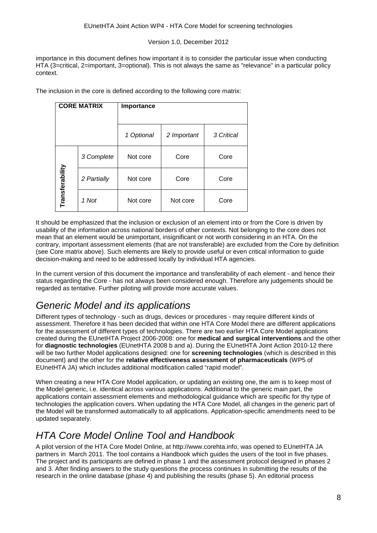importance in this document defines how important it is to consider the particular issue when conducting HTA (3=critical, 2=important, 3=optional). This is not always the same as "relevance" in a particular policy context.

The inclusion in the core is defined according to the following core matrix:

|                 | <b>CORE MATRIX</b> | Importance |             |            |
|-----------------|--------------------|------------|-------------|------------|
|                 |                    |            |             |            |
|                 |                    | 1 Optional | 2 Important | 3 Critical |
|                 | 3 Complete         | Not core   | Core        | Core       |
| Transferability | 2 Partially        | Not core   | Core        | Core       |
|                 | 1 Not              | Not core   | Not core    | Core       |

It should be emphasized that the inclusion or exclusion of an element into or from the Core is driven by usability of the information across national borders of other contexts. Not belonging to the core does not mean that an element would be unimportant, insignificant or not worth considering in an HTA. On the contrary, important assessment elements (that are not transferable) are excluded from the Core by definition (see Core matrix above). Such elements are likely to provide useful or even critical information to guide decision-making and need to be addressed locally by individual HTA agencies.

In the current version of this document the importance and transferability of each element - and hence their status regarding the Core - has not always been considered enough. Therefore any judgements should be regarded as tentative. Further piloting will provide more accurate values.

## *Generic Model and its applications*

Different types of technology - such as drugs, devices or procedures - may require different kinds of assessment. Therefore it has been decided that within one HTA Core Model there are different applications for the assessment of different types of technologies. There are two earlier HTA Core Model applications created during the EUnetHTA Project 2006-2008: one for **medical and surgical interventions** and the other for **diagnostic technologies** (EUnetHTA 2008 b and a). During the EUnetHTA Joint Action 2010-12 there will be two further Model applications designed: one for **screening technologies** (which is described in this document) and the other for the **relative effectiveness assessment of pharmaceuticals** (WP5 of EUnetHTA JA) which includes additional modification called "rapid model".

When creating a new HTA Core Model application, or updating an existing one, the aim is to keep most of the Model generic, i.e. identical across various applications. Additional to the generic main part, the applications contain assessment elements and methodological guidance which are specific for thy type of technologies the application covers. When updating the HTA Core Model, all changes in the generic part of the Model will be transformed automatically to all applications. Application-specific amendments need to be updated separately.

## *HTA Core Model Online Tool and Handbook*

A pilot version of the HTA Core Model Online, at http://www.corehta.info, was opened to EUnetHTA JA partners in March 2011. The tool contains a Handbook which guides the users of the tool in five phases. The project and its participants are defined in phase 1 and the assessment protocol designed in phases 2 and 3. After finding answers to the study questions the process continues in submitting the results of the research in the online database (phase 4) and publishing the results (phase 5). An editorial process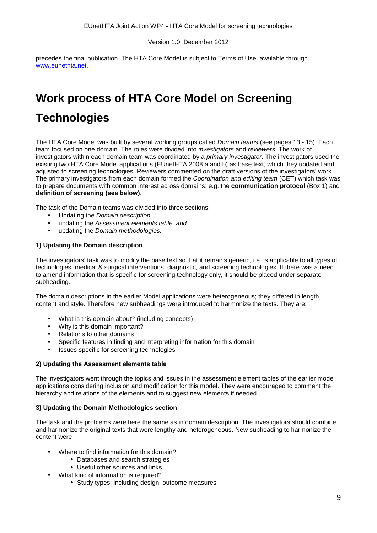precedes the final publication. The HTA Core Model is subject to Terms of Use, available through [www.eunethta.net.](http://www.eunethta.net/)

# <span id="page-9-0"></span>**Work process of HTA Core Model on Screening**

## **Technologies**

The HTA Core Model was built by several working groups called *Domain teams* (see pages 13 - 15). Each team focused on one domain. The roles were divided into *investigators* and *reviewers*. The work of investigators within each domain team was coordinated by a *primary investigator*. The investigators used the existing two HTA Core Model applications (EUnetHTA 2008 a and b) as base text, which they updated and adjusted to screening technologies. Reviewers commented on the draft versions of the investigators' work. The primary investigators from each domain formed the *Coordination and editing team* (CET) which task was to prepare documents with common interest across domains: e.g. the **communication protocol** (Box 1) and **definition of screening (see below)**.

The task of the Domain teams was divided into three sections:

- Updating the *Domain description,*
- updating the *Assessment elements table, and*
- updating the *Domain methodologies.*

#### **1) Updating the Domain description**

The investigators' task was to modify the base text so that it remains generic, i.e. is applicable to all types of technologies; medical & surgical interventions, diagnostic, and screening technologies. If there was a need to amend information that is specific for screening technology only, it should be placed under separate subheading.

The domain descriptions in the earlier Model applications were heterogeneous; they differed in length, content and style. Therefore new subheadings were introduced to harmonize the texts. They are:

- What is this domain about? (including concepts)
- Why is this domain important?
- Relations to other domains
- Specific features in finding and interpreting information for this domain
- Issues specific for screening technologies

#### **2) Updating the Assessment elements table**

The investigators went through the topics and issues in the assessment element tables of the earlier model applications considering inclusion and modification for this model. They were encouraged to comment the hierarchy and relations of the elements and to suggest new elements if needed.

#### **3) Updating the Domain Methodologies section**

The task and the problems were here the same as in domain description. The investigators should combine and harmonize the original texts that were lengthy and heterogeneous. New subheading to harmonize the content were

- Where to find information for this domain?
	- Databases and search strategies
	- Useful other sources and links
	- What kind of information is required?
		- Study types: including design, outcome measures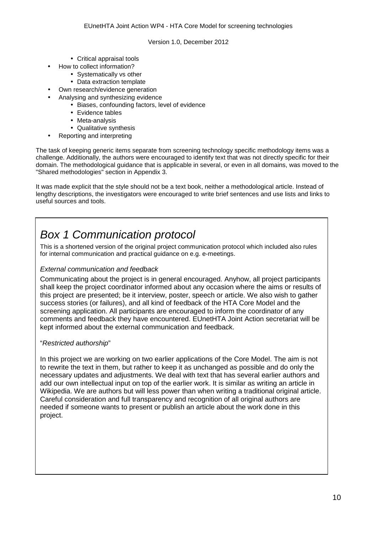- Critical appraisal tools
- How to collect information?
	- Systematically vs other
	- Data extraction template
- Own research/evidence generation
	- Analysing and synthesizing evidence
		- Biases, confounding factors, level of evidence  $\mathbf{r}$
		- Evidence tables
		- Meta-analysis
		- Qualitative synthesis
- Reporting and interpreting

The task of keeping generic items separate from screening technology specific methodology items was a challenge. Additionally, the authors were encouraged to identify text that was not directly specific for their domain. The methodological guidance that is applicable in several, or even in all domains, was moved to the "Shared methodologies" section in Appendix 3.

It was made explicit that the style should not be a text book, neither a methodological article. Instead of lengthy descriptions, the investigators were encouraged to write brief sentences and use lists and links to useful sources and tools.

## *Box 1 Communication protocol*

This is a shortened version of the original project communication protocol which included also rules for internal communication and practical guidance on e.g. e-meetings.

#### *External communication and feedback*

Communicating about the project is in general encouraged. Anyhow, all project participants shall keep the project coordinator informed about any occasion where the aims or results of this project are presented; be it interview, poster, speech or article. We also wish to gather success stories (or failures), and all kind of feedback of the HTA Core Model and the screening application. All participants are encouraged to inform the coordinator of any comments and feedback they have encountered. EUnetHTA Joint Action secretariat will be kept informed about the external communication and feedback.

#### "*Restricted authorship*"

In this project we are working on two earlier applications of the Core Model. The aim is not to rewrite the text in them, but rather to keep it as unchanged as possible and do only the necessary updates and adjustments. We deal with text that has several earlier authors and add our own intellectual input on top of the earlier work. It is similar as writing an article in Wikipedia. We are authors but will less power than when writing a traditional original article. Careful consideration and full transparency and recognition of all original authors are needed if someone wants to present or publish an article about the work done in this project.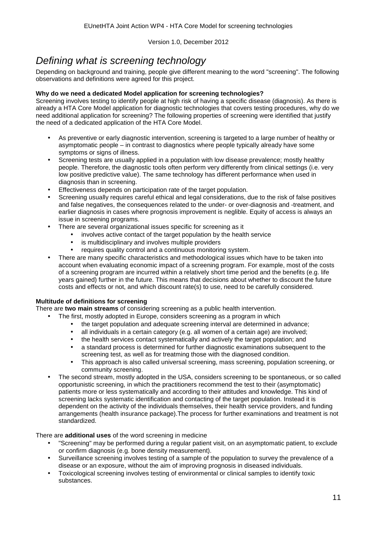## *Defining what is screening technology*

Depending on background and training, people give different meaning to the word "screening". The following observations and definitions were agreed for this project.

#### **Why do we need a dedicated Model application for screening technologies?**

Screening involves testing to identify people at high risk of having a specific disease (diagnosis). As there is already a HTA Core Model application for diagnostic technologies that covers testing procedures, why do we need additional application for screening? The following properties of screening were identified that justify the need of a dedicated application of the HTA Core Model.

- As preventive or early diagnostic intervention, screening is targeted to a large number of healthy or asymptomatic people – in contrast to diagnostics where people typically already have some symptoms or signs of illness.
- Screening tests are usually applied in a population with low disease prevalence; mostly healthy people. Therefore, the diagnostic tools often perform very differently from clinical settings (i.e. very low positive predictive value). The same technology has different performance when used in diagnosis than in screening.
- Effectiveness depends on participation rate of the target population.
- Screening usually requires careful ethical and legal considerations, due to the risk of false positives and false negatives, the consequences related to the under- or over-diagnosis and -treatment, and earlier diagnosis in cases where prognosis improvement is neglible. Equity of access is always an issue in screening programs.
- There are several organizational issues specific for screening as it
	- involves active contact of the target population by the health service
	- is multidisciplinary and involves multiple providers
	- requires quality control and a continuous monitoring system.
- There are many specific characteristics and methodological issues which have to be taken into account when evaluating economic impact of a screening program. For example, most of the costs of a screening program are incurred within a relatively short time period and the benefits (e.g. life years gained) further in the future. This means that decisions about whether to discount the future costs and effects or not, and which discount rate(s) to use, need to be carefully considered.

#### **Multitude of definitions for screening**

There are **two main streams** of considering screening as a public health intervention.

- The first, mostly adopted in Europe, considers screening as a program in which
	- the target population and adequate screening interval are determined in advance;
	- all individuals in a certain category (e.g. all women of a certain age) are involved;
	- the health services contact systematically and actively the target population; and
	- a standard process is determined for further diagnostic examinations subsequent to the screening test, as well as for treatming those with the diagnosed condition.
	- This approach is also called universal screening, mass screening, population screening, or community screening.
- The second stream, mostly adopted in the USA, considers screening to be spontaneous, or so called opportunistic screening, in which the practitioners recommend the test to their (asymptomatic) patients more or less systematically and according to their attitudes and knowledge. This kind of screening lacks systematic identification and contacting of the target population. Instead it is dependent on the activity of the individuals themselves, their health service providers, and funding arrangements (health insurance package).The process for further examinations and treatment is not standardized.

#### There are **additional uses** of the word screening in medicine

- "Screening" may be performed during a regular patient visit, on an asymptomatic patient, to exclude or confirm diagnosis (e.g. bone density measurement).
- Surveillance screening involves testing of a sample of the population to survey the prevalence of a disease or an exposure, without the aim of improving prognosis in diseased individuals.
- Toxicological screening involves testing of environmental or clinical samples to identify toxic substances.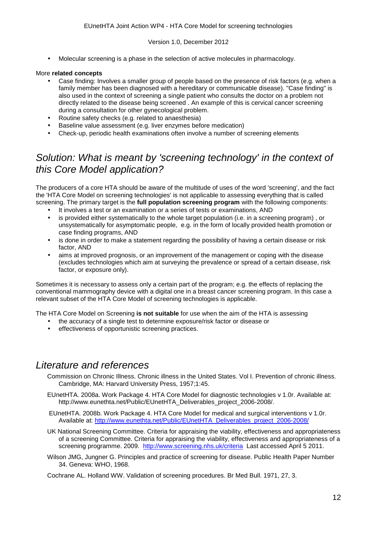Molecular screening is a phase in the selection of active molecules in pharmacology.

#### More **related concepts**

- Case finding: Involves a smaller group of people based on the presence of risk factors (e.g. when a family member has been diagnosed with a hereditary or communicable disease). "Case finding" is also used in the context of screening a single patient who consults the doctor on a problem not directly related to the disease being screened . An example of this is cervical cancer screening during a consultation for other gynecological problem.
- Routine safety checks (e.g. related to anaesthesia)
- Baseline value assessment (e.g. liver enzymes before medication)
- Check-up, periodic health examinations often involve a number of screening elements

## *Solution: What is meant by 'screening technology' in the context of this Core Model application?*

The producers of a core HTA should be aware of the multitude of uses of the word 'screening', and the fact the 'HTA Core Model on screening technologies' is not applicable to assessing everything that is called screening. The primary target is the **full population screening program** with the following components:

- It involves a test or an examination or a series of tests or examinations, AND
- is provided either systematically to the whole target population (i.e. in a screening program) , or  $\mathbf{r}$ unsystematically for asymptomatic people, e.g. in the form of locally provided health promotion or case finding programs, AND
- is done in order to make a statement regarding the possibility of having a certain disease or risk factor, AND
- aims at improved prognosis, or an improvement of the management or coping with the disease (excludes technologies which aim at surveying the prevalence or spread of a certain disease, risk factor, or exposure only).

Sometimes it is necessary to assess only a certain part of the program; e.g. the effects of replacing the conventional mammography device with a digital one in a breast cancer screening program. In this case a relevant subset of the HTA Core Model of screening technologies is applicable.

The HTA Core Model on Screening **is not suitable** for use when the aim of the HTA is assessing

- the accuracy of a single test to determine exposure/risk factor or disease or
- effectiveness of opportunistic screening practices.

## *Literature and references*

- Commission on Chronic Illness. Chronic illness in the United States. Vol I. Prevention of chronic illness. Cambridge, MA: Harvard University Press, 1957;1:45.
- EUnetHTA. 2008a. Work Package 4. HTA Core Model for diagnostic technologies v 1.0r. Available at: http://www.eunethta.net/Public/EUnetHTA\_Deliverables\_project\_2006-2008/.
- EUnetHTA. 2008b. Work Package 4. HTA Core Model for medical and surgical interventions v 1.0r. Available at: [http://www.eunethta.net/Public/EUnetHTA\\_Deliverables\\_project\\_2006-2008/](http://www.eunethta.net/Public/EUnetHTA_Deliverables_project_2006-2008/)
- UK National Screening Committee. Criteria for appraising the viability, effectiveness and appropriateness of a screening Committee. Criteria for appraising the viability, effectiveness and appropriateness of a screening programme. 2009. <http://www.screening.nhs.uk/criteria>Last accessed April 5 2011.
- Wilson JMG, Jungner G. Principles and practice of screening for disease. Public Health Paper Number 34. Geneva: WHO, 1968.

Cochrane AL. Holland WW. Validation of screening procedures. Br Med Bull. 1971, 27, 3.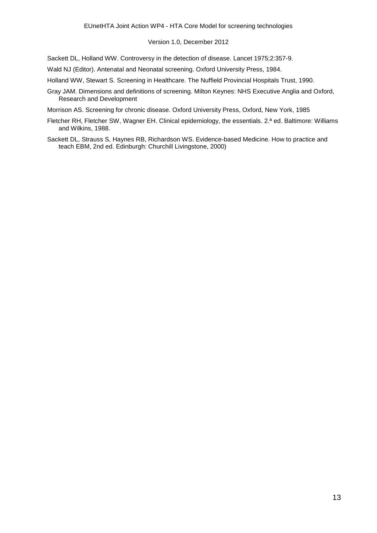#### Version 1.0, December 2012

Sackett DL, Holland WW. Controversy in the detection of disease. Lancet 1975;2:357-9.

Wald NJ (Editor). Antenatal and Neonatal screening. Oxford University Press, 1984.

Holland WW, Stewart S. Screening in Healthcare. The Nuffield Provincial Hospitals Trust, 1990.

Gray JAM. Dimensions and definitions of screening. Milton Keynes: NHS Executive Anglia and Oxford, Research and Development

Morrison AS. Screening for chronic disease. Oxford University Press, Oxford, New York, 1985

- Fletcher RH, Fletcher SW, Wagner EH. Clinical epidemiology, the essentials. 2.ª ed. Baltimore: Williams and Wilkins, 1988.
- Sackett DL, Strauss S, Haynes RB, Richardson WS. Evidence-based Medicine. How to practice and teach EBM, 2nd ed. Edinburgh: Churchill Livingstone, 2000)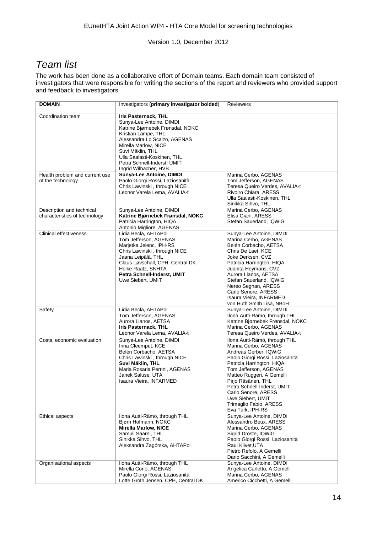## *Team list*

The work has been done as a collaborative effort of Domain teams. Each domain team consisted of investigators that were responsible for writing the sections of the report and reviewers who provided support and feedback to investigators.

| <b>DOMAIN</b>                                              | Investigators (primary investigator bolded)                                                                                                                                                                                                                                                                       | <b>Reviewers</b>                                                                                                                                                                                                                                                                                                                                    |
|------------------------------------------------------------|-------------------------------------------------------------------------------------------------------------------------------------------------------------------------------------------------------------------------------------------------------------------------------------------------------------------|-----------------------------------------------------------------------------------------------------------------------------------------------------------------------------------------------------------------------------------------------------------------------------------------------------------------------------------------------------|
| Coordination team<br>Health problem and current use        | <b>Iris Pasternack, THL</b><br>Sunya-Lee Antoine, DIMDI<br>Katrine Bjørnebek Frønsdal, NOKC<br>Kristian Lampe, THL<br>Alessandra Lo Scalzo, AGENAS<br>Mirella Marlow, NICE<br>Suvi Mäklin, THL<br>Ulla Saalasti-Koskinen, THL<br>Petra Schnell-Inderst, UMIT<br>Ingrid Wilbacher, HVB<br>Sunya-Lee Antoine, DIMDI | Marina Cerbo, AGENAS                                                                                                                                                                                                                                                                                                                                |
| of the technology                                          | Paolo Giorgi Rossi, Laziosanità<br>Chris Lawinski, through NICE<br>Leonor Varela Lema, AVALIA-t                                                                                                                                                                                                                   | Tom Jefferson, AGENAS<br>Teresa Queiro Verdes, AVALIA-t<br>Rivoiro Chiara, ARESS<br>Ulla Saalasti-Koskinen, THL<br>Sinikka Sihvo, THL                                                                                                                                                                                                               |
| Description and technical<br>characteristics of technology | Sunya-Lee Antoine, DIMDI<br>Katrine Bjørnebek Frønsdal, NOKC<br>Patricia Harrington, HIQA<br>Antonio Migliore, AGENAS                                                                                                                                                                                             | Marina Cerbo, AGENAS<br>Elisa Giani, ARESS<br>Stefan Sauerland, IQWiG                                                                                                                                                                                                                                                                               |
| <b>Clinical effectiveness</b>                              | Lidia Becla, AHTAPol<br>Tom Jefferson, AGENAS<br>Marjetka Jelenc, IPH-RS<br>Chris Lawinski, through NICE<br>Jaana Leipälä, THL<br>Claus Løvschall, CPH, Central DK<br>Heike Raatz, SNHTA<br>Petra Schnell-Inderst, UMIT<br>Uwe Siebert, UMIT                                                                      | Sunya-Lee Antoine, DIMDI<br>Marina Cerbo, AGENAS<br>Belén Corbacho, AETSA<br>Chris De Laet, KCE<br>Joke Derksen, CVZ<br>Patricia Harrington, HIQA<br>Juanita Heymans, CVZ<br>Aurora Llanos, AETSA<br>Stefan Sauerland, IQWiG<br>Nereo Segnan, ARESS<br>Carlo Senore, ARESS<br>Isaura Vieira, INFARMED<br>von Huth Smith Lisa, NBoH                  |
| Safety                                                     | Lidia Becla, AHTAPol<br>Tom Jefferson, AGENAS<br>Aurora Llanos, AETSA<br>Iris Pasternack, THL<br>Leonor Varela Lema, AVALIA-t                                                                                                                                                                                     | Sunya-Lee Antoine, DIMDI<br>Ilona Autti-Rämö, through THL<br>Katrine Bjørnebek Frønsdal, NOKC<br>Marina Cerbo, AGENAS<br>Teresa Queiro Verdes, AVALIA-t                                                                                                                                                                                             |
| Costs, economic evaluation                                 | Sunya-Lee Antoine, DIMDI<br>Irina Cleemput, KCE<br>Belén Corbacho, AETSA<br>Chris Lawinski, through NICE<br>Suvi Mäklin, THL<br>Maria Rosaria Perrini, AGENAS<br>Janek Saluse, UTA<br>Isaura Vieira, INFARMED                                                                                                     | Ilona Autti-Rämö, through THL<br>Marina Cerbo, AGENAS<br>Andreas Gerber, IQWiG<br>Paolo Giorgi Rossi, Laziosanità<br>Patricia Harrington, HIQA<br>Tom Jefferson, AGENAS<br>Matteo Ruggeri, A Gemelli<br>Pirjo Räsänen, THL<br>Petra Schnell-Inderst, UMIT<br>Carlo Senore, ARESS<br>Uwe Siebert, UMIT<br>Trimaglio Fabio, ARESS<br>Eva Turk, IPH-RS |
| Ethical aspects                                            | Ilona Autti-Rämö, through THL<br>Bjørn Hofmann, NOKC<br><b>Mirella Marlow, NICE</b><br>Samuli Saarni, THL<br>Sinikka Sihvo, THL<br>Aleksandra Zagórska, AHTAPol                                                                                                                                                   | Sunya-Lee Antoine, DIMDI<br>Alessandro Beux, ARESS<br>Marina Cerbo, AGENAS<br>Sigrid Droste, IQWiG<br>Paolo Giorgi Rossi, Laziosanità<br>Raul Kiivet, UTA<br>Pietro Refolo, A Gemelli<br>Dario Sacchini, A Gemelli                                                                                                                                  |
| Organisational aspects                                     | Ilona Autti-Rämö, through THL<br>Mirella Corio, AGENAS<br>Paolo Giorgi Rossi, Laziosanità<br>Lotte Groth Jensen, CPH, Central DK                                                                                                                                                                                  | Sunya-Lee Antoine, DIMDI<br>Angelica Carletto, A Gemelli<br>Marina Cerbo, AGENAS<br>Americo Cicchetti, A Gemelli                                                                                                                                                                                                                                    |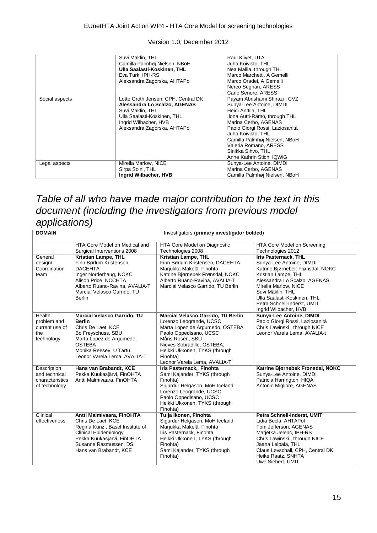|                | Suvi Mäklin, THL<br>Camilla Palmhøj Nielsen, NBoH<br>Ulla Saalasti-Koskinen, THL<br>Eva Turk, IPH-RS<br>Aleksandra Zagórska, AHTAPol                                            | Raul Kiivet, UTA<br>Juha Koivisto, THL<br>Nea Malila, through THL<br>Marco Marchetti, A Gemelli<br>Marco Oradei, A Gemelli<br>Nereo Segnan, ARESS<br>Carlo Senore, ARESS                                                                                                                                      |
|----------------|---------------------------------------------------------------------------------------------------------------------------------------------------------------------------------|---------------------------------------------------------------------------------------------------------------------------------------------------------------------------------------------------------------------------------------------------------------------------------------------------------------|
| Social aspects | Lotte Groth Jensen, CPH, Central DK<br>Alessandra Lo Scalzo, AGENAS<br>Suvi Mäklin, THL<br>Ulla Saalasti-Koskinen, THL<br>Ingrid Wilbacher, HVB<br>Aleksandra Zagórska, AHTAPol | Payam Abrishami Shirazi, CVZ<br>Sunya-Lee Antoine, DIMDI<br>Heidi Anttila, THL<br>Ilona Autti-Rämö, through THL<br>Marina Cerbo, AGENAS<br>Paolo Giorgi Rossi, Laziosanità<br>Juha Koivisto, THL<br>Camilla Palmhøj Nielsen, NBoH<br>Valeria Romano, ARESS<br>Sinikka Sihvo, THL<br>Anne Kathrin Stich, IQWiG |
| Legal aspects  | Mirella Marlow, NICE<br>Sirpa Soini, THL<br>Ingrid Wilbacher, HVB                                                                                                               | Sunya-Lee Antoine, DIMDI<br>Marina Cerbo, AGENAS<br>Camilla Palmhøj Nielsen, NBoH                                                                                                                                                                                                                             |

## *Table of all who have made major contribution to the text in this document (including the investigators from previous model applications)*

| <b>DOMAIN</b>                | Investigators (primary investigator bolded)          |                                                                    |                                                              |  |  |  |  |
|------------------------------|------------------------------------------------------|--------------------------------------------------------------------|--------------------------------------------------------------|--|--|--|--|
|                              |                                                      |                                                                    |                                                              |  |  |  |  |
|                              | HTA Core Model on Medical and                        | HTA Core Model on Diagnostic                                       | HTA Core Model on Screening                                  |  |  |  |  |
|                              | Surgical Interventions 2008                          | Technologies 2008                                                  | Technologies 2012                                            |  |  |  |  |
| General                      | Kristian Lampe, THL                                  | <b>Kristian Lampe, THL</b>                                         | <b>Iris Pasternack, THL</b>                                  |  |  |  |  |
| design/                      | Finn Børlum Kristensen,                              | Finn Børlum Kristensen, DACEHTA                                    | Sunya-Lee Antoine, DIMDI                                     |  |  |  |  |
| Coordination                 | <b>DACEHTA</b>                                       | Marjukka Mäkelä, Finohta                                           | Katrine Bjørnebek Frønsdal, NOKC                             |  |  |  |  |
| team                         | Inger Norderhaug, NOKC<br>Alison Price, NCCHTA       | Katrine Bjørnebek Frønsdal, NOKC<br>Alberto Ruano-Ravina, AVALIA-T | Kristian Lampe, THL                                          |  |  |  |  |
|                              | Alberto Ruano-Ravina, AVALIA-T                       | Marcial Velasco Garrido, TU Berlin                                 | Alessandra Lo Scalzo, AGENAS<br>Mirella Marlow, NICE         |  |  |  |  |
|                              | Marcial Velasco Garrido, TU                          |                                                                    | Suvi Mäklin, THL                                             |  |  |  |  |
|                              | <b>Berlin</b>                                        |                                                                    | Ulla Saalasti-Koskinen, THL                                  |  |  |  |  |
|                              |                                                      |                                                                    | Petra Schnell-Inderst, UMIT                                  |  |  |  |  |
|                              |                                                      |                                                                    | Ingrid Wilbacher, HVB                                        |  |  |  |  |
| Health                       | <b>Marcial Velasco Garrido, TU</b>                   | Marcial Velasco Garrido, TU Berlin                                 | Sunya-Lee Antoine, DIMDI                                     |  |  |  |  |
| problem and                  | <b>Berlin</b>                                        | Lorenzo Leogrande, UCSC                                            | Paolo Giorgi Rossi, Laziosanità                              |  |  |  |  |
| current use of               | Chris De Laet, KCE                                   | Marta Lopez de Argumedo, OSTEBA                                    | Chris Lawinski, through NICE                                 |  |  |  |  |
| the                          | Bo Freyschuss, SBU                                   | Paolo Oppedisano, UCSC                                             | Leonor Varela Lema, AVALIA-t                                 |  |  |  |  |
| technology                   | Marta Lopez de Argumedo,                             | Måns Rosén, SBU                                                    |                                                              |  |  |  |  |
|                              | <b>OSTEBA</b>                                        | Nieves Sobradillo, OSTEBA;                                         |                                                              |  |  |  |  |
|                              | Monika Reesev, U Tartu                               | Heikki Ukkonen, TYKS (through                                      |                                                              |  |  |  |  |
|                              | Leonor Varela Lema, AVALIA-T                         | Finohta)                                                           |                                                              |  |  |  |  |
|                              |                                                      | Leonor Varela Lema, AVALIA-T                                       |                                                              |  |  |  |  |
| Description<br>and technical | Hans van Brabandt, KCE<br>Pekka Kuukasjärvi, FinOHTA | Iris Pasternack,, Finohta<br>Sami Kajander, TYKS (through          | Katrine Bjørnebek Frønsdal, NOKC<br>Sunya-Lee Antoine, DIMDI |  |  |  |  |
| characteristics              | Antti Malmivaara, FinOHTA                            | Finohta)                                                           | Patricia Harrington, HIQA                                    |  |  |  |  |
| of technology                |                                                      | Sigurdur Helgason, MoH Iceland                                     | Antonio Migliore, AGENAS                                     |  |  |  |  |
|                              |                                                      | Lorenzo Leogrande, UCSC                                            |                                                              |  |  |  |  |
|                              |                                                      | Paolo Oppedisano, UCSC                                             |                                                              |  |  |  |  |
|                              |                                                      | Heikki Ukkonen, TYKS (through                                      |                                                              |  |  |  |  |
|                              |                                                      | Finohta)                                                           |                                                              |  |  |  |  |
| Clinical                     | Antti Malmivaara, FinOHTA                            | Tuija Ikonen, Finohta                                              | Petra Schnell-Inderst, UMIT                                  |  |  |  |  |
| effectiveness                | Chris De Laet, KCE                                   | Sigurdur Helgason, MoH Iceland                                     | Lidia Becla, AHTAPol                                         |  |  |  |  |
|                              | Regina Kunz, Basel Institute of                      | Marjukka Mäkelä, Finohta                                           | Tom Jefferson, AGENAS                                        |  |  |  |  |
|                              | <b>Clinical Epidemiology</b>                         | Iris Pasternack, Finohta                                           | Marjetka Jelenc, IPH-RS                                      |  |  |  |  |
|                              | Pekka Kuukasjärvi, FinOHTA                           | Heikki Ukkonen, TYKS (through                                      | Chris Lawinski, through NICE                                 |  |  |  |  |
|                              | Susanne Rasmussen, DSI                               | Finohta)                                                           | Jaana Leipälä, THL                                           |  |  |  |  |
|                              | Hans van Brabandt, KCE                               | Sami Kajander, TYKS (through                                       | Claus Løvschall, CPH, Central DK                             |  |  |  |  |
|                              |                                                      | Finohta)                                                           | Heike Raatz, SNHTA                                           |  |  |  |  |
|                              |                                                      |                                                                    | Uwe Siebert, UMIT                                            |  |  |  |  |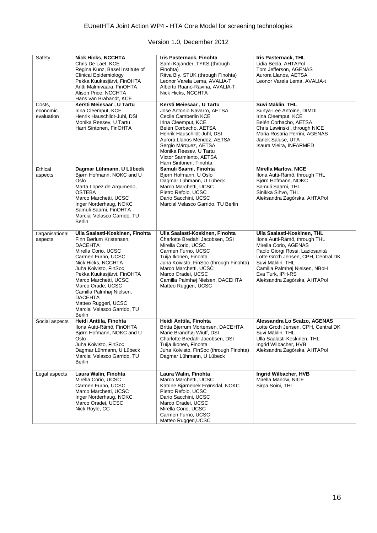| Safety                           | <b>Nick Hicks, NCCHTA</b><br>Chris De Laet, KCE<br>Regina Kunz, Basel Institute of<br><b>Clinical Epidemiology</b><br>Pekka Kuukasjärvi, FinOHTA<br>Antti Malmivaara, FinOHTA<br>Alison Price, NCCHTA<br>Hans van Brabandt, KCE                                                                                                                                     | Iris Pasternack, Finohta<br>Sami Kajander, TYKS (through<br>Finohta)<br>Ritva Bly, STUK (through Finohta)<br>Leonor Varela Lema, AVALIA-T<br>Alberto Ruano-Ravina, AVALIA-T<br>Nick Hicks, NCCHTA                                                                                                      | <b>Iris Pasternack, THL</b><br>Lidia Becla, AHTAPol<br>Tom Jefferson, AGENAS<br>Aurora Llanos, AETSA<br>Leonor Varela Lema, AVALIA-t                                                                                                                                     |
|----------------------------------|---------------------------------------------------------------------------------------------------------------------------------------------------------------------------------------------------------------------------------------------------------------------------------------------------------------------------------------------------------------------|--------------------------------------------------------------------------------------------------------------------------------------------------------------------------------------------------------------------------------------------------------------------------------------------------------|--------------------------------------------------------------------------------------------------------------------------------------------------------------------------------------------------------------------------------------------------------------------------|
| Costs,<br>economic<br>evaluation | Kersti Meiesaar, U Tartu<br>Irina Cleemput, KCE<br>Henrik Hauschildt-Juhl, DSI<br>Monika Reesev, U Tartu<br>Harri Sintonen, FinOHTA                                                                                                                                                                                                                                 | Kersti Meiesaar, U Tartu<br>Jose Antonio Navarro, AETSA<br>Cecile Camberlin KCE<br>Irina Cleemput, KCE<br>Belén Corbacho, AETSA<br>Henrik Hauschildt-Juhl, DSI<br>Aurora Llanos Mendez, AETSA<br>Sergio Márquez, AETSA<br>Monika Reesev, U Tartu<br>Victor Sarmiento, AETSA<br>Harri Sintonen, Finohta | Suvi Mäklin, THL<br>Sunya-Lee Antoine, DIMDI<br>Irina Cleemput, KCE<br>Belén Corbacho, AETSA<br>Chris Lawinski, through NICE<br>Maria Rosaria Perrini, AGENAS<br>Janek Saluse, UTA<br>Isaura Vieira, INFARMED                                                            |
| Ethical<br>aspects               | Dagmar Lühmann, U Lübeck<br>Bjørn Hofmann, NOKC and U<br>Oslo<br>Marta Lopez de Argumedo,<br><b>OSTEBA</b><br>Marco Marchetti, UCSC<br>Inger Norderhaug, NOKC<br>Samuli Saarni, FinOHTA<br>Marcial Velasco Garrido, TU<br><b>Berlin</b>                                                                                                                             | Samuli Saarni, Finohta<br>Bjørn Hofmann, U Oslo<br>Dagmar Lühmann, U Lübeck<br>Marco Marchetti, UCSC<br>Pietro Refolo, UCSC<br>Dario Sacchini, UCSC<br>Marcial Velasco Garrido, TU Berlin                                                                                                              | <b>Mirella Marlow, NICE</b><br>Ilona Autti-Rämö, through THL<br>Bjørn Hofmann, NOKC<br>Samuli Saarni, THL<br>Sinikka Sihvo, THL<br>Aleksandra Zagórska, AHTAPol                                                                                                          |
| Organisational<br>aspects        | Ulla Saalasti-Koskinen, Finohta<br>Finn Børlum Kristensen,<br><b>DACEHTA</b><br>Mirella Corio, UCSC<br>Carmen Furno, UCSC<br>Nick Hicks, NCCHTA<br>Juha Koivisto, FinSoc<br>Pekka Kuukasjärvi, FinOHTA<br>Marco Marchetti, UCSC<br>Marco Orade, UCSC<br>Camilla Palmhøj Nielsen,<br><b>DACEHTA</b><br>Matteo Ruggeri, UCSC<br>Marcial Velasco Garrido, TU<br>Berlin | Ulla Saalasti-Koskinen, Finohta<br>Charlotte Bredahl Jacobsen, DSI<br>Mirella Corio, UCSC<br>Carmen Furno, UCSC<br>Tuija Ikonen, Finohta<br>Juha Koivisto, FinSoc (through Finohta)<br>Marco Marchetti, UCSC<br>Marco Oradei, UCSC<br>Camilla Palmhøj Nielsen, DACEHTA<br>Matteo Ruggeri, UCSC         | Ulla Saalasti-Koskinen, THL<br>Ilona Autti-Rämö, through THL<br>Mirella Corio, AGENAS<br>Paolo Giorgi Rossi, Laziosanità<br>Lotte Groth Jensen, CPH, Central DK<br>Suvi Mäklin, THL<br>Camilla Palmhøj Nielsen, NBoH<br>Eva Turk, IPH-RS<br>Aleksandra Zagórska, AHTAPol |
| Social aspects                   | Heidi Anttila, Finohta<br>Ilona Autti-Rämö, FinOHTA<br>Bjørn Hofmann, NOKC and U<br>Oslo<br>Juha Koivisto, FinSoc<br>Dagmar Lühmann, U Lübeck<br>Marcial Velasco Garrido, TU<br><b>Berlin</b>                                                                                                                                                                       | Heidi Anttila, Finohta<br>Britta Bjerrum Mortensen, DACEHTA<br>Marie Brandhøj Wiuff, DSI<br>Charlotte Bredahl Jacobsen, DSI<br>Tuija Ikonen, Finohta<br>Juha Koivisto, FinSoc (through Finohta)<br>Dagmar Lühmann, U Lübeck                                                                            | Alessandra Lo Scalzo, AGENAS<br>Lotte Groth Jensen, CPH, Central DK<br>Suvi Mäklin, THL<br>Ulla Saalasti-Koskinen, THL<br>Ingrid Wilbacher, HVB<br>Aleksandra Zagórska, AHTAPol                                                                                          |
| Legal aspects                    | Laura Walin, Finohta<br>Mirella Corio, UCSC<br>Carmen Furno, UCSC<br>Marco Marchetti, UCSC<br>Inger Norderhaug, NOKC<br>Marco Oradei, UCSC<br>Nick Royle, CC                                                                                                                                                                                                        | Laura Walin, Finohta<br>Marco Marchetti, UCSC<br>Katrine Bjørnebek Frønsdal, NOKC<br>Pietro Refolo, UCSC<br>Dario Sacchini, UCSC<br>Marco Oradei, UCSC<br>Mirella Corio, UCSC<br>Carmen Furno, UCSC<br>Matteo Ruggeri, UCSC                                                                            | Ingrid Wilbacher, HVB<br>Mirella Marlow, NICE<br>Sirpa Soini, THL                                                                                                                                                                                                        |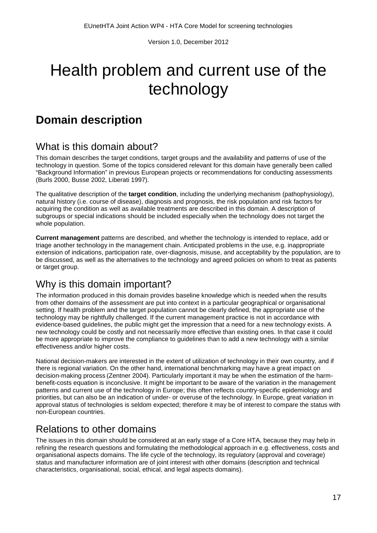# <span id="page-17-0"></span>Health problem and current use of the technology

## <span id="page-17-1"></span>**Domain description**

## What is this domain about?

This domain describes the target conditions, target groups and the availability and patterns of use of the technology in question. Some of the topics considered relevant for this domain have generally been called "Background Information" in previous European projects or recommendations for conducting assessments (Burls 2000, Busse 2002, Liberati 1997).

The qualitative description of the **target condition**, including the underlying mechanism (pathophysiology), natural history (i.e. course of disease), diagnosis and prognosis, the risk population and risk factors for acquiring the condition as well as available treatments are described in this domain. A description of subgroups or special indications should be included especially when the technology does not target the whole population.

**Current management** patterns are described, and whether the technology is intended to replace, add or triage another technology in the management chain. Anticipated problems in the use, e.g. inappropriate extension of indications, participation rate, over-diagnosis, misuse, and acceptability by the population, are to be discussed, as well as the alternatives to the technology and agreed policies on whom to treat as patients or target group.

## Why is this domain important?

The information produced in this domain provides baseline knowledge which is needed when the results from other domains of the assessment are put into context in a particular geographical or organisational setting. If health problem and the target population cannot be clearly defined, the appropriate use of the technology may be rightfully challenged. If the current management practice is not in accordance with evidence-based guidelines, the public might get the impression that a need for a new technology exists. A new technology could be costly and not necessarily more effective than existing ones. In that case it could be more appropriate to improve the compliance to guidelines than to add a new technology with a similar effectiveness and/or higher costs.

National decision-makers are interested in the extent of utilization of technology in their own country, and if there is regional variation. On the other hand, international benchmarking may have a great impact on decision-making process (Zentner 2004). Particularly important it may be when the estimation of the harmbenefit-costs equation is inconclusive. It might be important to be aware of the variation in the management patterns and current use of the technology in Europe; this often reflects country-specific epidemiology and priorities, but can also be an indication of under- or overuse of the technology. In Europe, great variation in approval status of technologies is seldom expected; therefore it may be of interest to compare the status with non-European countries.

## Relations to other domains

The issues in this domain should be considered at an early stage of a Core HTA, because they may help in refining the research questions and formulating the methodological approach in e.g. effectiveness, costs and organisational aspects domains. The life cycle of the technology, its regulatory (approval and coverage) status and manufacturer information are of joint interest with other domains (description and technical characteristics, organisational, social, ethical, and legal aspects domains).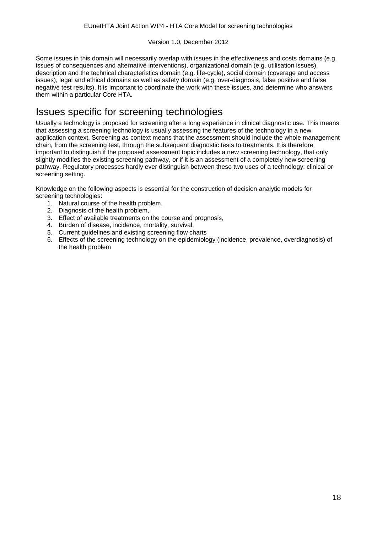Some issues in this domain will necessarily overlap with issues in the effectiveness and costs domains (e.g. issues of consequences and alternative interventions), organizational domain (e.g. utilisation issues), description and the technical characteristics domain (e.g. life-cycle), social domain (coverage and access issues), legal and ethical domains as well as safety domain (e.g. over-diagnosis, false positive and false negative test results). It is important to coordinate the work with these issues, and determine who answers them within a particular Core HTA.

## Issues specific for screening technologies

Usually a technology is proposed for screening after a long experience in clinical diagnostic use. This means that assessing a screening technology is usually assessing the features of the technology in a new application context. Screening as context means that the assessment should include the whole management chain, from the screening test, through the subsequent diagnostic tests to treatments. It is therefore important to distinguish if the proposed assessment topic includes a new screening technology, that only slightly modifies the existing screening pathway, or if it is an assessment of a completely new screening pathway. Regulatory processes hardly ever distinguish between these two uses of a technology: clinical or screening setting.

Knowledge on the following aspects is essential for the construction of decision analytic models for screening technologies:

- 1. Natural course of the health problem,
- 2. Diagnosis of the health problem,
- 3. Effect of available treatments on the course and prognosis,
- 4. Burden of disease, incidence, mortality, survival,
- 5. Current guidelines and existing screening flow charts
- 6. Effects of the screening technology on the epidemiology (incidence, prevalence, overdiagnosis) of the health problem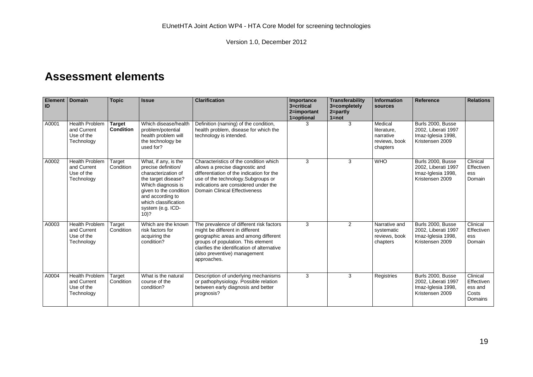## **Assessment elements**

<span id="page-19-0"></span>

| Element   Domain<br>ID |                                                                  | <b>Topic</b>                      | <b>Issue</b>                                                                                                                                                                                                          | <b>Clarification</b>                                                                                                                                                                                                                                    | Importance<br>3=critical<br>2=important<br>1=optional | Transferability<br>3=completely<br>$2 = partly$<br>$1 = not$ | <b>Information</b><br>sources                                    | <b>Reference</b>                                                                  | <b>Relations</b>                                      |
|------------------------|------------------------------------------------------------------|-----------------------------------|-----------------------------------------------------------------------------------------------------------------------------------------------------------------------------------------------------------------------|---------------------------------------------------------------------------------------------------------------------------------------------------------------------------------------------------------------------------------------------------------|-------------------------------------------------------|--------------------------------------------------------------|------------------------------------------------------------------|-----------------------------------------------------------------------------------|-------------------------------------------------------|
| A0001                  | Health Problem<br>and Current<br>Use of the<br>Technology        | <b>Target</b><br><b>Condition</b> | Which disease/health<br>problem/potential<br>health problem will<br>the technology be<br>used for?                                                                                                                    | Definition (naming) of the condition,<br>health problem, disease for which the<br>technology is intended.                                                                                                                                               | 3.                                                    | 3                                                            | Medical<br>literature,<br>narrative<br>reviews, book<br>chapters | Burls 2000. Busse<br>2002, Liberati 1997<br>Imaz-Iglesia 1998,<br>Kristensen 2009 |                                                       |
| A0002                  | <b>Health Problem</b><br>and Current<br>Use of the<br>Technology | Target<br>Condition               | What, if any, is the<br>precise definition/<br>characterization of<br>the target disease?<br>Which diagnosis is<br>given to the condition<br>and according to<br>which classification<br>system (e.g. ICD-<br>$10)$ ? | Characteristics of the condition which<br>allows a precise diagnostic and<br>differentiation of the indication for the<br>use of the technology. Subgroups or<br>indications are considered under the<br><b>Domain Clinical Effectiveness</b>           | 3                                                     | 3                                                            | <b>WHO</b>                                                       | Burls 2000, Busse<br>2002, Liberati 1997<br>Imaz-Iglesia 1998,<br>Kristensen 2009 | Clinical<br>Effectiven<br>ess<br>Domain               |
| A0003                  | <b>Health Problem</b><br>and Current<br>Use of the<br>Technology | Target<br>Condition               | Which are the known<br>risk factors for<br>acquiring the<br>condition?                                                                                                                                                | The prevalence of different risk factors<br>might be different in different<br>geographic areas and among different<br>groups of population. This element<br>clarifies the identification of alternative<br>(also preventive) management<br>approaches. | 3                                                     | $\overline{2}$                                               | Narrative and<br>systematic<br>reviews, book<br>chapters         | Burls 2000, Busse<br>2002, Liberati 1997<br>Imaz-Iglesia 1998,<br>Kristensen 2009 | Clinical<br>Effectiven<br>ess<br>Domain               |
| A0004                  | <b>Health Problem</b><br>and Current<br>Use of the<br>Technology | Target<br>Condition               | What is the natural<br>course of the<br>condition?                                                                                                                                                                    | Description of underlying mechanisms<br>or pathophysiology. Possible relation<br>between early diagnosis and better<br>prognosis?                                                                                                                       | 3                                                     | 3                                                            | Registries                                                       | Burls 2000, Busse<br>2002, Liberati 1997<br>Imaz-Iglesia 1998,<br>Kristensen 2009 | Clinical<br>Effectiven<br>ess and<br>Costs<br>Domains |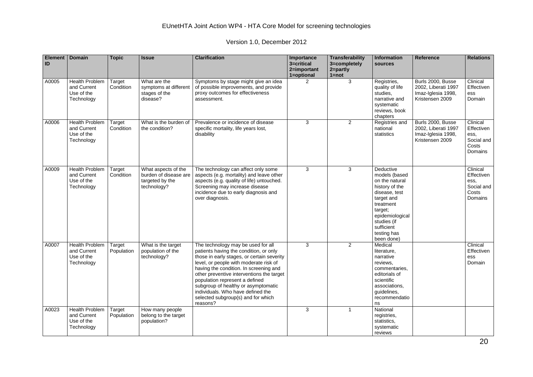| <b>Element</b><br>ID | <b>Domain</b>                                                    | <b>Topic</b>         | <b>Issue</b>                                                                   | <b>Clarification</b>                                                                                                                                                                                                                                                                                                                                                                                                        | Importance<br>3=critical<br>2=important<br>1=optional | <b>Transferability</b><br>3=completely<br>2=partly<br>$1 = not$ | <b>Information</b><br>sources                                                                                                                                                                      | <b>Reference</b>                                                                  | <b>Relations</b>                                                 |
|----------------------|------------------------------------------------------------------|----------------------|--------------------------------------------------------------------------------|-----------------------------------------------------------------------------------------------------------------------------------------------------------------------------------------------------------------------------------------------------------------------------------------------------------------------------------------------------------------------------------------------------------------------------|-------------------------------------------------------|-----------------------------------------------------------------|----------------------------------------------------------------------------------------------------------------------------------------------------------------------------------------------------|-----------------------------------------------------------------------------------|------------------------------------------------------------------|
| A0005                | <b>Health Problem</b><br>and Current<br>Use of the<br>Technology | Target<br>Condition  | What are the<br>symptoms at different<br>stages of the<br>disease?             | Symptoms by stage might give an idea<br>of possible improvements, and provide<br>proxy outcomes for effectiveness<br>assessment.                                                                                                                                                                                                                                                                                            | 2                                                     | 3                                                               | Registries,<br>quality of life<br>studies.<br>narrative and<br>systematic<br>reviews, book<br>chapters                                                                                             | Burls 2000, Busse<br>2002, Liberati 1997<br>Imaz-Iglesia 1998.<br>Kristensen 2009 | Clinical<br>Effectiven<br>ess<br>Domain                          |
| A0006                | <b>Health Problem</b><br>and Current<br>Use of the<br>Technology | Target<br>Condition  | What is the burden of<br>the condition?                                        | Prevalence or incidence of disease<br>specific mortality, life years lost,<br>disability                                                                                                                                                                                                                                                                                                                                    | 3                                                     | $\overline{2}$                                                  | Registries and<br>national<br>statistics                                                                                                                                                           | Burls 2000, Busse<br>2002, Liberati 1997<br>Imaz-Iglesia 1998,<br>Kristensen 2009 | Clinical<br>Effectiven<br>ess,<br>Social and<br>Costs<br>Domains |
| A0009                | <b>Health Problem</b><br>and Current<br>Use of the<br>Technology | Target<br>Condition  | What aspects of the<br>burden of disease are<br>targeted by the<br>technology? | The technology can affect only some<br>aspects (e.g. mortality) and leave other<br>aspects (e.g. quality of life) untouched.<br>Screening may increase disease<br>incidence due to early diagnosis and<br>over diagnosis.                                                                                                                                                                                                   | 3                                                     | 3                                                               | Deductive<br>models (based<br>on the natural<br>history of the<br>disease, test<br>target and<br>treatment<br>target;<br>epidemiological<br>studies (if<br>sufficient<br>testing has<br>been done) |                                                                                   | Clinical<br>Effectiven<br>ess,<br>Social and<br>Costs<br>Domains |
| A0007                | <b>Health Problem</b><br>and Current<br>Use of the<br>Technology | Target<br>Population | What is the target<br>population of the<br>technology?                         | The technology may be used for all<br>patients having the condition, or only<br>those in early stages, or certain severity<br>level, or people with moderate risk of<br>having the condition. In screening and<br>other preventive interventions the target<br>population represent a defined<br>subgroup of healthy or asymptomatic<br>individuals. Who have defined the<br>selected subgroup(s) and for which<br>reasons? | 3                                                     | $\overline{2}$                                                  | Medical<br>literature.<br>narrative<br>reviews.<br>commentaries,<br>editorials of<br>scientific<br>associations.<br>quidelines.<br>recommendatio<br>ns                                             |                                                                                   | Clinical<br>Effectiven<br>ess<br>Domain                          |
| A0023                | <b>Health Problem</b><br>and Current<br>Use of the<br>Technology | Target<br>Population | How many people<br>belong to the target<br>population?                         |                                                                                                                                                                                                                                                                                                                                                                                                                             | 3                                                     | $\overline{1}$                                                  | National<br>registries,<br>statistics.<br>systematic<br>reviews                                                                                                                                    |                                                                                   |                                                                  |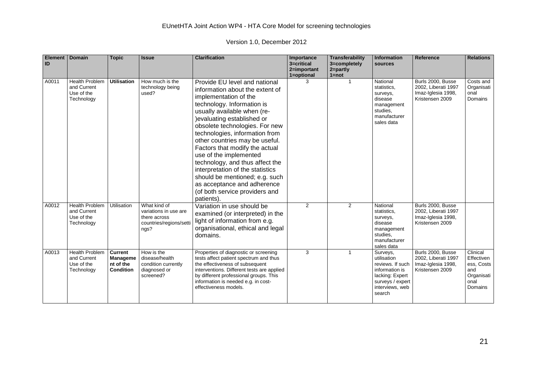| <b>Element</b><br>ID | <b>Domain</b>                                                    | <b>Topic</b>                                         | <b>Issue</b>                                                                             | <b>Clarification</b>                                                                                                                                                                                                                                                                                                                                                                                                                                                                                                                            | Importance<br>3=critical<br>2=important<br>1=optional | Transferability<br>3=completely<br>$2 = part$<br>$1 = not$ | Information<br>sources                                                                                                            | <b>Reference</b>                                                                  | <b>Relations</b>                                                             |
|----------------------|------------------------------------------------------------------|------------------------------------------------------|------------------------------------------------------------------------------------------|-------------------------------------------------------------------------------------------------------------------------------------------------------------------------------------------------------------------------------------------------------------------------------------------------------------------------------------------------------------------------------------------------------------------------------------------------------------------------------------------------------------------------------------------------|-------------------------------------------------------|------------------------------------------------------------|-----------------------------------------------------------------------------------------------------------------------------------|-----------------------------------------------------------------------------------|------------------------------------------------------------------------------|
| A0011                | <b>Health Problem</b><br>and Current<br>Use of the<br>Technology | <b>Utilisation</b>                                   | How much is the<br>technology being<br>used?                                             | Provide EU level and national<br>information about the extent of<br>implementation of the<br>technology. Information is<br>usually available when (re-<br>) evaluating established or<br>obsolete technologies. For new<br>technologies, information from<br>other countries may be useful.<br>Factors that modify the actual<br>use of the implemented<br>technology, and thus affect the<br>interpretation of the statistics<br>should be mentioned; e.g. such<br>as acceptance and adherence<br>(of both service providers and<br>patients). | 3                                                     |                                                            | National<br>statistics,<br>surveys,<br>disease<br>management<br>studies.<br>manufacturer<br>sales data                            | Burls 2000, Busse<br>2002, Liberati 1997<br>Imaz-Iglesia 1998,<br>Kristensen 2009 | Costs and<br>Organisati<br>onal<br>Domains                                   |
| A0012                | <b>Health Problem</b><br>and Current<br>Use of the<br>Technology | Utilisation                                          | What kind of<br>variations in use are<br>there across<br>countries/regions/setti<br>ngs? | Variation in use should be<br>examined (or interpreted) in the<br>light of information from e.g.<br>organisational, ethical and legal<br>domains.                                                                                                                                                                                                                                                                                                                                                                                               | $\overline{2}$                                        | 2                                                          | National<br>statistics,<br>surveys,<br>disease<br>management<br>studies.<br>manufacturer<br>sales data                            | Burls 2000. Busse<br>2002, Liberati 1997<br>Imaz-Iglesia 1998,<br>Kristensen 2009 |                                                                              |
| A0013                | <b>Health Problem</b><br>and Current<br>Use of the<br>Technology | <b>Current</b><br>Manageme<br>nt of the<br>Condition | How is the<br>disease/health<br>condition currently<br>diagnosed or<br>screened?         | Properties of diagnostic or screening<br>tests affect patient spectrum and thus<br>the effectiveness of subsequent<br>interventions. Different tests are applied<br>by different professional groups. This<br>information is needed e.g. in cost-<br>effectiveness models.                                                                                                                                                                                                                                                                      | 3                                                     | -1                                                         | Surveys,<br>utilisation<br>reviews. If such<br>information is<br>lacking: Expert<br>surveys / expert<br>interviews, web<br>search | Burls 2000, Busse<br>2002, Liberati 1997<br>Imaz-Iglesia 1998,<br>Kristensen 2009 | Clinical<br>Effectiven<br>ess, Costs<br>and<br>Organisati<br>onal<br>Domains |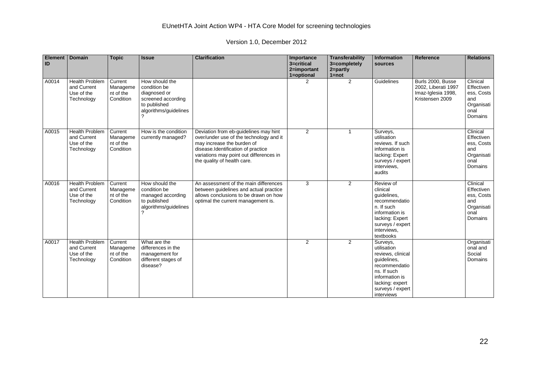| <b>Element</b><br>ID | <b>Domain</b>                                                    | <b>Topic</b>                                  | <b>Issue</b>                                                                                                  | <b>Clarification</b>                                                                                                                                                                                                           | Importance<br>3=critical<br>2=important<br>1=optional | Transferability<br>3=completely<br>$2 =$ partly<br>$1 = not$ | <b>Information</b><br>sources                                                                                                                                      | Reference                                                                         | <b>Relations</b>                                                             |
|----------------------|------------------------------------------------------------------|-----------------------------------------------|---------------------------------------------------------------------------------------------------------------|--------------------------------------------------------------------------------------------------------------------------------------------------------------------------------------------------------------------------------|-------------------------------------------------------|--------------------------------------------------------------|--------------------------------------------------------------------------------------------------------------------------------------------------------------------|-----------------------------------------------------------------------------------|------------------------------------------------------------------------------|
| A0014                | <b>Health Problem</b><br>and Current<br>Use of the<br>Technology | Current<br>Manageme<br>nt of the<br>Condition | How should the<br>condition be<br>diagnosed or<br>screened according<br>to published<br>algorithms/guidelines |                                                                                                                                                                                                                                | $\overline{2}$                                        | 2                                                            | Guidelines                                                                                                                                                         | Burls 2000. Busse<br>2002, Liberati 1997<br>Imaz-Iglesia 1998,<br>Kristensen 2009 | Clinical<br>Effectiven<br>ess, Costs<br>and<br>Organisati<br>onal<br>Domains |
| A0015                | <b>Health Problem</b><br>and Current<br>Use of the<br>Technology | Current<br>Manageme<br>nt of the<br>Condition | How is the condition<br>currently managed?                                                                    | Deviation from eb-guidelines may hint<br>over/under use of the technology and it<br>may increase the burden of<br>disease.Identification of practice<br>variations may point out differences in<br>the quality of health care. | $\overline{2}$                                        |                                                              | Surveys,<br>utilisation<br>reviews. If such<br>information is<br>lacking: Expert<br>surveys / expert<br>interviews,<br>audits                                      |                                                                                   | Clinical<br>Effectiven<br>ess, Costs<br>and<br>Organisati<br>onal<br>Domains |
| A0016                | <b>Health Problem</b><br>and Current<br>Use of the<br>Technology | Current<br>Manageme<br>nt of the<br>Condition | How should the<br>condition be<br>managed according<br>to published<br>algorithms/guidelines                  | An assessment of the main differences<br>between guidelines and actual practice<br>allows conclusions to be drawn on how<br>optimal the current management is.                                                                 | 3                                                     | $\overline{2}$                                               | Review of<br>clinical<br>quidelines,<br>recommendatio<br>n. If such<br>information is<br>lacking: Expert<br>surveys / expert<br>interviews,<br>textbooks           |                                                                                   | Clinical<br>Effectiven<br>ess, Costs<br>and<br>Organisati<br>onal<br>Domains |
| A0017                | <b>Health Problem</b><br>and Current<br>Use of the<br>Technology | Current<br>Manageme<br>nt of the<br>Condition | What are the<br>differences in the<br>management for<br>different stages of<br>disease?                       |                                                                                                                                                                                                                                | $\overline{2}$                                        | $\overline{2}$                                               | Surveys,<br>utilisation<br>reviews, clinical<br>guidelines,<br>recommendatio<br>ns. If such<br>information is<br>lacking: expert<br>surveys / expert<br>interviews |                                                                                   | Organisati<br>onal and<br>Social<br><b>Domains</b>                           |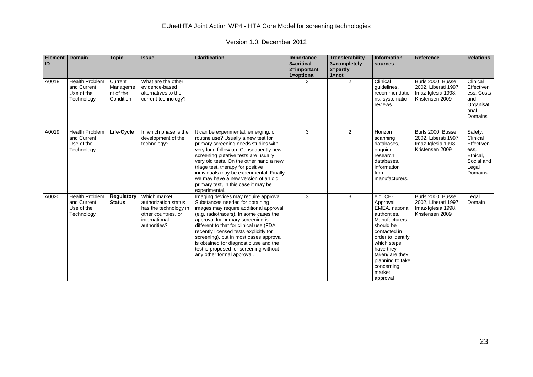| <b>Element</b><br>ID | <b>Domain</b>                                                    | <b>Topic</b>                                  | <b>Issue</b>                                                                                                          | <b>Clarification</b>                                                                                                                                                                                                                                                                                                                                                                                                                               | Importance<br>3=critical<br>2=important<br>1=optional | Transferability<br>3=completely<br>$2 =$ partly<br>$1 = not$ | <b>Information</b><br>sources                                                                                                                                                                                                     | Reference                                                                         | <b>Relations</b>                                                                        |
|----------------------|------------------------------------------------------------------|-----------------------------------------------|-----------------------------------------------------------------------------------------------------------------------|----------------------------------------------------------------------------------------------------------------------------------------------------------------------------------------------------------------------------------------------------------------------------------------------------------------------------------------------------------------------------------------------------------------------------------------------------|-------------------------------------------------------|--------------------------------------------------------------|-----------------------------------------------------------------------------------------------------------------------------------------------------------------------------------------------------------------------------------|-----------------------------------------------------------------------------------|-----------------------------------------------------------------------------------------|
| A0018                | <b>Health Problem</b><br>and Current<br>Use of the<br>Technology | Current<br>Manageme<br>nt of the<br>Condition | What are the other<br>evidence-based<br>alternatives to the<br>current technology?                                    |                                                                                                                                                                                                                                                                                                                                                                                                                                                    | 3                                                     | 2                                                            | Clinical<br>guidelines,<br>recommendatio<br>ns, systematic<br>reviews                                                                                                                                                             | Burls 2000, Busse<br>2002, Liberati 1997<br>Imaz-Iglesia 1998,<br>Kristensen 2009 | Clinical<br>Effectiven<br>ess, Costs<br>and<br>Organisati<br>onal<br>Domains            |
| A0019                | <b>Health Problem</b><br>and Current<br>Use of the<br>Technology | Life-Cycle                                    | In which phase is the<br>development of the<br>technology?                                                            | It can be experimental, emerging, or<br>routine use? Usually a new test for<br>primary screening needs studies with<br>very long follow up. Consequently new<br>screening putative tests are usually<br>very old tests. On the other hand a new<br>triage test, therapy for positive<br>individuals may be experimental. Finally<br>we may have a new version of an old<br>primary test, in this case it may be<br>experimental.                   | 3                                                     | $\overline{2}$                                               | Horizon<br>scanning<br>databases.<br>ongoing<br>research<br>databases,<br>information<br>from<br>manufacturers.                                                                                                                   | Burls 2000, Busse<br>2002, Liberati 1997<br>Imaz-Iglesia 1998,<br>Kristensen 2009 | Safety,<br>Clinical<br>Effectiven<br>ess.<br>Ethical,<br>Social and<br>Legal<br>Domains |
| A0020                | <b>Health Problem</b><br>and Current<br>Use of the<br>Technology | Regulatory<br><b>Status</b>                   | Which market<br>authorization status<br>has the technology in<br>other countries, or<br>international<br>authorities? | Imaging devices may require approval.<br>Substances needed for obtaining<br>images may require additional approval<br>(e.g. radiotracers). In some cases the<br>approval for primary screening is<br>different to that for clinical use (FDA<br>recently licensed tests explicitly for<br>screening), but in most cases approval<br>is obtained for diagnostic use and the<br>test is proposed for screening without<br>any other formal approval. | 3                                                     | 3                                                            | e.g. CE-<br>Approval,<br>EMEA, national<br>authorities.<br>Manufacturers<br>should be<br>contacted in<br>order to identify<br>which steps<br>have they<br>taken/ are they<br>planning to take<br>concerning<br>market<br>approval | Burls 2000, Busse<br>2002, Liberati 1997<br>Imaz-Iglesia 1998,<br>Kristensen 2009 | Legal<br>Domain                                                                         |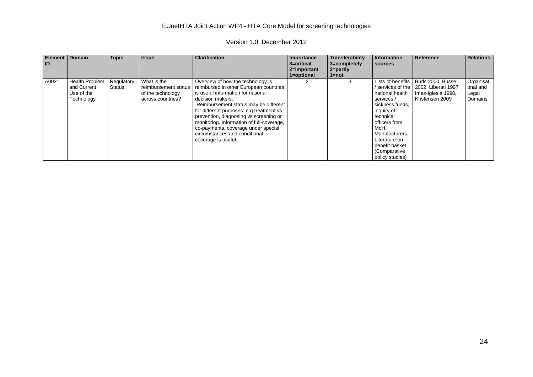| <b>Element</b><br><b>ID</b> | <b>Domain</b>                                                    | <b>Topic</b>         | <b>Issue</b>                                                                  | <b>Clarification</b>                                                                                                                                                                                                                                                    | Importance<br>3=critical | Transferability<br>3=completely | Information<br>sources                                                                                                                   | Reference                                                                         | <b>Relations</b>                           |
|-----------------------------|------------------------------------------------------------------|----------------------|-------------------------------------------------------------------------------|-------------------------------------------------------------------------------------------------------------------------------------------------------------------------------------------------------------------------------------------------------------------------|--------------------------|---------------------------------|------------------------------------------------------------------------------------------------------------------------------------------|-----------------------------------------------------------------------------------|--------------------------------------------|
|                             |                                                                  |                      |                                                                               |                                                                                                                                                                                                                                                                         | 2=important              | 2=partly                        |                                                                                                                                          |                                                                                   |                                            |
|                             |                                                                  |                      |                                                                               |                                                                                                                                                                                                                                                                         | 1=optional               | $1 = not$                       |                                                                                                                                          |                                                                                   |                                            |
| A0021                       | <b>Health Problem</b><br>and Current<br>Use of the<br>Technology | Regulatory<br>Status | What is the<br>reimbursement status<br>of the technology<br>across countries? | Overview of how the technology is<br>reimbursed in other European countries<br>is useful information for national<br>decision makers.                                                                                                                                   |                          |                                 | Lists of benefits<br>/ services of the<br>national health<br>services /                                                                  | Burls 2000, Busse<br>2002, Liberati 1997<br>Imaz-Iglesia 1998,<br>Kristensen 2009 | Organisati<br>onal and<br>Legal<br>Domains |
|                             |                                                                  |                      |                                                                               | Reimbursement status may be different<br>for different purposes: e.g treatment vs<br>prevention, diagnosing vs screening or<br>monitoring. Information of full-coverage,<br>co-payments, coverage under special<br>circumstances and conditional<br>coverage is useful. |                          |                                 | sickness funds,<br>inguiry of<br>technical<br>officers from<br>MoH.<br>Manufacturers.<br>Literature on<br>benefit basket<br>(Comparative |                                                                                   |                                            |
|                             |                                                                  |                      |                                                                               |                                                                                                                                                                                                                                                                         |                          |                                 | policy studies)                                                                                                                          |                                                                                   |                                            |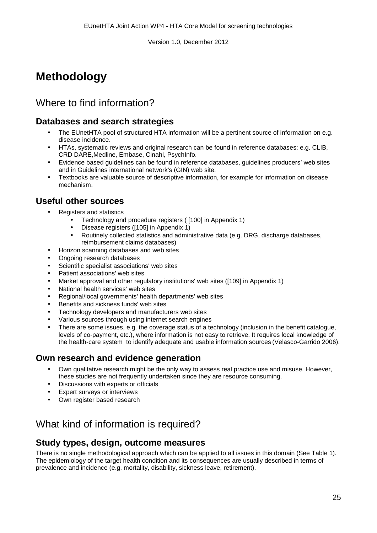## <span id="page-25-0"></span>**Methodology**

## Where to find information?

## **Databases and search strategies**

- The EUnetHTA pool of structured HTA information will be a pertinent source of information on e.g.  $\overline{a}$ disease incidence.
- HTAs, systematic reviews and original research can be found in reference databases: e.g. CLIB, CRD DARE,Medline, Embase, Cinahl, PsychInfo.
- Evidence based guidelines can be found in reference databases, guidelines producers' web sites and in Guidelines international network's (GIN) web site.
- Textbooks are valuable source of descriptive information, for example for information on disease mechanism.

#### **Useful other sources**

- Registers and statistics
	- Technology and procedure registers ( [100] in Appendix 1)
	- Disease registers ([105] in Appendix 1)
	- Routinely collected statistics and administrative data (e.g. DRG, discharge databases, reimbursement claims databases)
- Horizon scanning databases and web sites
- Ongoing research databases
- Scientific specialist associations' web sites
- Patient associations' web sites
- Market approval and other regulatory institutions' web sites ([109] in Appendix 1)
- National health services' web sites
- Regional/local governments' health departments' web sites
- Benefits and sickness funds' web sites
- Technology developers and manufacturers web sites
- Various sources through using internet search engines
- There are some issues, e.g. the coverage status of a technology (inclusion in the benefit catalogue, levels of co-payment, etc.), where information is not easy to retrieve. It requires local knowledge of the health-care system to identify adequate and usable information sources (Velasco-Garrido 2006).

#### **Own research and evidence generation**

- Own qualitative research might be the only way to assess real practice use and misuse. However, these studies are not frequently undertaken since they are resource consuming.
- Discussions with experts or officials
- Expert surveys or interviews
- Own register based research

## What kind of information is required?

#### **Study types, design, outcome measures**

There is no single methodological approach which can be applied to all issues in this domain (See Table 1). The epidemiology of the target health condition and its consequences are usually described in terms of prevalence and incidence (e.g. mortality, disability, sickness leave, retirement).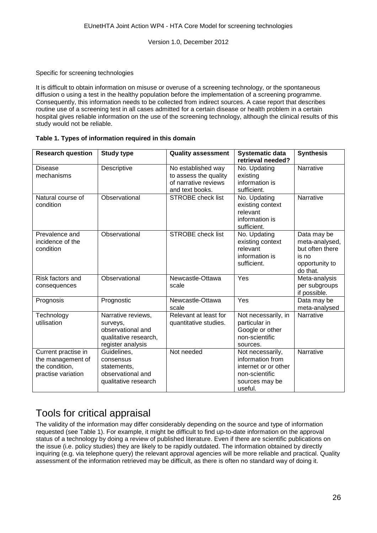#### Specific for screening technologies

It is difficult to obtain information on misuse or overuse of a screening technology, or the spontaneous diffusion o using a test in the healthy population before the implementation of a screening programme. Consequently, this information needs to be collected from indirect sources. A case report that describes routine use of a screening test in all cases admitted for a certain disease or health problem in a certain hospital gives reliable information on the use of the screening technology, although the clinical results of this study would not be reliable.

#### **Table 1. Types of information required in this domain**

| <b>Research question</b>                                                         | <b>Study type</b>                                                                                 | <b>Quality assessment</b>                                                              | <b>Systematic data</b><br>retrieval needed?                                                                 | <b>Synthesis</b>                                                                        |
|----------------------------------------------------------------------------------|---------------------------------------------------------------------------------------------------|----------------------------------------------------------------------------------------|-------------------------------------------------------------------------------------------------------------|-----------------------------------------------------------------------------------------|
| <b>Disease</b><br>mechanisms                                                     | Descriptive                                                                                       | No established way<br>to assess the quality<br>of narrative reviews<br>and text books. | No. Updating<br>existing<br>information is<br>sufficient.                                                   | Narrative                                                                               |
| Natural course of<br>condition                                                   | Observational                                                                                     | <b>STROBE</b> check list                                                               | No. Updating<br>existing context<br>relevant<br>information is<br>sufficient.                               | Narrative                                                                               |
| Prevalence and<br>incidence of the<br>condition                                  | Observational                                                                                     | <b>STROBE</b> check list                                                               | No. Updating<br>existing context<br>relevant<br>information is<br>sufficient.                               | Data may be<br>meta-analysed,<br>but often there<br>is no<br>opportunity to<br>do that. |
| Risk factors and<br>consequences                                                 | Observational                                                                                     | Newcastle-Ottawa<br>scale                                                              | Yes                                                                                                         | Meta-analysis<br>per subgroups<br>if possible.                                          |
| Prognosis                                                                        | Prognostic                                                                                        | Newcastle-Ottawa<br>scale                                                              | Yes                                                                                                         | Data may be<br>meta-analysed                                                            |
| Technology<br>utilisation                                                        | Narrative reviews,<br>surveys,<br>observational and<br>qualitative research,<br>register analysis | Relevant at least for<br>quantitative studies.                                         | Not necessarily, in<br>particular in<br>Google or other<br>non-scientific<br>sources.                       | Narrative                                                                               |
| Current practise in<br>the management of<br>the condition,<br>practise variation | Guidelines,<br>consensus<br>statements,<br>observational and<br>qualitative research              | Not needed                                                                             | Not necessarily,<br>information from<br>internet or or other<br>non-scientific<br>sources may be<br>useful. | <b>Narrative</b>                                                                        |

## Tools for critical appraisal

The validity of the information may differ considerably depending on the source and type of information requested (see Table 1). For example, it might be difficult to find up-to-date information on the approval status of a technology by doing a review of published literature. Even if there are scientific publications on the issue (i.e. policy studies) they are likely to be rapidly outdated. The information obtained by directly inquiring (e.g. via telephone query) the relevant approval agencies will be more reliable and practical. Quality assessment of the information retrieved may be difficult, as there is often no standard way of doing it.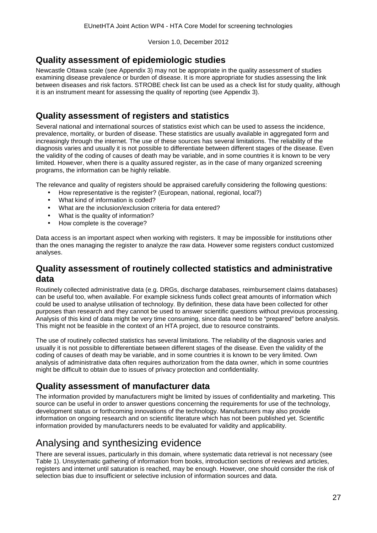### **Quality assessment of epidemiologic studies**

Newcastle Ottawa scale (see Appendix 3) may not be appropriate in the quality assessment of studies examining disease prevalence or burden of disease. It is more appropriate for studies assessing the link between diseases and risk factors. STROBE check list can be used as a check list for study quality, although it is an instrument meant for assessing the quality of reporting (see Appendix 3).

## **Quality assessment of registers and statistics**

Several national and international sources of statistics exist which can be used to assess the incidence, prevalence, mortality, or burden of disease. These statistics are usually available in aggregated form and increasingly through the internet. The use of these sources has several limitations. The reliability of the diagnosis varies and usually it is not possible to differentiate between different stages of the disease. Even the validity of the coding of causes of death may be variable, and in some countries it is known to be very limited. However, when there is a quality assured register, as in the case of many organized screening programs, the information can be highly reliable.

The relevance and quality of registers should be appraised carefully considering the following questions:

- How representative is the register? (European, national, regional, local?)
- What kind of information is coded?
- What are the inclusion/exclusion criteria for data entered?
- What is the quality of information?
- How complete is the coverage?

Data access is an important aspect when working with registers. It may be impossible for institutions other than the ones managing the register to analyze the raw data. However some registers conduct customized analyses.

#### **Quality assessment of routinely collected statistics and administrative data**

Routinely collected administrative data (e.g. DRGs, discharge databases, reimbursement claims databases) can be useful too, when available. For example sickness funds collect great amounts of information which could be used to analyse utilisation of technology. By definition, these data have been collected for other purposes than research and they cannot be used to answer scientific questions without previous processing. Analysis of this kind of data might be very time consuming, since data need to be "prepared" before analysis. This might not be feasible in the context of an HTA project, due to resource constraints.

The use of routinely collected statistics has several limitations. The reliability of the diagnosis varies and usually it is not possible to differentiate between different stages of the disease. Even the validity of the coding of causes of death may be variable, and in some countries it is known to be very limited. Own analysis of administrative data often requires authorization from the data owner, which in some countries might be difficult to obtain due to issues of privacy protection and confidentiality.

## **Quality assessment of manufacturer data**

The information provided by manufacturers might be limited by issues of confidentiality and marketing. This source can be useful in order to answer questions concerning the requirements for use of the technology, development status or forthcoming innovations of the technology. Manufacturers may also provide information on ongoing research and on scientific literature which has not been published yet. Scientific information provided by manufacturers needs to be evaluated for validity and applicability.

## Analysing and synthesizing evidence

There are several issues, particularly in this domain, where systematic data retrieval is not necessary (see Table 1). Unsystematic gathering of information from books, introduction sections of reviews and articles, registers and internet until saturation is reached, may be enough. However, one should consider the risk of selection bias due to insufficient or selective inclusion of information sources and data.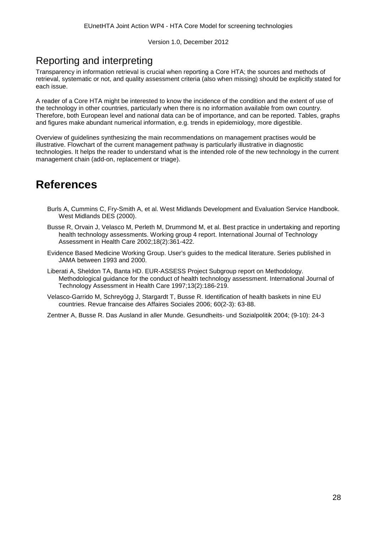## Reporting and interpreting

Transparency in information retrieval is crucial when reporting a Core HTA; the sources and methods of retrieval, systematic or not, and quality assessment criteria (also when missing) should be explicitly stated for each issue.

A reader of a Core HTA might be interested to know the incidence of the condition and the extent of use of the technology in other countries, particularly when there is no information available from own country. Therefore, both European level and national data can be of importance, and can be reported. Tables, graphs and figures make abundant numerical information, e.g. trends in epidemiology, more digestible.

Overview of guidelines synthesizing the main recommendations on management practises would be illustrative. Flowchart of the current management pathway is particularly illustrative in diagnostic technologies. It helps the reader to understand what is the intended role of the new technology in the current management chain (add-on, replacement or triage).

## <span id="page-28-0"></span>**References**

- Burls A, Cummins C, Fry-Smith A, et al. West Midlands Development and Evaluation Service Handbook. West Midlands DES (2000).
- Busse R, Orvain J, Velasco M, Perleth M, Drummond M, et al. Best practice in undertaking and reporting health technology assessments. Working group 4 report. International Journal of Technology Assessment in Health Care 2002;18(2):361-422.
- Evidence Based Medicine Working Group. User's guides to the medical literature. Series published in JAMA between 1993 and 2000.
- Liberati A, Sheldon TA, Banta HD. EUR-ASSESS Project Subgroup report on Methodology. Methodological guidance for the conduct of health technology assessment. International Journal of Technology Assessment in Health Care 1997;13(2):186-219.
- Velasco-Garrido M, Schreyögg J, Stargardt T, Busse R. Identification of health baskets in nine EU countries. Revue francaise des Affaires Sociales 2006; 60(2-3): 63-88.
- Zentner A, Busse R. Das Ausland in aller Munde. Gesundheits- und Sozialpolitik 2004; (9-10): 24-3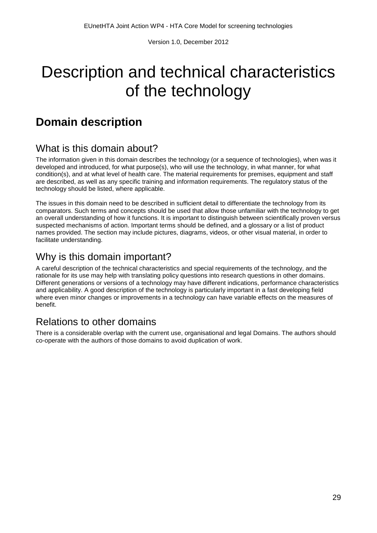# <span id="page-29-0"></span>Description and technical characteristics of the technology

## <span id="page-29-1"></span>**Domain description**

## What is this domain about?

The information given in this domain describes the technology (or a sequence of technologies), when was it developed and introduced, for what purpose(s), who will use the technology, in what manner, for what condition(s), and at what level of health care. The material requirements for premises, equipment and staff are described, as well as any specific training and information requirements. The regulatory status of the technology should be listed, where applicable.

The issues in this domain need to be described in sufficient detail to differentiate the technology from its comparators. Such terms and concepts should be used that allow those unfamiliar with the technology to get an overall understanding of how it functions. It is important to distinguish between scientifically proven versus suspected mechanisms of action. Important terms should be defined, and a glossary or a list of product names provided. The section may include pictures, diagrams, videos, or other visual material, in order to facilitate understanding.

## Why is this domain important?

A careful description of the technical characteristics and special requirements of the technology, and the rationale for its use may help with translating policy questions into research questions in other domains. Different generations or versions of a technology may have different indications, performance characteristics and applicability. A good description of the technology is particularly important in a fast developing field where even minor changes or improvements in a technology can have variable effects on the measures of benefit.

## Relations to other domains

There is a considerable overlap with the current use, organisational and legal Domains. The authors should co-operate with the authors of those domains to avoid duplication of work.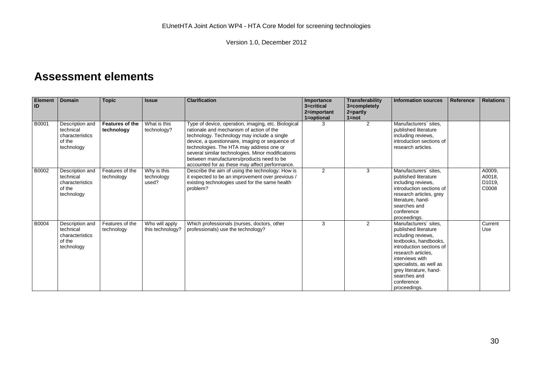## **Assessment elements**

<span id="page-30-0"></span>

| <b>Element</b><br><b>ID</b> | <b>Domain</b>                                                           | <b>Topic</b>                  | <b>Issue</b>                       | <b>Clarification</b>                                                                                                                                                                                                                                                                                                                                                                              | Importance<br>3=critical<br>2=important<br>1=optional | Transferability<br>3=completely<br>$ $ 2=partly<br>$1 = not$ | <b>Information sources</b>                                                                                                                                                                                                                                           | <b>Reference</b> | <b>Relations</b>                    |
|-----------------------------|-------------------------------------------------------------------------|-------------------------------|------------------------------------|---------------------------------------------------------------------------------------------------------------------------------------------------------------------------------------------------------------------------------------------------------------------------------------------------------------------------------------------------------------------------------------------------|-------------------------------------------------------|--------------------------------------------------------------|----------------------------------------------------------------------------------------------------------------------------------------------------------------------------------------------------------------------------------------------------------------------|------------------|-------------------------------------|
| B0001                       | Description and<br>technical<br>characteristics<br>of the<br>technology | Features of the<br>technology | What is this<br>technology?        | Type of device, operation, imaging, etc. Biological<br>rationale and mechanism of action of the<br>technology. Technology may include a single<br>device, a questionnaire, imaging or sequence of<br>technologies. The HTA may address one or<br>several similar technologies. Minor modifications<br>between manufacturers/products need to be<br>accounted for as these may affect performance. | 3                                                     | 2                                                            | Manufacturers' sites.<br>published literature<br>including reviews,<br>introduction sections of<br>research articles.                                                                                                                                                |                  |                                     |
| B0002                       | Description and<br>technical<br>characteristics<br>of the<br>technology | Features of the<br>technology | Why is this<br>technology<br>used? | Describe the aim of using the technology: How is<br>it expected to be an improvement over previous /<br>existing technologies used for the same health<br>problem?                                                                                                                                                                                                                                | 2                                                     | 3                                                            | Manufacturers' sites.<br>published literature<br>including reviews,<br>introduction sections of<br>research articles, grey<br>literature, hand-<br>searches and<br>conference<br>proceedings.                                                                        |                  | A0009,<br>A0018,<br>D1019,<br>C0008 |
| B0004                       | Description and<br>technical<br>characteristics<br>of the<br>technology | Features of the<br>technology | Who will apply<br>this technology? | Which professionals (nurses, doctors, other<br>professionals) use the technology?                                                                                                                                                                                                                                                                                                                 | 3                                                     | 2                                                            | Manufacturers' sites.<br>published literature<br>including reviews,<br>textbooks, handbooks,<br>introduction sections of<br>research articles.<br>interviews with<br>specialists, as well as<br>grey literature, hand-<br>searches and<br>conference<br>proceedings. |                  | Current<br>Use                      |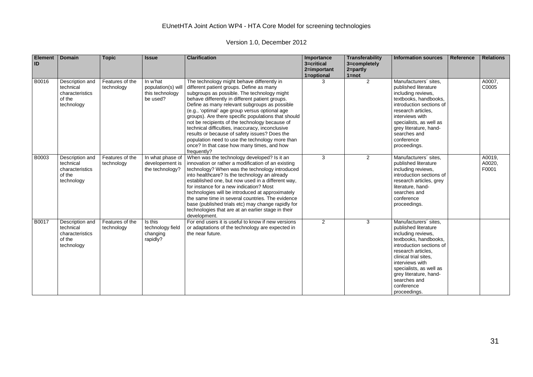| <b>Element</b><br>ID | <b>Domain</b>                                                           | <b>Topic</b>                  | <b>Issue</b>                                                  | <b>Clarification</b>                                                                                                                                                                                                                                                                                                                                                                                                                                                                                                                                                                                                      | Importance<br>3=critical<br>2=important<br>1=optional | Transferability<br>3=completely<br>$2 = partly$<br>$1 = not$ | <b>Information sources</b>                                                                                                                                                                                                                                                                    | Reference | <b>Relations</b>          |
|----------------------|-------------------------------------------------------------------------|-------------------------------|---------------------------------------------------------------|---------------------------------------------------------------------------------------------------------------------------------------------------------------------------------------------------------------------------------------------------------------------------------------------------------------------------------------------------------------------------------------------------------------------------------------------------------------------------------------------------------------------------------------------------------------------------------------------------------------------------|-------------------------------------------------------|--------------------------------------------------------------|-----------------------------------------------------------------------------------------------------------------------------------------------------------------------------------------------------------------------------------------------------------------------------------------------|-----------|---------------------------|
| B0016                | Description and<br>technical<br>characteristics<br>of the<br>technology | Features of the<br>technology | In w'hat<br>population(s) will<br>this technology<br>be used? | The technology might behave differently in<br>different patient groups. Define as many<br>subgroups as possible. The technology might<br>behave differently in different patient groups.<br>Define as many relevant subgroups as possible<br>(e.g., 'optimal' age group versus optional age<br>groups). Are there specific populations that should<br>not be recipients of the technology because of<br>technical difficulties, inaccuracy, inconclusive<br>results or because of safety issues? Does the<br>population need to use the technology more than<br>once? In that case how many times, and how<br>frequently? | З                                                     | $\overline{2}$                                               | Manufacturers' sites,<br>published literature<br>including reviews,<br>textbooks, handbooks,<br>introduction sections of<br>research articles.<br>interviews with<br>specialists, as well as<br>grey literature, hand-<br>searches and<br>conference<br>proceedings.                          |           | A0007,<br>C0005           |
| B0003                | Description and<br>technical<br>characteristics<br>of the<br>technology | Features of the<br>technology | In what phase of<br>developement is<br>the technology?        | When was the technology developed? Is it an<br>innovation or rather a modification of an existing<br>technology? When was the technology introduced<br>into healthcare? Is the technology an already<br>established one, but now used in a different way,<br>for instance for a new indication? Most<br>technologies will be introduced at approximately<br>the same time in several countries. The evidence<br>base (published trials etc) may change rapidly for<br>technologies that are at an earlier stage in their<br>development.                                                                                  | 3                                                     | $\overline{2}$                                               | Manufacturers' sites,<br>published literature<br>including reviews,<br>introduction sections of<br>research articles, grey<br>literature, hand-<br>searches and<br>conference<br>proceedings.                                                                                                 |           | A0019,<br>A0020,<br>F0001 |
| B0017                | Description and<br>technical<br>characteristics<br>of the<br>technology | Features of the<br>technology | Is this<br>technology field<br>changing<br>rapidly?           | For end users it is useful to know if new versions<br>or adaptations of the technology are expected in<br>the near future.                                                                                                                                                                                                                                                                                                                                                                                                                                                                                                | $\overline{2}$                                        | 3                                                            | Manufacturers' sites.<br>published literature<br>including reviews,<br>textbooks, handbooks,<br>introduction sections of<br>research articles.<br>clinical trial sites.<br>interviews with<br>specialists, as well as<br>grey literature, hand-<br>searches and<br>conference<br>proceedings. |           |                           |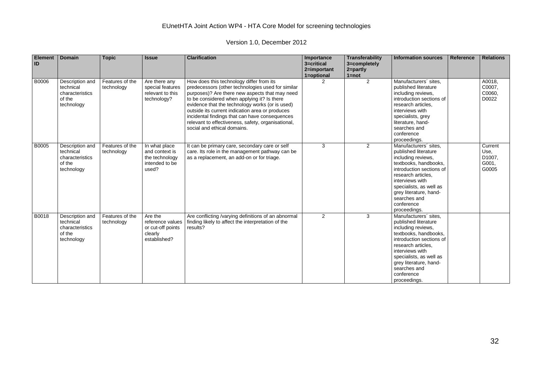| <b>Element</b><br>ID | <b>Domain</b>                                                           | <b>Topic</b>                  | <b>Issue</b>                                                                 | <b>Clarification</b>                                                                                                                                                                                                                                                                                                                                                                                                                        | Importance<br>3=critical<br>2=important<br>1=optional | <b>Transferability</b><br>3=completely<br>$2 =$ partly<br>$1 = not$ | <b>Information sources</b>                                                                                                                                                                                                                                           | Reference | <b>Relations</b>                            |
|----------------------|-------------------------------------------------------------------------|-------------------------------|------------------------------------------------------------------------------|---------------------------------------------------------------------------------------------------------------------------------------------------------------------------------------------------------------------------------------------------------------------------------------------------------------------------------------------------------------------------------------------------------------------------------------------|-------------------------------------------------------|---------------------------------------------------------------------|----------------------------------------------------------------------------------------------------------------------------------------------------------------------------------------------------------------------------------------------------------------------|-----------|---------------------------------------------|
| B0006                | Description and<br>technical<br>characteristics<br>of the<br>technology | Features of the<br>technology | Are there any<br>special features<br>relevant to this<br>technology?         | How does this technology differ from its<br>predecessors (other technologies used for similar<br>purposes)? Are there new aspects that may need<br>to be considered when applying it? Is there<br>evidence that the technology works (or is used)<br>outside its current indication area or produces<br>incidental findings that can have consequences<br>relevant to effectiveness, safety, organisational,<br>social and ethical domains. |                                                       | $\overline{2}$                                                      | Manufacturers' sites.<br>published literature<br>including reviews,<br>introduction sections of<br>research articles.<br>interviews with<br>specialists, grey<br>literature, hand-<br>searches and<br>conference<br>proceedings.                                     |           | A0018,<br>C0007,<br>C0060,<br>D0022         |
| B0005                | Description and<br>technical<br>characteristics<br>of the<br>technology | Features of the<br>technology | In what place<br>and context is<br>the technology<br>intended to be<br>used? | It can be primary care, secondary care or self<br>care. Its role in the management pathway can be<br>as a replacement, an add-on or for triage.                                                                                                                                                                                                                                                                                             | 3                                                     | $\overline{2}$                                                      | Manufacturers' sites,<br>published literature<br>including reviews,<br>textbooks, handbooks,<br>introduction sections of<br>research articles.<br>interviews with<br>specialists, as well as<br>grey literature, hand-<br>searches and<br>conference<br>proceedings. |           | Current<br>Use,<br>D1007,<br>G001,<br>G0005 |
| B0018                | Description and<br>technical<br>characteristics<br>of the<br>technology | Features of the<br>technology | Are the<br>reference values<br>or cut-off points<br>clearly<br>established?  | Are conflicting /varying definitions of an abnormal<br>finding likely to affect the interpretation of the<br>results?                                                                                                                                                                                                                                                                                                                       | 2                                                     | 3                                                                   | Manufacturers' sites.<br>published literature<br>including reviews,<br>textbooks, handbooks,<br>introduction sections of<br>research articles.<br>interviews with<br>specialists, as well as<br>grey literature, hand-<br>searches and<br>conference<br>proceedings. |           |                                             |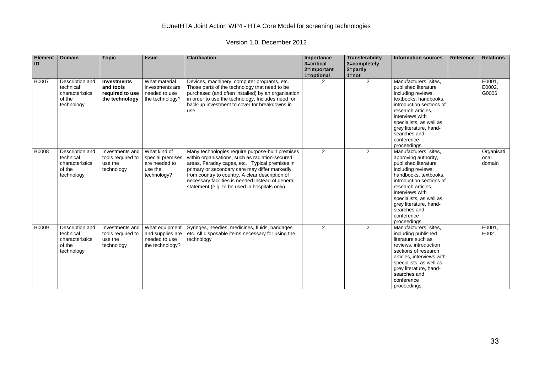| <b>Element</b><br>ID | <b>Domain</b>                                                           | <b>Topic</b>                                                         | <b>Issue</b>                                                                | <b>Clarification</b>                                                                                                                                                                                                                                                                                                                                            | Importance<br>3=critical<br>2=important<br>1=optional | Transferability<br>3=completely<br>2=partly<br>$1 = not$ | <b>Information sources</b>                                                                                                                                                                                                                                                                   | Reference | <b>Relations</b>             |
|----------------------|-------------------------------------------------------------------------|----------------------------------------------------------------------|-----------------------------------------------------------------------------|-----------------------------------------------------------------------------------------------------------------------------------------------------------------------------------------------------------------------------------------------------------------------------------------------------------------------------------------------------------------|-------------------------------------------------------|----------------------------------------------------------|----------------------------------------------------------------------------------------------------------------------------------------------------------------------------------------------------------------------------------------------------------------------------------------------|-----------|------------------------------|
| B0007                | Description and<br>technical<br>characteristics<br>of the<br>technology | <b>Investments</b><br>and tools<br>required to use<br>the technology | What material<br>investments are<br>needed to use<br>the technology?        | Devices, machinery, computer programs, etc.<br>Those parts of the technology that need to be<br>purchased (and often installed) by an organisation<br>in order to use the technology. Includes need for<br>back-up investment to cover for breakdowns in<br>use.                                                                                                | $\mathcal{P}$                                         | 2                                                        | Manufacturers' sites,<br>published literature<br>including reviews,<br>textbooks, handbooks,<br>introduction sections of<br>research articles.<br>interviews with<br>specialists, as well as<br>grey literature, hand-<br>searches and<br>conference<br>proceedings.                         |           | E0001,<br>E0002,<br>G0006    |
| B0008                | Description and<br>technical<br>characteristics<br>of the<br>technology | Investments and<br>tools required to<br>use the<br>technology        | What kind of<br>special premises<br>are needed to<br>use the<br>technology? | Many technologies require purpose-built premises<br>within organisations, such as radiation-secured<br>areas, Faraday cages, etc. Typical premises in<br>primary or secondary care may differ markedly<br>from country to country. A clear description of<br>necessary facilities is needed instead of general<br>statement (e.g. to be used in hospitals only) | $\overline{2}$                                        | 2                                                        | Manufacturers' sites,<br>approving authority,<br>published literature<br>including reviews,<br>handbooks, textbooks,<br>introduction sections of<br>research articles.<br>interviews with<br>specialists, as well as<br>grey literature, hand-<br>searches and<br>conference<br>proceedings. |           | Organisati<br>onal<br>domain |
| B0009                | Description and<br>technical<br>characteristics<br>of the<br>technology | Investments and<br>tools required to<br>use the<br>technology        | What equipment<br>and supplies are<br>needed to use<br>the technology?      | Syringes, needles, medicines, fluids, bandages<br>etc. All disposable items necessary for using the<br>technology                                                                                                                                                                                                                                               | 2                                                     | $\overline{2}$                                           | Manufacturers' sites,<br>including published<br>literature such as<br>reviews, introduction<br>sections of research<br>articles, interviews with<br>specialists, as well as<br>grey literature, hand-<br>searches and<br>conference<br>proceedings.                                          |           | E0001,<br>E002               |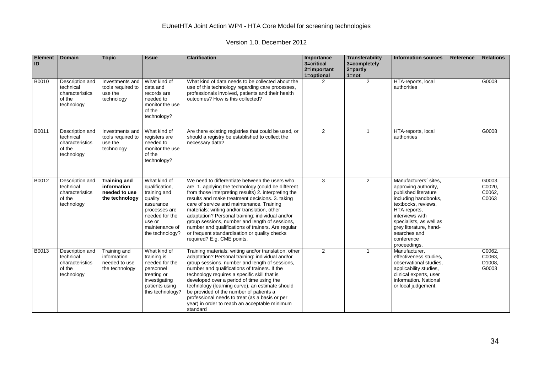| Element<br>ID | <b>Domain</b>                                                           | <b>Topic</b>                                                          | <b>Issue</b>                                                                                                                                             | <b>Clarification</b>                                                                                                                                                                                                                                                                                                                                                                                                                                                                                                                                     | Importance<br>3=critical<br>2=important<br>1=optional | Transferability<br>3=completely<br>2=partly<br>$1 = not$ | <b>Information sources</b>                                                                                                                                                                                                                                 | Reference | <b>Relations</b>                    |
|---------------|-------------------------------------------------------------------------|-----------------------------------------------------------------------|----------------------------------------------------------------------------------------------------------------------------------------------------------|----------------------------------------------------------------------------------------------------------------------------------------------------------------------------------------------------------------------------------------------------------------------------------------------------------------------------------------------------------------------------------------------------------------------------------------------------------------------------------------------------------------------------------------------------------|-------------------------------------------------------|----------------------------------------------------------|------------------------------------------------------------------------------------------------------------------------------------------------------------------------------------------------------------------------------------------------------------|-----------|-------------------------------------|
| B0010         | Description and<br>technical<br>characteristics<br>of the<br>technology | Investments and<br>tools required to<br>use the<br>technology         | What kind of<br>data and<br>records are<br>needed to<br>monitor the use<br>of the<br>technology?                                                         | What kind of data needs to be collected about the<br>use of this technology regarding care processes,<br>professionals involved, patients and their health<br>outcomes? How is this collected?                                                                                                                                                                                                                                                                                                                                                           | $\overline{2}$                                        | 2                                                        | HTA-reports, local<br>authorities                                                                                                                                                                                                                          |           | G0008                               |
| B0011         | Description and<br>technical<br>characteristics<br>of the<br>technology | Investments and<br>tools required to<br>use the<br>technology         | What kind of<br>registers are<br>needed to<br>monitor the use<br>of the<br>technology?                                                                   | Are there existing registries that could be used, or<br>should a registry be established to collect the<br>necessary data?                                                                                                                                                                                                                                                                                                                                                                                                                               | 2                                                     | $\mathbf{1}$                                             | HTA-reports, local<br>authorities                                                                                                                                                                                                                          |           | G0008                               |
| B0012         | Description and<br>technical<br>characteristics<br>of the<br>technology | <b>Training and</b><br>information<br>needed to use<br>the technology | What kind of<br>qualification,<br>training and<br>quality<br>assurance<br>processes are<br>needed for the<br>use or<br>maintenance of<br>the technology? | We need to differentiate between the users who<br>are. 1. applying the technology (could be different<br>from those interpreting results) 2. interpreting the<br>results and make treatment decisions. 3. taking<br>care of service and maintenance. Training<br>materials: writing and/or translation, other<br>adaptation? Personal training: individual and/or<br>group sessions, number and length of sessions,<br>number and qualifications of trainers. Are regular<br>or frequent standardisation or quality checks<br>required? E.g. CME points. | 3                                                     | 2                                                        | Manufacturers' sites,<br>approving authority,<br>published literature<br>including handbooks,<br>textbooks, reviews,<br>HTA-reports,<br>interviews with<br>specialists, as well as<br>grey literature, hand-<br>searches and<br>conference<br>proceedings. |           | G0003,<br>C0020.<br>C0062,<br>C0063 |
| B0013         | Description and<br>technical<br>characteristics<br>of the<br>technology | Training and<br>information<br>needed to use<br>the technology        | What kind of<br>training is<br>needed for the<br>personnel<br>treating or<br>investigating<br>patients using<br>this technology?                         | Training materials: writing and/or translation, other<br>adaptation? Personal training: individual and/or<br>group sessions, number and length of sessions,<br>number and qualifications of trainers. If the<br>technology requires a specific skill that is<br>developed over a period of time using the<br>technology (learning curve), an estimate should<br>be provided of the number of patients a<br>professional needs to treat (as a basis or per<br>year) in order to reach an acceptable minimum<br>standard                                   | 2                                                     | $\mathbf{1}$                                             | Manufacturer,<br>effectiveness studies.<br>observational studies,<br>applicability studies,<br>clinical experts, user<br>information. National<br>or local judgement.                                                                                      |           | C0062,<br>C0063,<br>D1008,<br>G0003 |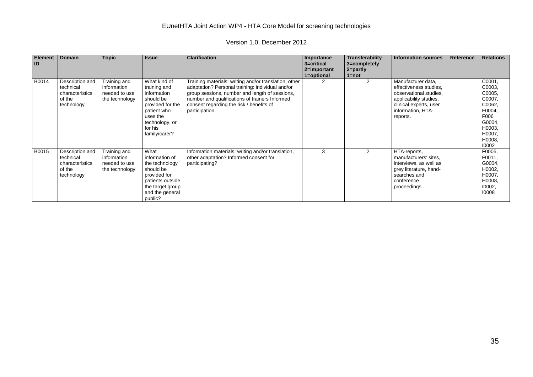| Element<br><b>ID</b> | <b>Domain</b>                                                           | <b>Topic</b>                                                   | <b>Issue</b>                                                                                                                                          | <b>Clarification</b>                                                                                                                                                                                                                                                        | Importance<br>3=critical<br>2=important<br>1=optional | <b>Transferability</b><br>3=completely<br>$2 = partly$<br>$1 = not$ | <b>Information sources</b>                                                                                                                                  | Reference | <b>Relations</b>                                                                                                  |
|----------------------|-------------------------------------------------------------------------|----------------------------------------------------------------|-------------------------------------------------------------------------------------------------------------------------------------------------------|-----------------------------------------------------------------------------------------------------------------------------------------------------------------------------------------------------------------------------------------------------------------------------|-------------------------------------------------------|---------------------------------------------------------------------|-------------------------------------------------------------------------------------------------------------------------------------------------------------|-----------|-------------------------------------------------------------------------------------------------------------------|
| B0014                | Description and<br>technical<br>characteristics<br>of the<br>technology | Training and<br>information<br>needed to use<br>the technology | What kind of<br>training and<br>information<br>should be<br>provided for the<br>patient who<br>uses the<br>technology, or<br>for his<br>family/carer? | Training materials: writing and/or translation, other<br>adaptation? Personal training: individual and/or<br>group sessions, number and length of sessions,<br>number and qualifications of trainers Informed<br>consent regarding the risk / benefits of<br>participation. | 2                                                     | $\overline{2}$                                                      | Manufacturer data,<br>effectiveness studies,<br>observational studies.<br>applicability studies,<br>clinical experts, user<br>information, HTA-<br>reports. |           | C0001,<br>C0003,<br>C0005,<br>C0007,<br>C0062,<br>F0004,<br>F006<br>G0004,<br>H0003,<br>H0007.<br>H0008,<br>10002 |
| B0015                | Description and<br>technical<br>characteristics<br>of the<br>technology | Training and<br>information<br>needed to use<br>the technology | What<br>information of<br>the technology<br>should be<br>provided for<br>patients outside<br>the target group<br>and the general<br>public?           | Information materials: writing and/or translation,<br>other adaptation? Informed consent for<br>participating?                                                                                                                                                              | 3                                                     | 2                                                                   | HTA-reports,<br>manufacturers' sites,<br>interviews, as well as<br>grey literature, hand-<br>searches and<br>conference<br>proceedings                      |           | F0005,<br>F0011,<br>G0004,<br>H0002,<br>H0007,<br>H0008,<br>10002,<br>10008                                       |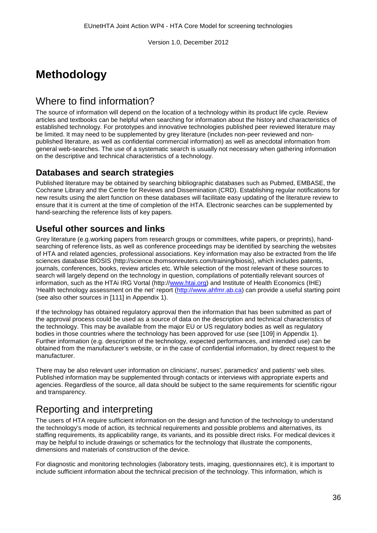# **Methodology**

# Where to find information?

The source of information will depend on the location of a technology within its product life cycle. Review articles and textbooks can be helpful when searching for information about the history and characteristics of established technology. For prototypes and innovative technologies published peer reviewed literature may be limited. It may need to be supplemented by grey literature (includes non-peer reviewed and nonpublished literature, as well as confidential commercial information) as well as anecdotal information from general web-searches. The use of a systematic search is usually not necessary when gathering information on the descriptive and technical characteristics of a technology.

### **Databases and search strategies**

Published literature may be obtained by searching bibliographic databases such as Pubmed, EMBASE, the Cochrane Library and the Centre for Reviews and Dissemination (CRD). Establishing regular notifications for new results using the alert function on these databases will facilitate easy updating of the literature review to ensure that it is current at the time of completion of the HTA. Electronic searches can be supplemented by hand-searching the reference lists of key papers.

### **Useful other sources and links**

Grey literature (e.g.working papers from research groups or committees, white papers, or preprints), handsearching of reference lists, as well as conference proceedings may be identified by searching the websites of HTA and related agencies, professional associations. Key information may also be extracted from the life sciences database BIOSIS (http://science.thomsonreuters.com/training/biosis), which includes patents, journals, conferences, books, review articles etc. While selection of the most relevant of these sources to search will largely depend on the technology in question, compilations of potentially relevant sources of information, such as the HTAi IRG Vortal (http:/[/www.htai.org\)](http://www.htai.org/) and Institute of Health Economics (IHE) 'Health technology assessment on the net' report [\(http://www.ahfmr.ab.ca\)](http://www.ahfmr.ab.ca/) can provide a useful starting point (see also other sources in [111] in Appendix 1).

If the technology has obtained regulatory approval then the information that has been submitted as part of the approval process could be used as a source of data on the description and technical characteristics of the technology. This may be available from the major EU or US regulatory bodies as well as regulatory bodies in those countries where the technology has been approved for use (see [109] in Appendix 1). Further information (e.g. description of the technology, expected performances, and intended use) can be obtained from the manufacturer's website, or in the case of confidential information, by direct request to the manufacturer.

There may be also relevant user information on clinicians', nurses', paramedics' and patients' web sites. Published information may be supplemented through contacts or interviews with appropriate experts and agencies. Regardless of the source, all data should be subject to the same requirements for scientific rigour and transparency.

# Reporting and interpreting

The users of HTA require sufficient information on the design and function of the technology to understand the technology's mode of action, its technical requirements and possible problems and alternatives, its staffing requirements, its applicability range, its variants, and its possible direct risks. For medical devices it may be helpful to include drawings or schematics for the technology that illustrate the components, dimensions and materials of construction of the device.

For diagnostic and monitoring technologies (laboratory tests, imaging, questionnaires etc), it is important to include sufficient information about the technical precision of the technology. This information, which is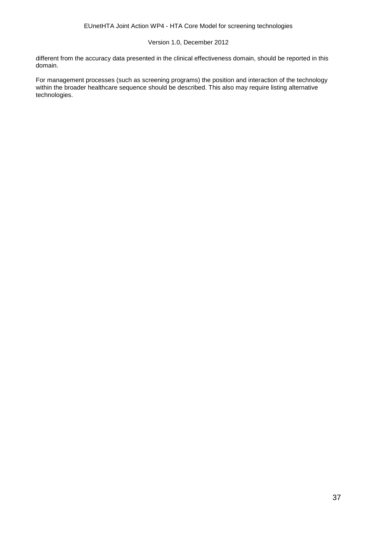different from the accuracy data presented in the clinical effectiveness domain, should be reported in this domain.

For management processes (such as screening programs) the position and interaction of the technology within the broader healthcare sequence should be described. This also may require listing alternative technologies.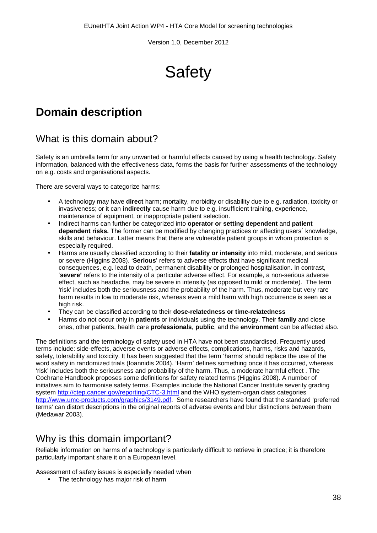**Safety** 

# **Domain description**

### What is this domain about?

Safety is an umbrella term for any unwanted or harmful effects caused by using a health technology. Safety information, balanced with the effectiveness data, forms the basis for further assessments of the technology on e.g. costs and organisational aspects.

There are several ways to categorize harms:

- A technology may have **direct** harm; mortality, morbidity or disability due to e.g. radiation, toxicity or invasiveness; or it can **indirectly** cause harm due to e.g. insufficient training, experience, maintenance of equipment, or inappropriate patient selection.
- Indirect harms can further be categorized into **operator or setting dependent** and **patient dependent risks.** The former can be modified by changing practices or affecting users´ knowledge, skills and behaviour. Latter means that there are vulnerable patient groups in whom protection is especially required.
- Harms are usually classified according to their **fatality or intensity** into mild, moderate, and serious or severe (Higgins 2008). '**Serious**' refers to adverse effects that have significant medical consequences, e.g. lead to death, permanent disability or prolonged hospitalisation. In contrast, '**severe'** refers to the intensity of a particular adverse effect. For example, a non-serious adverse effect, such as headache, may be severe in intensity (as opposed to mild or moderate). The term 'risk' includes both the seriousness and the probability of the harm. Thus, moderate but very rare harm results in low to moderate risk, whereas even a mild harm with high occurrence is seen as a high risk.
- They can be classified according to their **dose-relatedness or time-relatedness**
- Harms do not occur only in **patients** or individuals using the technology. Their **family** and close ones, other patients, health care **professionals**, **public**, and the **environment** can be affected also.

The definitions and the terminology of safety used in HTA have not been standardised. Frequently used terms include: side-effects, adverse events or adverse effects, complications, harms, risks and hazards, safety, tolerability and toxicity. It has been suggested that the term 'harms' should replace the use of the word safety in randomized trials (Ioannidis 2004). 'Harm' defines something once it has occurred, whereas 'risk' includes both the seriousness and probability of the harm. Thus, a moderate harmful effect . The Cochrane Handbook proposes some definitions for safety related terms (Higgins 2008). A number of initiatives aim to harmonise safety terms. Examples include the National Cancer Institute severity grading system<http://ctep.cancer.gov/reporting/CTC-3.html> and the WHO system-organ class categories [http://www.umc-products.com/graphics/3149.pdf.](http://www.umc-products.com/graphics/3149.pdf) Some researchers have found that the standard 'preferred terms' can distort descriptions in the original reports of adverse events and blur distinctions between them (Medawar 2003).

### Why is this domain important?

Reliable information on harms of a technology is particularly difficult to retrieve in practice; it is therefore particularly important share it on a European level.

Assessment of safety issues is especially needed when

The technology has major risk of harm $\mathbf{r}$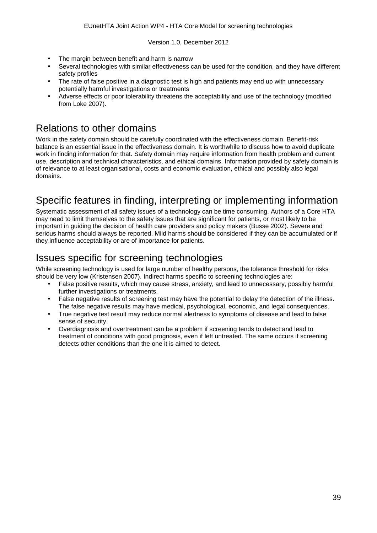- The margin between benefit and harm is narrow
- Several technologies with similar effectiveness can be used for the condition, and they have different safety profiles
- The rate of false positive in a diagnostic test is high and patients may end up with unnecessary potentially harmful investigations or treatments
- Adverse effects or poor tolerability threatens the acceptability and use of the technology (modified from Loke 2007).

### Relations to other domains

Work in the safety domain should be carefully coordinated with the effectiveness domain. Benefit-risk balance is an essential issue in the effectiveness domain. It is worthwhile to discuss how to avoid duplicate work in finding information for that. Safety domain may require information from health problem and current use, description and technical characteristics, and ethical domains. Information provided by safety domain is of relevance to at least organisational, costs and economic evaluation, ethical and possibly also legal domains.

# Specific features in finding, interpreting or implementing information

Systematic assessment of all safety issues of a technology can be time consuming. Authors of a Core HTA may need to limit themselves to the safety issues that are significant for patients, or most likely to be important in guiding the decision of health care providers and policy makers (Busse 2002). Severe and serious harms should always be reported. Mild harms should be considered if they can be accumulated or if they influence acceptability or are of importance for patients.

# Issues specific for screening technologies

While screening technology is used for large number of healthy persons, the tolerance threshold for risks should be very low (Kristensen 2007). Indirect harms specific to screening technologies are:

- False positive results, which may cause stress, anxiety, and lead to unnecessary, possibly harmful further investigations or treatments.
- False negative results of screening test may have the potential to delay the detection of the illness.  $\overline{a}$ The false negative results may have medical, psychological, economic, and legal consequences.
- True negative test result may reduce normal alertness to symptoms of disease and lead to false sense of security.
- Overdiagnosis and overtreatment can be a problem if screening tends to detect and lead to treatment of conditions with good prognosis, even if left untreated. The same occurs if screening detects other conditions than the one it is aimed to detect.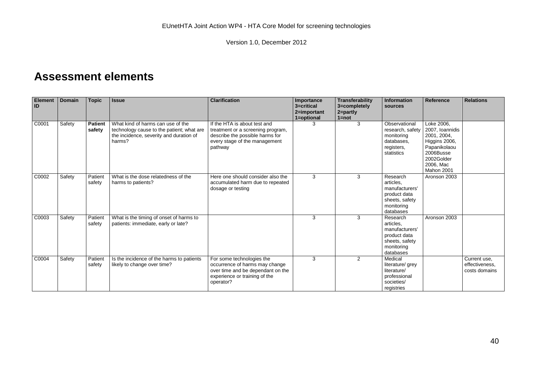# **Assessment elements**

| <b>Element</b><br>ID | <b>Domain</b> | <b>Topic</b>             | <b>Issue</b>                                                                                                                        | <b>Clarification</b>                                                                                                                             | Importance<br>3=critical<br>2=important | Transferability<br>3=completely<br>2=partly | <b>Information</b><br>sources                                                                        | Reference                                                                                                                           | <b>Relations</b>                                |
|----------------------|---------------|--------------------------|-------------------------------------------------------------------------------------------------------------------------------------|--------------------------------------------------------------------------------------------------------------------------------------------------|-----------------------------------------|---------------------------------------------|------------------------------------------------------------------------------------------------------|-------------------------------------------------------------------------------------------------------------------------------------|-------------------------------------------------|
|                      |               |                          |                                                                                                                                     |                                                                                                                                                  | 1=optional                              | $1 = not$                                   |                                                                                                      |                                                                                                                                     |                                                 |
| C0001                | Safety        | <b>Patient</b><br>safety | What kind of harms can use of the<br>technology cause to the patient; what are<br>the incidence, severity and duration of<br>harms? | If the HTA is about test and<br>treatment or a screening program,<br>describe the possible harms for<br>every stage of the management<br>pathway | 3                                       | 3                                           | Observational<br>research, safety<br>monitoring<br>databases.<br>registers,<br>statistics            | Loke 2006.<br>2007, Ioannidis<br>2001, 2004,<br>Higgins 2006,<br>Papanikolaou<br>2006Busse<br>2002Golder<br>2006, Mac<br>Mahon 2001 |                                                 |
| C0002                | Safety        | Patient<br>safety        | What is the dose relatedness of the<br>harms to patients?                                                                           | Here one should consider also the<br>accumulated harm due to repeated<br>dosage or testing                                                       | 3                                       | 3                                           | Research<br>articles.<br>manufacturers'<br>product data<br>sheets, safety<br>monitoring<br>databases | Aronson 2003                                                                                                                        |                                                 |
| C0003                | Safety        | Patient<br>safety        | What is the timing of onset of harms to<br>patients: immediate, early or late?                                                      |                                                                                                                                                  | 3                                       | 3                                           | Research<br>articles.<br>manufacturers'<br>product data<br>sheets, safety<br>monitoring<br>databases | Aronson 2003                                                                                                                        |                                                 |
| C0004                | Safety        | Patient<br>safety        | Is the incidence of the harms to patients<br>likely to change over time?                                                            | For some technologies the<br>occurrence of harms may change<br>over time and be dependant on the<br>experience or training of the<br>operator?   | 3                                       | 2                                           | Medical<br>literature/ grey<br>literature/<br>professional<br>societies/<br>registries               |                                                                                                                                     | Current use,<br>effectiveness.<br>costs domains |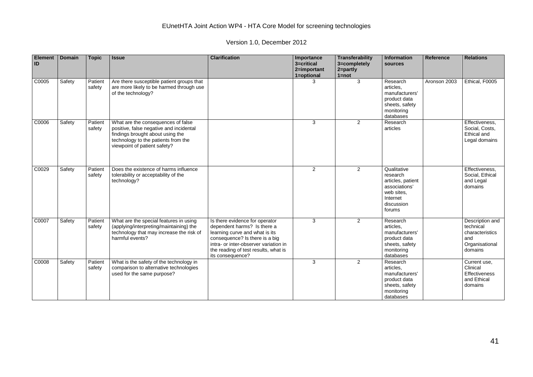Version 1.0, December 2012

| <b>Element</b><br>ID | <b>Domain</b> | <b>Topic</b>      | <b>Issue</b>                                                                                                                                                                             | <b>Clarification</b>                                                                                                                                                                                                                   | Importance<br>3=critical<br>2=important<br>1=optional | Transferability<br>3=completely<br>$2 = partly$<br>$1 = not$ | Information<br>sources                                                                                          | Reference    | <b>Relations</b>                                                                    |
|----------------------|---------------|-------------------|------------------------------------------------------------------------------------------------------------------------------------------------------------------------------------------|----------------------------------------------------------------------------------------------------------------------------------------------------------------------------------------------------------------------------------------|-------------------------------------------------------|--------------------------------------------------------------|-----------------------------------------------------------------------------------------------------------------|--------------|-------------------------------------------------------------------------------------|
| C0005                | Safety        | Patient<br>safety | Are there susceptible patient groups that<br>are more likely to be harmed through use<br>of the technology?                                                                              |                                                                                                                                                                                                                                        | 3                                                     | 3                                                            | Research<br>articles.<br>manufacturers'<br>product data<br>sheets, safety<br>monitoring<br>databases            | Aronson 2003 | Ethical, F0005                                                                      |
| C0006                | Safety        | Patient<br>safety | What are the consequences of false<br>positive, false negative and incidental<br>findings brought about using the<br>technology to the patients from the<br>viewpoint of patient safety? |                                                                                                                                                                                                                                        | 3                                                     | 2                                                            | Research<br>articles                                                                                            |              | Effectiveness.<br>Social, Costs,<br>Ethical and<br>Legal domains                    |
| C0029                | Safety        | Patient<br>safety | Does the existence of harms influence<br>tolerability or acceptability of the<br>technology?                                                                                             |                                                                                                                                                                                                                                        | 2                                                     | 2                                                            | Qualitative<br>research<br>articles, patient<br>associations'<br>web sites,<br>Internet<br>discussion<br>forums |              | Effectiveness.<br>Social, Ethical<br>and Legal<br>domains                           |
| C0007                | Safety        | Patient<br>safety | What are the special features in using<br>(applying/interpreting/maintaining) the<br>technology that may increase the risk of<br>harmful events?                                         | Is there evidence for operator<br>dependent harms? Is there a<br>learning curve and what is its<br>consequence? Is there is a big<br>intra- or inter-observer variation in<br>the reading of test results, what is<br>its consequence? | 3                                                     | 2                                                            | Research<br>articles.<br>manufacturers'<br>product data<br>sheets, safety<br>monitoring<br>databases            |              | Description and<br>technical<br>characteristics<br>and<br>Organisational<br>domains |
| C0008                | Safety        | Patient<br>safety | What is the safety of the technology in<br>comparison to alternative technologies<br>used for the same purpose?                                                                          |                                                                                                                                                                                                                                        | 3                                                     | 2                                                            | Research<br>articles.<br>manufacturers'<br>product data<br>sheets, safety<br>monitoring<br>databases            |              | Current use,<br>Clinical<br>Effectiveness<br>and Ethical<br>domains                 |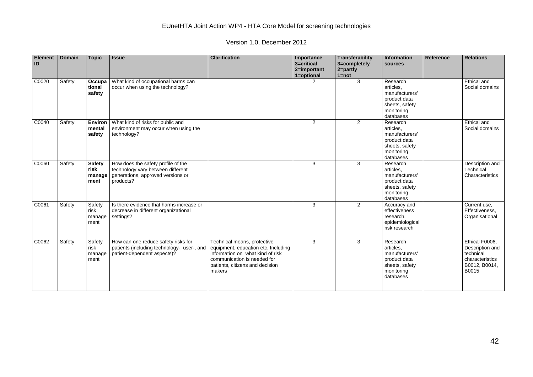Version 1.0, December 2012

| <b>Element</b><br>ID | <b>Domain</b> | <b>Topic</b>                            | <b>Issue</b>                                                                                                              | <b>Clarification</b>                                                                                                                                                               | Importance<br>3=critical<br>2=important<br>1=optional | Transferability<br>3=completely<br>2=partly<br>$1 = not$ | Information<br>sources                                                                               | <b>Reference</b> | <b>Relations</b>                                                                            |
|----------------------|---------------|-----------------------------------------|---------------------------------------------------------------------------------------------------------------------------|------------------------------------------------------------------------------------------------------------------------------------------------------------------------------------|-------------------------------------------------------|----------------------------------------------------------|------------------------------------------------------------------------------------------------------|------------------|---------------------------------------------------------------------------------------------|
| C0020                | Safety        | Occupa<br>tional<br>safety              | What kind of occupational harms can<br>occur when using the technology?                                                   |                                                                                                                                                                                    | $\mathcal{P}$                                         | 3                                                        | Research<br>articles.<br>manufacturers'<br>product data<br>sheets, safety<br>monitoring<br>databases |                  | Ethical and<br>Social domains                                                               |
| C0040                | Safety        | <b>Environ</b><br>mental<br>safety      | What kind of risks for public and<br>environment may occur when using the<br>technology?                                  |                                                                                                                                                                                    | $\mathbf{2}$                                          | 2                                                        | Research<br>articles.<br>manufacturers'<br>product data<br>sheets, safety<br>monitoring<br>databases |                  | Ethical and<br>Social domains                                                               |
| C0060                | Safety        | <b>Safety</b><br>risk<br>manage<br>ment | How does the safety profile of the<br>technology vary between different<br>generations, approved versions or<br>products? |                                                                                                                                                                                    | 3                                                     | 3                                                        | Research<br>articles.<br>manufacturers'<br>product data<br>sheets, safety<br>monitoring<br>databases |                  | Description and<br>Technical<br>Characteristics                                             |
| C0061                | Safety        | Safety<br>risk<br>manage<br>ment        | Is there evidence that harms increase or<br>decrease in different organizational<br>settings?                             |                                                                                                                                                                                    | 3                                                     | 2                                                        | Accuracy and<br>effectiveness<br>research,<br>epidemiological<br>risk research                       |                  | Current use,<br>Effectiveness.<br>Organisational                                            |
| C0062                | Safety        | Safety<br>risk<br>manage<br>ment        | How can one reduce safety risks for<br>patients (including technology-, user-, and<br>patient-dependent aspects)?         | Technical means, protective<br>equipment, education etc. Including<br>information on what kind of risk<br>communication is needed for<br>patients, citizens and decision<br>makers | 3                                                     | 3                                                        | Research<br>articles.<br>manufacturers'<br>product data<br>sheets, safety<br>monitoring<br>databases |                  | Ethical F0006,<br>Description and<br>technical<br>characteristics<br>B0012, B0014,<br>B0015 |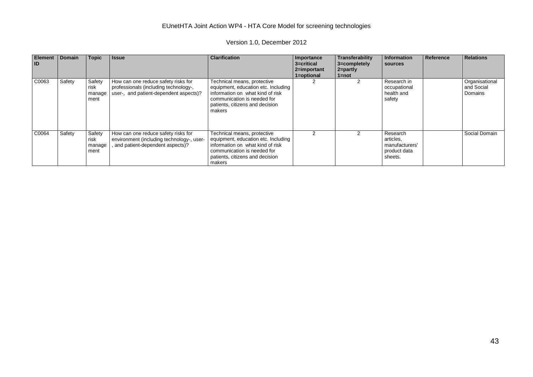Version 1.0, December 2012

| <b>Element</b><br>l ID | <b>Domain</b> | <b>Topic</b>                     | <b>Issue</b>                                                                                                           | <b>Clarification</b>                                                                                                                                                               | Importance<br>3=critical<br>$ 2=$ important<br>1=optional | Transferability<br>3=completely<br>$2 =$ partly<br>1=not | Information<br>sources                                             | Reference | <b>Relations</b>                        |
|------------------------|---------------|----------------------------------|------------------------------------------------------------------------------------------------------------------------|------------------------------------------------------------------------------------------------------------------------------------------------------------------------------------|-----------------------------------------------------------|----------------------------------------------------------|--------------------------------------------------------------------|-----------|-----------------------------------------|
| C0063                  | Safety        | Safety<br>risk<br>manage<br>ment | How can one reduce safety risks for<br>professionals (including technology-,<br>user-, and patient-dependent aspects)? | Technical means, protective<br>equipment, education etc. Including<br>information on what kind of risk<br>communication is needed for<br>patients, citizens and decision<br>makers |                                                           |                                                          | Research in<br>occupational<br>health and<br>safety                |           | Organisational<br>and Social<br>Domains |
| C0064                  | Safety        | Safety<br>risk<br>manage<br>ment | How can one reduce safety risks for<br>environment (including technology-, user-<br>and patient-dependent aspects)?    | Technical means, protective<br>equipment, education etc. Including<br>information on what kind of risk<br>communication is needed for<br>patients, citizens and decision<br>makers | 2                                                         |                                                          | Research<br>articles,<br>manufacturers'<br>product data<br>sheets. |           | Social Domain                           |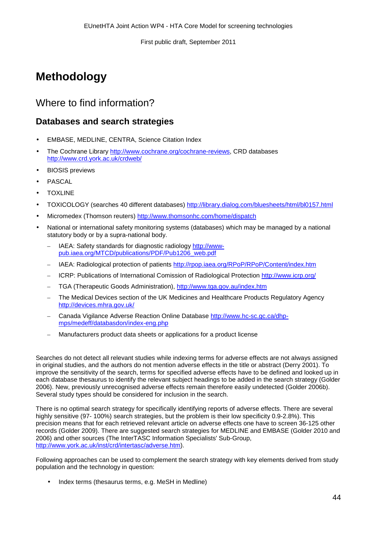# **Methodology**

# Where to find information?

### **Databases and search strategies**

- EMBASE, MEDLINE, CENTRA, Science Citation Index  $\overline{a}$
- The Cochrane Library [http://www.cochrane.org/cochrane-reviews,](http://www.cochrane.org/cochrane-reviews) CRD databases <http://www.crd.york.ac.uk/crdweb/>
- BIOSIS previews
- PASCAL
- **TOXLINE**
- TOXICOLOGY (searches 40 different databases)<http://library.dialog.com/bluesheets/html/bl0157.html>
- Micromedex (Thomson reuters)<http://www.thomsonhc.com/home/dispatch>
- National or international safety monitoring systems (databases) which may be managed by a national statutory body or by a supra-national body.
	- IAEA: Safety standards for diagnostic radiology [http://www](http://www-pub.iaea.org/MTCD/publications/PDF/Pub1206_web.pdf)[pub.iaea.org/MTCD/publications/PDF/Pub1206\\_web.pdf](http://www-pub.iaea.org/MTCD/publications/PDF/Pub1206_web.pdf)
	- IAEA: Radiological protection of patients<http://rpop.iaea.org/RPoP/RPoP/Content/index.htm>
	- ICRP: Publications of International Comission of Radiological Protection<http://www.icrp.org/>
	- TGA (Therapeutic Goods Administration),<http://www.tga.gov.au/index.htm>
	- The Medical Devices section of the UK Medicines and Healthcare Products Regulatory Agency <http://devices.mhra.gov.uk/>
	- Canada Vigilance Adverse Reaction Online Database [http://www.hc-sc.gc.ca/dhp](http://www.hc-sc.gc.ca/dhp-mps/medeff/databasdon/index-eng.php)[mps/medeff/databasdon/index-eng.php](http://www.hc-sc.gc.ca/dhp-mps/medeff/databasdon/index-eng.php)
	- Manufacturers product data sheets or applications for a product license

Searches do not detect all relevant studies while indexing terms for adverse effects are not always assigned in original studies, and the authors do not mention adverse effects in the title or abstract (Derry 2001). To improve the sensitivity of the search, terms for specified adverse effects have to be defined and looked up in each database thesaurus to identify the relevant subject headings to be added in the search strategy (Golder 2006). New, previously unrecognised adverse effects remain therefore easily undetected (Golder 2006b). Several study types should be considered for inclusion in the search.

There is no optimal search strategy for specifically identifying reports of adverse effects. There are several highly sensitive (97- 100%) search strategies, but the problem is their low specificity 0.9-2.8%). This precision means that for each retrieved relevant article on adverse effects one have to screen 36-125 other records (Golder 2009). There are suggested search strategies for MEDLINE and EMBASE (Golder 2010 and 2006) and other sources (The InterTASC Information Specialists' Sub-Group, [http://www.york.ac.uk/inst/crd/intertasc/adverse.htm\)](http://www.york.ac.uk/inst/crd/intertasc/adverse.htm).

Following approaches can be used to complement the search strategy with key elements derived from study population and the technology in question:

Index terms (thesaurus terms, e.g. MeSH in Medline)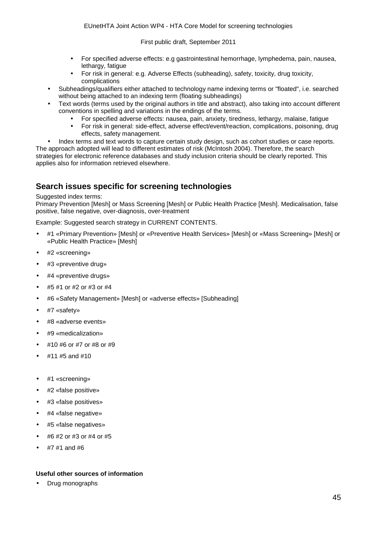- For specified adverse effects: e.g gastrointestinal hemorrhage, lymphedema, pain, nausea, lethargy, fatigue
- For risk in general: e.g. Adverse Effects (subheading), safety, toxicity, drug toxicity, complications
- Subheadings/qualifiers either attached to technology name indexing terms or "floated", i.e. searched without being attached to an indexing term (floating subheadings)
- Text words (terms used by the original authors in title and abstract), also taking into account different conventions in spelling and variations in the endings of the terms.
	- For specified adverse effects: nausea, pain, anxiety, tiredness, lethargy, malaise, fatigue
	- For risk in general: side-effect, adverse effect/event/reaction, complications, poisoning, drug effects, safety management.
	- Index terms and text words to capture certain study design, such as cohort studies or case reports.

The approach adopted will lead to different estimates of risk (McIntosh 2004). Therefore, the search strategies for electronic reference databases and study inclusion criteria should be clearly reported. This applies also for information retrieved elsewhere.

### **Search issues specific for screening technologies**

#### Suggested index terms:

Primary Prevention [Mesh] or Mass Screening [Mesh] or Public Health Practice [Mesh]. Medicalisation, false positive, false negative, over-diagnosis, over-treatment

Example: Suggested search strategy in CURRENT CONTENTS.

- #1 «Primary Prevention» [Mesh] or «Preventive Health Services» [Mesh] or «Mass Screening» [Mesh] or «Public Health Practice» [Mesh]
- #2 «screening»
- #3 «preventive drug»
- #4 «preventive drugs»
- #5 #1 or #2 or #3 or #4
- #6 «Safety Management» [Mesh] or «adverse effects» [Subheading]
- #7 «safety»
- #8 «adverse events»
- #9 «medicalization»
- #10 #6 or #7 or #8 or #9
- #11 #5 and #10
- #1 «screening»
- #2 «false positive»
- #3 «false positives»
- #4 «false negative»
- #5 «false negatives»
- #6 #2 or #3 or #4 or #5
- #7 #1 and #6

#### **Useful other sources of information**

Drug monographs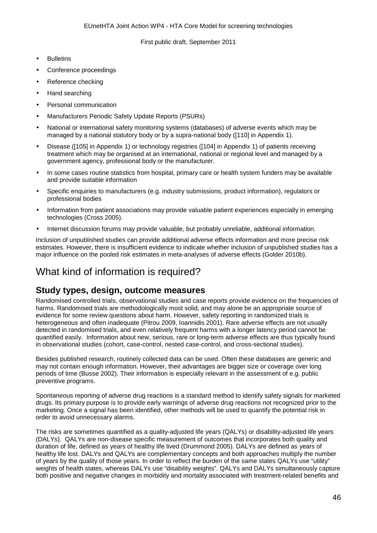- **Bulletins**
- Conference proceedings
- Reference checking
- Hand searching
- Personal communication
- Manufacturers Periodic Safety Update Reports (PSURs)
- National or international safety monitoring systems (databases) of adverse events which may be managed by a national statutory body or by a supra-national body ([110] in Appendix 1).
- Disease ([105] in Appendix 1) or technology registries ([104] in Appendix 1) of patients receiving treatment which may be organised at an international, national or regional level and managed by a government agency, professional body or the manufacturer.
- In some cases routine statistics from hospital, primary care or health system funders may be available and provide suitable information
- Specific enquiries to manufacturers (e.g. industry submissions, product information), regulators or professional bodies
- Information from patient associations may provide valuable patient experiences especially in emerging technologies (Cross 2005).
- Internet discussion forums may provide valuable, but probably unreliable, additional information.

Inclusion of unpublished studies can provide additional adverse effects information and more precise risk estimates. However, there is insufficient evidence to indicate whether inclusion of unpublished studies has a major influence on the pooled risk estimates in meta-analyses of adverse effects (Golder 2010b).

# What kind of information is required?

### **Study types, design, outcome measures**

Randomised controlled trials, observational studies and case reports provide evidence on the frequencies of harms. Randomised trials are methodologically most solid, and may alone be an appropriate source of evidence for some review questions about harm. However, safety reporting in randomized trials is heterogeneous and often inadequate (Pitrou 2009, Ioannidis 2001). Rare adverse effects are not usually detected in randomised trials, and even relatively frequent harms with a longer latency period cannot be quantified easily. Information about new, serious, rare or long-term adverse effects are thus typically found in observational studies (cohort, case-control, nested case-control, and cross-sectional studies).

Besides published research, routinely collected data can be used. Often these databases are generic and may not contain enough information. However, their advantages are bigger size or coverage over long periods of time (Busse 2002). Their information is especially relevant in the assessment of e.g. public preventive programs.

Spontaneous reporting of adverse drug reactions is a standard method to identify safety signals for marketed drugs. Its primary purpose is to provide early warnings of adverse drug reactions not recognized prior to the marketing. Once a signal has been identified, other methods will be used to quantify the potential risk in order to avoid unnecessary alarms.

The risks are sometimes quantified as a quality-adjusted life years (QALYs) or disability-adjusted life years (DALYs). QALYs are non-disease specific measurement of outcomes that incorporates both quality and duration of life, defined as years of healthy life lived (Drummond 2005). DALYs are defined as years of healthy life lost. DALYs and QALYs are complementary concepts and both approaches multiply the number of years by the quality of those years. In order to reflect the burden of the same states QALYs use "utility" weights of health states, whereas DALYs use "disability weights". QALYs and DALYs simultaneously capture both positive and negative changes in morbidity and mortality associated with treatment-related benefits and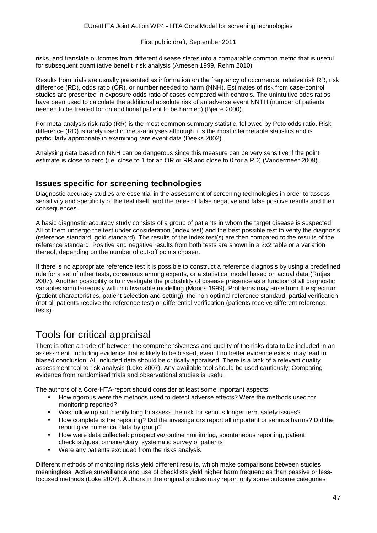risks, and translate outcomes from different disease states into a comparable common metric that is useful for subsequent quantitative benefit–risk analysis (Arnesen 1999, Rehm 2010)

Results from trials are usually presented as information on the frequency of occurrence, relative risk RR, risk difference (RD), odds ratio (OR), or number needed to harm (NNH). Estimates of risk from case-control studies are presented in exposure odds ratio of cases compared with controls. The unintuitive odds ratios have been used to calculate the additional absolute risk of an adverse event NNTH (number of patients needed to be treated for on additional patient to be harmed) (Bjerre 2000).

For meta-analysis risk ratio (RR) is the most common summary statistic, followed by Peto odds ratio. Risk difference (RD) is rarely used in meta-analyses although it is the most interpretable statistics and is particularly appropriate in examining rare event data (Deeks 2002).

Analysing data based on NNH can be dangerous since this measure can be very sensitive if the point estimate is close to zero (i.e. close to 1 for an OR or RR and close to 0 for a RD) (Vandermeer 2009).

#### **Issues specific for screening technologies**

Diagnostic accuracy studies are essential in the assessment of screening technologies in order to assess sensitivity and specificity of the test itself, and the rates of false negative and false positive results and their consequences.

A basic diagnostic accuracy study consists of a group of patients in whom the target disease is suspected. All of them undergo the test under consideration (index test) and the best possible test to verify the diagnosis (reference standard, gold standard). The results of the index test(s) are then compared to the results of the reference standard. Positive and negative results from both tests are shown in a 2x2 table or a variation thereof, depending on the number of cut-off points chosen.

If there is no appropriate reference test it is possible to construct a reference diagnosis by using a predefined rule for a set of other tests, consensus among experts, or a statistical model based on actual data (Rutjes 2007). Another possibility is to investigate the probability of disease presence as a function of all diagnostic variables simultaneously with multivariable modelling (Moons 1999). Problems may arise from the spectrum (patient characteristics, patient selection and setting), the non-optimal reference standard, partial verification (not all patients receive the reference test) or differential verification (patients receive different reference tests).

# Tools for critical appraisal

There is often a trade-off between the comprehensiveness and quality of the risks data to be included in an assessment. Including evidence that is likely to be biased, even if no better evidence exists, may lead to biased conclusion. All included data should be critically appraised. There is a lack of a relevant quality assessment tool to risk analysis (Loke 2007). Any available tool should be used cautiously. Comparing evidence from randomised trials and observational studies is useful.

The authors of a Core-HTA-report should consider at least some important aspects:

- How rigorous were the methods used to detect adverse effects? Were the methods used for monitoring reported?
- Was follow up sufficiently long to assess the risk for serious longer term safety issues?
- How complete is the reporting? Did the investigators report all important or serious harms? Did the report give numerical data by group?
- How were data collected: prospective/routine monitoring, spontaneous reporting, patient  $\overline{a}$ checklist/questionnaire/diary; systematic survey of patients
- Were any patients excluded from the risks analysis

Different methods of monitoring risks yield different results, which make comparisons between studies meaningless. Active surveillance and use of checklists yield higher harm frequencies than passive or lessfocused methods (Loke 2007). Authors in the original studies may report only some outcome categories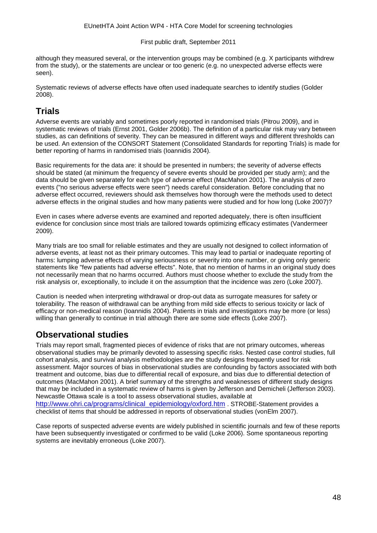although they measured several, or the intervention groups may be combined (e.g. X participants withdrew from the study), or the statements are unclear or too generic (e.g. no unexpected adverse effects were seen).

Systematic reviews of adverse effects have often used inadequate searches to identify studies (Golder 2008).

### **Trials**

Adverse events are variably and sometimes poorly reported in randomised trials (Pitrou 2009), and in systematic reviews of trials (Ernst 2001, Golder 2006b). The definition of a particular risk may vary between studies, as can definitions of severity. They can be measured in different ways and different thresholds can be used. An extension of the CONSORT Statement (Consolidated Standards for reporting Trials) is made for better reporting of harms in randomised trials (Ioannidis 2004).

Basic requirements for the data are: it should be presented in numbers; the severity of adverse effects should be stated (at minimum the frequency of severe events should be provided per study arm); and the data should be given separately for each type of adverse effect (MacMahon 2001). The analysis of zero events ("no serious adverse effects were seen") needs careful consideration. Before concluding that no adverse effect occurred, reviewers should ask themselves how thorough were the methods used to detect adverse effects in the original studies and how many patients were studied and for how long (Loke 2007)?

Even in cases where adverse events are examined and reported adequately, there is often insufficient evidence for conclusion since most trials are tailored towards optimizing efficacy estimates (Vandermeer 2009).

Many trials are too small for reliable estimates and they are usually not designed to collect information of adverse events, at least not as their primary outcomes. This may lead to partial or inadequate reporting of harms: lumping adverse effects of varying seriousness or severity into one number, or giving only generic statements like "few patients had adverse effects". Note, that no mention of harms in an original study does not necessarily mean that no harms occurred. Authors must choose whether to exclude the study from the risk analysis or, exceptionally, to include it on the assumption that the incidence was zero (Loke 2007).

Caution is needed when interpreting withdrawal or drop-out data as surrogate measures for safety or tolerability. The reason of withdrawal can be anything from mild side effects to serious toxicity or lack of efficacy or non-medical reason (Ioannidis 2004). Patients in trials and investigators may be more (or less) willing than generally to continue in trial although there are some side effects (Loke 2007).

### **Observational studies**

Trials may report small, fragmented pieces of evidence of risks that are not primary outcomes, whereas observational studies may be primarily devoted to assessing specific risks. Nested case control studies, full cohort analysis, and survival analysis methodologies are the study designs frequently used for risk assessment. Major sources of bias in observational studies are confounding by factors associated with both treatment and outcome, bias due to differential recall of exposure, and bias due to differential detection of outcomes (MacMahon 2001). A brief summary of the strengths and weaknesses of different study designs that may be included in a systematic review of harms is given by Jefferson and Demicheli (Jefferson 2003). Newcastle Ottawa scale is a tool to assess observational studies, available at [http://www.ohri.ca/programs/clinical\\_epidemiology/oxford.htm](http://www.ohri.ca/programs/clinical_epidemiology/oxford.htm) . STROBE-Statement provides a checklist of items that should be addressed in reports of observational studies (vonElm 2007).

Case reports of suspected adverse events are widely published in scientific journals and few of these reports have been subsequently investigated or confirmed to be valid (Loke 2006). Some spontaneous reporting systems are inevitably erroneous (Loke 2007).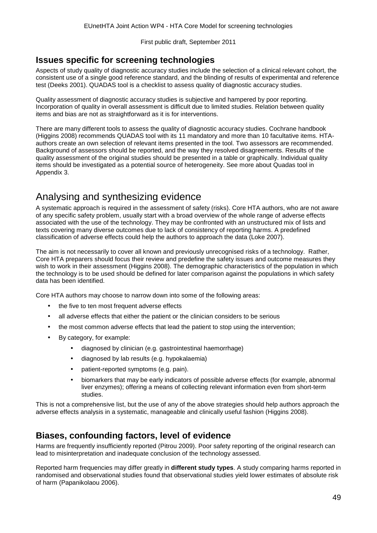### **Issues specific for screening technologies**

Aspects of study quality of diagnostic accuracy studies include the selection of a clinical relevant cohort, the consistent use of a single good reference standard, and the blinding of results of experimental and reference test (Deeks 2001). QUADAS tool is a checklist to assess quality of diagnostic accuracy studies.

Quality assessment of diagnostic accuracy studies is subjective and hampered by poor reporting. Incorporation of quality in overall assessment is difficult due to limited studies. Relation between quality items and bias are not as straightforward as it is for interventions.

There are many different tools to assess the quality of diagnostic accuracy studies. Cochrane handbook (Higgins 2008) recommends QUADAS tool with its 11 mandatory and more than 10 facultative items. HTAauthors create an own selection of relevant items presented in the tool. Two assessors are recommended. Background of assessors should be reported, and the way they resolved disagreements. Results of the quality assessment of the original studies should be presented in a table or graphically. Individual quality items should be investigated as a potential source of heterogeneity. See more about Quadas tool in Appendix 3.

# Analysing and synthesizing evidence

A systematic approach is required in the assessment of safety (risks). Core HTA authors, who are not aware of any specific safety problem, usually start with a broad overview of the whole range of adverse effects associated with the use of the technology. They may be confronted with an unstructured mix of lists and texts covering many diverse outcomes due to lack of consistency of reporting harms. A predefined classification of adverse effects could help the authors to approach the data (Loke 2007).

The aim is not necessarily to cover all known and previously unrecognised risks of a technology. Rather, Core HTA preparers should focus their review and predefine the safety issues and outcome measures they wish to work in their assessment (Higgins 2008). The demographic characteristics of the population in which the technology is to be used should be defined for later comparison against the populations in which safety data has been identified.

Core HTA authors may choose to narrow down into some of the following areas:

- the five to ten most frequent adverse effects
- all adverse effects that either the patient or the clinician considers to be serious
- the most common adverse effects that lead the patient to stop using the intervention;
- By category, for example:
	- diagnosed by clinician (e.g. gastrointestinal haemorrhage)
	- diagnosed by lab results (e.g. hypokalaemia)
	- patient-reported symptoms (e.g. pain).
	- biomarkers that may be early indicators of possible adverse effects (for example, abnormal liver enzymes); offering a means of collecting relevant information even from short-term studies.

This is not a comprehensive list, but the use of any of the above strategies should help authors approach the adverse effects analysis in a systematic, manageable and clinically useful fashion (Higgins 2008).

### **Biases, confounding factors, level of evidence**

Harms are frequently insufficiently reported (Pitrou 2009). Poor safety reporting of the original research can lead to misinterpretation and inadequate conclusion of the technology assessed.

Reported harm frequencies may differ greatly in **different study types**. A study comparing harms reported in randomised and observational studies found that observational studies yield lower estimates of absolute risk of harm (Papanikolaou 2006).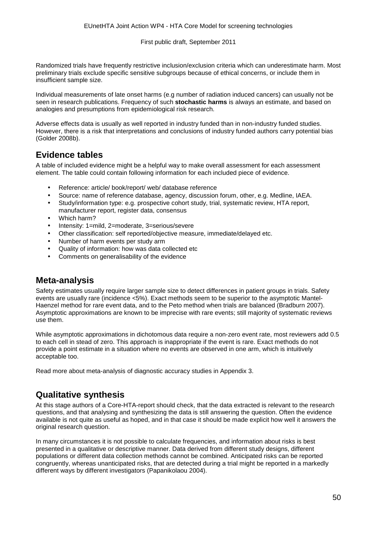Randomized trials have frequently restrictive inclusion/exclusion criteria which can underestimate harm. Most preliminary trials exclude specific sensitive subgroups because of ethical concerns, or include them in insufficient sample size.

Individual measurements of late onset harms (e.g number of radiation induced cancers) can usually not be seen in research publications. Frequency of such **stochastic harms** is always an estimate, and based on analogies and presumptions from epidemiological risk research.

Adverse effects data is usually as well reported in industry funded than in non-industry funded studies. However, there is a risk that interpretations and conclusions of industry funded authors carry potential bias (Golder 2008b).

### **Evidence tables**

A table of included evidence might be a helpful way to make overall assessment for each assessment element. The table could contain following information for each included piece of evidence.

- Reference: article/ book/report/ web/ database reference
- Source: name of reference database, agency, discussion forum, other, e.g. Medline, IAEA.
- Study/information type: e.g. prospective cohort study, trial, systematic review, HTA report, manufacturer report, register data, consensus
- Which harm?
- Intensity: 1=mild, 2=moderate, 3=serious/severe
- Other classification: self reported/objective measure, immediate/delayed etc.
- Number of harm events per study arm
- Quality of information: how was data collected etc
- Comments on generalisability of the evidence

### **Meta-analysis**

Safety estimates usually require larger sample size to detect differences in patient groups in trials. Safety events are usually rare (incidence <5%). Exact methods seem to be superior to the asymptotic Mantel-Haenzel method for rare event data, and to the Peto method when trials are balanced (Bradburn 2007). Asymptotic approximations are known to be imprecise with rare events; still majority of systematic reviews use them.

While asymptotic approximations in dichotomous data require a non-zero event rate, most reviewers add 0.5 to each cell in stead of zero. This approach is inappropriate if the event is rare. Exact methods do not provide a point estimate in a situation where no events are observed in one arm, which is intuitively acceptable too.

Read more about meta-analysis of diagnostic accuracy studies in Appendix 3.

### **Qualitative synthesis**

At this stage authors of a Core-HTA-report should check, that the data extracted is relevant to the research questions, and that analysing and synthesizing the data is still answering the question. Often the evidence available is not quite as useful as hoped, and in that case it should be made explicit how well it answers the original research question.

In many circumstances it is not possible to calculate frequencies, and information about risks is best presented in a qualitative or descriptive manner. Data derived from different study designs, different populations or different data collection methods cannot be combined. Anticipated risks can be reported congruently, whereas unanticipated risks, that are detected during a trial might be reported in a markedly different ways by different investigators (Papanikolaou 2004).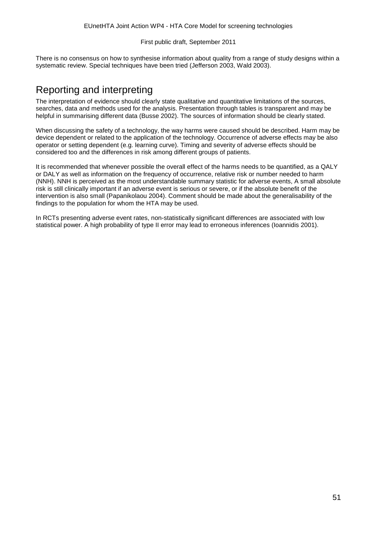There is no consensus on how to synthesise information about quality from a range of study designs within a systematic review. Special techniques have been tried (Jefferson 2003, Wald 2003).

# Reporting and interpreting

The interpretation of evidence should clearly state qualitative and quantitative limitations of the sources, searches, data and methods used for the analysis. Presentation through tables is transparent and may be helpful in summarising different data (Busse 2002). The sources of information should be clearly stated.

When discussing the safety of a technology, the way harms were caused should be described. Harm may be device dependent or related to the application of the technology. Occurrence of adverse effects may be also operator or setting dependent (e.g. learning curve). Timing and severity of adverse effects should be considered too and the differences in risk among different groups of patients.

It is recommended that whenever possible the overall effect of the harms needs to be quantified, as a QALY or DALY as well as information on the frequency of occurrence, relative risk or number needed to harm (NNH). NNH is perceived as the most understandable summary statistic for adverse events, A small absolute risk is still clinically important if an adverse event is serious or severe, or if the absolute benefit of the intervention is also small (Papanikolaou 2004). Comment should be made about the generalisability of the findings to the population for whom the HTA may be used.

In RCTs presenting adverse event rates, non-statistically significant differences are associated with low statistical power. A high probability of type II error may lead to erroneous inferences (Ioannidis 2001).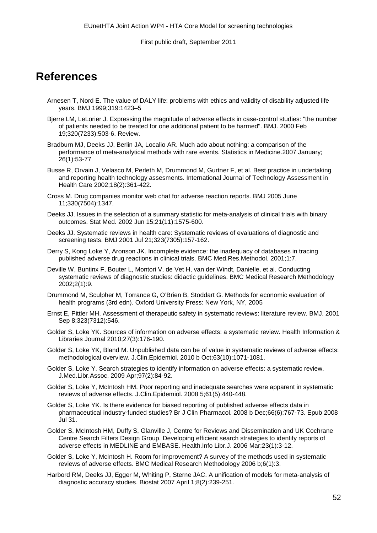# **References**

- Arnesen T, Nord E. The value of DALY life: problems with ethics and validity of disability adjusted life years. BMJ 1999;319:1423–5
- Bjerre LM, LeLorier J. Expressing the magnitude of adverse effects in case-control studies: "the number of patients needed to be treated for one additional patient to be harmed". BMJ. 2000 Feb 19;320(7233):503-6. Review.
- Bradburn MJ, Deeks JJ, Berlin JA, Localio AR. Much ado about nothing: a comparison of the performance of meta-analytical methods with rare events. Statistics in Medicine.2007 January; 26(1):53-77
- Busse R, Orvain J, Velasco M, Perleth M, Drummond M, Gurtner F, et al. Best practice in undertaking and reporting health technology assesments. International Journal of Technology Assessment in Health Care 2002;18(2):361-422.
- Cross M. Drug companies monitor web chat for adverse reaction reports. BMJ 2005 June 11;330(7504):1347.
- Deeks JJ. Issues in the selection of a summary statistic for meta-analysis of clinical trials with binary outcomes. Stat Med. 2002 Jun 15;21(11):1575-600.
- Deeks JJ. Systematic reviews in health care: Systematic reviews of evaluations of diagnostic and screening tests. BMJ 2001 Jul 21;323(7305):157-162.
- Derry S, Kong Loke Y, Aronson JK. Incomplete evidence: the inadequacy of databases in tracing published adverse drug reactions in clinical trials. BMC Med.Res.Methodol. 2001;1:7.
- Deville W, Buntinx F, Bouter L, Montori V, de Vet H, van der Windt, Danielle, et al. Conducting systematic reviews of diagnostic studies: didactic guidelines. BMC Medical Research Methodology 2002;2(1):9.
- Drummond M, Sculpher M, Torrance G, O'Brien B, Stoddart G. Methods for economic evaluation of health programs (3rd edn). Oxford University Press: New York, NY, 2005
- Ernst E, Pittler MH. Assessment of therapeutic safety in systematic reviews: literature review. BMJ. 2001 Sep 8;323(7312):546.
- Golder S, Loke YK. Sources of information on adverse effects: a systematic review. Health Information & Libraries Journal 2010;27(3):176-190.
- Golder S, Loke YK, Bland M. Unpublished data can be of value in systematic reviews of adverse effects: methodological overview. J.Clin.Epidemiol. 2010 b Oct;63(10):1071-1081.
- Golder S, Loke Y. Search strategies to identify information on adverse effects: a systematic review. J.Med.Libr.Assoc. 2009 Apr;97(2):84-92.
- Golder S, Loke Y, McIntosh HM. Poor reporting and inadequate searches were apparent in systematic reviews of adverse effects. J.Clin.Epidemiol. 2008 5;61(5):440-448.
- Golder S, Loke YK. Is there evidence for biased reporting of published adverse effects data in pharmaceutical industry-funded studies? Br J Clin Pharmacol. 2008 b Dec;66(6):767-73. Epub 2008 Jul 31.
- Golder S, McIntosh HM, Duffy S, Glanville J, Centre for Reviews and Dissemination and UK Cochrane Centre Search Filters Design Group. Developing efficient search strategies to identify reports of adverse effects in MEDLINE and EMBASE. Health.Info Libr.J. 2006 Mar;23(1):3-12.
- Golder S, Loke Y, McIntosh H. Room for improvement? A survey of the methods used in systematic reviews of adverse effects. BMC Medical Research Methodology 2006 b;6(1):3.
- Harbord RM, Deeks JJ, Egger M, Whiting P, Sterne JAC. A unification of models for meta-analysis of diagnostic accuracy studies. Biostat 2007 April 1;8(2):239-251.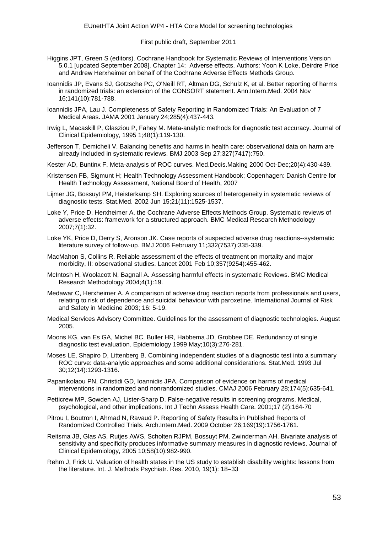- Higgins JPT, Green S (editors). Cochrane Handbook for Systematic Reviews of Interventions Version 5.0.1 [updated September 2008]. Chapter 14: Adverse effects. Authors: Yoon K Loke, Deirdre Price and Andrew Herxheimer on behalf of the Cochrane Adverse Effects Methods Group.
- Ioannidis JP, Evans SJ, Gotzsche PC, O'Neill RT, Altman DG, Schulz K, et al. Better reporting of harms in randomized trials: an extension of the CONSORT statement. Ann.Intern.Med. 2004 Nov 16;141(10):781-788.
- Ioannidis JPA, Lau J. Completeness of Safety Reporting in Randomized Trials: An Evaluation of 7 Medical Areas. JAMA 2001 January 24;285(4):437-443.
- Irwig L, Macaskill P, Glasziou P, Fahey M. Meta-analytic methods for diagnostic test accuracy. Journal of Clinical Epidemiology, 1995 1;48(1):119-130.
- Jefferson T, Demicheli V. Balancing benefits and harms in health care: observational data on harm are already included in systematic reviews. BMJ 2003 Sep 27;327(7417):750.
- Kester AD, Buntinx F. Meta-analysis of ROC curves. Med.Decis.Making 2000 Oct-Dec;20(4):430-439.
- Kristensen FB, Sigmunt H; Health Technology Assessment Handbook; Copenhagen: Danish Centre for Health Technology Assessment, National Board of Health, 2007
- Lijmer JG, Bossuyt PM, Heisterkamp SH. Exploring sources of heterogeneity in systematic reviews of diagnostic tests. Stat.Med. 2002 Jun 15;21(11):1525-1537.
- Loke Y, Price D, Herxheimer A, the Cochrane Adverse Effects Methods Group. Systematic reviews of adverse effects: framework for a structured approach. BMC Medical Research Methodology 2007;7(1):32.
- Loke YK, Price D, Derry S, Aronson JK. Case reports of suspected adverse drug reactions--systematic literature survey of follow-up. BMJ 2006 February 11;332(7537):335-339.
- MacMahon S, Collins R. Reliable assessment of the effects of treatment on mortality and major morbidity, II: observational studies. Lancet 2001 Feb 10;357(9254):455-462.
- McIntosh H, Woolacott N, Bagnall A. Assessing harmful effects in systematic Reviews. BMC Medical Research Methodology 2004;4(1):19.
- Medawar C, Herxheimer A. A comparison of adverse drug reaction reports from professionals and users, relating to risk of dependence and suicidal behaviour with paroxetine. International Journal of Risk and Safety in Medicine 2003; 16: 5-19.
- Medical Services Advisory Committee. Guidelines for the assessment of diagnostic technologies. August 2005.
- Moons KG, van Es GA, Michel BC, Buller HR, Habbema JD, Grobbee DE. Redundancy of single diagnostic test evaluation. Epidemiology 1999 May;10(3):276-281.
- Moses LE, Shapiro D, Littenberg B. Combining independent studies of a diagnostic test into a summary ROC curve: data-analytic approaches and some additional considerations. Stat.Med. 1993 Jul 30;12(14):1293-1316.
- Papanikolaou PN, Christidi GD, Ioannidis JPA. Comparison of evidence on harms of medical interventions in randomized and nonrandomized studies. CMAJ 2006 February 28;174(5):635-641.
- Petticrew MP, Sowden AJ, Lister-Sharp D. False-negative results in screening programs. Medical, psychological, and other implications. Int J Techn Assess Health Care. 2001;17 (2):164-70
- Pitrou I, Boutron I, Ahmad N, Ravaud P. Reporting of Safety Results in Published Reports of Randomized Controlled Trials. Arch.Intern.Med. 2009 October 26;169(19):1756-1761.
- Reitsma JB, Glas AS, Rutjes AWS, Scholten RJPM, Bossuyt PM, Zwinderman AH. Bivariate analysis of sensitivity and specificity produces informative summary measures in diagnostic reviews. Journal of Clinical Epidemiology, 2005 10;58(10):982-990.
- Rehm J, Frick U. Valuation of health states in the US study to establish disability weights: lessons from the literature. Int. J. Methods Psychiatr. Res. 2010, 19(1): 18–33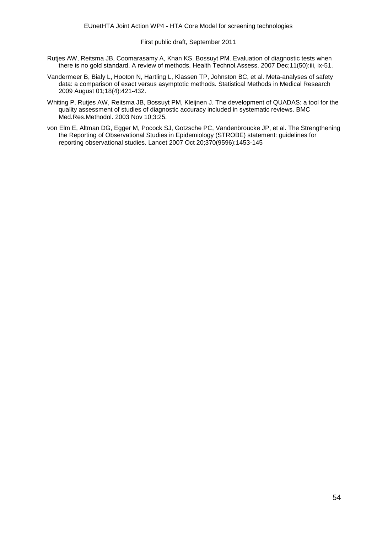- Rutjes AW, Reitsma JB, Coomarasamy A, Khan KS, Bossuyt PM. Evaluation of diagnostic tests when there is no gold standard. A review of methods. Health Technol.Assess. 2007 Dec;11(50):iii, ix-51.
- Vandermeer B, Bialy L, Hooton N, Hartling L, Klassen TP, Johnston BC, et al. Meta-analyses of safety data: a comparison of exact versus asymptotic methods. Statistical Methods in Medical Research 2009 August 01;18(4):421-432.
- Whiting P, Rutjes AW, Reitsma JB, Bossuyt PM, Kleijnen J. The development of QUADAS: a tool for the quality assessment of studies of diagnostic accuracy included in systematic reviews. BMC Med.Res.Methodol. 2003 Nov 10;3:25.
- von Elm E, Altman DG, Egger M, Pocock SJ, Gotzsche PC, Vandenbroucke JP, et al. The Strengthening the Reporting of Observational Studies in Epidemiology (STROBE) statement: guidelines for reporting observational studies. Lancet 2007 Oct 20;370(9596):1453-145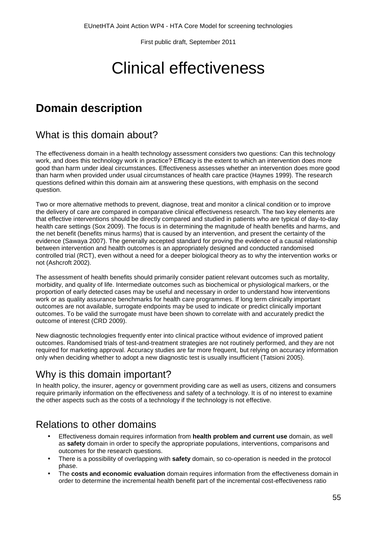# Clinical effectiveness

# **Domain description**

# What is this domain about?

The effectiveness domain in a health technology assessment considers two questions: Can this technology work, and does this technology work in practice? Efficacy is the extent to which an intervention does more good than harm under ideal circumstances. Effectiveness assesses whether an intervention does more good than harm when provided under usual circumstances of health care practice (Haynes 1999). The research questions defined within this domain aim at answering these questions, with emphasis on the second question.

Two or more alternative methods to prevent, diagnose, treat and monitor a clinical condition or to improve the delivery of care are compared in comparative clinical effectiveness research. The two key elements are that effective interventions should be directly compared and studied in patients who are typical of day-to-day health care settings (Sox 2009). The focus is in determining the magnitude of health benefits and harms, and the net benefit (benefits minus harms) that is caused by an intervention, and present the certainty of the evidence (Sawaya 2007). The generally accepted standard for proving the evidence of a causal relationship between intervention and health outcomes is an appropriately designed and conducted randomised controlled trial (RCT), even without a need for a deeper biological theory as to why the intervention works or not (Ashcroft 2002).

The assessment of health benefits should primarily consider patient relevant outcomes such as mortality, morbidity, and quality of life. Intermediate outcomes such as biochemical or physiological markers, or the proportion of early detected cases may be useful and necessary in order to understand how interventions work or as quality assurance benchmarks for health care programmes. If long term clinically important outcomes are not available, surrogate endpoints may be used to indicate or predict clinically important outcomes. To be valid the surrogate must have been shown to correlate with and accurately predict the outcome of interest (CRD 2009).

New diagnostic technologies frequently enter into clinical practice without evidence of improved patient outcomes. Randomised trials of test-and-treatment strategies are not routinely performed, and they are not required for marketing approval. Accuracy studies are far more frequent, but relying on accuracy information only when deciding whether to adopt a new diagnostic test is usually insufficient (Tatsioni 2005).

# Why is this domain important?

In health policy, the insurer, agency or government providing care as well as users, citizens and consumers require primarily information on the effectiveness and safety of a technology. It is of no interest to examine the other aspects such as the costs of a technology if the technology is not effective.

# Relations to other domains

- Effectiveness domain requires information from **health problem and current use** domain, as well as **safety** domain in order to specify the appropriate populations, interventions, comparisons and outcomes for the research questions.
- There is a possibility of overlapping with **safety** domain, so co-operation is needed in the protocol phase.
- The **costs and economic evaluation** domain requires information from the effectiveness domain in order to determine the incremental health benefit part of the incremental cost-effectiveness ratio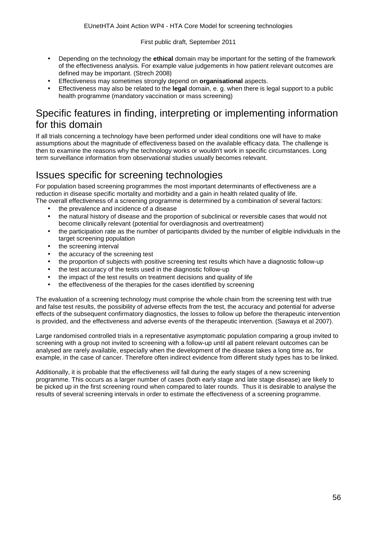- Depending on the technology the **ethical** domain may be important for the setting of the framework of the effectiveness analysis. For example value judgements in how patient relevant outcomes are defined may be important. (Strech 2008)
- Effectiveness may sometimes strongly depend on **organisational** aspects.
- Effectiveness may also be related to the **legal** domain, e. g. when there is legal support to a public health programme (mandatory vaccination or mass screening)

# Specific features in finding, interpreting or implementing information for this domain

If all trials concerning a technology have been performed under ideal conditions one will have to make assumptions about the magnitude of effectiveness based on the available efficacy data. The challenge is then to examine the reasons why the technology works or wouldn't work in specific circumstances. Long term surveillance information from observational studies usually becomes relevant.

# Issues specific for screening technologies

For population based screening programmes the most important determinants of effectiveness are a reduction in disease specific mortality and morbidity and a gain in health related quality of life. The overall effectiveness of a screening programme is determined by a combination of several factors:

- the prevalence and incidence of a disease
- the natural history of disease and the proportion of subclinical or reversible cases that would not become clinically relevant (potential for overdiagnosis and overtreatment)
- the participation rate as the number of participants divided by the number of eligible individuals in the target screening population
- the screening interval J,
- the accuracy of the screening test
- the proportion of subjects with positive screening test results which have a diagnostic follow-up
- the test accuracy of the tests used in the diagnostic follow-up
- the impact of the test results on treatment decisions and quality of life
- the effectiveness of the therapies for the cases identified by screening

The evaluation of a screening technology must comprise the whole chain from the screening test with true and false test results, the possibility of adverse effects from the test, the accuracy and potential for adverse effects of the subsequent confirmatory diagnostics, the losses to follow up before the therapeutic intervention is provided, and the effectiveness and adverse events of the therapeutic intervention. (Sawaya et al 2007).

Large randomised controlled trials in a representative asymptomatic population comparing a group invited to screening with a group not invited to screening with a follow-up until all patient relevant outcomes can be analysed are rarely available, especially when the development of the disease takes a long time as, for example, in the case of cancer. Therefore often indirect evidence from different study types has to be linked.

Additionally, it is probable that the effectiveness will fall during the early stages of a new screening programme. This occurs as a larger number of cases (both early stage and late stage disease) are likely to be picked up in the first screening round when compared to later rounds. Thus it is desirable to analyse the results of several screening intervals in order to estimate the effectiveness of a screening programme.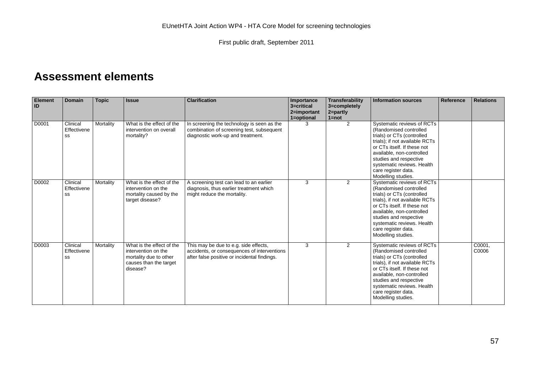# **Assessment elements**

| <b>Element</b><br>ID | <b>Domain</b>                 | <b>Topic</b> | <b>Issue</b>                                                                                                     | <b>Clarification</b>                                                                                                                 | Importance<br>3=critical<br>2=important<br>1=optional | <b>Transferability</b><br>3=completely<br>$2 =$ partly<br>$1 = not$ | <b>Information sources</b>                                                                                                                                                                                                                                                             | <b>Reference</b> | <b>Relations</b> |
|----------------------|-------------------------------|--------------|------------------------------------------------------------------------------------------------------------------|--------------------------------------------------------------------------------------------------------------------------------------|-------------------------------------------------------|---------------------------------------------------------------------|----------------------------------------------------------------------------------------------------------------------------------------------------------------------------------------------------------------------------------------------------------------------------------------|------------------|------------------|
| D0001                | Clinical<br>Effectivene<br>SS | Mortality    | What is the effect of the<br>intervention on overall<br>mortality?                                               | In screening the technology is seen as the<br>combination of screening test, subsequent<br>diagnostic work-up and treatment.         | 3                                                     | $\overline{2}$                                                      | Systematic reviews of RCTs<br>(Randomised controlled)<br>trials) or CTs (controlled<br>trials); if not available RCTs<br>or CTs itself. If these not<br>available, non-controlled<br>studies and respective<br>systematic reviews. Health<br>care register data.<br>Modelling studies. |                  |                  |
| D0002                | Clinical<br>Effectivene<br>SS | Mortality    | What is the effect of the<br>intervention on the<br>mortality caused by the<br>target disease?                   | A screening test can lead to an earlier<br>diagnosis, thus earlier treatment which<br>might reduce the mortality.                    | 3                                                     | 2                                                                   | Systematic reviews of RCTs<br>(Randomised controlled)<br>trials) or CTs (controlled<br>trials), if not available RCTs<br>or CTs itself. If these not<br>available, non-controlled<br>studies and respective<br>systematic reviews. Health<br>care register data.<br>Modelling studies. |                  |                  |
| D0003                | Clinical<br>Effectivene<br>SS | Mortality    | What is the effect of the<br>intervention on the<br>mortality due to other<br>causes than the target<br>disease? | This may be due to e.g. side effects,<br>accidents, or consequences of interventions<br>after false positive or incidental findings. | 3                                                     | 2                                                                   | Systematic reviews of RCTs<br>(Randomised controlled)<br>trials) or CTs (controlled<br>trials), if not available RCTs<br>or CTs itself. If these not<br>available, non-controlled<br>studies and respective<br>systematic reviews. Health<br>care register data.<br>Modelling studies. |                  | C0001,<br>C0006  |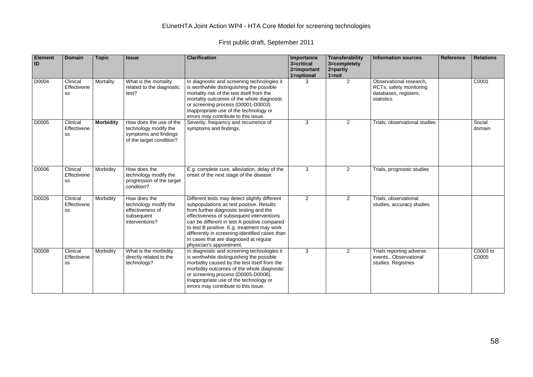| <b>Element</b><br>ID | <b>Domain</b>                 | <b>Topic</b>     | <b>Issue</b>                                                                                          | <b>Clarification</b>                                                                                                                                                                                                                                                                                                                                                                                     | Importance<br>3=critical<br>2=important<br>1=optional | Transferability<br>3=completely<br>2=partly<br>$1 = not$ | <b>Information sources</b>                                                                | Reference | <b>Relations</b>  |
|----------------------|-------------------------------|------------------|-------------------------------------------------------------------------------------------------------|----------------------------------------------------------------------------------------------------------------------------------------------------------------------------------------------------------------------------------------------------------------------------------------------------------------------------------------------------------------------------------------------------------|-------------------------------------------------------|----------------------------------------------------------|-------------------------------------------------------------------------------------------|-----------|-------------------|
| D0004                | Clinical<br>Effectivene<br>SS | Mortality        | What is the mortality<br>related to the diagnostic<br>test?                                           | In diagnostic and screening technologies it<br>is worthwhile distinguishing the possible<br>mortality risk of the test itself from the<br>mortality outcomes of the whole diagnostic<br>or screening process (D0001-D0003).<br>Inappropriate use of the technology or<br>errors may contribute to this issue.                                                                                            | 3                                                     | 2                                                        | Observational research,<br>RCTs, safety monitoring<br>databases, registers,<br>statistics |           | C0001             |
| D0005                | Clinical<br>Effectivene<br>SS | <b>Morbidity</b> | How does the use of the<br>technology modify the<br>symptoms and findings<br>of the target condition? | Severity, frequency and recurrence of<br>symptoms and findings.                                                                                                                                                                                                                                                                                                                                          | 3                                                     | $\overline{2}$                                           | Trials, observational studies                                                             |           | Social<br>domain  |
| D0006                | Clinical<br>Effectivene<br>SS | Morbidity        | How does the<br>technology modify the<br>progression of the target<br>condition?                      | E.g. complete cure, alleviation, delay of the<br>onset of the next stage of the disease.                                                                                                                                                                                                                                                                                                                 | 3                                                     | $\overline{2}$                                           | Trials, prognostic studies                                                                |           |                   |
| D0026                | Clinical<br>Effectivene<br>SS | Morbidity        | How does the<br>technology modify the<br>effectiveness of<br>subsequent<br>interventions?             | Different tests may detect slightly different<br>subpopulations as test positive. Results<br>from further diagnostic testing and the<br>effectiveness of subsequent interventions<br>can be different in test A positive compared<br>to test B positive. E.g. treatment may work<br>differently in screening-identified cases than<br>in cases that are diagnosed at regular<br>physician's appointment. | 2                                                     | 2                                                        | Trials, observational<br>studies, accuracy studies                                        |           |                   |
| D0008                | Clinical<br>Effectivene<br>SS | Morbidity        | What is the morbidity<br>directly related to the<br>technology?                                       | In diagnostic and screening technologies it<br>is worthwhile distinguishing the possible<br>morbidity caused by the test itself from the<br>morbidity outcomes of the whole diagnostic<br>or screening process (D0005-D0006).<br>Inappropriate use of the technology or<br>errors may contribute to this issue.                                                                                          | 3                                                     | 2                                                        | Trials reporting adverse<br>events Observational<br>studies. Registries                   |           | C0003 to<br>C0005 |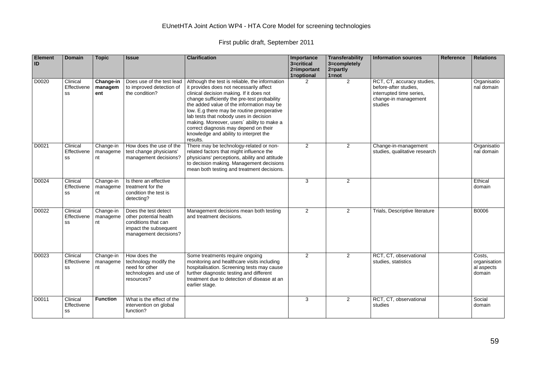| Element<br>ID | <b>Domain</b>                 | <b>Topic</b>                | <b>Issue</b>                                                                                                            | <b>Clarification</b>                                                                                                                                                                                                                                                                                                                                                                                                                                                    | Importance<br>3=critical<br>2=important<br>1=optional | Transferability<br>3=completely<br>$2 =$ partly<br>$1 = not$ | <b>Information sources</b>                                                                                         | <b>Reference</b> | <b>Relations</b>                               |
|---------------|-------------------------------|-----------------------------|-------------------------------------------------------------------------------------------------------------------------|-------------------------------------------------------------------------------------------------------------------------------------------------------------------------------------------------------------------------------------------------------------------------------------------------------------------------------------------------------------------------------------------------------------------------------------------------------------------------|-------------------------------------------------------|--------------------------------------------------------------|--------------------------------------------------------------------------------------------------------------------|------------------|------------------------------------------------|
| D0020         | Clinical<br>Effectivene<br>SS | Change-in<br>managem<br>ent | Does use of the test lead<br>to improved detection of<br>the condition?                                                 | Although the test is reliable, the information<br>it provides does not necessarily affect<br>clinical decision making. If it does not<br>change sufficiently the pre-test probability<br>the added value of the information may be<br>low. E.g there may be routine preoperative<br>lab tests that nobody uses in decision<br>making. Moreover, users' ability to make a<br>correct diagnosis may depend on their<br>knowledge and ability to interpret the<br>results. | $\overline{2}$                                        | 2                                                            | RCT, CT, accuracy studies,<br>before-after studies,<br>interrupted time series,<br>change-in management<br>studies |                  | Organisatio<br>nal domain                      |
| D0021         | Clinical<br>Effectivene<br>SS | Change-in<br>manageme<br>nt | How does the use of the<br>test change physicians'<br>management decisions?                                             | There may be technology-related or non-<br>related factors that might influence the<br>physicians' perceptions, ability and attitude<br>to decision making. Management decisions<br>mean both testing and treatment decisions.                                                                                                                                                                                                                                          | 2                                                     | $\overline{2}$                                               | Change-in-management<br>studies, qualitative research                                                              |                  | Organisatio<br>nal domain                      |
| D0024         | Clinical<br>Effectivene<br>SS | Change-in<br>manageme<br>nt | Is there an effective<br>treatment for the<br>condition the test is<br>detecting?                                       |                                                                                                                                                                                                                                                                                                                                                                                                                                                                         | 3                                                     | 2                                                            |                                                                                                                    |                  | Ethical<br>domain                              |
| D0022         | Clinical<br>Effectivene<br>SS | Change-in<br>manageme<br>nt | Does the test detect<br>other potential health<br>conditions that can<br>impact the subsequent<br>management decisions? | Management decisions mean both testing<br>and treatment decisions.                                                                                                                                                                                                                                                                                                                                                                                                      | 2                                                     | $\overline{2}$                                               | Trials, Descriptive literature                                                                                     |                  | <b>B0006</b>                                   |
| D0023         | Clinical<br>Effectivene<br>SS | Change-in<br>manageme<br>nt | How does the<br>technology modify the<br>need for other<br>technologies and use of<br>resources?                        | Some treatments require ongoing<br>monitoring and healthcare visits including<br>hospitalisation. Screening tests may cause<br>further diagnostic testing and different<br>treatment due to detection of disease at an<br>earlier stage.                                                                                                                                                                                                                                | 2                                                     | $\overline{2}$                                               | RCT, CT, observational<br>studies, statistics                                                                      |                  | Costs.<br>organisation<br>al aspects<br>domain |
| D0011         | Clinical<br>Effectivene<br>SS | <b>Function</b>             | What is the effect of the<br>intervention on global<br>function?                                                        |                                                                                                                                                                                                                                                                                                                                                                                                                                                                         | 3                                                     | 2                                                            | RCT, CT, observational<br>studies                                                                                  |                  | Social<br>domain                               |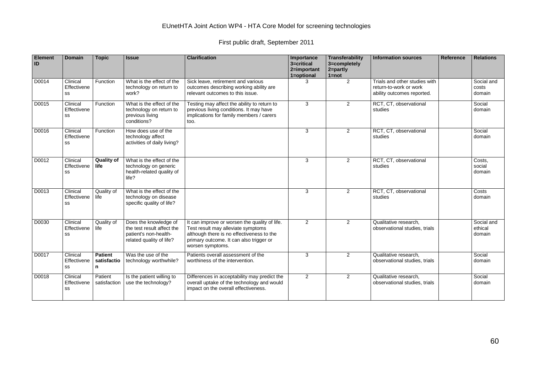| <b>Element</b><br>ID | <b>Domain</b>                 | <b>Topic</b>                       | <b>Issue</b>                                                                                             | <b>Clarification</b>                                                                                                                                                                            | Importance<br>3=critical<br>2=important<br>1=optional | Transferability<br>3=completely<br>$2 = partly$<br>$1 = not$ | <b>Information sources</b>                                                            | Reference | <b>Relations</b>                |
|----------------------|-------------------------------|------------------------------------|----------------------------------------------------------------------------------------------------------|-------------------------------------------------------------------------------------------------------------------------------------------------------------------------------------------------|-------------------------------------------------------|--------------------------------------------------------------|---------------------------------------------------------------------------------------|-----------|---------------------------------|
| D0014                | Clinical<br>Effectivene<br>SS | Function                           | What is the effect of the<br>technology on return to<br>work?                                            | Sick leave, retirement and various<br>outcomes describing working ability are<br>relevant outcomes to this issue.                                                                               | 3                                                     | $\overline{2}$                                               | Trials and other studies with<br>return-to-work or work<br>ability outcomes reported. |           | Social and<br>costs<br>domain   |
| D0015                | Clinical<br>Effectivene<br>SS | Function                           | What is the effect of the<br>technology on return to<br>previous living<br>conditions?                   | Testing may affect the ability to return to<br>previous living conditions. It may have<br>implications for family members / carers<br>too.                                                      | 3                                                     | $\overline{2}$                                               | RCT, CT, observational<br>studies                                                     |           | Social<br>domain                |
| D0016                | Clinical<br>Effectivene<br>SS | Function                           | How does use of the<br>technology affect<br>activities of daily living?                                  |                                                                                                                                                                                                 | 3                                                     | $\overline{2}$                                               | RCT, CT, observational<br>studies                                                     |           | Social<br>domain                |
| D0012                | Clinical<br>Effectivene<br>SS | <b>Quality of</b><br>life          | What is the effect of the<br>technology on generic<br>health-related quality of<br>life?                 |                                                                                                                                                                                                 | 3                                                     | $\overline{2}$                                               | RCT, CT, observational<br>studies                                                     |           | Costs,<br>social<br>domain      |
| D0013                | Clinical<br>Effectivene<br>SS | Quality of<br>life                 | What is the effect of the<br>technology on disease<br>specific quality of life?                          |                                                                                                                                                                                                 | 3                                                     | $\overline{2}$                                               | RCT, CT, observational<br>studies                                                     |           | Costs<br>domain                 |
| D0030                | Clinical<br>Effectivene<br>SS | Quality of<br>life                 | Does the knowledge of<br>the test result affect the<br>patient's non-health-<br>related quality of life? | It can improve or worsen the quality of life.<br>Test result may alleviate symptoms<br>although there is no effectiveness to the<br>primary outcome. It can also trigger or<br>worsen symptoms. | 2                                                     | $\overline{2}$                                               | Qualitative research,<br>observational studies, trials                                |           | Social and<br>ethical<br>domain |
| D0017                | Clinical<br>Effectivene<br>SS | <b>Patient</b><br>satisfactio<br>n | Was the use of the<br>technology worthwhile?                                                             | Patients overall assessment of the<br>worthiness of the intervention.                                                                                                                           | 3                                                     | $\overline{2}$                                               | Qualitative research,<br>observational studies, trials                                |           | Social<br>domain                |
| D0018                | Clinical<br>Effectivene<br>SS | Patient<br>satisfaction            | Is the patient willing to<br>use the technology?                                                         | Differences in acceptability may predict the<br>overall uptake of the technology and would<br>impact on the overall effectiveness.                                                              | 2                                                     | $\overline{2}$                                               | Qualitative research,<br>observational studies, trials                                |           | Social<br>domain                |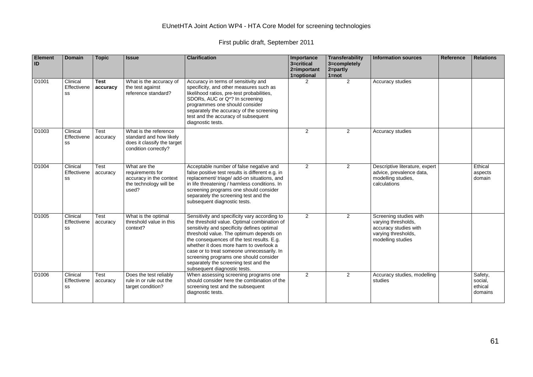| Element<br>ID     | <b>Domain</b>                 | <b>Topic</b>            | <b>Issue</b>                                                                                            | <b>Clarification</b>                                                                                                                                                                                                                                                                                                                                                                                                                             | Importance<br>3=critical<br>2=important<br>1=optional | Transferability<br>3=completely<br>$2 = partly$<br>$1 = not$ | <b>Information sources</b>                                                                                         | Reference | <b>Relations</b>                         |
|-------------------|-------------------------------|-------------------------|---------------------------------------------------------------------------------------------------------|--------------------------------------------------------------------------------------------------------------------------------------------------------------------------------------------------------------------------------------------------------------------------------------------------------------------------------------------------------------------------------------------------------------------------------------------------|-------------------------------------------------------|--------------------------------------------------------------|--------------------------------------------------------------------------------------------------------------------|-----------|------------------------------------------|
| D <sub>1001</sub> | Clinical<br>Effectivene<br>SS | <b>Test</b><br>accuracy | What is the accuracy of<br>the test against<br>reference standard?                                      | Accuracy in terms of sensitivity and<br>specificity, and other measures such as<br>likelihood ratios, pre-test probabilities,<br>SDORs, AUC or Q*? In screening<br>programmes one should consider<br>separately the accuracy of the screening<br>test and the accuracy of subsequent<br>diagnostic tests.                                                                                                                                        | 2                                                     | $\overline{2}$                                               | Accuracy studies                                                                                                   |           |                                          |
| D <sub>1003</sub> | Clinical<br>Effectivene<br>SS | Test<br>accuracy        | What is the reference<br>standard and how likely<br>does it classify the target<br>condition correctly? |                                                                                                                                                                                                                                                                                                                                                                                                                                                  | 2                                                     | $\overline{2}$                                               | Accuracy studies                                                                                                   |           |                                          |
| D <sub>1004</sub> | Clinical<br>Effectivene<br>SS | Test<br>accuracy        | What are the<br>requirements for<br>accuracy in the context<br>the technology will be<br>used?          | Acceptable number of false negative and<br>false positive test results is different e.g. in<br>replacement/ triage/ add-on situations, and<br>in life threatening / harmless conditions. In<br>screening programs one should consider<br>separately the screening test and the<br>subsequent diagnostic tests.                                                                                                                                   | 2                                                     | $\overline{2}$                                               | Descriptive literature, expert<br>advice, prevalence data,<br>modelling studies,<br>calculations                   |           | Ethical<br>aspects<br>domain             |
| D <sub>1005</sub> | Clinical<br>Effectivene<br>SS | Test<br>accuracy        | What is the optimal<br>threshold value in this<br>context?                                              | Sensitivity and specificity vary according to<br>the threshold value. Optimal combination of<br>sensitivity and specificity defines optimal<br>threshold value. The optimum depends on<br>the consequences of the test results. E.g.<br>whether it does more harm to overlook a<br>case or to treat someone unnecessarily. In<br>screening programs one should consider<br>separately the screening test and the<br>subsequent diagnostic tests. | 2                                                     | $\overline{2}$                                               | Screening studies with<br>varying thresholds,<br>accuracy studies with<br>varying thresholds,<br>modelling studies |           |                                          |
| D <sub>1006</sub> | Clinical<br>Effectivene<br>SS | Test<br>accuracy        | Does the test reliably<br>rule in or rule out the<br>target condition?                                  | When assessing screening programs one<br>should consider here the combination of the<br>screening test and the subsequent<br>diagnostic tests.                                                                                                                                                                                                                                                                                                   | $\overline{2}$                                        | $\overline{2}$                                               | Accuracy studies, modelling<br>studies                                                                             |           | Safety,<br>social,<br>ethical<br>domains |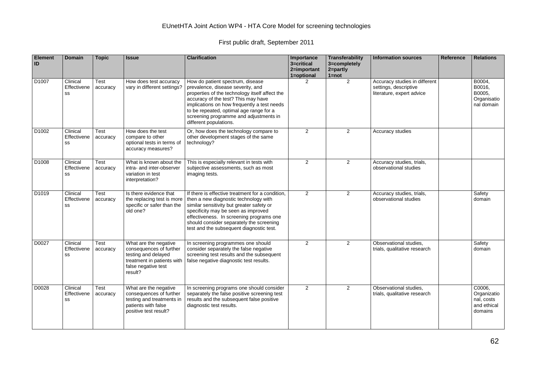| Element<br>ID     | <b>Domain</b>                 | <b>Topic</b>     | <b>Issue</b>                                                                                                                            | <b>Clarification</b>                                                                                                                                                                                                                                                                                                         | Importance<br>3=critical<br>2=important<br>1=optional | Transferability<br>3=completely<br>2=partly<br>$1 = not$ | <b>Information sources</b>                                                          | Reference | <b>Relations</b>                                              |
|-------------------|-------------------------------|------------------|-----------------------------------------------------------------------------------------------------------------------------------------|------------------------------------------------------------------------------------------------------------------------------------------------------------------------------------------------------------------------------------------------------------------------------------------------------------------------------|-------------------------------------------------------|----------------------------------------------------------|-------------------------------------------------------------------------------------|-----------|---------------------------------------------------------------|
| D <sub>1007</sub> | Clinical<br>Effectivene<br>SS | Test<br>accuracy | How does test accuracy<br>vary in different settings?                                                                                   | How do patient spectrum, disease<br>prevalence, disease severity, and<br>properties of the technology itself affect the<br>accuracy of the test? This may have<br>implications on how frequently a test needs<br>to be repeated, optimal age range for a<br>screening programme and adjustments in<br>different populations. | 2                                                     | $\overline{2}$                                           | Accuracy studies in different<br>settings, descriptive<br>literature, expert advice |           | B0004,<br>B0016,<br>B0005,<br>Organisatio<br>nal domain       |
| D <sub>1002</sub> | Clinical<br>Effectivene<br>SS | Test<br>accuracy | How does the test<br>compare to other<br>optional tests in terms of<br>accuracy measures?                                               | Or, how does the technology compare to<br>other development stages of the same<br>technology?                                                                                                                                                                                                                                | $\mathbf{2}$                                          | $\overline{2}$                                           | Accuracy studies                                                                    |           |                                                               |
| D <sub>1008</sub> | Clinical<br>Effectivene<br>SS | Test<br>accuracy | What is known about the<br>intra- and inter-observer<br>variation in test<br>interpretation?                                            | This is especially relevant in tests with<br>subjective assessments, such as most<br>imaging tests.                                                                                                                                                                                                                          | 2                                                     | $\overline{2}$                                           | Accuracy studies, trials,<br>observational studies                                  |           |                                                               |
| D <sub>1019</sub> | Clinical<br>Effectivene<br>SS | Test<br>accuracy | Is there evidence that<br>the replacing test is more<br>specific or safer than the<br>old one?                                          | If there is effective treatment for a condition.<br>then a new diagnostic technology with<br>similar sensitivity but greater safety or<br>specificity may be seen as improved<br>effectiveness. In screening programs one<br>should consider separately the screening<br>test and the subsequent diagnostic test.            | 2                                                     | 2                                                        | Accuracy studies, trials,<br>observational studies                                  |           | Safety<br>domain                                              |
| D0027             | Clinical<br>Effectivene<br>SS | Test<br>accuracy | What are the negative<br>consequences of further<br>testing and delayed<br>treatment in patients with<br>false negative test<br>result? | In screening programmes one should<br>consider separately the false negative<br>screening test results and the subsequent<br>false negative diagnostic test results.                                                                                                                                                         | $\overline{2}$                                        | $\overline{2}$                                           | Observational studies,<br>trials, qualitative research                              |           | Safety<br>domain                                              |
| D0028             | Clinical<br>Effectivene<br>SS | Test<br>accuracy | What are the negative<br>consequences of further<br>testing and treatments in<br>patients with false<br>positive test result?           | In screening programs one should consider<br>separately the false positive screening test<br>results and the subsequent false positive<br>diagnostic test results.                                                                                                                                                           | $\overline{2}$                                        | 2                                                        | Observational studies,<br>trials, qualitative research                              |           | C0006,<br>Organizatio<br>nal, costs<br>and ethical<br>domains |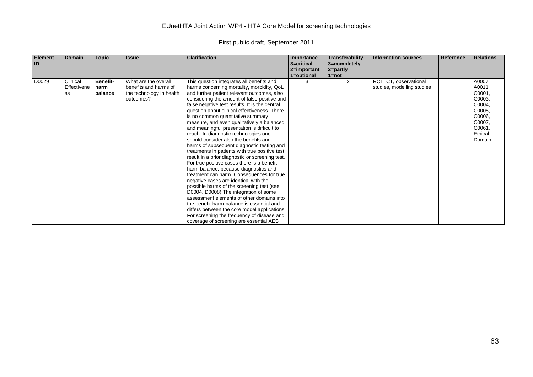| <b>Element</b><br>ID | Domain                        | <b>Topic</b>                       | <b>Issue</b>                                                                           | <b>Clarification</b>                                                                                                                                                                                                                                                                                                                                                                                                                                                                                                                                                                                                                                                                                                                                                                                                                                                                                                                                                                                                                                                                                                                                                    | Importance<br>3=critical<br>2=important | Transferability<br>3=completely<br>2=partly | <b>Information sources</b>                           | Reference | <b>Relations</b>                                                                                            |
|----------------------|-------------------------------|------------------------------------|----------------------------------------------------------------------------------------|-------------------------------------------------------------------------------------------------------------------------------------------------------------------------------------------------------------------------------------------------------------------------------------------------------------------------------------------------------------------------------------------------------------------------------------------------------------------------------------------------------------------------------------------------------------------------------------------------------------------------------------------------------------------------------------------------------------------------------------------------------------------------------------------------------------------------------------------------------------------------------------------------------------------------------------------------------------------------------------------------------------------------------------------------------------------------------------------------------------------------------------------------------------------------|-----------------------------------------|---------------------------------------------|------------------------------------------------------|-----------|-------------------------------------------------------------------------------------------------------------|
|                      |                               |                                    |                                                                                        |                                                                                                                                                                                                                                                                                                                                                                                                                                                                                                                                                                                                                                                                                                                                                                                                                                                                                                                                                                                                                                                                                                                                                                         | 1=optional                              | $1 = not$                                   |                                                      |           |                                                                                                             |
| D0029                | Clinical<br>Effectivene<br>SS | <b>Benefit-</b><br>harm<br>balance | What are the overall<br>benefits and harms of<br>the technology in health<br>outcomes? | This question integrates all benefits and<br>harms concerning mortality, morbidity, QoL<br>and further patient relevant outcomes, also<br>considering the amount of false positive and<br>false negative test results. It is the central<br>question about clinical effectiveness. There<br>is no common quantitative summary<br>measure, and even qualitatively a balanced<br>and meaningful presentation is difficult to<br>reach. In diagnostic technologies one<br>should consider also the benefits and<br>harms of subsequent diagnostic testing and<br>treatments in patients with true positive test<br>result in a prior diagnostic or screening test.<br>For true positive cases there is a benefit-<br>harm balance, because diagnostics and<br>treatment can harm. Consequences for true<br>negative cases are identical with the<br>possible harms of the screening test (see<br>D0004, D0008). The integration of some<br>assessment elements of other domains into<br>the benefit-harm-balance is essential and<br>differs between the core model applications.<br>For screening the frequency of disease and<br>coverage of screening are essential AES |                                         | 2                                           | RCT, CT, observational<br>studies, modelling studies |           | A0007,<br>A0011,<br>C0001,<br>C0003,<br>C0004,<br>C0005,<br>C0006,<br>C0007,<br>C0061,<br>Ethical<br>Domain |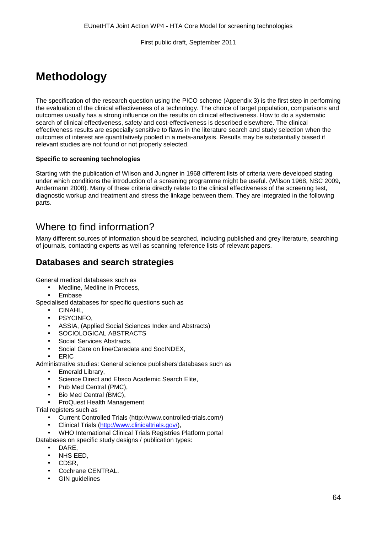# **Methodology**

The specification of the research question using the PICO scheme (Appendix 3) is the first step in performing the evaluation of the clinical effectiveness of a technology. The choice of target population, comparisons and outcomes usually has a strong influence on the results on clinical effectiveness. How to do a systematic search of clinical effectiveness, safety and cost-effectiveness is described elsewhere. The clinical effectiveness results are especially sensitive to flaws in the literature search and study selection when the outcomes of interest are quantitatively pooled in a meta-analysis. Results may be substantially biased if relevant studies are not found or not properly selected.

#### **Specific to screening technologies**

Starting with the publication of Wilson and Jungner in 1968 different lists of criteria were developed stating under which conditions the introduction of a screening programme might be useful. (Wilson 1968, NSC 2009, Andermann 2008). Many of these criteria directly relate to the clinical effectiveness of the screening test, diagnostic workup and treatment and stress the linkage between them. They are integrated in the following parts.

# Where to find information?

Many different sources of information should be searched, including published and grey literature, searching of journals, contacting experts as well as scanning reference lists of relevant papers.

### **Databases and search strategies**

General medical databases such as

- Medline, Medline in Process,
- Embase

Specialised databases for specific questions such as

- $\mathbf{r}$ CINAHL,
- PSYCINFO,
- ASSIA, (Applied Social Sciences Index and Abstracts)
- SOCIOLOGICAL ABSTRACTS
- Social Services Abstracts,
- Social Care on line/Caredata and SocINDEX,
- ERIC

Administrative studies: General science publishers'databases such as

- Emerald Library,
- Science Direct and Ebsco Academic Search Elite,
- Pub Med Central (PMC),
- Bio Med Central (BMC),
- ProQuest Health Management

Trial registers such as

- Current Controlled Trials (http://www.controlled-trials.com/)
- Clinical Trials [\(http://www.clinicaltrials.gov/\)](http://www.clinicaltrials.gov/),

WHO International Clinical Trials Registries Platform portal

- Databases on specific study designs / publication types:
	- DARE,
	- NHS EED,
	- CDSR,
	- Cochrane CENTRAL.
	- GIN guidelines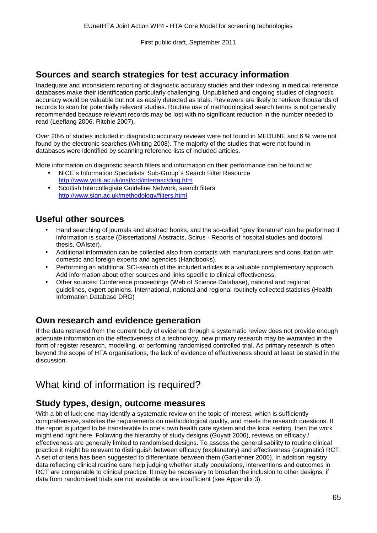### **Sources and search strategies for test accuracy information**

Inadequate and inconsistent reporting of diagnostic accuracy studies and their indexing in medical reference databases make their identification particularly challenging. Unpublished and ongoing studies of diagnostic accuracy would be valuable but not as easily detected as trials. Reviewers are likely to retrieve thousands of records to scan for potentially relevant studies. Routine use of methodological search terms is not generally recommended because relevant records may be lost with no significant reduction in the number needed to read (Leeflang 2006, Ritchie 2007).

Over 20% of studies included in diagnostic accuracy reviews were not found in MEDLINE and 6 % were not found by the electronic searches (Whiting 2008). The majority of the studies that were not found in databases were identified by scanning reference lists of included articles.

More information on diagnostic search filters and information on their performance can be found at:

- NICE´s Information Specialists' Sub-Group´s Search Filter Resource <http://www.york.ac.uk/inst/crd/intertasc/diag.htm>
- Scottish Intercollegiate Guideline Network, search filters <http://www.sign.ac.uk/methodology/filters.html>

### **Useful other sources**

- Hand searching of journals and abstract books, and the so-called "grey literature" can be performed if information is scarce (Dissertational Abstracts, Scirus - Reports of hospital studies and doctoral thesis, OAIster).
- Additional information can be collected also from contacts with manufacturers and consultation with domestic and foreign experts and agencies (Handbooks).
- Performing an additional SCI-search of the included articles is a valuable complementary approach. Add information about other sources and links specific to clinical effectiveness.
- Other sources: Conference proceedings (Web of Science Database), national and regional guidelines, expert opinions, International, national and regional routinely collected statistics (Health Information Database DRG)

### **Own research and evidence generation**

If the data retrieved from the current body of evidence through a systematic review does not provide enough adequate information on the effectiveness of a technology, new primary research may be warranted in the form of register research, modelling, or performing randomised controlled trial. As primary research is often beyond the scope of HTA organisations, the lack of evidence of effectiveness should at least be stated in the discussion.

# What kind of information is required?

### **Study types, design, outcome measures**

With a bit of luck one may identify a systematic review on the topic of interest, which is sufficiently comprehensive, satisfies the requirements on methodological quality, and meets the research questions. If the report is judged to be transferable to one's own health care system and the local setting, then the work might end right here. Following the hierarchy of study designs (Guyatt 2006), reviews on efficacy / effectiveness are generally limited to randomised designs. To assess the generalisability to routine clinical practice it might be relevant to distinguish between efficacy (explanatory) and effectiveness (pragmatic) RCT. A set of criteria has been suggested to differentiate between them (Gartlehner 2006). In addition registry data reflecting clinical routine care help judging whether study populations, interventions and outcomes in RCT are comparable to clinical practice. It may be necessary to broaden the inclusion to other designs, if data from randomised trials are not available or are insufficient (see Appendix 3).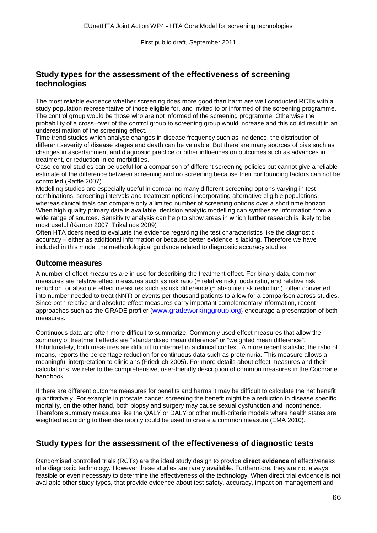### **Study types for the assessment of the effectiveness of screening technologies**

The most reliable evidence whether screening does more good than harm are well conducted RCTs with a study population representative of those eligible for, and invited to or informed of the screening programme. The control group would be those who are not informed of the screening programme. Otherwise the probability of a cross–over of the control group to screening group would increase and this could result in an underestimation of the screening effect.

Time trend studies which analyse changes in disease frequency such as incidence, the distribution of different severity of disease stages and death can be valuable. But there are many sources of bias such as changes in ascertainment and diagnostic practice or other influences on outcomes such as advances in treatment, or reduction in co-morbidities.

Case-control studies can be useful for a comparison of different screening policies but cannot give a reliable estimate of the difference between screening and no screening because their confounding factors can not be controlled (Raffle 2007).

Modelling studies are especially useful in comparing many different screening options varying in test combinations, screening intervals and treatment options incorporating alternative eligible populations, whereas clinical trials can compare only a limited number of screening options over a short time horizon. When high quality primary data is available, decision analytic modelling can synthesize information from a wide range of sources. Sensitivity analysis can help to show areas in which further research is likely to be most useful (Karnon 2007, Trikalinos 2009)

Often HTA doers need to evaluate the evidence regarding the test characteristics like the diagnostic accuracy – either as additional information or because better evidence is lacking. Therefore we have included in this model the methodological guidance related to diagnostic accuracy studies.

#### *Outcome measures*

A number of effect measures are in use for describing the treatment effect. For binary data, common measures are relative effect measures such as risk ratio (= relative risk), odds ratio, and relative risk reduction, or absolute effect measures such as risk difference (= absolute risk reduction), often converted into number needed to treat (NNT) or events per thousand patients to allow for a comparison across studies. Since both relative and absolute effect measures carry important complementary information, recent approaches such as the GRADE profiler [{www.gradeworkinggroup.org}](http://www.gradeworkinggroup.org/) encourage a presentation of both measures.

Continuous data are often more difficult to summarize. Commonly used effect measures that allow the summary of treatment effects are "standardised mean difference" or "weighted mean difference". Unfortunately, both measures are difficult to interpret in a clinical context. A more recent statistic, the ratio of means, reports the percentage reduction for continuous data such as proteinuria. This measure allows a meaningful interpretation to clinicians (Friedrich 2005). For more details about effect measures and their calculations, we refer to the comprehensive, user-friendly description of common measures in the Cochrane handbook.

If there are different outcome measures for benefits and harms it may be difficult to calculate the net benefit quantitatively. For example in prostate cancer screening the benefit might be a reduction in disease specific mortality, on the other hand, both biopsy and surgery may cause sexual dysfunction and incontinence. Therefore summary measures like the QALY or DALY or other multi-criteria models where health states are weighted according to their desirability could be used to create a common measure (EMA 2010).

### **Study types for the assessment of the effectiveness of diagnostic tests**

Randomised controlled trials (RCTs) are the ideal study design to provide **direct evidence** of effectiveness of a diagnostic technology. However these studies are rarely available. Furthermore, they are not always feasible or even necessary to determine the effectiveness of the technology. When direct trial evidence is not available other study types, that provide evidence about test safety, accuracy, impact on management and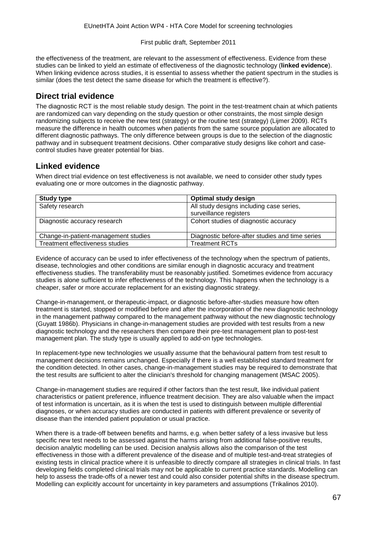the effectiveness of the treatment, are relevant to the assessment of effectiveness. Evidence from these studies can be linked to yield an estimate of effectiveness of the diagnostic technology (**linked evidence**). When linking evidence across studies, it is essential to assess whether the patient spectrum in the studies is similar (does the test detect the same disease for which the treatment is effective?).

### **Direct trial evidence**

The diagnostic RCT is the most reliable study design. The point in the test-treatment chain at which patients are randomized can vary depending on the study question or other constraints, the most simple design randomizing subjects to receive the new test (strategy) or the routine test (strategy) (Lijmer 2009). RCTs measure the difference in health outcomes when patients from the same source population are allocated to different diagnostic pathways. The only difference between groups is due to the selection of the diagnostic pathway and in subsequent treatment decisions. Other comparative study designs like cohort and casecontrol studies have greater potential for bias.

### **Linked evidence**

When direct trial evidence on test effectiveness is not available, we need to consider other study types evaluating one or more outcomes in the diagnostic pathway.

| <b>Study type</b>                    | <b>Optimal study design</b>                     |
|--------------------------------------|-------------------------------------------------|
| Safety research                      | All study designs including case series,        |
|                                      | surveillance registers                          |
| Diagnostic accuracy research         | Cohort studies of diagnostic accuracy           |
| Change-in-patient-management studies | Diagnostic before-after studies and time series |
| Treatment effectiveness studies      | <b>Treatment RCTs</b>                           |

Evidence of accuracy can be used to infer effectiveness of the technology when the spectrum of patients, disease, technologies and other conditions are similar enough in diagnostic accuracy and treatment effectiveness studies. The transferability must be reasonably justified. Sometimes evidence from accuracy studies is alone sufficient to infer effectiveness of the technology. This happens when the technology is a cheaper, safer or more accurate replacement for an existing diagnostic strategy.

Change-in-management, or therapeutic-impact, or diagnostic before-after-studies measure how often treatment is started, stopped or modified before and after the incorporation of the new diagnostic technology in the management pathway compared to the management pathway without the new diagnostic technology (Guyatt 1986b). Physicians in change-in-management studies are provided with test results from a new diagnostic technology and the researchers then compare their pre-test management plan to post-test management plan. The study type is usually applied to add-on type technologies.

In replacement-type new technologies we usually assume that the behavioural pattern from test result to management decisions remains unchanged. Especially if there is a well established standard treatment for the condition detected. In other cases, change-in-management studies may be required to demonstrate that the test results are sufficient to alter the clinician's threshold for changing management (MSAC 2005).

Change-in-management studies are required if other factors than the test result, like individual patient characteristics or patient preference, influence treatment decision. They are also valuable when the impact of test information is uncertain, as it is when the test is used to distinguish between multiple differential diagnoses, or when accuracy studies are conducted in patients with different prevalence or severity of disease than the intended patient population or usual practice.

When there is a trade-off between benefits and harms, e.g. when better safety of a less invasive but less specific new test needs to be assessed against the harms arising from additional false-positive results, decision analytic modelling can be used. Decision analysis allows also the comparison of the test effectiveness in those with a different prevalence of the disease and of multiple test-and-treat strategies of existing tests in clinical practice where it is unfeasible to directly compare all strategies in clinical trials. In fast developing fields completed clinical trials may not be applicable to current practice standards. Modelling can help to assess the trade-offs of a newer test and could also consider potential shifts in the disease spectrum. Modelling can explicitly account for uncertainty in key parameters and assumptions (Trikalinos 2010).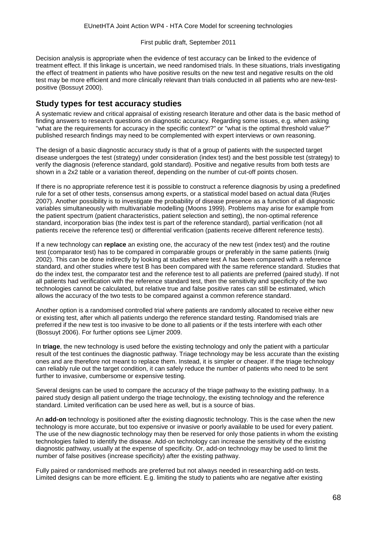Decision analysis is appropriate when the evidence of test accuracy can be linked to the evidence of treatment effect. If this linkage is uncertain, we need randomised trials. In these situations, trials investigating the effect of treatment in patients who have positive results on the new test and negative results on the old test may be more efficient and more clinically relevant than trials conducted in all patients who are new-testpositive (Bossuyt 2000).

#### **Study types for test accuracy studies**

A systematic review and critical appraisal of existing research literature and other data is the basic method of finding answers to research questions on diagnostic accuracy. Regarding some issues, e.g. when asking "what are the requirements for accuracy in the specific context?" or "what is the optimal threshold value?" published research findings may need to be complemented with expert interviews or own reasoning.

The design of a basic diagnostic accuracy study is that of a group of patients with the suspected target disease undergoes the test (strategy) under consideration (index test) and the best possible test (strategy) to verify the diagnosis (reference standard, gold standard). Positive and negative results from both tests are shown in a 2x2 table or a variation thereof, depending on the number of cut-off points chosen.

If there is no appropriate reference test it is possible to construct a reference diagnosis by using a predefined rule for a set of other tests, consensus among experts, or a statistical model based on actual data (Rutjes 2007). Another possibility is to investigate the probability of disease presence as a function of all diagnostic variables simultaneously with multivariable modelling (Moons 1999). Problems may arise for example from the patient spectrum (patient characteristics, patient selection and setting), the non-optimal reference standard, incorporation bias (the index test is part of the reference standard), partial verification (not all patients receive the reference test) or differential verification (patients receive different reference tests).

If a new technology can **replace** an existing one, the accuracy of the new test (index test) and the routine test (comparator test) has to be compared in comparable groups or preferably in the same patients (Irwig 2002). This can be done indirectly by looking at studies where test A has been compared with a reference standard, and other studies where test B has been compared with the same reference standard. Studies that do the index test, the comparator test and the reference test to all patients are preferred (paired study). If not all patients had verification with the reference standard test, then the sensitivity and specificity of the two technologies cannot be calculated, but relative true and false positive rates can still be estimated, which allows the accuracy of the two tests to be compared against a common reference standard.

Another option is a randomised controlled trial where patients are randomly allocated to receive either new or existing test, after which all patients undergo the reference standard testing. Randomised trials are preferred if the new test is too invasive to be done to all patients or if the tests interfere with each other (Bossuyt 2006). For further options see Lijmer 2009.

In **triage**, the new technology is used before the existing technology and only the patient with a particular result of the test continues the diagnostic pathway. Triage technology may be less accurate than the existing ones and are therefore not meant to replace them. Instead, it is simpler or cheaper. If the triage technology can reliably rule out the target condition, it can safely reduce the number of patients who need to be sent further to invasive, cumbersome or expensive testing.

Several designs can be used to compare the accuracy of the triage pathway to the existing pathway. In a paired study design all patient undergo the triage technology, the existing technology and the reference standard. Limited verification can be used here as well, but is a source of bias.

An **add-on** technology is positioned after the existing diagnostic technology. This is the case when the new technology is more accurate, but too expensive or invasive or poorly available to be used for every patient. The use of the new diagnostic technology may then be reserved for only those patients in whom the existing technologies failed to identify the disease. Add-on technology can increase the sensitivity of the existing diagnostic pathway, usually at the expense of specificity. Or, add-on technology may be used to limit the number of false positives (increase specificity) after the existing pathway.

Fully paired or randomised methods are preferred but not always needed in researching add-on tests. Limited designs can be more efficient. E.g. limiting the study to patients who are negative after existing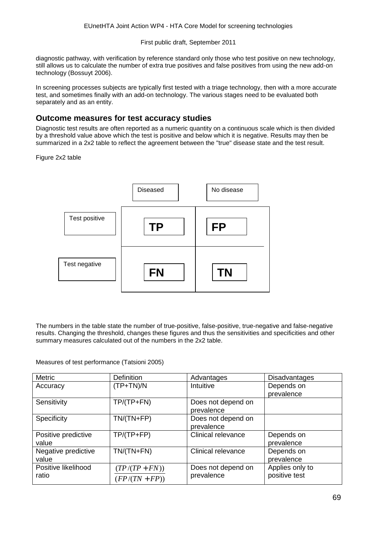diagnostic pathway, with verification by reference standard only those who test positive on new technology, still allows us to calculate the number of extra true positives and false positives from using the new add-on technology (Bossuyt 2006).

In screening processes subjects are typically first tested with a triage technology, then with a more accurate test, and sometimes finally with an add-on technology. The various stages need to be evaluated both separately and as an entity.

#### **Outcome measures for test accuracy studies**

Diagnostic test results are often reported as a numeric quantity on a continuous scale which is then divided by a threshold value above which the test is positive and below which it is negative. Results may then be summarized in a 2x2 table to reflect the agreement between the "true" disease state and the test result.

#### Figure 2x2 table



The numbers in the table state the number of true-positive, false-positive, true-negative and false-negative results. Changing the threshold, changes these figures and thus the sensitivities and specificities and other summary measures calculated out of the numbers in the 2x2 table.

Measures of test performance (Tatsioni 2005)

| <b>Metric</b>       | <b>Definition</b> | Advantages                | <b>Disadvantages</b> |
|---------------------|-------------------|---------------------------|----------------------|
| Accuracy            | $(TP+TN)/N$       | Intuitive                 | Depends on           |
|                     |                   |                           | prevalence           |
| Sensitivity         | $TP/(TP+FN)$      | Does not depend on        |                      |
|                     |                   | prevalence                |                      |
| Specificity         | $TN/(TN+FP)$      | Does not depend on        |                      |
|                     |                   | prevalence                |                      |
| Positive predictive | $TP/(TP+FP)$      | <b>Clinical relevance</b> | Depends on           |
| value               |                   |                           | prevalence           |
| Negative predictive | $TN/(TN+FN)$      | <b>Clinical relevance</b> | Depends on           |
| value               |                   |                           | prevalence           |
| Positive likelihood | $(TP/(TP + FN))$  | Does not depend on        | Applies only to      |
| ratio               | $FP/(TN + FP))$   | prevalence                | positive test        |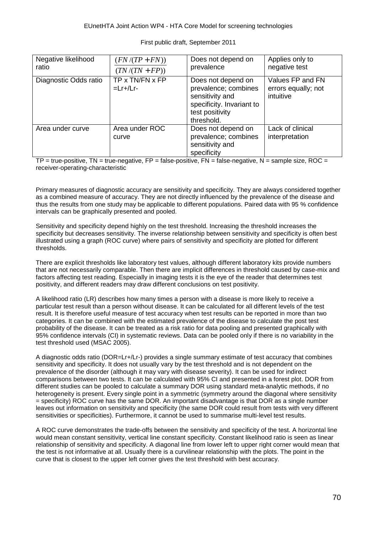| Negative likelihood<br>ratio | $(FN/(TP + FN))$<br>$(TN/(TN + FP))$ | Does not depend on<br>prevalence                                                                                            | Applies only to<br>negative test                     |
|------------------------------|--------------------------------------|-----------------------------------------------------------------------------------------------------------------------------|------------------------------------------------------|
| Diagnostic Odds ratio        | TP x TN/FN x FP<br>$=Lr+/Lr-$        | Does not depend on<br>prevalence; combines<br>sensitivity and<br>specificity. Invariant to<br>test positivity<br>threshold. | Values FP and FN<br>errors equally; not<br>intuitive |
| Area under curve             | Area under ROC<br>curve              | Does not depend on<br>prevalence; combines<br>sensitivity and<br>specificity                                                | Lack of clinical<br>interpretation                   |

 $TP = true$ -positive,  $TN = true$ -negative,  $FP = false$ -positive,  $FN = false$ -negative,  $N =$ sample size,  $ROC =$ receiver-operating-characteristic

Primary measures of diagnostic accuracy are sensitivity and specificity. They are always considered together as a combined measure of accuracy. They are not directly influenced by the prevalence of the disease and thus the results from one study may be applicable to different populations. Paired data with 95 % confidence intervals can be graphically presented and pooled.

Sensitivity and specificity depend highly on the test threshold. Increasing the threshold increases the specificity but decreases sensitivity. The inverse relationship between sensitivity and specificity is often best illustrated using a graph (ROC curve) where pairs of sensitivity and specificity are plotted for different thresholds.

There are explicit thresholds like laboratory test values, although different laboratory kits provide numbers that are not necessarily comparable. Then there are implicit differences in threshold caused by case-mix and factors affecting test reading. Especially in imaging tests it is the eye of the reader that determines test positivity, and different readers may draw different conclusions on test positivity.

A likelihood ratio (LR) describes how many times a person with a disease is more likely to receive a particular test result than a person without disease. It can be calculated for all different levels of the test result. It is therefore useful measure of test accuracy when test results can be reported in more than two categories. It can be combined with the estimated prevalence of the disease to calculate the post test probability of the disease. It can be treated as a risk ratio for data pooling and presented graphically with 95% confidence intervals (CI) in systematic reviews. Data can be pooled only if there is no variability in the test threshold used (MSAC 2005).

A diagnostic odds ratio (DOR=Lr+/Lr-) provides a single summary estimate of test accuracy that combines sensitivity and specificity. It does not usually vary by the test threshold and is not dependent on the prevalence of the disorder (although it may vary with disease severity). It can be used for indirect comparisons between two tests. It can be calculated with 95% CI and presented in a forest plot. DOR from different studies can be pooled to calculate a summary DOR using standard meta-analytic methods, if no heterogeneity is present. Every single point in a symmetric (symmetry around the diagonal where sensitivity = specificity) ROC curve has the same DOR. An important disadvantage is that DOR as a single number leaves out information on sensitivity and specificity (the same DOR could result from tests with very different sensitivities or specificities). Furthermore, it cannot be used to summarise multi-level test results.

A ROC curve demonstrates the trade-offs between the sensitivity and specificity of the test. A horizontal line would mean constant sensitivity, vertical line constant specificity. Constant likelihood ratio is seen as linear relationship of sensitivity and specificity. A diagonal line from lower left to upper right corner would mean that the test is not informative at all. Usually there is a curvilinear relationship with the plots. The point in the curve that is closest to the upper left corner gives the test threshold with best accuracy.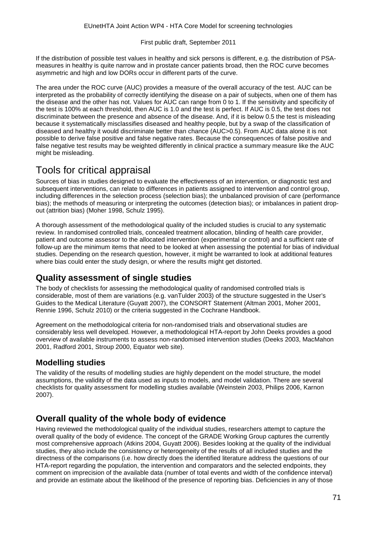If the distribution of possible test values in healthy and sick persons is different, e.g. the distribution of PSAmeasures in healthy is quite narrow and in prostate cancer patients broad, then the ROC curve becomes asymmetric and high and low DORs occur in different parts of the curve.

The area under the ROC curve (AUC) provides a measure of the overall accuracy of the test. AUC can be interpreted as the probability of correctly identifying the disease on a pair of subjects, when one of them has the disease and the other has not. Values for AUC can range from 0 to 1. If the sensitivity and specificity of the test is 100% at each threshold, then AUC is 1.0 and the test is perfect. If AUC is 0.5, the test does not discriminate between the presence and absence of the disease. And, if it is below 0.5 the test is misleading because it systematically misclassifies diseased and healthy people, but by a swap of the classification of diseased and healthy it would discriminate better than chance (AUC>0.5). From AUC data alone it is not possible to derive false positive and false negative rates. Because the consequences of false positive and false negative test results may be weighted differently in clinical practice a summary measure like the AUC might be misleading.

### Tools for critical appraisal

Sources of bias in studies designed to evaluate the effectiveness of an intervention, or diagnostic test and subsequent interventions, can relate to differences in patients assigned to intervention and control group, including differences in the selection process (selection bias); the unbalanced provision of care (performance bias); the methods of measuring or interpreting the outcomes (detection bias); or imbalances in patient dropout (attrition bias) (Moher 1998, Schulz 1995).

A thorough assessment of the methodological quality of the included studies is crucial to any systematic review. In randomised controlled trials, concealed treatment allocation, blinding of health care provider, patient and outcome assessor to the allocated intervention (experimental or control) and a sufficient rate of follow-up are the minimum items that need to be looked at when assessing the potential for bias of individual studies. Depending on the research question, however, it might be warranted to look at additional features where bias could enter the study design, or where the results might get distorted.

### **Quality assessment of single studies**

The body of checklists for assessing the methodological quality of randomised controlled trials is considerable, most of them are variations (e.g. vanTulder 2003) of the structure suggested in the User's Guides to the Medical Literature (Guyatt 2007), the CONSORT Statement (Altman 2001, Moher 2001, Rennie 1996, Schulz 2010) or the criteria suggested in the Cochrane Handbook.

Agreement on the methodological criteria for non-randomised trials and observational studies are considerably less well developed. However, a methodological HTA-report by John Deeks provides a good overview of available instruments to assess non-randomised intervention studies (Deeks 2003, MacMahon 2001, Radford 2001, Stroup 2000, Equator web site).

### **Modelling studies**

The validity of the results of modelling studies are highly dependent on the model structure, the model assumptions, the validity of the data used as inputs to models, and model validation. There are several checklists for quality assessment for modelling studies available (Weinstein 2003, Philips 2006, Karnon 2007).

### **Overall quality of the whole body of evidence**

Having reviewed the methodological quality of the individual studies, researchers attempt to capture the overall quality of the body of evidence. The concept of the GRADE Working Group captures the currently most comprehensive approach (Atkins 2004, Guyatt 2006). Besides looking at the quality of the individual studies, they also include the consistency or heterogeneity of the results of all included studies and the directness of the comparisons (i.e. how directly does the identified literature address the questions of our HTA-report regarding the population, the intervention and comparators and the selected endpoints, they comment on imprecision of the available data (number of total events and width of the confidence interval) and provide an estimate about the likelihood of the presence of reporting bias. Deficiencies in any of those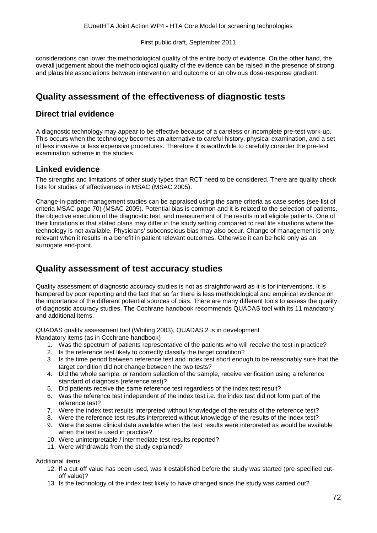considerations can lower the methodological quality of the entire body of evidence. On the other hand, the overall judgement about the methodological quality of the evidence can be raised in the presence of strong and plausible associations between intervention and outcome or an obvious dose-response gradient.

## **Quality assessment of the effectiveness of diagnostic tests**

#### **Direct trial evidence**

A diagnostic technology may appear to be effective because of a careless or incomplete pre-test work-up. This occurs when the technology becomes an alternative to careful history, physical examination, and a set of less invasive or less expensive procedures. Therefore it is worthwhile to carefully consider the pre-test examination scheme in the studies.

#### **Linked evidence**

The strengths and limitations of other study types than RCT need to be considered. There are quality check lists for studies of effectiveness in MSAC (MSAC 2005).

Change-in-patient-management studies can be appraised using the same criteria as case series (see list of criteria MSAC page 70) (MSAC 2005). Potential bias is common and it is related to the selection of patients, the objective execution of the diagnostic test, and measurement of the results in all eligible patients. One of their limitations is that stated plans may differ in the study setting compared to real life situations where the technology is not available. Physicians' subconscious bias may also occur. Change of management is only relevant when it results in a benefit in patient relevant outcomes. Otherwise it can be held only as an surrogate end-point.

## **Quality assessment of test accuracy studies**

Quality assessment of diagnostic accuracy studies is not as straightforward as it is for interventions. It is hampered by poor reporting and the fact that so far there is less methodological and empirical evidence on the importance of the different potential sources of bias. There are many different tools to assess the quality of diagnostic accuracy studies. The Cochrane handbook recommends QUADAS tool with its 11 mandatory and additional items.

QUADAS quality assessment tool (Whiting 2003), QUADAS 2 is in development

Mandatory items (as in Cochrane handbook)

- 1. Was the spectrum of patients representative of the patients who will receive the test in practice?
- 2. Is the reference test likely to correctly classify the target condition?
- 3. Is the time period between reference test and index test short enough to be reasonably sure that the target condition did not change between the two tests?
- 4. Did the whole sample, or random selection of the sample, receive verification using a reference standard of diagnosis (reference test)?
- 5. Did patients receive the same reference test regardless of the index test result?
- 6. Was the reference test independent of the index test i.e. the index test did not form part of the reference test?
- 7. Were the index test results interpreted without knowledge of the results of the reference test?
- 8. Were the reference test results interpreted without knowledge of the results of the index test?
- 9. Were the same clinical data available when the test results were interpreted as would be available when the test is used in practice?
- 10. Were uninterpretable / intermediate test results reported?
- 11. Were withdrawals from the study explained?

#### Additional items

- 12. If a cut-off value has been used, was it established before the study was started (pre-specified cutoff value)?
- 13. Is the technology of the index test likely to have changed since the study was carried out?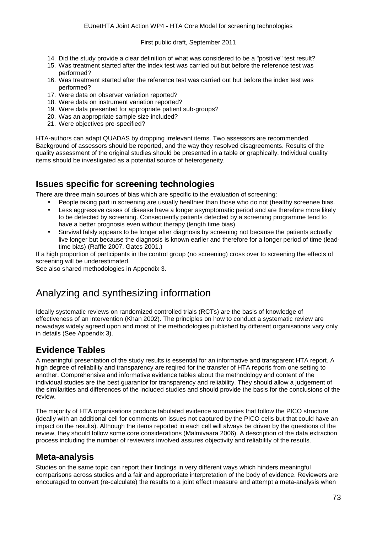- 14. Did the study provide a clear definition of what was considered to be a "positive" test result?
- 15. Was treatment started after the index test was carried out but before the reference test was performed?
- 16. Was treatment started after the reference test was carried out but before the index test was performed?
- 17. Were data on observer variation reported?
- 18. Were data on instrument variation reported?
- 19. Were data presented for appropriate patient sub-groups?
- 20. Was an appropriate sample size included?
- 21. Were objectives pre-specified?

HTA-authors can adapt QUADAS by dropping irrelevant items. Two assessors are recommended. Background of assessors should be reported, and the way they resolved disagreements. Results of the quality assessment of the original studies should be presented in a table or graphically. Individual quality items should be investigated as a potential source of heterogeneity.

#### **Issues specific for screening technologies**

There are three main sources of bias which are specific to the evaluation of screening:

- People taking part in screening are usually healthier than those who do not (healthy screenee bias.
- Less aggressive cases of disease have a longer asymptomatic period and are therefore more likely to be detected by screening. Consequently patients detected by a screening programme tend to have a better prognosis even without therapy (length time bias).
- t, Survival falsly appears to be longer after diagnosis by screening not because the patients actually live longer but because the diagnosis is known earlier and therefore for a longer period of time (leadtime bias) (Raffle 2007, Gates 2001.)

If a high proportion of participants in the control group (no screening) cross over to screening the effects of screening will be underestimated.

See also shared methodologies in Appendix 3.

# Analyzing and synthesizing information

Ideally systematic reviews on randomized controlled trials (RCTs) are the basis of knowledge of effectiveness of an intervention (Khan 2002). The principles on how to conduct a systematic review are nowadays widely agreed upon and most of the methodologies published by different organisations vary only in details (See Appendix 3).

## **Evidence Tables**

A meaningful presentation of the study results is essential for an informative and transparent HTA report. A high degree of reliability and transparency are reqired for the transfer of HTA reports from one setting to another. Comprehensive and informative evidence tables about the methodology and content of the individual studies are the best guarantor for transparency and reliability. They should allow a judgement of the similarities and differences of the included studies and should provide the basis for the conclusions of the review.

The majority of HTA organisations produce tabulated evidence summaries that follow the PICO structure (ideally with an additional cell for comments on issues not captured by the PICO cells but that could have an impact on the results). Although the items reported in each cell will always be driven by the questions of the review, they should follow some core considerations (Malmivaara 2006). A description of the data extraction process including the number of reviewers involved assures objectivity and reliability of the results.

#### **Meta-analysis**

Studies on the same topic can report their findings in very different ways which hinders meaningful comparisons across studies and a fair and appropriate interpretation of the body of evidence. Reviewers are encouraged to convert (re-calculate) the results to a joint effect measure and attempt a meta-analysis when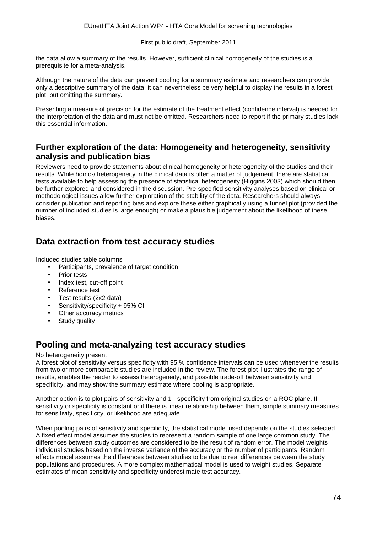the data allow a summary of the results. However, sufficient clinical homogeneity of the studies is a prerequisite for a meta-analysis.

Although the nature of the data can prevent pooling for a summary estimate and researchers can provide only a descriptive summary of the data, it can nevertheless be very helpful to display the results in a forest plot, but omitting the summary.

Presenting a measure of precision for the estimate of the treatment effect (confidence interval) is needed for the interpretation of the data and must not be omitted. Researchers need to report if the primary studies lack this essential information.

#### **Further exploration of the data: Homogeneity and heterogeneity, sensitivity analysis and publication bias**

Reviewers need to provide statements about clinical homogeneity or heterogeneity of the studies and their results. While homo-/ heterogeneity in the clinical data is often a matter of judgement, there are statistical tests available to help assessing the presence of statistical heterogeneity (Higgins 2003) which should then be further explored and considered in the discussion. Pre-specified sensitivity analyses based on clinical or methodological issues allow further exploration of the stability of the data. Researchers should always consider publication and reporting bias and explore these either graphically using a funnel plot (provided the number of included studies is large enough) or make a plausible judgement about the likelihood of these biases.

### **Data extraction from test accuracy studies**

Included studies table columns

- Participants, prevalence of target condition
- Prior tests  $\overline{\phantom{a}}$
- Index test, cut-off point
- Reference test
- Test results (2x2 data)
- Sensitivity/specificity + 95% CI
- Other accuracy metrics
- Study quality

#### **Pooling and meta-analyzing test accuracy studies**

#### No heterogeneity present

A forest plot of sensitivity versus specificity with 95 % confidence intervals can be used whenever the results from two or more comparable studies are included in the review. The forest plot illustrates the range of results, enables the reader to assess heterogeneity, and possible trade-off between sensitivity and specificity, and may show the summary estimate where pooling is appropriate.

Another option is to plot pairs of sensitivity and 1 - specificity from original studies on a ROC plane. If sensitivity or specificity is constant or if there is linear relationship between them, simple summary measures for sensitivity, specificity, or likelihood are adequate.

When pooling pairs of sensitivity and specificity, the statistical model used depends on the studies selected. A fixed effect model assumes the studies to represent a random sample of one large common study. The differences between study outcomes are considered to be the result of random error. The model weights individual studies based on the inverse variance of the accuracy or the number of participants. Random effects model assumes the differences between studies to be due to real differences between the study populations and procedures. A more complex mathematical model is used to weight studies. Separate estimates of mean sensitivity and specificity underestimate test accuracy.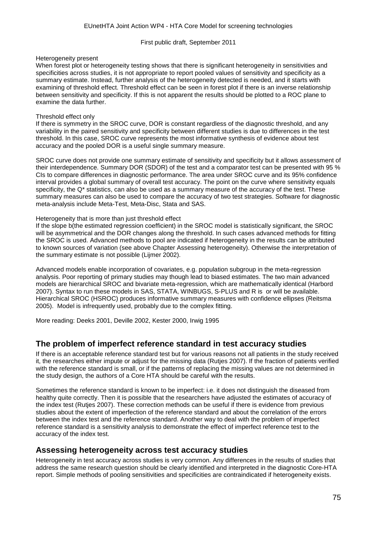#### Heterogeneity present

When forest plot or heterogeneity testing shows that there is significant heterogeneity in sensitivities and specificities across studies, it is not appropriate to report pooled values of sensitivity and specificity as a summary estimate. Instead, further analysis of the heterogeneity detected is needed, and it starts with examining of threshold effect. Threshold effect can be seen in forest plot if there is an inverse relationship between sensitivity and specificity. If this is not apparent the results should be plotted to a ROC plane to examine the data further.

#### Threshold effect only

If there is symmetry in the SROC curve, DOR is constant regardless of the diagnostic threshold, and any variability in the paired sensitivity and specificity between different studies is due to differences in the test threshold. In this case, SROC curve represents the most informative synthesis of evidence about test accuracy and the pooled DOR is a useful single summary measure.

SROC curve does not provide one summary estimate of sensitivity and specificity but it allows assessment of their interdependence. Summary DOR (SDOR) of the test and a comparator test can be presented with 95 % CIs to compare differences in diagnostic performance. The area under SROC curve and its 95% confidence interval provides a global summary of overall test accuracy. The point on the curve where sensitivity equals specificity, the Q\* statistics, can also be used as a summary measure of the accuracy of the test. These summary measures can also be used to compare the accuracy of two test strategies. Software for diagnostic meta-analysis include Meta-Test, Meta-Disc, Stata and SAS.

#### Heterogeneity that is more than just threshold effect

If the slope b(the estimated regression coefficient) in the SROC model is statistically significant, the SROC will be asymmetrical and the DOR changes along the threshold. In such cases advanced methods for fitting the SROC is used. Advanced methods to pool are indicated if heterogeneity in the results can be attributed to known sources of variation (see above Chapter Assessing heterogeneity). Otherwise the interpretation of the summary estimate is not possible (Lijmer 2002).

Advanced models enable incorporation of covariates, e.g. population subgroup in the meta-regression analysis. Poor reporting of primary studies may though lead to biased estimates. The two main advanced models are hierarchical SROC and bivariate meta-regression, which are mathematically identical (Harbord 2007). Syntax to run these models in SAS, STATA, WINBUGS, S-PLUS and R is or will be available. Hierarchical SROC (HSROC) produces informative summary measures with confidence ellipses (Reitsma 2005). Model is infrequently used, probably due to the complex fitting.

More reading: Deeks 2001, Deville 2002, Kester 2000, Irwig 1995

#### **The problem of imperfect reference standard in test accuracy studies**

If there is an acceptable reference standard test but for various reasons not all patients in the study received it, the researches either impute or adjust for the missing data (Rutjes 2007). If the fraction of patients verified with the reference standard is small, or if the patterns of replacing the missing values are not determined in the study design, the authors of a Core HTA should be careful with the results.

Sometimes the reference standard is known to be imperfect: i.e. it does not distinguish the diseased from healthy quite correctly. Then it is possible that the researchers have adjusted the estimates of accuracy of the index test (Rutjes 2007). These correction methods can be useful if there is evidence from previous studies about the extent of imperfection of the reference standard and about the correlation of the errors between the index test and the reference standard. Another way to deal with the problem of imperfect reference standard is a sensitivity analysis to demonstrate the effect of imperfect reference test to the accuracy of the index test.

#### **Assessing heterogeneity across test accuracy studies**

Heterogeneity in test accuracy across studies is very common. Any differences in the results of studies that address the same research question should be clearly identified and interpreted in the diagnostic Core-HTA report. Simple methods of pooling sensitivities and specificities are contraindicated if heterogeneity exists.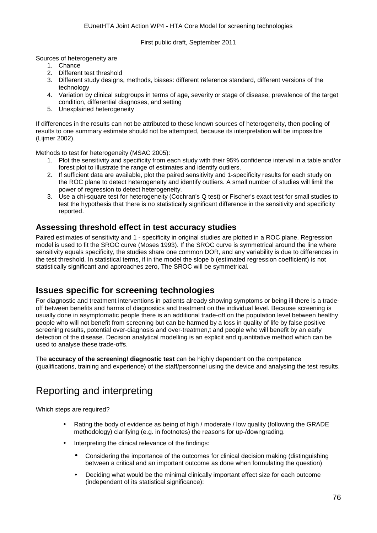Sources of heterogeneity are

- 1. Chance
- 2. Different test threshold
- 3. Different study designs, methods, biases: different reference standard, different versions of the technology
- 4. Variation by clinical subgroups in terms of age, severity or stage of disease, prevalence of the target condition, differential diagnoses, and setting
- 5. Unexplained heterogeneity

If differences in the results can not be attributed to these known sources of heterogeneity, then pooling of results to one summary estimate should not be attempted, because its interpretation will be impossible (Lijmer 2002).

Methods to test for heterogeneity (MSAC 2005):

- 1. Plot the sensitivity and specificity from each study with their 95% confidence interval in a table and/or forest plot to illustrate the range of estimates and identify outliers.
- 2. If sufficient data are available, plot the paired sensitivity and 1-specificity results for each study on the ROC plane to detect heterogeneity and identify outliers. A small number of studies will limit the power of regression to detect heterogeneity.
- 3. Use a chi-square test for heterogeneity (Cochran's Q test) or Fischer's exact test for small studies to test the hypothesis that there is no statistically significant difference in the sensitivity and specificity reported.

#### **Assessing threshold effect in test accuracy studies**

Paired estimates of sensitivity and 1 - specificity in original studies are plotted in a ROC plane. Regression model is used to fit the SROC curve (Moses 1993). If the SROC curve is symmetrical around the line where sensitivity equals specificity, the studies share one common DOR, and any variability is due to differences in the test threshold. In statistical terms, if in the model the slope b (estimated regression coefficient) is not statistically significant and approaches zero, The SROC will be symmetrical.

#### **Issues specific for screening technologies**

For diagnostic and treatment interventions in patients already showing symptoms or being ill there is a tradeoff between benefits and harms of diagnostics and treatment on the individual level. Because screening is usually done in asymptomatic people there is an additional trade-off on the population level between healthy people who will not benefit from screening but can be harmed by a loss in quality of life by false positive screening results, potential over-diagnosis and over-treatmen,t and people who will benefit by an early detection of the disease. Decision analytical modelling is an explicit and quantitative method which can be used to analyse these trade-offs.

The **accuracy of the screening/ diagnostic test** can be highly dependent on the competence (qualifications, training and experience) of the staff/personnel using the device and analysing the test results.

# Reporting and interpreting

Which steps are required?

- Rating the body of evidence as being of high / moderate / low quality (following the GRADE methodology) clarifying (e.g. in footnotes) the reasons for up-/downgrading.
- Interpreting the clinical relevance of the findings:
	- Considering the importance of the outcomes for clinical decision making (distinguishing  $\overline{a}$ between a critical and an important outcome as done when formulating the question)
	- Deciding what would be the minimal clinically important effect size for each outcome (independent of its statistical significance):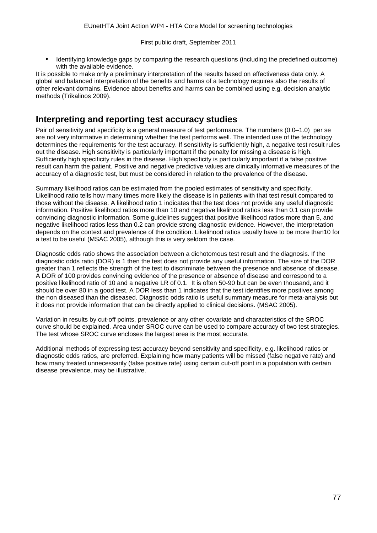Identifying knowledge gaps by comparing the research questions (including the predefined outcome) with the available evidence.

It is possible to make only a preliminary interpretation of the results based on effectiveness data only. A global and balanced interpretation of the benefits and harms of a technology requires also the results of other relevant domains. Evidence about benefits and harms can be combined using e.g. decision analytic methods (Trikalinos 2009).

#### **Interpreting and reporting test accuracy studies**

Pair of sensitivity and specificity is a general measure of test performance. The numbers (0.0–1.0) per se are not very informative in determining whether the test performs well. The intended use of the technology determines the requirements for the test accuracy. If sensitivity is sufficiently high, a negative test result rules out the disease. High sensitivity is particularly important if the penalty for missing a disease is high. Sufficiently high specificity rules in the disease. High specificity is particularly important if a false positive result can harm the patient. Positive and negative predictive values are clinically informative measures of the accuracy of a diagnostic test, but must be considered in relation to the prevalence of the disease.

Summary likelihood ratios can be estimated from the pooled estimates of sensitivity and specificity. Likelihood ratio tells how many times more likely the disease is in patients with that test result compared to those without the disease. A likelihood ratio 1 indicates that the test does not provide any useful diagnostic information. Positive likelihood ratios more than 10 and negative likelihood ratios less than 0.1 can provide convincing diagnostic information. Some guidelines suggest that positive likelihood ratios more than 5, and negative likelihood ratios less than 0.2 can provide strong diagnostic evidence. However, the interpretation depends on the context and prevalence of the condition. Likelihood ratios usually have to be more than10 for a test to be useful (MSAC 2005), although this is very seldom the case.

Diagnostic odds ratio shows the association between a dichotomous test result and the diagnosis. If the diagnostic odds ratio (DOR) is 1 then the test does not provide any useful information. The size of the DOR greater than 1 reflects the strength of the test to discriminate between the presence and absence of disease. A DOR of 100 provides convincing evidence of the presence or absence of disease and correspond to a positive likelihood ratio of 10 and a negative LR of 0.1. It is often 50-90 but can be even thousand, and it should be over 80 in a good test. A DOR less than 1 indicates that the test identifies more positives among the non diseased than the diseased. Diagnostic odds ratio is useful summary measure for meta-analysis but it does not provide information that can be directly applied to clinical decisions. (MSAC 2005).

Variation in results by cut-off points, prevalence or any other covariate and characteristics of the SROC curve should be explained. Area under SROC curve can be used to compare accuracy of two test strategies. The test whose SROC curve encloses the largest area is the most accurate.

Additional methods of expressing test accuracy beyond sensitivity and specificity, e.g. likelihood ratios or diagnostic odds ratios, are preferred. Explaining how many patients will be missed (false negative rate) and how many treated unnecessarily (false positive rate) using certain cut-off point in a population with certain disease prevalence, may be illustrative.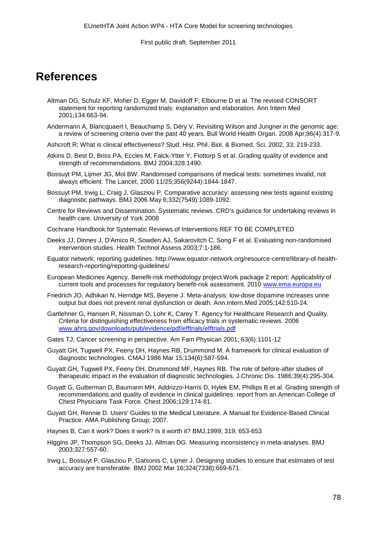# **References**

- Altman DG, Schulz KF, Moher D, Egger M, Davidoff F, Elbourne D et al. The revised CONSORT statement for reporting randomized trials: explanation and elaboration. Ann Intern Med 2001;134:663-94.
- Andermann A, Blancquaert I, Beauchamp S, Déry V. Revisiting Wilson and Jungner in the genomic age: a review of screening criteria over the past 40 years. Bull World Health Organ. 2008 Apr;86(4):317-9.
- Ashcroft R; What is clinical effectiveness? Stud. Hist. Phil. Biol. & Biomed. Sci. 2002, 33; 219-233.
- Atkins D, Best D, Briss PA, Eccles M, Falck-Ytter Y, Flottorp S et al. Grading quality of evidence and strength of recommendations. BMJ 2004;328:1490.
- Bossuyt PM, Lijmer JG, Mol BW. Randomised comparisons of medical tests: sometimes invalid, not always efficient. The Lancet, 2000 11/25;356(9244):1844-1847.
- Bossuyt PM, Irwig L, Craig J, Glasziou P. Comparative accuracy: assessing new tests against existing diagnostic pathways. BMJ 2006 May 6;332(7549):1089-1092.
- Centre for Reviews and Dissemination. Systematic reviews. CRD's guidance for undertaking reviews in health care. University of York 2008
- Cochrane Handbook for Systematic Reviews of Interventions REF TO BE COMPLETED
- Deeks JJ, Dinnes J, D'Amico R, Sowden AJ, Sakarovitch C, Song F et al. Evaluating non-randomised intervention studies. Health Technol Assess 2003;7:1-186.
- Equator network: reporting guidelines. http://www.equator-network.org/resource-centre/library-of-healthresearch-reporting/reporting-guidelines/
- European Medicines Agency. Benefit-risk methodology project.Work package 2 report: Applicability of current tools and processes for regulatory benefit-risk assessment. 2010 [www.ema.europa.eu](http://www.ema.europa.eu/)
- Friedrich JO, Adhikari N, Herridge MS, Beyene J. Meta-analysis: low-dose dopamine increases urine output but does not prevent renal dysfunction or death. Ann.Intern.Med 2005;142:510-24.
- Gartlehner G, Hansen R, Nissman D, Lohr K, Carey T. Agency for Healthcare Research and Quality. Criteria for distinguishing effectiveness from efficacy trials in systematic reviews. 2006 [www.ahrq.gov/downloads/pub/evidence/pdf/efftrials/efftrials.pdf](http://www.ahrq.gov/downloads/pub/evidence/pdf/efftrials/efftrials.pdf)
- Gates TJ, Cancer screening in perspective. Am Fam Physican 2001; 63(6):1101-12
- Guyatt GH, Tugwell PX, Feeny DH, Haynes RB, Drummond M. A framework for clinical evaluation of diagnostic technologies. CMAJ 1986 Mar 15;134(6):587-594.
- Guyatt GH, Tugwell PX, Feeny DH, Drummond MF, Haynes RB. The role of before-after studies of therapeutic impact in the evaluation of diagnostic technologies. J.Chronic Dis. 1986;39(4):295-304.
- Guyatt G, Gutterman D, Baumann MH, Addrizzo-Harris D, Hylek EM, Phillips B et al. Grading strength of recommendations and quality of evidence in clinical guidelines: report from an American College of Chest Physicians Task Force. Chest 2006;129:174-81.
- Guyatt GH, Rennie D. Users' Guides to the Medical Literature. A Manual for Evidence-Based Clinical Practice. AMA Publishing Group; 2007.
- Haynes B, Can it work? Does it work? Is it worth it? BMJ,1999; 319; 653-653
- Higgins JP, Thompson SG, Deeks JJ, Altman DG. Measuring inconsistency in meta-analyses. BMJ 2003;327:557-60.
- Irwig L, Bossuyt P, Glasziou P, Gatsonis C, Lijmer J. Designing studies to ensure that estimates of test accuracy are transferable. BMJ 2002 Mar 16;324(7338):669-671.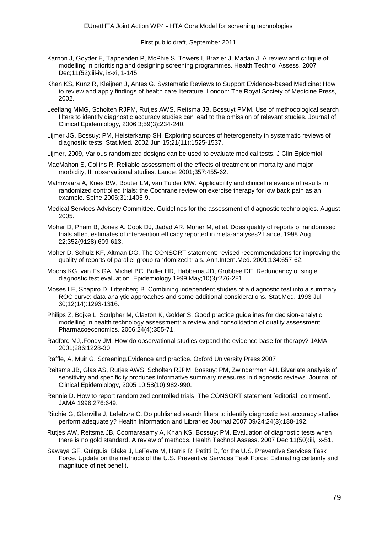- Karnon J, Goyder E, Tappenden P, McPhie S, Towers I, Brazier J, Madan J. A review and critique of modelling in prioritising and designing screening programmes. Health Technol Assess. 2007 Dec;11(52):iii-iv, ix-xi, 1-145.
- Khan KS, Kunz R, Kleijnen J, Antes G. Systematic Reviews to Support Evidence-based Medicine: How to review and apply findings of health care literature. London: The Royal Society of Medicine Press, 2002.
- Leeflang MMG, Scholten RJPM, Rutjes AWS, Reitsma JB, Bossuyt PMM. Use of methodological search filters to identify diagnostic accuracy studies can lead to the omission of relevant studies. Journal of Clinical Epidemiology, 2006 3;59(3):234-240.
- Lijmer JG, Bossuyt PM, Heisterkamp SH. Exploring sources of heterogeneity in systematic reviews of diagnostic tests. Stat.Med. 2002 Jun 15;21(11):1525-1537.
- Lijmer, 2009, Various randomized designs can be used to evaluate medical tests. J Clin Epidemiol
- MacMahon S,.Collins R. Reliable assessment of the effects of treatment on mortality and major morbidity, II: observational studies. Lancet 2001;357:455-62.
- Malmivaara A, Koes BW, Bouter LM, van Tulder MW. Applicability and clinical relevance of results in randomized controlled trials: the Cochrane review on exercise therapy for low back pain as an example. Spine 2006;31:1405-9.
- Medical Services Advisory Committee. Guidelines for the assessment of diagnostic technologies. August 2005.
- Moher D, Pham B, Jones A, Cook DJ, Jadad AR, Moher M, et al. Does quality of reports of randomised trials affect estimates of intervention efficacy reported in meta-analyses? Lancet 1998 Aug 22;352(9128):609-613.
- Moher D, Schulz KF, Altman DG. The CONSORT statement: revised recommendations for improving the quality of reports of parallel-group randomized trials. Ann.Intern.Med. 2001;134:657-62.
- Moons KG, van Es GA, Michel BC, Buller HR, Habbema JD, Grobbee DE. Redundancy of single diagnostic test evaluation. Epidemiology 1999 May;10(3):276-281.
- Moses LE, Shapiro D, Littenberg B. Combining independent studies of a diagnostic test into a summary ROC curve: data-analytic approaches and some additional considerations. Stat.Med. 1993 Jul 30;12(14):1293-1316.
- Philips Z, Bojke L, Sculpher M, Claxton K, Golder S. Good practice guidelines for decision-analytic modelling in health technology assessment: a review and consolidation of quality assessment. Pharmacoeconomics. 2006;24(4):355-71.
- Radford MJ,.Foody JM. How do observational studies expand the evidence base for therapy? JAMA 2001;286:1228-30.
- Raffle, A, Muir G. Screening.Evidence and practice. Oxford University Press 2007
- Reitsma JB, Glas AS, Rutjes AWS, Scholten RJPM, Bossuyt PM, Zwinderman AH. Bivariate analysis of sensitivity and specificity produces informative summary measures in diagnostic reviews. Journal of Clinical Epidemiology, 2005 10;58(10):982-990.
- Rennie D. How to report randomized controlled trials. The CONSORT statement [editorial; comment]. JAMA 1996;276:649.
- Ritchie G, Glanville J, Lefebvre C. Do published search filters to identify diagnostic test accuracy studies perform adequately? Health Information and Libraries Journal 2007 09/24;24(3):188-192.
- Rutjes AW, Reitsma JB, Coomarasamy A, Khan KS, Bossuyt PM. Evaluation of diagnostic tests when there is no gold standard. A review of methods. Health Technol.Assess. 2007 Dec;11(50):iii, ix-51.
- Sawaya GF, Guirguis Blake J, LeFevre M, Harris R, Petitti D, for the U.S. Preventive Services Task Force. Update on the methods of the U.S. Preventive Services Task Force: Estimating certainty and magnitude of net benefit.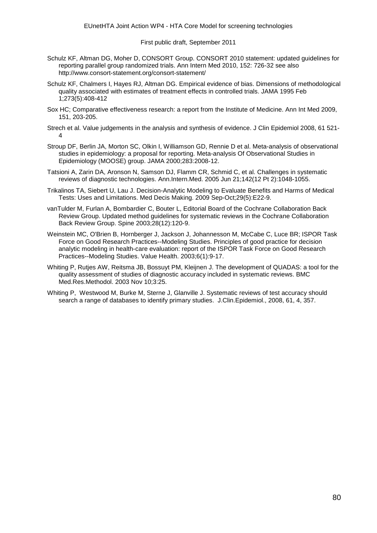- Schulz KF, Altman DG, Moher D, CONSORT Group. CONSORT 2010 statement: updated guidelines for reporting parallel group randomized trials. Ann Intern Med 2010, 152: 726-32 see also http://www.consort-statement.org/consort-statement/
- Schulz KF, Chalmers I, Hayes RJ, Altman DG. Empirical evidence of bias. Dimensions of methodological quality associated with estimates of treatment effects in controlled trials. JAMA 1995 Feb 1;273(5):408-412
- Sox HC; Comparative effectiveness research: a report from the Institute of Medicine. Ann Int Med 2009, 151, 203-205.
- Strech et al. Value judgements in the analysis and synthesis of evidence. J Clin Epidemiol 2008, 61 521- 4
- Stroup DF, Berlin JA, Morton SC, Olkin I, Williamson GD, Rennie D et al. Meta-analysis of observational studies in epidemiology: a proposal for reporting. Meta-analysis Of Observational Studies in Epidemiology (MOOSE) group. JAMA 2000;283:2008-12.
- Tatsioni A, Zarin DA, Aronson N, Samson DJ, Flamm CR, Schmid C, et al. Challenges in systematic reviews of diagnostic technologies. Ann.Intern.Med. 2005 Jun 21;142(12 Pt 2):1048-1055.
- Trikalinos TA, Siebert U, Lau J. Decision-Analytic Modeling to Evaluate Benefits and Harms of Medical Tests: Uses and Limitations. Med Decis Making. 2009 Sep-Oct;29(5):E22-9.
- vanTulder M, Furlan A, Bombardier C, Bouter L, Editorial Board of the Cochrane Collaboration Back Review Group. Updated method guidelines for systematic reviews in the Cochrane Collaboration Back Review Group. Spine 2003;28(12):120-9.
- Weinstein MC, O'Brien B, Hornberger J, Jackson J, Johannesson M, McCabe C, Luce BR; ISPOR Task Force on Good Research Practices--Modeling Studies. Principles of good practice for decision analytic modeling in health-care evaluation: report of the ISPOR Task Force on Good Research Practices--Modeling Studies. Value Health. 2003;6(1):9-17.
- Whiting P, Rutjes AW, Reitsma JB, Bossuyt PM, Kleijnen J. The development of QUADAS: a tool for the quality assessment of studies of diagnostic accuracy included in systematic reviews. BMC Med.Res.Methodol. 2003 Nov 10;3:25.
- Whiting P, Westwood M, Burke M, Sterne J, Glanville J. Systematic reviews of test accuracy should search a range of databases to identify primary studies. J.Clin.Epidemiol., 2008, 61, 4, 357.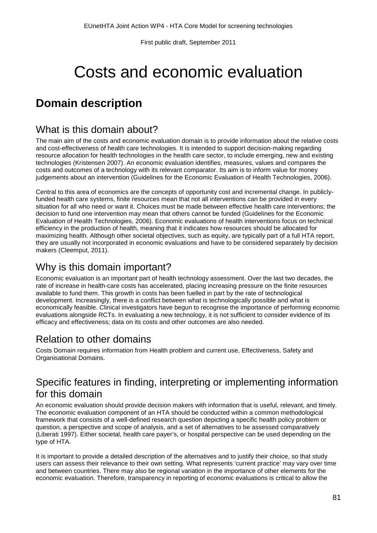# Costs and economic evaluation

# **Domain description**

## What is this domain about?

The main aim of the costs and economic evaluation domain is to provide information about the relative costs and cost-effectiveness of health care technologies. It is intended to support decision-making regarding resource allocation for health technologies in the health care sector, to include emerging, new and existing technologies (Kristensen 2007). An economic evaluation identifies, measures, values and compares the costs and outcomes of a technology with its relevant comparator. Its aim is to inform value for money judgements about an intervention (Guidelines for the Economic Evaluation of Health Technologies, 2006).

Central to this area of economics are the concepts of opportunity cost and incremental change. In publiclyfunded health care systems, finite resources mean that not all interventions can be provided in every situation for all who need or want it. Choices must be made between effective health care interventions; the decision to fund one intervention may mean that others cannot be funded (Guidelines for the Economic Evaluation of Health Technologies, 2006). Economic evaluations of health interventions focus on technical efficiency in the production of health, meaning that it indicates how resources should be allocated for maximizing health. Although other societal objectives, such as equity, are typically part of a full HTA report, they are usually not incorporated in economic evaluations and have to be considered separately by decision makers (Cleemput, 2011).

# Why is this domain important?

Economic evaluation is an important part of health technology assessment. Over the last two decades, the rate of increase in health-care costs has accelerated, placing increasing pressure on the finite resources available to fund them. This growth in costs has been fuelled in part by the rate of technological development. Increasingly, there is a conflict between what is technologically possible and what is economically feasible. Clinical investigators have begun to recognise the importance of performing economic evaluations alongside RCTs. In evaluating a new technology, it is not sufficient to consider evidence of its efficacy and effectiveness; data on its costs and other outcomes are also needed.

# Relation to other domains

Costs Domain requires information from Health problem and current use, Effectiveness, Safety and Organisational Domains.

# Specific features in finding, interpreting or implementing information for this domain

An economic evaluation should provide decision makers with information that is useful, relevant, and timely. The economic evaluation component of an HTA should be conducted within a common methodological framework that consists of a well-defined research question depicting a specific health policy problem or question, a perspective and scope of analysis, and a set of alternatives to be assessed comparatively (Liberati 1997). Either societal, health care payer's, or hospital perspective can be used depending on the type of HTA.

It is important to provide a detailed description of the alternatives and to justify their choice, so that study users can assess their relevance to their own setting. What represents 'current practice' may vary over time and between countries. There may also be regional variation in the importance of other elements for the economic evaluation. Therefore, transparency in reporting of economic evaluations is critical to allow the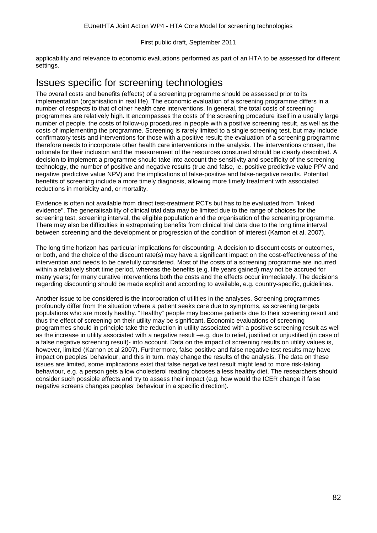applicability and relevance to economic evaluations performed as part of an HTA to be assessed for different settings.

## Issues specific for screening technologies

The overall costs and benefits (effects) of a screening programme should be assessed prior to its implementation (organisation in real life). The economic evaluation of a screening programme differs in a number of respects to that of other health care interventions. In general, the total costs of screening programmes are relatively high. It encompasses the costs of the screening procedure itself in a usually large number of people, the costs of follow-up procedures in people with a positive screening result, as well as the costs of implementing the programme. Screening is rarely limited to a single screening test, but may include confirmatory tests and interventions for those with a positive result; the evaluation of a screening programme therefore needs to incorporate other health care interventions in the analysis. The interventions chosen, the rationale for their inclusion and the measurement of the resources consumed should be clearly described. A decision to implement a programme should take into account the sensitivity and specificity of the screening technology, the number of positive and negative results (true and false, ie. positive predictive value PPV and negative predictive value NPV) and the implications of false-positive and false-negative results. Potential benefits of screening include a more timely diagnosis, allowing more timely treatment with associated reductions in morbidity and, or mortality.

Evidence is often not available from direct test-treatment RCTs but has to be evaluated from "linked evidence". The generalisability of clinical trial data may be limited due to the range of choices for the screening test, screening interval, the eligible population and the organisation of the screening programme. There may also be difficulties in extrapolating benefits from clinical trial data due to the long time interval between screening and the development or progression of the condition of interest (Karnon et al. 2007).

The long time horizon has particular implications for discounting. A decision to discount costs or outcomes, or both, and the choice of the discount rate(s) may have a significant impact on the cost-effectiveness of the intervention and needs to be carefully considered. Most of the costs of a screening programme are incurred within a relatively short time period, whereas the benefits (e.g. life years gained) may not be accrued for many years; for many curative interventions both the costs and the effects occur immediately. The decisions regarding discounting should be made explicit and according to available, e.g. country-specific, guidelines.

Another issue to be considered is the incorporation of utilities in the analyses. Screening programmes profoundly differ from the situation where a patient seeks care due to symptoms, as screening targets populations who are mostly healthy. "Healthy" people may become patients due to their screening result and thus the effect of screening on their utility may be significant. Economic evaluations of screening programmes should in principle take the reduction in utility associated with a positive screening result as well as the increase in utility associated with a negative result –e.g. due to relief, justified or unjustified (in case of a false negative screening result)- into account. Data on the impact of screening results on utility values is, however, limited (Karnon et al 2007). Furthermore, false positive and false negative test results may have impact on peoples' behaviour, and this in turn, may change the results of the analysis. The data on these issues are limited, some implications exist that false negative test result might lead to more risk-taking behaviour, e.g. a person gets a low cholesterol reading chooses a less healthy diet. The researchers should consider such possible effects and try to assess their impact (e.g. how would the ICER change if false negative screens changes peoples' behaviour in a specific direction).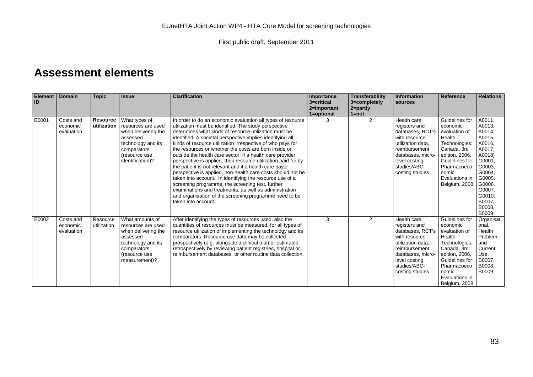# **Assessment elements**

| Element  <br>ID | <b>Domain</b>                       | <b>Topic</b>            | <b>Issue</b>                                                                                                                                     | <b>Clarification</b>                                                                                                                                                                                                                                                                                                                                                                                                                                                                                                                                                                                                                                                                                                                                                                                                                                                                 | Importance<br>3=critical<br>2=important<br>1=optional | <b>Transferability</b><br>3=completely<br>$2 =$ partly<br>$1 = not$ | Information<br><b>Sources</b>                                                                                                                                                    | <b>Reference</b>                                                                                                                                                                     | <b>Relations</b>                                                                                                                                                      |
|-----------------|-------------------------------------|-------------------------|--------------------------------------------------------------------------------------------------------------------------------------------------|--------------------------------------------------------------------------------------------------------------------------------------------------------------------------------------------------------------------------------------------------------------------------------------------------------------------------------------------------------------------------------------------------------------------------------------------------------------------------------------------------------------------------------------------------------------------------------------------------------------------------------------------------------------------------------------------------------------------------------------------------------------------------------------------------------------------------------------------------------------------------------------|-------------------------------------------------------|---------------------------------------------------------------------|----------------------------------------------------------------------------------------------------------------------------------------------------------------------------------|--------------------------------------------------------------------------------------------------------------------------------------------------------------------------------------|-----------------------------------------------------------------------------------------------------------------------------------------------------------------------|
| E0001           | Costs and<br>economic<br>evaluation | Resource<br>utilization | What types of<br>resources are used<br>when delivering the<br>assessed<br>technology and its<br>comparators<br>(resource use<br>identification)? | In order to do an economic evaluation all types of resource<br>utilization must be identified. The study perspective<br>determines what kinds of resource utilization must be<br>identified. A societal perspective implies identifying all<br>kinds of resource utilization irrespective of who pays for<br>the resources or whether the costs are born inside or<br>outside the health care sector. If a health care provider<br>perspective is applied, then resource utilization paid for by<br>the patient is not relevant and if a health care payer<br>perspective is applied, non-health care costs should not be<br>taken into account. In identifying the resource use of a<br>screening programme, the screening test, further<br>examinations and treatments, as well as administration<br>and organisation of the screening programme need to be<br>taken into account. | З                                                     | 2                                                                   | Health care<br>registers and<br>databases, RCT's<br>with resource<br>utilization data.<br>reimbursement<br>databases, micro-<br>level costing<br>studies/ABC-<br>costing studies | Guidelines for<br>economic<br>evaluation of<br>Health<br>Technologies:<br>Canada, 3rd<br>edition, 2006,<br>Guidelines for<br>Pharmacoeco<br>nomic<br>Evaluations in<br>Belgium, 2008 | A0011,<br>A0013,<br>A0014.<br>A0015,<br>A0016,<br>A0017,<br>A0018)<br>G0001.<br>G0003,<br>G0004,<br>G0005,<br>G0006,<br>G0007,<br>G0010,<br>B0007,<br>B0008,<br>B0009 |
| E0002           | Costs and<br>economic<br>evaluation | Resource<br>utilization | What amounts of<br>resources are used<br>when delivering the<br>assessed<br>technology and its<br>comparators<br>(resource use<br>measurement)?  | After identifying the types of resources used, also the<br>quantities of resources must be measured, for all types of<br>resource utilization of implementing the technology and its<br>comparators. Resource use data may be collected<br>prospectively (e.g. alongside a clinical trial) or estimated<br>retrospectively by reviewing patient registries, hospital or<br>reimbursement databases, or other routine data collection.                                                                                                                                                                                                                                                                                                                                                                                                                                                | 3                                                     | 2                                                                   | Health care<br>registers and<br>databases, RCT's<br>with resource<br>utilization data,<br>reimbursement<br>databases, micro-<br>level costing<br>studies/ABC-<br>costing studies | Guidelines for<br>economic<br>evaluation of<br>Health<br>Technologies:<br>Canada, 3rd<br>edition, 2006,<br>Guidelines for<br>Pharmacoeco<br>nomic<br>Evaluations in<br>Belgium, 2008 | Organisati<br>onal.<br>Health<br>Problem<br>and<br>Current<br>Use,<br>B0007.<br>B0008,<br>B0009                                                                       |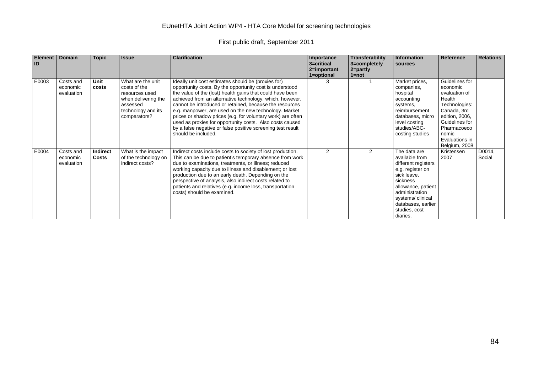#### EUnetHTA Joint Action WP4 - HTA Core Model for screening technologies

| <b>Element</b><br>ID | Domain                              | <b>Topic</b>             | <b>Issue</b>                                                                                                                 | <b>Clarification</b>                                                                                                                                                                                                                                                                                                                                                                                                                                                                                                                                                          | Importance<br>3=critical<br>2=important<br>1=optional | <b>Transferability</b><br>3=completely<br>$2 =$ partly<br>$1 = not$ | Information<br><b>Sources</b>                                                                                                                                                                                       | Reference                                                                                                                                                                            | <b>Relations</b> |
|----------------------|-------------------------------------|--------------------------|------------------------------------------------------------------------------------------------------------------------------|-------------------------------------------------------------------------------------------------------------------------------------------------------------------------------------------------------------------------------------------------------------------------------------------------------------------------------------------------------------------------------------------------------------------------------------------------------------------------------------------------------------------------------------------------------------------------------|-------------------------------------------------------|---------------------------------------------------------------------|---------------------------------------------------------------------------------------------------------------------------------------------------------------------------------------------------------------------|--------------------------------------------------------------------------------------------------------------------------------------------------------------------------------------|------------------|
| E0003                | Costs and<br>economic<br>evaluation | <b>Unit</b><br>costs     | What are the unit<br>costs of the<br>resources used<br>when delivering the<br>assessed<br>technology and its<br>comparators? | Ideally unit cost estimates should be (proxies for)<br>opportunity costs. By the opportunity cost is understood<br>the value of the (lost) health gains that could have been<br>achieved from an alternative technology, which, however,<br>cannot be introduced or retained, because the resources<br>e.g. manpower, are used on the new technology. Market<br>prices or shadow prices (e.g. for voluntary work) are often<br>used as proxies for opportunity costs. Also costs caused<br>by a false negative or false positive screening test result<br>should be included. | 3                                                     |                                                                     | Market prices,<br>companies,<br>hospital<br>accounting<br>systems,<br>reimbursement<br>databases, micro<br>level costing<br>studies/ABC-<br>costing studies                                                         | Guidelines for<br>economic<br>evaluation of<br>Health<br>Technologies:<br>Canada, 3rd<br>edition, 2006,<br>Guidelines for<br>Pharmacoeco<br>nomic<br>Evaluations in<br>Belgium, 2008 |                  |
| E0004                | Costs and<br>economic<br>evaluation | Indirect<br><b>Costs</b> | What is the impact<br>of the technology on<br>indirect costs?                                                                | Indirect costs include costs to society of lost production.<br>This can be due to patient's temporary absence from work<br>due to examinations, treatments, or illness; reduced<br>working capacity due to illness and disablement; or lost<br>production due to an early death. Depending on the<br>perspective of analysis, also indirect costs related to<br>patients and relatives (e.g. income loss, transportation<br>costs) should be examined.                                                                                                                        | $\mathcal{P}$                                         | 2                                                                   | The data are<br>available from<br>different registers<br>e.g. register on<br>sick leave,<br>sickness<br>allowance, patient<br>administration<br>systems/clinical<br>databases, earlier<br>studies, cost<br>diaries. | Kristensen<br>2007                                                                                                                                                                   | D0014,<br>Social |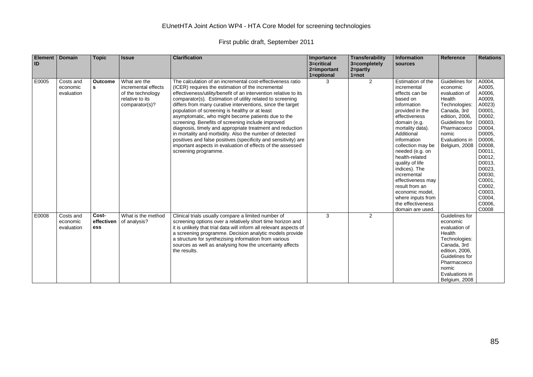#### EUnetHTA Joint Action WP4 - HTA Core Model for screening technologies

| Element  <br>ID | <b>Domain</b>                       | <b>Topic</b>               | <b>Issue</b>                                                                                  | <b>Clarification</b>                                                                                                                                                                                                                                                                                                                                                                                                                                                                                                                                                                                                                                                                                                                                         | Importance<br>3=critical<br>2=important | Transferability<br>3=completely<br>2=partly | Information<br>sources                                                                                                                                                                                                                                                                                                                                                                                                  | <b>Reference</b>                                                                                                                                                                     | <b>Relations</b>                                                                                                                                                                                                                  |
|-----------------|-------------------------------------|----------------------------|-----------------------------------------------------------------------------------------------|--------------------------------------------------------------------------------------------------------------------------------------------------------------------------------------------------------------------------------------------------------------------------------------------------------------------------------------------------------------------------------------------------------------------------------------------------------------------------------------------------------------------------------------------------------------------------------------------------------------------------------------------------------------------------------------------------------------------------------------------------------------|-----------------------------------------|---------------------------------------------|-------------------------------------------------------------------------------------------------------------------------------------------------------------------------------------------------------------------------------------------------------------------------------------------------------------------------------------------------------------------------------------------------------------------------|--------------------------------------------------------------------------------------------------------------------------------------------------------------------------------------|-----------------------------------------------------------------------------------------------------------------------------------------------------------------------------------------------------------------------------------|
|                 |                                     |                            |                                                                                               |                                                                                                                                                                                                                                                                                                                                                                                                                                                                                                                                                                                                                                                                                                                                                              | 1=optional                              | $1 = not$                                   |                                                                                                                                                                                                                                                                                                                                                                                                                         |                                                                                                                                                                                      |                                                                                                                                                                                                                                   |
| E0005           | Costs and<br>economic<br>evaluation | <b>Outcome</b><br>s        | What are the<br>incremental effects<br>of the technology<br>relative to its<br>comparator(s)? | The calculation of an incremental cost-effectiveness ratio<br>(ICER) requires the estimation of the incremental<br>effectiveness/utility/benefit of an intervention relative to its<br>comparator(s). Estimation of utility related to screening<br>differs from many curative interventions, since the target<br>population of screening is healthy or at least<br>asymptomatic, who might become patients due to the<br>screening. Benefits of screening include improved<br>diagnosis, timely and appropriate treatment and reduction<br>in mortality and morbidity. Also the number of detected<br>positives and false positives (specificity and sensitivity) are<br>important aspects in evaluation of effects of the assessed<br>screening programme. |                                         | $\overline{2}$                              | Estimation of the<br>incremental<br>effects can be<br>based on<br>information<br>provided in the<br>effectiveness<br>domain (e.g.<br>mortality data).<br>Additional<br>information<br>collection may be<br>needed (e.g. on<br>health-related<br>quality of life<br>indices). The<br>incremental<br>effectiveness may<br>result from an<br>economic model,<br>where inputs from<br>the effectiveness<br>domain are used. | Guidelines for<br>economic<br>evaluation of<br>Health<br>Technologies:<br>Canada, 3rd<br>edition, 2006,<br>Guidelines for<br>Pharmacoeco<br>nomic<br>Evaluations in<br>Belgium, 2008 | A0004.<br>A0005.<br>A0006.<br>A0009.<br>A0023)<br>D0001,<br>D0002,<br>D0003,<br>D0004,<br>D0005,<br>D0006,<br>D0008,<br>D0011,<br>D0012,<br>D0013.<br>D0023.<br>D0030,<br>C0001,<br>C0002,<br>C0003,<br>C0004,<br>C0006,<br>C0008 |
| E0008           | Costs and<br>economic<br>evaluation | Cost-<br>effectiven<br>ess | What is the method<br>of analysis?                                                            | Clinical trials usually compare a limited number of<br>screening options over a relatively short time horizon and<br>it is unlikely that trial data will inform all relevant aspects of<br>a screening programme. Decision analytic models provide<br>a structure for synthezising information from various<br>sources as well as analysing how the uncertainty affects<br>the results.                                                                                                                                                                                                                                                                                                                                                                      | 3                                       | $\overline{2}$                              |                                                                                                                                                                                                                                                                                                                                                                                                                         | Guidelines for<br>economic<br>evaluation of<br>Health<br>Technologies:<br>Canada, 3rd<br>edition, 2006,<br>Guidelines for<br>Pharmacoeco<br>nomic<br>Evaluations in<br>Belaium, 2008 |                                                                                                                                                                                                                                   |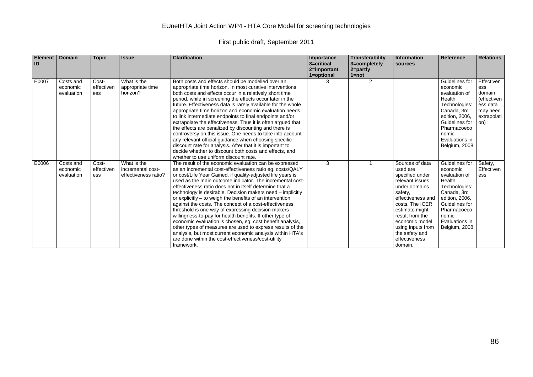#### EUnetHTA Joint Action WP4 - HTA Core Model for screening technologies

| Element   Domain<br>ID |                                     | <b>Topic</b>               | <b>Issue</b>                                             | <b>Clarification</b>                                                                                                                                                                                                                                                                                                                                                                                                                                                                                                                                                                                                                                                                                                                                                                                                                                                          | Importance<br>3=critical<br>2=important<br>1=optional | <b>Transferability</b><br>3=completely<br>$2 = partly$<br>$1 = not$ | <b>Information</b><br>sources                                                                                                                                                                                                                                    | <b>Reference</b>                                                                                                                                                                     | <b>Relations</b>                                                                         |
|------------------------|-------------------------------------|----------------------------|----------------------------------------------------------|-------------------------------------------------------------------------------------------------------------------------------------------------------------------------------------------------------------------------------------------------------------------------------------------------------------------------------------------------------------------------------------------------------------------------------------------------------------------------------------------------------------------------------------------------------------------------------------------------------------------------------------------------------------------------------------------------------------------------------------------------------------------------------------------------------------------------------------------------------------------------------|-------------------------------------------------------|---------------------------------------------------------------------|------------------------------------------------------------------------------------------------------------------------------------------------------------------------------------------------------------------------------------------------------------------|--------------------------------------------------------------------------------------------------------------------------------------------------------------------------------------|------------------------------------------------------------------------------------------|
| E0007                  | Costs and<br>economic<br>evaluation | Cost-<br>effectiven<br>ess | What is the<br>appropriate time<br>horizon?              | Both costs and effects should be modelled over an<br>appropriate time horizon. In most curative interventions<br>both costs and effects occur in a relatively short time<br>period, while in screening the effects occur later in the<br>future. Effectiveness data is rarely available for the whole<br>appropriate time horizon and economic evaluation needs<br>to link intermediate endpoints to final endpoints and/or<br>extrapolate the effectiveness. Thus it is often argued that<br>the effects are penalized by discounting and there is<br>controversy on this issue. One needs to take into account<br>any relevant official guidance when choosing specific<br>discount rate for analysis. After that it is important to<br>decide whether to discount both costs and effects, and<br>whether to use uniform discount rate.                                     |                                                       | $\overline{2}$                                                      |                                                                                                                                                                                                                                                                  | Guidelines for<br>economic<br>evaluation of<br>Health<br>Technologies:<br>Canada, 3rd<br>edition, 2006,<br>Guidelines for<br>Pharmacoeco<br>nomic<br>Evaluations in<br>Belgium, 2008 | Effectiven<br>ess<br>domain<br>(effectiven<br>ess data<br>may need<br>extrapolati<br>on) |
| E0006                  | Costs and<br>economic<br>evaluation | Cost-<br>effectiven<br>ess | What is the<br>incremental cost-<br>effectiveness ratio? | The result of the economic evaluation can be expressed<br>as an incremental cost-effectiveness ratio eq. costs/QALY<br>or cost/Life Year Gained. if quality-adjusted life years is<br>used as the main outcome indicator. The incremental cost-<br>effectiveness ratio does not in itself determine that a<br>technology is desirable. Decision makers need – implicitly<br>or explicitly – to weigh the benefits of an intervention<br>against the costs. The concept of a cost-effectiveness<br>threshold is one way of expressing decision-makers<br>willingness-to-pay for health benefits. If other type of<br>economic evaluation is chosen, eg. cost benefit analysis,<br>other types of measures are used to express results of the<br>analysis, but most current economic analysis within HTA's<br>are done within the cost-effectiveness/cost-utility<br>framework. | 3                                                     |                                                                     | Sources of data<br>used are<br>specified under<br>relevant issues<br>under domains<br>safety,<br>effectiveness and<br>costs. The ICER<br>estimate might<br>result from the<br>economic model,<br>using inputs from<br>the safety and<br>effectiveness<br>domain. | Guidelines for<br>economic<br>evaluation of<br>Health<br>Technologies:<br>Canada, 3rd<br>edition, 2006,<br>Guidelines for<br>Pharmacoeco<br>nomic<br>Evaluations in<br>Belgium, 2008 | Safety,<br>Effectiven<br>ess                                                             |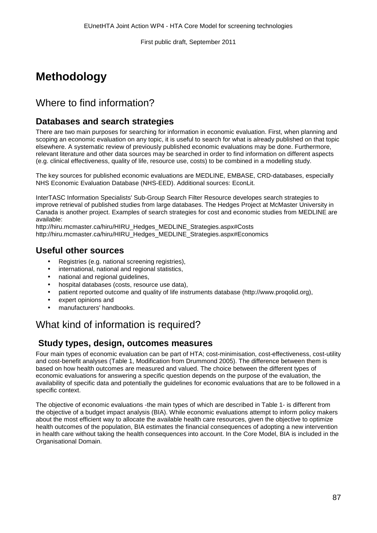# **Methodology**

# Where to find information?

## **Databases and search strategies**

There are two main purposes for searching for information in economic evaluation. First, when planning and scoping an economic evaluation on any topic, it is useful to search for what is already published on that topic elsewhere. A systematic review of previously published economic evaluations may be done. Furthermore, relevant literature and other data sources may be searched in order to find information on different aspects (e.g. clinical effectiveness, quality of life, resource use, costs) to be combined in a modelling study.

The key sources for published economic evaluations are MEDLINE, EMBASE, CRD-databases, especially NHS Economic Evaluation Database (NHS-EED). Additional sources: EconLit.

InterTASC Information Specialists' Sub-Group Search Filter Resource developes search strategies to improve retrieval of published studies from large databases. The Hedges Project at McMaster University in Canada is another project. Examples of search strategies for cost and economic studies from MEDLINE are available:

http://hiru.mcmaster.ca/hiru/HIRU\_Hedges\_MEDLINE\_Strategies.aspx#Costs http://hiru.mcmaster.ca/hiru/HIRU\_Hedges\_MEDLINE\_Strategies.aspx#Economics

#### **Useful other sources**

- Registries (e.g. national screening registries),
- international, national and regional statistics,
- national and regional guidelines,
- hospital databases (costs, resource use data),
- patient reported outcome and quality of life instruments database (http://www.proqolid.org),
- expert opinions and
- manufacturers' handbooks.

# What kind of information is required?

#### **Study types, design, outcomes measures**

Four main types of economic evaluation can be part of HTA; cost-minimisation, cost-effectiveness, cost-utility and cost-benefit analyses (Table 1, Modification from Drummond 2005). The difference between them is based on how health outcomes are measured and valued. The choice between the different types of economic evaluations for answering a specific question depends on the purpose of the evaluation, the availability of specific data and potentially the guidelines for economic evaluations that are to be followed in a specific context.

The objective of economic evaluations -the main types of which are described in Table 1- is different from the objective of a budget impact analysis (BIA). While economic evaluations attempt to inform policy makers about the most efficient way to allocate the available health care resources, given the objective to optimize health outcomes of the population, BIA estimates the financial consequences of adopting a new intervention in health care without taking the health consequences into account. In the Core Model, BIA is included in the Organisational Domain.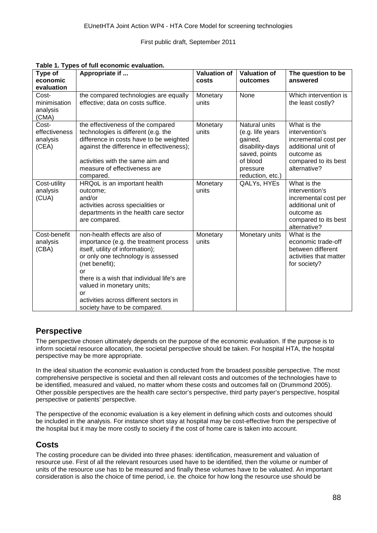| Type of<br>economic<br>evaluation           | Appropriate if                                                                                                                                                                                                                                                                                                                        | <b>Valuation of</b><br>costs | <b>Valuation of</b><br>outcomes                                                                                              | The question to be<br>answered                                                                                                    |
|---------------------------------------------|---------------------------------------------------------------------------------------------------------------------------------------------------------------------------------------------------------------------------------------------------------------------------------------------------------------------------------------|------------------------------|------------------------------------------------------------------------------------------------------------------------------|-----------------------------------------------------------------------------------------------------------------------------------|
| Cost-<br>minimisation<br>analysis<br>(CMA)  | the compared technologies are equally<br>effective; data on costs suffice.                                                                                                                                                                                                                                                            | Monetary<br>units            | None                                                                                                                         | Which intervention is<br>the least costly?                                                                                        |
| Cost-<br>effectiveness<br>analysis<br>(CEA) | the effectiveness of the compared<br>technologies is different (e.g. the<br>difference in costs have to be weighted<br>against the difference in effectiveness);<br>activities with the same aim and<br>measure of effectiveness are<br>compared.                                                                                     | Monetary<br>units            | Natural units<br>(e.g. life years<br>gained,<br>disability-days<br>saved, points<br>of blood<br>pressure<br>reduction, etc.) | What is the<br>intervention's<br>incremental cost per<br>additional unit of<br>outcome as<br>compared to its best<br>alternative? |
| Cost-utility<br>analysis<br>(CUA)           | HRQoL is an important health<br>outcome;<br>and/or<br>activities across specialities or<br>departments in the health care sector<br>are compared.                                                                                                                                                                                     | Monetary<br>units            | QALYs, HYEs                                                                                                                  | What is the<br>intervention's<br>incremental cost per<br>additional unit of<br>outcome as<br>compared to its best<br>alternative? |
| Cost-benefit<br>analysis<br>(CBA)           | non-health effects are also of<br>importance (e.g. the treatment process<br>itself, utility of information);<br>or only one technology is assessed<br>(net benefit);<br>or<br>there is a wish that individual life's are<br>valued in monetary units;<br>or<br>activities across different sectors in<br>society have to be compared. | Monetary<br>units            | Monetary units                                                                                                               | What is the<br>economic trade-off<br>between different<br>activities that matter<br>for society?                                  |

**Table 1. Types of full economic evaluation.**

#### **Perspective**

The perspective chosen ultimately depends on the purpose of the economic evaluation. If the purpose is to inform societal resource allocation, the societal perspective should be taken. For hospital HTA, the hospital perspective may be more appropriate.

In the ideal situation the economic evaluation is conducted from the broadest possible perspective. The most comprehensive perspective is societal and then all relevant costs and outcomes of the technologies have to be identified, measured and valued, no matter whom these costs and outcomes fall on (Drummond 2005). Other possible perspectives are the health care sector's perspective, third party payer's perspective, hospital perspective or patients' perspective.

The perspective of the economic evaluation is a key element in defining which costs and outcomes should be included in the analysis. For instance short stay at hospital may be cost-effective from the perspective of the hospital but it may be more costly to society if the cost of home care is taken into account.

#### **Costs**

The costing procedure can be divided into three phases: identification, measurement and valuation of resource use. First of all the relevant resources used have to be identified, then the volume or number of units of the resource use has to be measured and finally these volumes have to be valuated. An important consideration is also the choice of time period, i.e. the choice for how long the resource use should be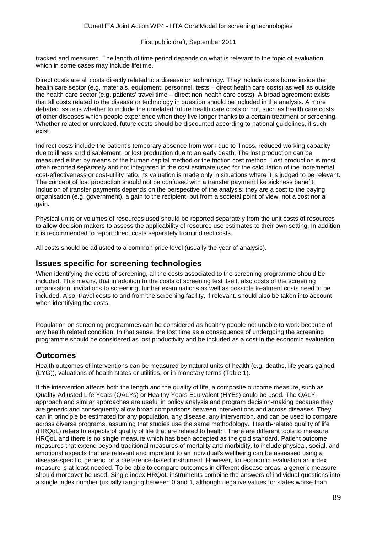tracked and measured. The length of time period depends on what is relevant to the topic of evaluation, which in some cases may include lifetime.

Direct costs are all costs directly related to a disease or technology. They include costs borne inside the health care sector (e.g. materials, equipment, personnel, tests – direct health care costs) as well as outside the health care sector (e.g. patients' travel time – direct non-health care costs). A broad agreement exists that all costs related to the disease or technology in question should be included in the analysis. A more debated issue is whether to include the unrelated future health care costs or not, such as health care costs of other diseases which people experience when they live longer thanks to a certain treatment or screening. Whether related or unrelated, future costs should be discounted according to national guidelines, if such exist.

Indirect costs include the patient's temporary absence from work due to illness, reduced working capacity due to illness and disablement, or lost production due to an early death. The lost production can be measured either by means of the human capital method or the friction cost method. Lost production is most often reported separately and not integrated in the cost estimate used for the calculation of the incremental cost-effectiveness or cost-utility ratio. Its valuation is made only in situations where it is judged to be relevant. The concept of lost production should not be confused with a transfer payment like sickness benefit. Inclusion of transfer payments depends on the perspective of the analysis; they are a cost to the paying organisation (e.g. government), a gain to the recipient, but from a societal point of view, not a cost nor a gain.

Physical units or volumes of resources used should be reported separately from the unit costs of resources to allow decision makers to assess the applicability of resource use estimates to their own setting. In addition it is recommended to report direct costs separately from indirect costs.

All costs should be adjusted to a common price level (usually the year of analysis).

#### **Issues specific for screening technologies**

When identifying the costs of screening, all the costs associated to the screening programme should be included. This means, that in addition to the costs of screening test itself, also costs of the screening organisation, invitations to screening, further examinations as well as possible treatment costs need to be included. Also, travel costs to and from the screening facility, if relevant, should also be taken into account when identifying the costs.

Population on screening programmes can be considered as healthy people not unable to work because of any health related condition. In that sense, the lost time as a consequence of undergoing the screening programme should be considered as lost productivity and be included as a cost in the economic evaluation.

#### **Outcomes**

Health outcomes of interventions can be measured by natural units of health (e.g. deaths, life years gained (LYG)), valuations of health states or utilities, or in monetary terms (Table 1).

If the intervention affects both the length and the quality of life, a composite outcome measure, such as Quality-Adjusted Life Years (QALYs) or Healthy Years Equivalent (HYEs) could be used. The QALYapproach and similar approaches are useful in policy analysis and program decision-making because they are generic and consequently allow broad comparisons between interventions and across diseases. They can in principle be estimated for any population, any disease, any intervention, and can be used to compare across diverse programs, assuming that studies use the same methodology. Health-related quality of life (HRQoL) refers to aspects of quality of life that are related to health. There are different tools to measure HRQoL and there is no single measure which has been accepted as the gold standard. Patient outcome measures that extend beyond traditional measures of mortality and morbidity, to include physical, social, and emotional aspects that are relevant and important to an individual's wellbeing can be assessed using a disease-specific, generic, or a preference-based instrument. However, for economic evaluation an index measure is at least needed. To be able to compare outcomes in different disease areas, a generic measure should moreover be used. Single index HRQoL instruments combine the answers of individual questions into a single index number (usually ranging between 0 and 1, although negative values for states worse than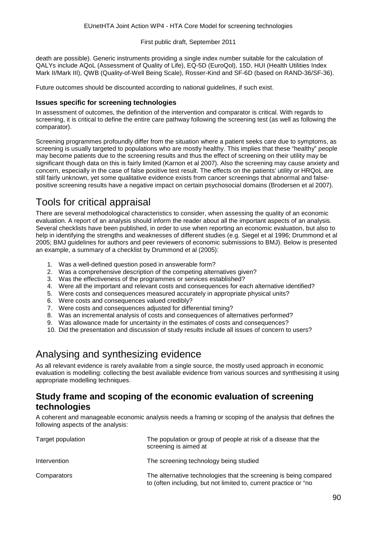death are possible). Generic instruments providing a single index number suitable for the calculation of QALYs include AQoL (Assessment of Quality of Life), EQ-5D (EuroQol), 15D, HUI (Health Utilities Index Mark II/Mark III), QWB (Quality-of-Well Being Scale), Rosser-Kind and SF-6D (based on RAND-36/SF-36).

Future outcomes should be discounted according to national guidelines, if such exist.

#### **Issues specific for screening technologies**

In assessment of outcomes, the definition of the intervention and comparator is critical. With regards to screening, it is critical to define the entire care pathway following the screening test (as well as following the comparator).

Screening programmes profoundly differ from the situation where a patient seeks care due to symptoms, as screening is usually targeted to populations who are mostly healthy. This implies that these "healthy" people may become patients due to the screening results and thus the effect of screening on their utility may be significant though data on this is fairly limited (Karnon et al 2007). Also the screening may cause anxiety and concern, especially in the case of false positive test result. The effects on the patients' utility or HRQoL are still fairly unknown, yet some qualitative evidence exists from cancer screenings that abnormal and falsepositive screening results have a negative impact on certain psychosocial domains (Brodersen et al 2007).

# Tools for critical appraisal

There are several methodological characteristics to consider, when assessing the quality of an economic evaluation. A report of an analysis should inform the reader about all the important aspects of an analysis. Several checklists have been published, in order to use when reporting an economic evaluation, but also to help in identifying the strengths and weaknesses of different studies (e.g. Siegel et al 1996; Drummond et al 2005; BMJ guidelines for authors and peer reviewers of economic submissions to BMJ). Below is presented an example, a summary of a checklist by Drummond et al (2005):

- 1. Was a well-defined question posed in answerable form?
- 2. Was a comprehensive description of the competing alternatives given?
- 3. Was the effectiveness of the programmes or services established?
- 4. Were all the important and relevant costs and consequences for each alternative identified?
- 5. Were costs and consequences measured accurately in appropriate physical units?
- 6. Were costs and consequences valued credibly?
- 7. Were costs and consequences adjusted for differential timing?
- 8. Was an incremental analysis of costs and consequences of alternatives performed?
- 9. Was allowance made for uncertainty in the estimates of costs and consequences?
- 10. Did the presentation and discussion of study results include all issues of concern to users?

# Analysing and synthesizing evidence

As all relevant evidence is rarely available from a single source, the mostly used approach in economic evaluation is modelling: collecting the best available evidence from various sources and synthesising it using appropriate modelling techniques.

#### **Study frame and scoping of the economic evaluation of screening technologies**

A coherent and manageable economic analysis needs a framing or scoping of the analysis that defines the following aspects of the analysis:

| Target population | The population or group of people at risk of a disease that the<br>screening is aimed at                                              |
|-------------------|---------------------------------------------------------------------------------------------------------------------------------------|
| Intervention      | The screening technology being studied                                                                                                |
| Comparators       | The alternative technologies that the screening is being compared<br>to (often including, but not limited to, current practice or "no |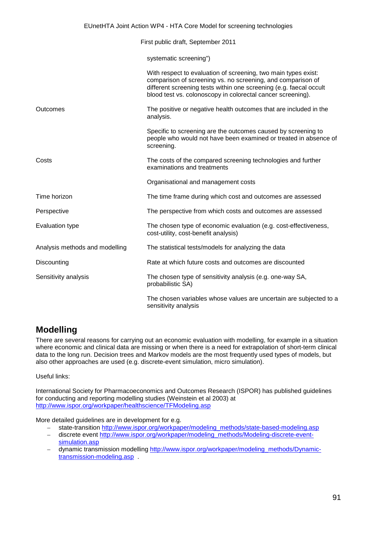|                                | First public draft, September 2011                                                                                                                                                                                                                                 |
|--------------------------------|--------------------------------------------------------------------------------------------------------------------------------------------------------------------------------------------------------------------------------------------------------------------|
|                                | systematic screening")                                                                                                                                                                                                                                             |
|                                | With respect to evaluation of screening, two main types exist:<br>comparison of screening vs. no screening, and comparison of<br>different screening tests within one screening (e.g. faecal occult<br>blood test vs. colonoscopy in colorectal cancer screening). |
| Outcomes                       | The positive or negative health outcomes that are included in the<br>analysis.                                                                                                                                                                                     |
|                                | Specific to screening are the outcomes caused by screening to<br>people who would not have been examined or treated in absence of<br>screening.                                                                                                                    |
| Costs                          | The costs of the compared screening technologies and further<br>examinations and treatments                                                                                                                                                                        |
|                                | Organisational and management costs                                                                                                                                                                                                                                |
| Time horizon                   | The time frame during which cost and outcomes are assessed                                                                                                                                                                                                         |
| Perspective                    | The perspective from which costs and outcomes are assessed                                                                                                                                                                                                         |
| <b>Evaluation type</b>         | The chosen type of economic evaluation (e.g. cost-effectiveness,<br>cost-utility, cost-benefit analysis)                                                                                                                                                           |
| Analysis methods and modelling | The statistical tests/models for analyzing the data                                                                                                                                                                                                                |
| Discounting                    | Rate at which future costs and outcomes are discounted                                                                                                                                                                                                             |
| Sensitivity analysis           | The chosen type of sensitivity analysis (e.g. one-way SA,<br>probabilistic SA)                                                                                                                                                                                     |
|                                | The chosen variables whose values are uncertain are subjected to a<br>sensitivity analysis                                                                                                                                                                         |

## **Modelling**

There are several reasons for carrying out an economic evaluation with modelling, for example in a situation where economic and clinical data are missing or when there is a need for extrapolation of short-term clinical data to the long run. Decision trees and Markov models are the most frequently used types of models, but also other approaches are used (e.g. discrete-event simulation, micro simulation).

Useful links:

International Society for Pharmacoeconomics and Outcomes Research (ISPOR) has published guidelines for conducting and reporting modelling studies (Weinstein et al 2003) at <http://www.ispor.org/workpaper/healthscience/TFModeling.asp>

More detailed guidelines are in development for e.g.

- state-transition [http://www.ispor.org/workpaper/modeling\\_methods/state-based-modeling.asp](http://www.ispor.org/workpaper/modeling_methods/state-based-modeling.asp) – discrete event [http://www.ispor.org/workpaper/modeling\\_methods/Modeling-discrete-event-](http://www.ispor.org/workpaper/modeling_methods/Modeling-discrete-event-simulation.asp)
- [simulation.asp](http://www.ispor.org/workpaper/modeling_methods/Modeling-discrete-event-simulation.asp) – dynamic transmission modelling [http://www.ispor.org/workpaper/modeling\\_methods/Dynamic](http://www.ispor.org/workpaper/modeling_methods/Dynamic-transmission-modeling.asp)[transmission-modeling.asp](http://www.ispor.org/workpaper/modeling_methods/Dynamic-transmission-modeling.asp) .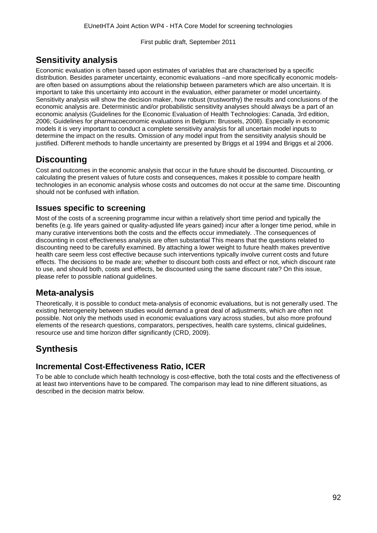## **Sensitivity analysis**

Economic evaluation is often based upon estimates of variables that are characterised by a specific distribution. Besides parameter uncertainty, economic evaluations –and more specifically economic modelsare often based on assumptions about the relationship between parameters which are also uncertain. It is important to take this uncertainty into account in the evaluation, either parameter or model uncertainty. Sensitivity analysis will show the decision maker, how robust (trustworthy) the results and conclusions of the economic analysis are. Deterministic and/or probabilistic sensitivity analyses should always be a part of an economic analysis (Guidelines for the Economic Evaluation of Health Technologies: Canada, 3rd edition, 2006; Guidelines for pharmacoeconomic evaluations in Belgium: Brussels, 2008). Especially in economic models it is very important to conduct a complete sensitivity analysis for all uncertain model inputs to determine the impact on the results. Omission of any model input from the sensitivity analysis should be justified. Different methods to handle uncertainty are presented by Briggs et al 1994 and Briggs et al 2006.

## **Discounting**

Cost and outcomes in the economic analysis that occur in the future should be discounted. Discounting, or calculating the present values of future costs and consequences, makes it possible to compare health technologies in an economic analysis whose costs and outcomes do not occur at the same time. Discounting should not be confused with inflation.

#### **Issues specific to screening**

Most of the costs of a screening programme incur within a relatively short time period and typically the benefits (e.g. life years gained or quality-adjusted life years gained) incur after a longer time period, while in many curative interventions both the costs and the effects occur immediately. .The consequences of discounting in cost effectiveness analysis are often substantial This means that the questions related to discounting need to be carefully examined. By attaching a lower weight to future health makes preventive health care seem less cost effective because such interventions typically involve current costs and future effects. The decisions to be made are; whether to discount both costs and effect or not, which discount rate to use, and should both, costs and effects, be discounted using the same discount rate? On this issue, please refer to possible national guidelines.

## **Meta-analysis**

Theoretically, it is possible to conduct meta-analysis of economic evaluations, but is not generally used. The existing heterogeneity between studies would demand a great deal of adjustments, which are often not possible. Not only the methods used in economic evaluations vary across studies, but also more profound elements of the research questions, comparators, perspectives, health care systems, clinical guidelines, resource use and time horizon differ significantly (CRD, 2009).

## **Synthesis**

#### **Incremental Cost-Effectiveness Ratio, ICER**

To be able to conclude which health technology is cost-effective, both the total costs and the effectiveness of at least two interventions have to be compared. The comparison may lead to nine different situations, as described in the decision matrix below.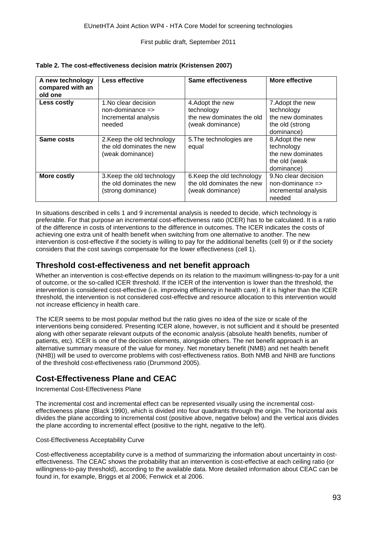| A new technology<br>compared with an<br>old one | <b>Less effective</b>                                                         | Same effectiveness                                                              | More effective                                                                       |
|-------------------------------------------------|-------------------------------------------------------------------------------|---------------------------------------------------------------------------------|--------------------------------------------------------------------------------------|
| Less costly                                     | 1. No clear decision<br>$non-dominance =$<br>Incremental analysis<br>needed   | 4. Adopt the new<br>technology<br>the new dominates the old<br>(weak dominance) | 7. Adopt the new<br>technology<br>the new dominates<br>the old (strong<br>dominance) |
| Same costs                                      | 2. Keep the old technology<br>the old dominates the new<br>(weak dominance)   | 5. The technologies are<br>equal                                                | 8. Adopt the new<br>technology<br>the new dominates<br>the old (weak<br>dominance)   |
| More costly                                     | 3. Keep the old technology<br>the old dominates the new<br>(strong dominance) | 6. Keep the old technology<br>the old dominates the new<br>(weak dominance)     | 9. No clear decision<br>$non-dominance =$<br>incremental analysis<br>needed          |

#### **Table 2. The cost-effectiveness decision matrix (Kristensen 2007)**

In situations described in cells 1 and 9 incremental analysis is needed to decide, which technology is preferable. For that purpose an incremental cost-effectiveness ratio (ICER) has to be calculated. It is a ratio of the difference in costs of interventions to the difference in outcomes. The ICER indicates the costs of achieving one extra unit of health benefit when switching from one alternative to another. The new intervention is cost-effective if the society is willing to pay for the additional benefits (cell 9) or if the society considers that the cost savings compensate for the lower effectiveness (cell 1).

#### **Threshold cost-effectiveness and net benefit approach**

Whether an intervention is cost-effective depends on its relation to the maximum willingness-to-pay for a unit of outcome, or the so-called ICER threshold. If the ICER of the intervention is lower than the threshold, the intervention is considered cost-effective (i.e. improving efficiency in health care). If it is higher than the ICER threshold, the intervention is not considered cost-effective and resource allocation to this intervention would not increase efficiency in health care.

The ICER seems to be most popular method but the ratio gives no idea of the size or scale of the interventions being considered. Presenting ICER alone, however, is not sufficient and it should be presented along with other separate relevant outputs of the economic analysis (absolute health benefits, number of patients, etc). ICER is one of the decision elements, alongside others. The net benefit approach is an alternative summary measure of the value for money. Net monetary benefit (NMB) and net health benefit (NHB)) will be used to overcome problems with cost-effectiveness ratios. Both NMB and NHB are functions of the threshold cost-effectiveness ratio (Drummond 2005).

#### **Cost-Effectiveness Plane and CEAC**

Incremental Cost-Effectiveness Plane

The incremental cost and incremental effect can be represented visually using the incremental costeffectiveness plane (Black 1990), which is divided into four quadrants through the origin. The horizontal axis divides the plane according to incremental cost (positive above, negative below) and the vertical axis divides the plane according to incremental effect (positive to the right, negative to the left).

#### Cost-Effectiveness Acceptability Curve

Cost-effectiveness acceptability curve is a method of summarizing the information about uncertainty in costeffectiveness. The CEAC shows the probability that an intervention is cost-effective at each ceiling ratio (or willingness-to-pay threshold), according to the available data. More detailed information about CEAC can be found in, for example, Briggs et al 2006; Fenwick et al 2006.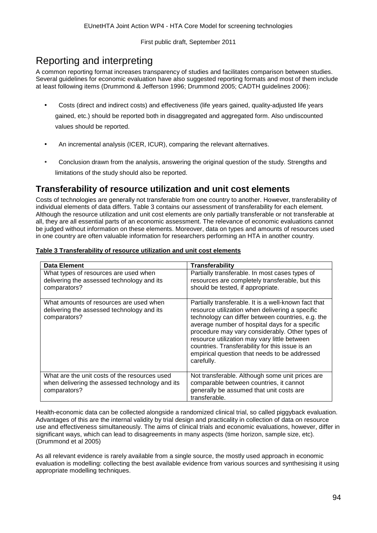# Reporting and interpreting

A common reporting format increases transparency of studies and facilitates comparison between studies. Several guidelines for economic evaluation have also suggested reporting formats and most of them include at least following items (Drummond & Jefferson 1996; Drummond 2005; CADTH guidelines 2006):

- Costs (direct and indirect costs) and effectiveness (life years gained, quality-adjusted life years gained, etc.) should be reported both in disaggregated and aggregated form. Also undiscounted values should be reported.
- An incremental analysis (ICER, ICUR), comparing the relevant alternatives.
- Conclusion drawn from the analysis, answering the original question of the study. Strengths and limitations of the study should also be reported.

## **Transferability of resource utilization and unit cost elements**

Costs of technologies are generally not transferable from one country to another. However, transferability of individual elements of data differs. Table 3 contains our assessment of transferability for each element. Although the resource utilization and unit cost elements are only partially transferable or not transferable at all, they are all essential parts of an economic assessment. The relevance of economic evaluations cannot be judged without information on these elements. Moreover, data on types and amounts of resources used in one country are often valuable information for researchers performing an HTA in another country.

#### **Table 3 Transferability of resource utilization and unit cost elements**

| <b>Data Element</b>                                                                                              | Transferability                                                                                                                                                                                                                                                                                                                                                                                                                     |
|------------------------------------------------------------------------------------------------------------------|-------------------------------------------------------------------------------------------------------------------------------------------------------------------------------------------------------------------------------------------------------------------------------------------------------------------------------------------------------------------------------------------------------------------------------------|
| What types of resources are used when<br>delivering the assessed technology and its<br>comparators?              | Partially transferable. In most cases types of<br>resources are completely transferable, but this<br>should be tested, if appropriate.                                                                                                                                                                                                                                                                                              |
| What amounts of resources are used when<br>delivering the assessed technology and its<br>comparators?            | Partially transferable. It is a well-known fact that<br>resource utilization when delivering a specific<br>technology can differ between countries, e.g. the<br>average number of hospital days for a specific<br>procedure may vary considerably. Other types of<br>resource utilization may vary little between<br>countries. Transferability for this issue is an<br>empirical question that needs to be addressed<br>carefully. |
| What are the unit costs of the resources used<br>when delivering the assessed technology and its<br>comparators? | Not transferable. Although some unit prices are<br>comparable between countries, it cannot<br>generally be assumed that unit costs are<br>transferable.                                                                                                                                                                                                                                                                             |

Health-economic data can be collected alongside a randomized clinical trial, so called piggyback evaluation. Advantages of this are the internal validity by trial design and practicality in collection of data on resource use and effectiveness simultaneously. The aims of clinical trials and economic evaluations, however, differ in significant ways, which can lead to disagreements in many aspects (time horizon, sample size, etc). (Drummond et al 2005)

As all relevant evidence is rarely available from a single source, the mostly used approach in economic evaluation is modelling: collecting the best available evidence from various sources and synthesising it using appropriate modelling techniques.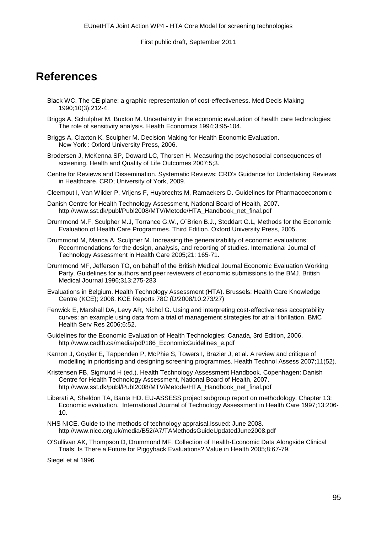# **References**

- [Black WC.](http://www.ncbi.nlm.nih.gov/pubmed?term=%22Black%20WC%22%5BAuthor%5D) The CE plane: a graphic representation of cost-effectiveness. Med Decis Making 1990;10(3):212-4.
- Briggs A, Schulpher M, Buxton M. Uncertainty in the economic evaluation of health care technologies: The role of sensitivity analysis. Health Economics 1994;3:95-104.
- Briggs A, Claxton K, Sculpher M. Decision Making for Health Economic Evaluation. New York : Oxford University Press, 2006.
- Brodersen J, McKenna SP, Doward LC, Thorsen H. Measuring the psychosocial consequences of screening. Health and Quality of Life Outcomes 2007:5;3.
- Centre for Reviews and Dissemination. Systematic Reviews: CRD's Guidance for Undertaking Reviews in Healthcare. CRD; University of York, 2009.
- Cleemput I, Van Wilder P, Vrijens F, Huybrechts M, Ramaekers D. Guidelines for Pharmacoeconomic
- Danish Centre for Health Technology Assessment, National Board of Health, 2007. http://www.sst.dk/publ/Publ2008/MTV/Metode/HTA\_Handbook\_net\_final.pdf
- Drummond M.F, Sculpher M.J, Torrance G.W., O`Brien B.J., Stoddart G.L, Methods for the Economic Evaluation of Health Care Programmes. Third Edition. Oxford University Press, 2005.
- Drummond M, Manca A, Sculpher M. Increasing the generalizability of economic evaluations: Recommendations for the design, analysis, and reporting of studies. International Journal of Technology Assessment in Health Care 2005;21: 165-71.
- Drummond MF, Jefferson TO, on behalf of the British Medical Journal Economic Evaluation Working Party. Guidelines for authors and peer reviewers of economic submissions to the BMJ. British Medical Journal 1996;313:275-283
- Evaluations in Belgium. Health Technology Assessment (HTA). Brussels: Health Care Knowledge Centre (KCE); 2008. KCE Reports 78C (D/2008/10.273/27)
- Fenwick E, Marshall DA, Levy AR, Nichol G. Using and interpreting cost-effectiveness acceptability curves: an example using data from a trial of management strategies for atrial fibrillation. BMC Health Serv Res 2006;6:52.
- Guidelines for the Economic Evaluation of Health Technologies: Canada, 3rd Edition, 2006. [http://www.cadth.ca/media/pdf/186\\_EconomicGuidelines\\_e.pdf](http://www.cadth.ca/media/pdf/186_EconomicGuidelines_e.pdf)
- Karnon J, Goyder E, Tappenden P, McPhie S, Towers I, Brazier J, et al. A review and critique of modelling in prioritising and designing screening programmes. Health Technol Assess 2007;11(52).
- Kristensen FB, Sigmund H (ed.). Health Technology Assessment Handbook. Copenhagen: Danish Centre for Health Technology Assessment, National Board of Health, 2007. http://www.sst.dk/publ/Publ2008/MTV/Metode/HTA\_Handbook\_net\_final.pdf
- Liberati A, Sheldon TA, Banta HD. EU-ASSESS project subgroup report on methodology. Chapter 13: Economic evaluation. International Journal of Technology Assessment in Health Care 1997;13:206- 10.
- NHS NICE. Guide to the methods of technology appraisal.Issued: June 2008. <http://www.nice.org.uk/media/B52/A7/TAMethodsGuideUpdatedJune2008.pdf>
- O'Sullivan AK, Thompson D, Drummond MF. Collection of Health-Economic Data Alongside Clinical Trials: Is There a Future for Piggyback Evaluations? Value in Health 2005;8:67-79.

Siegel et al 1996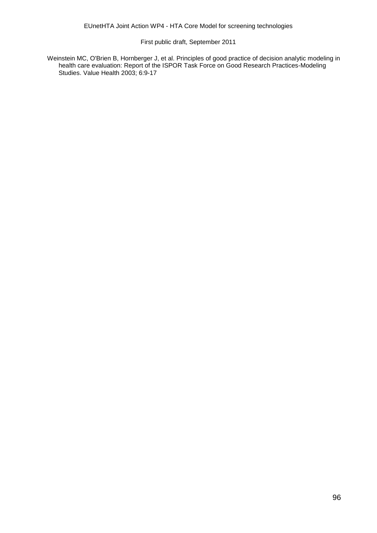Weinstein MC, O'Brien B, Hornberger J, et al. Principles of good practice of decision analytic modeling in health care evaluation: Report of the ISPOR Task Force on Good Research Practices-Modeling Studies. Value Health 2003; 6:9-17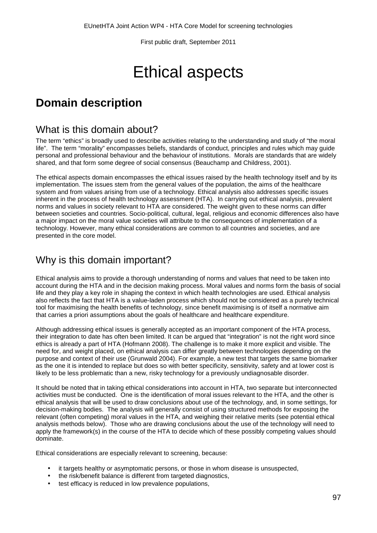# Ethical aspects

# **Domain description**

## What is this domain about?

The term "ethics" is broadly used to describe activities relating to the understanding and study of "the moral life". The term "morality" encompasses beliefs, standards of conduct, principles and rules which may guide personal and professional behaviour and the behaviour of institutions. Morals are standards that are widely shared, and that form some degree of social consensus (Beauchamp and Childress, 2001).

The ethical aspects domain encompasses the ethical issues raised by the health technology itself and by its implementation. The issues stem from the general values of the population, the aims of the healthcare system and from values arising from use of a technology. Ethical analysis also addresses specific issues inherent in the process of health technology assessment (HTA). In carrying out ethical analysis, prevalent norms and values in society relevant to HTA are considered. The weight given to these norms can differ between societies and countries. Socio-political, cultural, legal, religious and economic differences also have a major impact on the moral value societies will attribute to the consequences of implementation of a technology. However, many ethical considerations are common to all countries and societies, and are presented in the core model.

# Why is this domain important?

Ethical analysis aims to provide a thorough understanding of norms and values that need to be taken into account during the HTA and in the decision making process. Moral values and norms form the basis of social life and they play a key role in shaping the context in which health technologies are used. Ethical analysis also reflects the fact that HTA is a value-laden process which should not be considered as a purely technical tool for maximising the health benefits of technology, since benefit maximising is of itself a normative aim that carries a priori assumptions about the goals of healthcare and healthcare expenditure.

Although addressing ethical issues is generally accepted as an important component of the HTA process, their integration to date has often been limited. It can be argued that "integration" is not the right word since ethics is already a part of HTA (Hofmann 2008). The challenge is to make it more explicit and visible. The need for, and weight placed, on ethical analysis can differ greatly between technologies depending on the purpose and context of their use (Grunwald 2004). For example, a new test that targets the same biomarker as the one it is intended to replace but does so with better specificity, sensitivity, safety and at lower cost is likely to be less problematic than a new, risky technology for a previously undiagnosable disorder.

It should be noted that in taking ethical considerations into account in HTA, two separate but interconnected activities must be conducted. One is the identification of moral issues relevant to the HTA, and the other is ethical analysis that will be used to draw conclusions about use of the technology, and, in some settings, for decision-making bodies. The analysis will generally consist of using structured methods for exposing the relevant (often competing) moral values in the HTA, and weighing their relative merits (see potential ethical analysis methods below). Those who are drawing conclusions about the use of the technology will need to apply the framework(s) in the course of the HTA to decide which of these possibly competing values should dominate.

Ethical considerations are especially relevant to screening, because:

- it targets healthy or asymptomatic persons, or those in whom disease is unsuspected,
- the risk/benefit balance is different from targeted diagnostics,
- test efficacy is reduced in low prevalence populations,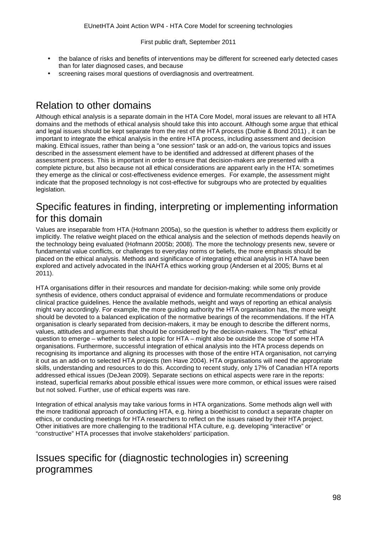- the balance of risks and benefits of interventions may be different for screened early detected cases than for later diagnosed cases, and because
- screening raises moral questions of overdiagnosis and overtreatment.

# Relation to other domains

Although ethical analysis is a separate domain in the HTA Core Model, moral issues are relevant to all HTA domains and the methods of ethical analysis should take this into account. Although some argue that ethical and legal issues should be kept separate from the rest of the HTA process (Duthie & Bond 2011) , it can be important to integrate the ethical analysis in the entire HTA process, including assessment and decision making. Ethical issues, rather than being a "one session" task or an add-on, the various topics and issues described in the assessment element have to be identified and addressed at different phases of the assessment process. This is important in order to ensure that decision-makers are presented with a complete picture, but also because not all ethical considerations are apparent early in the HTA: sometimes they emerge as the clinical or cost-effectiveness evidence emerges. For example, the assessment might indicate that the proposed technology is not cost-effective for subgroups who are protected by equalities legislation.

# Specific features in finding, interpreting or implementing information for this domain

Values are inseparable from HTA (Hofmann 2005a), so the question is whether to address them explicitly or implicitly. The relative weight placed on the ethical analysis and the selection of methods depends heavily on the technology being evaluated (Hofmann 2005b; 2008). The more the technology presents new, severe or fundamental value conflicts, or challenges to everyday norms or beliefs, the more emphasis should be placed on the ethical analysis. Methods and significance of integrating ethical analysis in HTA have been explored and actively advocated in the INAHTA ethics working group (Andersen et al 2005; Burns et al 2011).

HTA organisations differ in their resources and mandate for decision-making: while some only provide synthesis of evidence, others conduct appraisal of evidence and formulate recommendations or produce clinical practice guidelines. Hence the available methods, weight and ways of reporting an ethical analysis might vary accordingly. For example, the more guiding authority the HTA organisation has, the more weight should be devoted to a balanced explication of the normative bearings of the recommendations. If the HTA organisation is clearly separated from decision-makers, it may be enough to describe the different norms, values, attitudes and arguments that should be considered by the decision-makers. The "first" ethical question to emerge – whether to select a topic for HTA – might also be outside the scope of some HTA organisations. Furthermore, successful integration of ethical analysis into the HTA process depends on recognising its importance and aligning its processes with those of the entire HTA organisation, not carrying it out as an add-on to selected HTA projects (ten Have 2004). HTA organisations will need the appropriate skills, understanding and resources to do this. According to recent study, only 17% of Canadian HTA reports addressed ethical issues (DeJean 2009). Separate sections on ethical aspects were rare in the reports: instead, superficial remarks about possible ethical issues were more common, or ethical issues were raised but not solved. Further, use of ethical experts was rare.

Integration of ethical analysis may take various forms in HTA organizations. Some methods align well with the more traditional approach of conducting HTA, e.g. hiring a bioethicist to conduct a separate chapter on ethics, or conducting meetings for HTA researchers to reflect on the issues raised by their HTA project. Other initiatives are more challenging to the traditional HTA culture, e.g. developing "interactive" or "constructive" HTA processes that involve stakeholders' participation.

# Issues specific for (diagnostic technologies in) screening programmes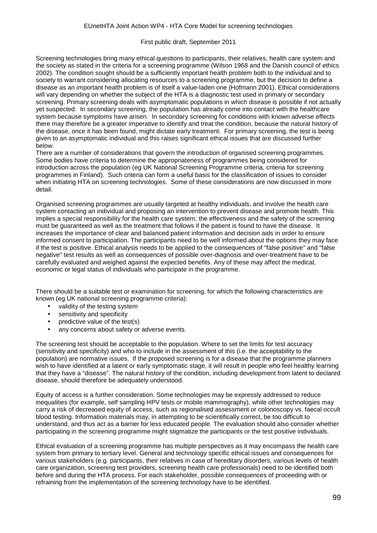Screening technologies bring many ethical questions to participants, their relatives, health care system and the society as stated in the criteria for a screening programme (Wilson 1968 and the Danish council of ethics 2002). The condition sought should be a sufficiently important health problem both to the individual and to society to warrant considering allocating resources to a screening programme, but the decision to define a disease as an important health problem is of itself a value-laden one (Hofmann 2001). Ethical considerations will vary depending on whether the subject of the HTA is a diagnostic test used in primary or secondary screening. Primary screening deals with asymptomatic populations in which disease is possible if not actually yet suspected. In secondary screening, the population has already come into contact with the healthcare system because symptoms have arisen. In secondary screening for conditions with known adverse effects there may therefore be a greater imperative to identify and treat the condition, because the natural history of the disease, once it has been found, might dictate early treatment. For primary screening, the test is being given to an asymptomatic individual and this raises significant ethical issues that are discussed further below.

There are a number of considerations that govern the introduction of organised screening programmes. Some bodies have criteria to determine the appropriateness of programmes being considered for introduction across the population (eg UK National Screening Programme criteria, criteria for screening programmes in Finland). Such criteria can form a useful basis for the classification of issues to consider when initiating HTA on screening technologies. Some of these considerations are now discussed in more detail.

Organised screening programmes are usually targeted at healthy individuals, and involve the health care system contacting an individual and proposing an intervention to prevent disease and promote health. This implies a special responsibility for the health care system; the effectiveness and the safety of the screening must be guaranteed as well as the treatment that follows if the patient is found to have the disease. It increases the importance of clear and balanced patient information and decision aids in order to ensure informed consent to participation. The participants need to be well informed about the options they may face if the test is positive. Ethical analysis needs to be applied to the consequences of "false positive" and "false negative" test results as well as consequences of possible over-diagnosis and over-treatment have to be carefully evaluated and weighed against the expected benefits. Any of these may affect the medical, economic or legal status of individuals who participate in the programme.

There should be a suitable test or examination for screening, for which the following characteristics are known (eg UK national screening programme criteria):

- validity of the testing system
- sensitivity and specificity
- predictive value of the test(s)
- any concerns about safety or adverse events.

The screening test should be acceptable to the population. Where to set the limits for test accuracy (sensitivity and specificity) and who to include in the assessment of this (i.e. the acceptability to the population) are normative issues. If the proposed screening is for a disease that the programme planners wish to have identified at a latent or early symptomatic stage, it will result in people who feel healthy learning that they have a "disease". The natural history of the condition, including development from latent to declared disease, should therefore be adequately understood.

Equity of access is a further consideration. Some technologies may be expressly addressed to reduce inequalities (for example, self sampling HPV tests or mobile mammography), while other technologies may carry a risk of decreased equity of access, such as regionalised assessment or colonoscopy vs. faecal occult blood testing. Information materials may, in attempting to be scientifically correct, be too difficult to understand, and thus act as a barrier for less educated people. The evaluation should also consider whether participating in the screening programme might stigmatize the participants or the test positive individuals.

Ethical evaluation of a screening programme has multiple perspectives as it may encompass the health care system from primary to tertiary level. General and technology specific ethical issues and consequences for various stakeholders (e.g. participants, their relatives in case of hereditary disorders, various levels of health care organization, screening test providers, screening health care professionals) need to be identified both before and during the HTA process. For each stakeholder, possible consequences of proceeding with or refraining from the implementation of the screening technology have to be identified.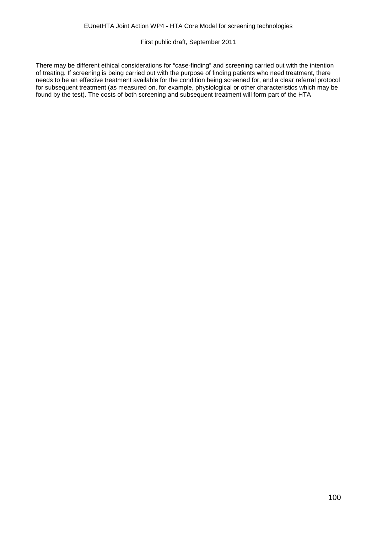There may be different ethical considerations for "case-finding" and screening carried out with the intention of treating. If screening is being carried out with the purpose of finding patients who need treatment, there needs to be an effective treatment available for the condition being screened for, and a clear referral protocol for subsequent treatment (as measured on, for example, physiological or other characteristics which may be found by the test). The costs of both screening and subsequent treatment will form part of the HTA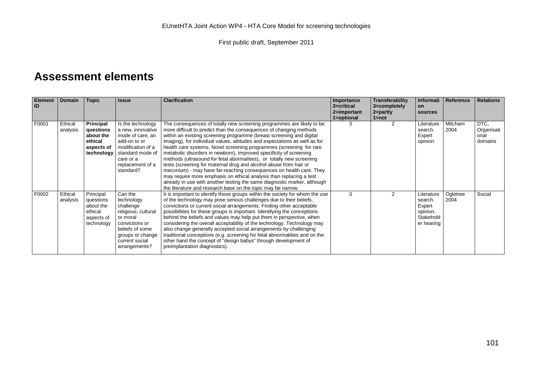# **Assessment elements**

| <b>Element</b><br><b>ID</b> | <b>Domain</b>       | Topic                                                                             | <b>Issue</b>                                                                                                                                                      | <b>Clarification</b>                                                                                                                                                                                                                                                                                                                                                                                                                                                                                                                                                                                                                                                                                                                                                                                                                                                                    | Importance<br>3=critical<br>2=important<br>1=optional | Transferability<br>3=completely<br>2=partly<br>$1 = not$ | Informati<br>on<br>sources                                             | Reference        | <b>Relations</b>                      |
|-----------------------------|---------------------|-----------------------------------------------------------------------------------|-------------------------------------------------------------------------------------------------------------------------------------------------------------------|-----------------------------------------------------------------------------------------------------------------------------------------------------------------------------------------------------------------------------------------------------------------------------------------------------------------------------------------------------------------------------------------------------------------------------------------------------------------------------------------------------------------------------------------------------------------------------------------------------------------------------------------------------------------------------------------------------------------------------------------------------------------------------------------------------------------------------------------------------------------------------------------|-------------------------------------------------------|----------------------------------------------------------|------------------------------------------------------------------------|------------------|---------------------------------------|
| F0001                       | Ethical<br>analysis | <b>Principal</b><br>questions<br>about the<br>ethical<br>aspects of<br>technology | Is the technology<br>a new, innovative<br>mode of care, an<br>add-on to or<br>modification of a<br>standard mode of<br>care or a<br>replacement of a<br>standard? | The consequences of totally new screening programmes are likely to be<br>more difficult to predict than the consequences of changing methods<br>within an existing screening programme (breast screening and digital<br>imaging), for individual values, attitudes and expectations as well as for<br>health care systems. Novel screening programmes (screening for rare<br>metabolic disorders in newborn), improved specificity of screening<br>methods (ultrasound for fetal abormalities), or totally new screening<br>tests (screening for maternal drug and alcohol abuse from hair or<br>meconium) - may have far-reaching consequences on health care. They<br>may require more emphasis on ethical analysis than replacing a test<br>already in use with another testing the same diagnostic marker, although<br>the literature and research base on the topic may be narrow. |                                                       | $\mathcal{P}$                                            | Literature<br>search.<br>Expert<br>opinion                             | Mitcham<br>2004  | DTC.<br>Organisati<br>onal<br>domains |
| F0002                       | Ethical<br>analysis | Principal<br>questions<br>about the<br>ethical<br>aspects of<br>technology        | Can the<br>technology<br>challenge<br>religious, cultural<br>or moral<br>convictions or<br>beliefs of some<br>groups or change<br>current social<br>arrangements? | It is important to identify those groups within the society for whom the use<br>of the technology may pose serious challenges due to their beliefs,<br>convictions or current social arrangements. Finding other acceptable<br>possibilities for these groups is important. Identifying the conceptions<br>behind the beliefs and values may help put them in perspective, when<br>considering the overall acceptability of the technology. Technology may<br>also change generally accepted social arrangements by challenging<br>traditional conceptions (e.g. screening for fetal abnormalities and on the<br>other hand the concept of "design babys" through development of<br>preimplantation diagnostics).                                                                                                                                                                       | 3                                                     | $\mathcal{P}$                                            | Literature<br>search.<br>Expert<br>opinion.<br>Stakehold<br>er hearing | Ogletree<br>2004 | Social                                |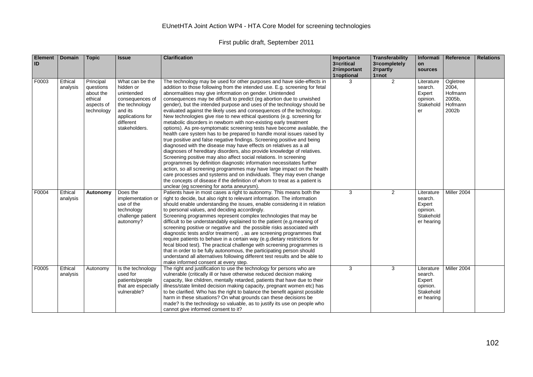| <b>Element</b><br>ID | <b>Domain</b>       | <b>Topic</b>                                                               | <b>Issue</b>                                                                                                                                 | <b>Clarification</b>                                                                                                                                                                                                                                                                                                                                                                                                                                                                                                                                                                                                                                                                                                                                                                                                                                                                                                                                                                                                                                                                                                                                                                                                                                                                                                                                                                                    | Importance<br>3=critical<br>2=important<br>1=optional | <b>Transferability</b><br>3=completely<br>2=partly<br>$1 = not$ | Informati<br>on<br>sources                                             | Reference                                                  | <b>Relations</b> |
|----------------------|---------------------|----------------------------------------------------------------------------|----------------------------------------------------------------------------------------------------------------------------------------------|---------------------------------------------------------------------------------------------------------------------------------------------------------------------------------------------------------------------------------------------------------------------------------------------------------------------------------------------------------------------------------------------------------------------------------------------------------------------------------------------------------------------------------------------------------------------------------------------------------------------------------------------------------------------------------------------------------------------------------------------------------------------------------------------------------------------------------------------------------------------------------------------------------------------------------------------------------------------------------------------------------------------------------------------------------------------------------------------------------------------------------------------------------------------------------------------------------------------------------------------------------------------------------------------------------------------------------------------------------------------------------------------------------|-------------------------------------------------------|-----------------------------------------------------------------|------------------------------------------------------------------------|------------------------------------------------------------|------------------|
| F0003                | Ethical<br>analysis | Principal<br>questions<br>about the<br>ethical<br>aspects of<br>technology | What can be the<br>hidden or<br>unintended<br>consequences of<br>the technology<br>and its<br>applications for<br>different<br>stakeholders. | The technology may be used for other purposes and have side-effects in<br>addition to those following from the intended use. E.g. screening for fetal<br>abnormalities may give information on gender. Unintended<br>consequences may be difficult to predict (eg abortion due to unwished<br>gender), but the intended purpose and uses of the technology should be<br>evaluated against the likely uses and consequences of the technology.<br>New technologies give rise to new ethical questions (e.g. screening for<br>metabolic disorders in newborn with non-existing early treatment<br>options). As pre-symptomatic screening tests have become available, the<br>health care system has to be prepared to handle moral issues raised by<br>true positive and false negative findings. Screening positive and being<br>diagnosed with the disease may have effects on relatives as a all<br>diagnoses of hereditary disorders, also provide knowledge of relatives.<br>Screening positive may also affect social relations. In screening<br>programmes by definition diagnostic information necessitates further<br>action, so all screening programmes may have large impact on the health<br>care processes and systems and on individuals. They may even change<br>the concepts of disease if the definition of whom to treat as a patient is<br>unclear (eg screening for aorta aneurysm). | 3                                                     | 2                                                               | Literature<br>search.<br>Expert<br>opinion.<br>Stakehold<br>er         | Ogletree<br>2004,<br>Hofmann<br>2005b,<br>Hofmann<br>2002b |                  |
| F0004                | Ethical<br>analysis | Autonomy                                                                   | Does the<br>implementation or<br>use of the<br>technology<br>challenge patient<br>autonomy?                                                  | Patients have in most cases a right to autonomy. This means both the<br>right to decide, but also right to relevant information. The information<br>should enable understanding the issues, enable considering it in relation<br>to personal values, and deciding accordingly.<br>Screening programmes represent complex technologies that may be<br>difficult to be understandably explained to the patient (e.g.meaning of<br>screening positive or negative and the possible risks associated with<br>diagnostic tests and/or treatment), as are screening programmes that<br>require patients to behave in a certain way (e.g. dietary restrictions for<br>fecal blood test). The practical challenge with screening programmes is<br>that in order to be fully autonomous, the participating person should<br>understand all alternatives following different test results and be able to<br>make informed consent at every step.                                                                                                                                                                                                                                                                                                                                                                                                                                                                  | 3                                                     | 2                                                               | Literature<br>search.<br>Expert<br>opinion.<br>Stakehold<br>er hearing | Miller 2004                                                |                  |
| F0005                | Ethical<br>analysis | Autonomy                                                                   | Is the technology<br>used for<br>patients/people<br>that are especially<br>vulnerable?                                                       | The right and justification to use the technology for persons who are<br>vulnerable (critically ill or have otherwise reduced decision making<br>capacity, like children, mentally retarded, patients that have due to their<br>illness/state limited decision making capacity, pregnant women etc) has<br>to be clarified. Who has the right to balance the benefit against possible<br>harm in these situations? On what grounds can these decisions be<br>made? Is the technology so valuable, as to justify its use on people who<br>cannot give informed consent to it?                                                                                                                                                                                                                                                                                                                                                                                                                                                                                                                                                                                                                                                                                                                                                                                                                            | 3                                                     | 3                                                               | Literature<br>search.<br>Expert<br>opinion.<br>Stakehold<br>er hearing | Miller 2004                                                |                  |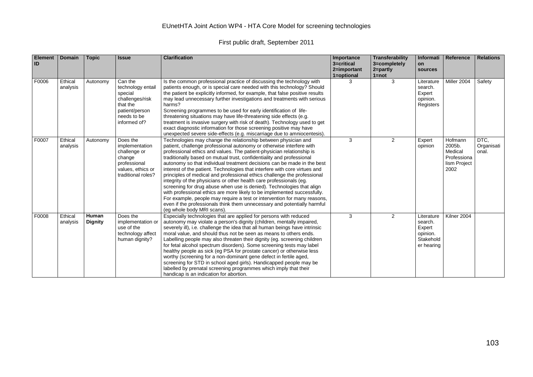|  | First public draft, September 2011 |
|--|------------------------------------|
|--|------------------------------------|

| <b>Element</b><br>ID | <b>Domain</b>       | <b>Topic</b>            | <b>Issue</b>                                                                                                            | <b>Clarification</b>                                                                                                                                                                                                                                                                                                                                                                                                                                                                                                                                                                                                                                                                                                                                                                                                                                                                                                                            | Importance<br>3=critical<br>2=important<br>1=optional | Transferability<br>3=completely<br>2=partly<br>$1 = not$ | Informati<br>on<br>sources                                             | Reference                                                           | <b>Relations</b>            |
|----------------------|---------------------|-------------------------|-------------------------------------------------------------------------------------------------------------------------|-------------------------------------------------------------------------------------------------------------------------------------------------------------------------------------------------------------------------------------------------------------------------------------------------------------------------------------------------------------------------------------------------------------------------------------------------------------------------------------------------------------------------------------------------------------------------------------------------------------------------------------------------------------------------------------------------------------------------------------------------------------------------------------------------------------------------------------------------------------------------------------------------------------------------------------------------|-------------------------------------------------------|----------------------------------------------------------|------------------------------------------------------------------------|---------------------------------------------------------------------|-----------------------------|
| F0006                | Ethical<br>analysis | Autonomy                | Can the<br>technology entail<br>special<br>challenges/risk<br>that the<br>patient/person<br>needs to be<br>informed of? | Is the common professional practice of discussing the technology with<br>patients enough, or is special care needed with this technology? Should<br>the patient be explicitly informed, for example, that false positive results<br>may lead unnecessary further investigations and treatments with serious<br>harms?<br>Screening programmes to be used for early identification of life-<br>threatening situations may have life-threatening side effects (e.g.<br>treatment is invasive surgery with risk of death). Technology used to get<br>exact diagnostic information for those screening positive may have<br>unexpected severe side-effects (e.g. miscarriage due to amniocentesis).                                                                                                                                                                                                                                                 | 3                                                     | 3                                                        | Literature<br>search.<br>Expert<br>opinion.<br>Registers               | Miller 2004                                                         | Safety                      |
| F0007                | Ethical<br>analysis | Autonomy                | Does the<br>implementation<br>challenge or<br>change<br>professional<br>values, ethics or<br>traditional roles?         | Technologies may change the relationship between physician and<br>patient, challenge professional autonomy or otherwise interfere with<br>professional ethics and values. The patient-physician relationship is<br>traditionally based on mutual trust, confidentiality and professional<br>autonomy so that individual treatment decisions can be made in the best<br>interest of the patient. Technologies that interfere with core virtues and<br>principles of medical and professional ethics challenge the professional<br>integrity of the physicians or other health care professionals (eg.<br>screening for drug abuse when use is denied). Technologies that align<br>with professional ethics are more likely to be implemented successfully.<br>For example, people may require a test or intervention for many reasons,<br>even if the professionals think them unnecessary and potentially harmful<br>(eq whole body MRI scans). | 3                                                     | 2                                                        | Expert<br>opinion                                                      | Hofmann<br>2005b.<br>Medical<br>Professiona<br>lism Project<br>2002 | DTC,<br>Organisati<br>onal. |
| F0008                | Ethical<br>analysis | Human<br><b>Dignity</b> | Does the<br>implementation or<br>use of the<br>technology affect<br>human dignity?                                      | Especially technologies that are applied for persons with reduced<br>autonomy may violate a person's dignity (children, mentally impaired,<br>severely ill), i.e. challenge the idea that all human beings have intrinsic<br>moral value, and should thus not be seen as means to others ends.<br>Labelling people may also threaten their dignity (eg. screening children<br>for fetal alcohol spectrum disorders). Some screening tests may label<br>healthy people as sick (eg PSA for prostate cancer) or otherwise less<br>worthy (screening for a non-dominant gene defect in fertile aged,<br>screening for STD in school aged girls). Handicapped people may be<br>labelled by prenatal screening programmes which imply that their<br>handicap is an indication for abortion.                                                                                                                                                          | 3                                                     | 2                                                        | Literature<br>search.<br>Expert<br>opinion.<br>Stakehold<br>er hearing | Kilner 2004                                                         |                             |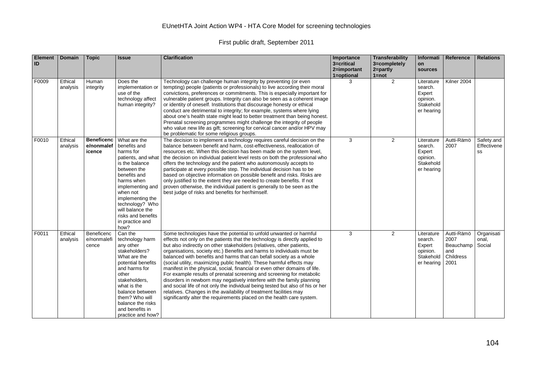| <b>Element</b><br>ID | <b>Domain</b>       | <b>Topic</b>                              | <b>Issue</b>                                                                                                                                                                                                                                                               | <b>Clarification</b>                                                                                                                                                                                                                                                                                                                                                                                                                                                                                                                                                                                                                                                                                                                                                                                                                                                                                                    | Importance<br>3=critical<br>2=important<br>1=optional | Transferability<br>3=completely<br>$2 =$ partly<br>$1 = not$ | <b>Informati</b><br>on<br>sources                                      | Reference                                                   | <b>Relations</b>                |
|----------------------|---------------------|-------------------------------------------|----------------------------------------------------------------------------------------------------------------------------------------------------------------------------------------------------------------------------------------------------------------------------|-------------------------------------------------------------------------------------------------------------------------------------------------------------------------------------------------------------------------------------------------------------------------------------------------------------------------------------------------------------------------------------------------------------------------------------------------------------------------------------------------------------------------------------------------------------------------------------------------------------------------------------------------------------------------------------------------------------------------------------------------------------------------------------------------------------------------------------------------------------------------------------------------------------------------|-------------------------------------------------------|--------------------------------------------------------------|------------------------------------------------------------------------|-------------------------------------------------------------|---------------------------------|
| F0009                | Ethical<br>analysis | Human<br>integrity                        | Does the<br>implementation or<br>use of the<br>technology affect<br>human integrity?                                                                                                                                                                                       | Technology can challenge human integrity by preventing (or even<br>tempting) people (patients or professionals) to live according their moral<br>convictions, preferences or commitments. This is especially important for<br>vulnerable patient groups. Integrity can also be seen as a coherent image<br>or identity of oneself. Institutions that discourage honesty or ethical<br>conduct are detrimental to integrity; for example, systems where lying<br>about one's health state might lead to better treatment than being honest.<br>Prenatal screening programmes might challenge the integrity of people<br>who value new life as gift; screening for cervical cancer and/or HPV may<br>be problematic for some religious groups.                                                                                                                                                                            | 3                                                     | 2                                                            | Literature<br>search.<br>Expert<br>opinion.<br>Stakehold<br>er hearing | Kilner 2004                                                 |                                 |
| F0010                | Ethical<br>analysis | <b>Beneficenc</b><br>e/nonmalef<br>icence | What are the<br>benefits and<br>harms for<br>patients, and what<br>is the balance<br>between the<br>benefits and<br>harms when<br>implementing and<br>when not<br>implementing the<br>technology? Who<br>will balance the<br>risks and benefits<br>in practice and<br>how? | The decision to implement a technology requires careful decision on the<br>balance between benefit and harm, cost-effectiveness, reallocation of<br>resources etc. When this decision has been made on the system level,<br>the decision on individual patient level rests on both the professional who<br>offers the technology and the patient who autonomously accepts to<br>participate at every possible step. The individual decision has to be<br>based on objective information on possible benefit and risks. Risks are<br>only justified to the extent they are needed to create benefits. If not<br>proven otherwise, the individual patient is generally to be seen as the<br>best judge of risks and benefits for her/himself.                                                                                                                                                                             | 3                                                     | 2                                                            | Literature<br>search.<br>Expert<br>opinion.<br>Stakehold<br>er hearing | Autti-Rämö<br>2007                                          | Safety.and<br>Effectivene<br>SS |
| F0011                | Ethical<br>analysis | Beneficenc<br>e/nonmalefi<br>cence        | Can the<br>technology harm<br>any other<br>stakeholders?<br>What are the<br>potential benefits<br>and harms for<br>other<br>stakeholders,<br>what is the<br>balance between<br>them? Who will<br>balance the risks<br>and benefits in<br>practice and how?                 | Some technologies have the potential to unfold unwanted or harmful<br>effects not only on the patients that the technology is directly applied to<br>but also indirectly on other stakeholders (relatives, other patients,<br>organisations, society etc.) Benefits and harms to individuals must be<br>balanced with benefits and harms that can befall society as a whole<br>(social utility, maximizing public health). These harmful effects may<br>manifest in the physical, social, financial or even other domains of life.<br>For example results of prenatal screening and screening for metabolic<br>disorders in newborn may negatively interfere with the family planning<br>and social life of not only the individual being tested but also of his or her<br>relatives. Changes in the availability of treatment facilities may<br>significantly alter the requirements placed on the health care system. | 3                                                     | $\overline{2}$                                               | Literature<br>search.<br>Expert<br>opinion.<br>Stakehold<br>er hearing | Autti-Rämö<br>2007<br>Beauchamp<br>and<br>Childress<br>2001 | Organisati<br>onal,<br>Social   |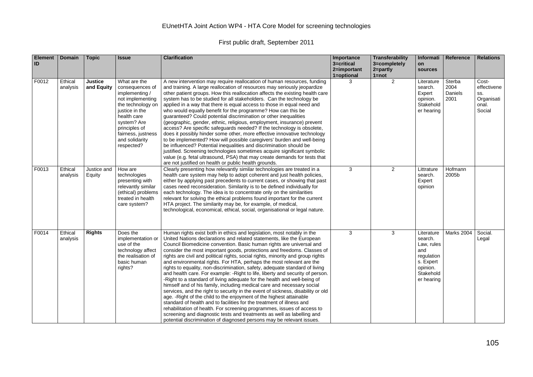| <b>Element</b><br>ID | <b>Domain</b>       | <b>Topic</b>                 | <b>Issue</b>                                                                                                                                                                                                      | <b>Clarification</b>                                                                                                                                                                                                                                                                                                                                                                                                                                                                                                                                                                                                                                                                                                                                                                                                                                                                                                                                                                                                                                                                                                                                                                                                                                   | Importance<br>3=critical<br>2=important<br>1=optional | <b>Transferability</b><br>3=completely<br>$2 = part$<br>$1 = not$ | Informati<br>on<br>sources                                                                                   | Reference                         | <b>Relations</b>                                             |
|----------------------|---------------------|------------------------------|-------------------------------------------------------------------------------------------------------------------------------------------------------------------------------------------------------------------|--------------------------------------------------------------------------------------------------------------------------------------------------------------------------------------------------------------------------------------------------------------------------------------------------------------------------------------------------------------------------------------------------------------------------------------------------------------------------------------------------------------------------------------------------------------------------------------------------------------------------------------------------------------------------------------------------------------------------------------------------------------------------------------------------------------------------------------------------------------------------------------------------------------------------------------------------------------------------------------------------------------------------------------------------------------------------------------------------------------------------------------------------------------------------------------------------------------------------------------------------------|-------------------------------------------------------|-------------------------------------------------------------------|--------------------------------------------------------------------------------------------------------------|-----------------------------------|--------------------------------------------------------------|
| F0012                | Ethical<br>analysis | <b>Justice</b><br>and Equity | What are the<br>consequences of<br>implementing /<br>not implementing<br>the technology on<br>justice in the<br>health care<br>system? Are<br>principles of<br>fairness, justness<br>and solidarity<br>respected? | A new intervention may require reallocation of human resources, funding<br>and training. A large reallocation of resources may seriously jeopardize<br>other patient groups. How this reallocation affects the existing health care<br>system has to be studied for all stakeholders. Can the technology be<br>applied in a way that there is equal access to those in equal need and<br>who would equally benefit for the programme? How can this be<br>quaranteed? Could potential discrimination or other inequalities<br>(geographic, gender, ethnic, religious, employment, insurance) prevent<br>access? Are specific safeguards needed? If the technology is obsolete,<br>does it possibly hinder some other, more effective innovative technology<br>to be implemented? How will possible caregivers' burden and well-being<br>be influenced? Potential inequalities and discrimination should be<br>justified. Screening technologies sometimes acquire significant symbolic<br>value (e.g. fetal ultrasound, PSA) that may create demands for tests that<br>are not justified on health or public health grounds.                                                                                                                            | 3                                                     | 2                                                                 | Literature<br>search.<br>Expert<br>opinion.<br>Stakehold<br>er hearing                                       | Sterba<br>2004<br>Daniels<br>2001 | Cost-<br>effectivene<br>SS.<br>Organisati<br>onal.<br>Social |
| F0013                | Ethical<br>analysis | Justice and<br>Equity        | How are<br>technologies<br>presenting with<br>relevantly similar<br>(ethical) problems<br>treated in health<br>care system?                                                                                       | Clearly presenting how relevantly similar technologies are treated in a<br>health care system may help to adopt coherent and just health policies,<br>either by applying past precedents to current cases, or showing that past<br>cases need reconsideration. Similarity is to be defined individually for<br>each technology. The idea is to concentrate only on the similarities<br>relevant for solving the ethical problems found important for the current<br>HTA project. The similarity may be, for example, of medical,<br>technological, economical, ethical, social, organisational or legal nature.                                                                                                                                                                                                                                                                                                                                                                                                                                                                                                                                                                                                                                        | 3                                                     | $\overline{2}$                                                    | Littrature<br>search.<br>Expert<br>opinion                                                                   | Hofmann<br>2005b                  |                                                              |
| F0014                | Ethical<br>analysis | <b>Rights</b>                | Does the<br>implementation or<br>use of the<br>technology affect<br>the realisation of<br>basic human<br>rights?                                                                                                  | Human rights exist both in ethics and legislation, most notably in the<br>United Nations declarations and related statements, like the European<br>Council Biomedicine convention. Basic human rights are universal and<br>consider the most important goods, protections and freedoms. Classes of<br>rights are civil and political rights, social rights, minority and group rights<br>and environmental rights. For HTA, perhaps the most relevant are the<br>rights to equality, non-discrimination, safety, adequate standard of living<br>and health care. For example: - Right to life, liberty and security of person.<br>-Right to a standard of living adequate for the health and well-being of<br>himself and of his family, including medical care and necessary social<br>services, and the right to security in the event of sickness, disability or old<br>age. - Right of the child to the enjoyment of the highest attainable<br>standard of health and to facilities for the treatment of illness and<br>rehabilitation of health. For screening programmes, issues of access to<br>screening and diagnostic tests and treatments as well as labelling and<br>potential discrimination of diagnosed persons may be relevant issues. | 3                                                     | 3                                                                 | Literature<br>search.<br>Law, rules<br>and<br>regulation<br>s. Expert<br>opinion.<br>Stakehold<br>er hearing | <b>Marks 2004</b>                 | Social.<br>Legal                                             |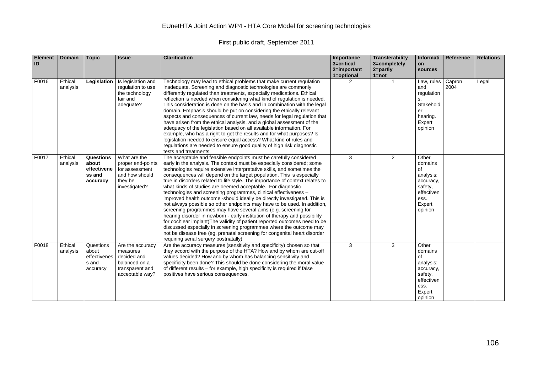| <b>Element</b><br>ID | <b>Domain</b>       | <b>Topic</b>                                            | <b>Issue</b>                                                                                       | <b>Clarification</b>                                                                                                                                                                                                                                                                                                                                                                                                                                                                                                                                                                                                                                                                                                                                                                                                                                                                                                                                                                                                                                                                                   | Importance<br>3=critical<br>2=important<br>1=optional | <b>Transferability</b><br>3=completely<br>$2 = partly$<br>$1 = not$ | <b>Informati</b><br>on<br>sources                                                                      | Reference      | <b>Relations</b> |
|----------------------|---------------------|---------------------------------------------------------|----------------------------------------------------------------------------------------------------|--------------------------------------------------------------------------------------------------------------------------------------------------------------------------------------------------------------------------------------------------------------------------------------------------------------------------------------------------------------------------------------------------------------------------------------------------------------------------------------------------------------------------------------------------------------------------------------------------------------------------------------------------------------------------------------------------------------------------------------------------------------------------------------------------------------------------------------------------------------------------------------------------------------------------------------------------------------------------------------------------------------------------------------------------------------------------------------------------------|-------------------------------------------------------|---------------------------------------------------------------------|--------------------------------------------------------------------------------------------------------|----------------|------------------|
| F0016                | Ethical<br>analysis | Legislation                                             | Is legislation and<br>regulation to use<br>the technology<br>fair and<br>adequate?                 | Technology may lead to ethical problems that make current regulation<br>inadequate. Screening and diagnostic technologies are commonly<br>differently regulated than treatments, especially medications. Ethical<br>reflection is needed when considering what kind of regulation is needed.<br>This consideration is done on the basis and in combination with the legal<br>domain. Emphasis should be put on considering the ethically relevant<br>aspects and consequences of current law, needs for legal regulation that<br>have arisen from the ethical analysis, and a global assessment of the<br>adequacy of the legislation based on all available information. For<br>example, who has a right to get the results and for what purposes? Is<br>legislation needed to ensure equal access? What kind of rules and<br>regulations are needed to ensure good quality of high risk diagnostic<br>tests and treatments.                                                                                                                                                                          | 2                                                     | $\overline{1}$                                                      | Law, rules<br>and<br>regulation<br>s.<br>Stakehold<br>er<br>hearing.<br>Expert<br>opinion              | Capron<br>2004 | Legal            |
| F0017                | Ethical<br>analysis | Questions<br>about<br>effectivene<br>ss and<br>accuracy | What are the<br>proper end-points<br>for assessment<br>and how should<br>they be<br>investigated?  | The acceptable and feasible endpoints must be carefully considered<br>early in the analysis. The context must be especially considered; some<br>technologies require extensive interpretative skills, and sometimes the<br>consequences will depend on the target population. This is especially<br>true in disorders related to life style. The importance of context relates to<br>what kinds of studies are deemed acceptable. For diagnostic<br>technologies and screening programmes, clinical effectiveness -<br>improved health outcome -should ideally be directly investigated. This is<br>not always possible so other endpoints may have to be used. In addition,<br>screening programmes may have several aims (e.g. screening for<br>hearing disorder in newborn - early institution of therapy and possibility<br>for cochlear implant) The validity of patient reported outcomes need to be<br>discussed especially in screening programmes where the outcome may<br>not be disease free (eg. prenatal screening for congenital heart disorder<br>requiring serial surgery postnatally) | 3                                                     | 2                                                                   | Other<br>domains<br>of<br>analysis:<br>accuracy,<br>safety,<br>effectiven<br>ess.<br>Expert<br>opinion |                |                  |
| F0018                | Ethical<br>analysis | Questions<br>about<br>effectivenes<br>s and<br>accuracy | Are the accuracy<br>measures<br>decided and<br>balanced on a<br>transparent and<br>acceptable way? | Are the accuracy measures (sensitivity and specificity) chosen so that<br>they accord with the purpose of the HTA? How and by whom are cut-off<br>values decided? How and by whom has balancing sensitivity and<br>specificity been done? This should be done considering the moral value<br>of different results – for example, high specificity is required if false<br>positives have serious consequences.                                                                                                                                                                                                                                                                                                                                                                                                                                                                                                                                                                                                                                                                                         | 3                                                     | 3                                                                   | Other<br>domains<br>οf<br>analysis:<br>accuracy,<br>safety,<br>effectiven<br>ess.<br>Expert<br>opinion |                |                  |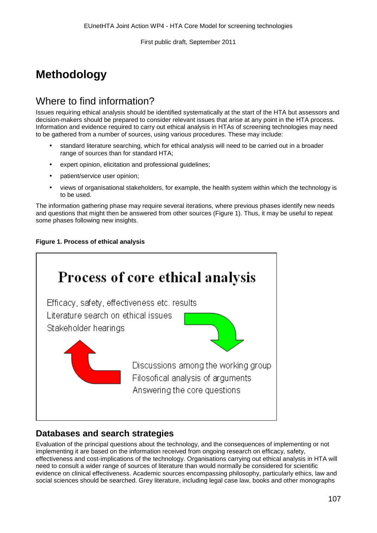# **Methodology**

# Where to find information?

Issues requiring ethical analysis should be identified systematically at the start of the HTA but assessors and decision-makers should be prepared to consider relevant issues that arise at any point in the HTA process. Information and evidence required to carry out ethical analysis in HTAs of screening technologies may need to be gathered from a number of sources, using various procedures. These may include:

- standard literature searching, which for ethical analysis will need to be carried out in a broader range of sources than for standard HTA;
- expert opinion, elicitation and professional guidelines;
- patient/service user opinion;
- views of organisational stakeholders, for example, the health system within which the technology is to be used.

The information gathering phase may require several iterations, where previous phases identify new needs and questions that might then be answered from other sources (Figure 1). Thus, it may be useful to repeat some phases following new insights.





#### **Databases and search strategies**

Evaluation of the principal questions about the technology, and the consequences of implementing or not implementing it are based on the information received from ongoing research on efficacy, safety, effectiveness and cost-implications of the technology. Organisations carrying out ethical analysis in HTA will need to consult a wider range of sources of literature than would normally be considered for scientific evidence on clinical effectiveness. Academic sources encompassing philosophy, particularly ethics, law and social sciences should be searched. Grey literature, including legal case law, books and other monographs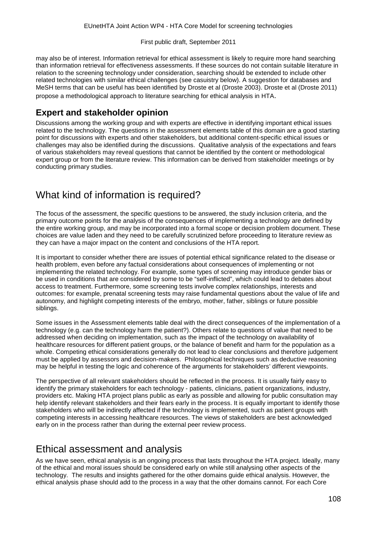may also be of interest. Information retrieval for ethical assessment is likely to require more hand searching than information retrieval for effectiveness assessments. If these sources do not contain suitable literature in relation to the screening technology under consideration, searching should be extended to include other related technologies with similar ethical challenges (see casuistry below). A suggestion for databases and MeSH terms that can be useful has been identified by Droste et al (Droste 2003). Droste et al (Droste 2011) propose a methodological approach to literature searching for ethical analysis in HTA.

### **Expert and stakeholder opinion**

Discussions among the working group and with experts are effective in identifying important ethical issues related to the technology. The questions in the assessment elements table of this domain are a good starting point for discussions with experts and other stakeholders, but additional content-specific ethical issues or challenges may also be identified during the discussions. Qualitative analysis of the expectations and fears of various stakeholders may reveal questions that cannot be identified by the content or methodological expert group or from the literature review. This information can be derived from stakeholder meetings or by conducting primary studies.

# What kind of information is required?

The focus of the assessment, the specific questions to be answered, the study inclusion criteria, and the primary outcome points for the analysis of the consequences of implementing a technology are defined by the entire working group, and may be incorporated into a formal scope or decision problem document. These choices are value laden and they need to be carefully scrutinized before proceeding to literature review as they can have a major impact on the content and conclusions of the HTA report.

It is important to consider whether there are issues of potential ethical significance related to the disease or health problem, even before any factual considerations about consequences of implementing or not implementing the related technology. For example, some types of screening may introduce gender bias or be used in conditions that are considered by some to be "self-inflicted", which could lead to debates about access to treatment. Furthermore, some screening tests involve complex relationships, interests and outcomes: for example, prenatal screening tests may raise fundamental questions about the value of life and autonomy, and highlight competing interests of the embryo, mother, father, siblings or future possible siblings.

Some issues in the Assessment elements table deal with the direct consequences of the implementation of a technology (e.g. can the technology harm the patient?). Others relate to questions of value that need to be addressed when deciding on implementation, such as the impact of the technology on availability of healthcare resources for different patient groups, or the balance of benefit and harm for the population as a whole. Competing ethical considerations generally do not lead to clear conclusions and therefore judgement must be applied by assessors and decision-makers. Philosophical techniques such as deductive reasoning may be helpful in testing the logic and coherence of the arguments for stakeholders' different viewpoints.

The perspective of all relevant stakeholders should be reflected in the process. It is usually fairly easy to identify the primary stakeholders for each technology - patients, clinicians, patient organizations, industry, providers etc. Making HTA project plans public as early as possible and allowing for public consultation may help identify relevant stakeholders and their fears early in the process. It is equally important to identify those stakeholders who will be indirectly affected if the technology is implemented, such as patient groups with competing interests in accessing healthcare resources. The views of stakeholders are best acknowledged early on in the process rather than during the external peer review process.

### Ethical assessment and analysis

As we have seen, ethical analysis is an ongoing process that lasts throughout the HTA project. Ideally, many of the ethical and moral issues should be considered early on while still analysing other aspects of the technology. The results and insights gathered for the other domains guide ethical analysis. However, the ethical analysis phase should add to the process in a way that the other domains cannot. For each Core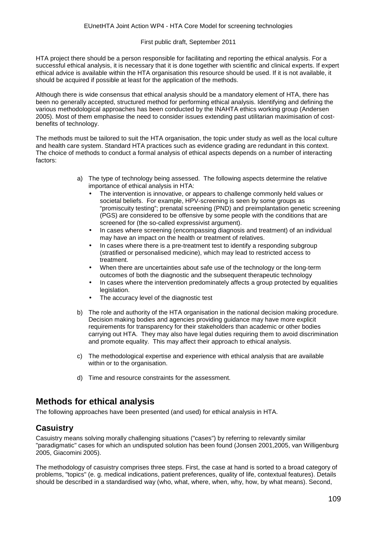HTA project there should be a person responsible for facilitating and reporting the ethical analysis. For a successful ethical analysis, it is necessary that it is done together with scientific and clinical experts. If expert ethical advice is available within the HTA organisation this resource should be used. If it is not available, it should be acquired if possible at least for the application of the methods.

Although there is wide consensus that ethical analysis should be a mandatory element of HTA, there has been no generally accepted, structured method for performing ethical analysis. Identifying and defining the various methodological approaches has been conducted by the INAHTA ethics working group (Andersen 2005). Most of them emphasise the need to consider issues extending past utilitarian maximisation of costbenefits of technology.

The methods must be tailored to suit the HTA organisation, the topic under study as well as the local culture and health care system. Standard HTA practices such as evidence grading are redundant in this context. The choice of methods to conduct a formal analysis of ethical aspects depends on a number of interacting factors:

- a) The type of technology being assessed. The following aspects determine the relative importance of ethical analysis in HTA:
	- The intervention is innovative, or appears to challenge commonly held values or societal beliefs. For example, HPV-screening is seen by some groups as "promiscuity testing"; prenatal screening (PND) and preimplantation genetic screening (PGS) are considered to be offensive by some people with the conditions that are screened for (the so-called expressivist argument).
	- In cases where screening (encompassing diagnosis and treatment) of an individual l, may have an impact on the health or treatment of relatives.
	- In cases where there is a pre-treatment test to identify a responding subgroup (stratified or personalised medicine), which may lead to restricted access to treatment.
	- When there are uncertainties about safe use of the technology or the long-term outcomes of both the diagnostic and the subsequent therapeutic technology
	- In cases where the intervention predominately affects a group protected by equalities legislation.
	- The accuracy level of the diagnostic test
- b) The role and authority of the HTA organisation in the national decision making procedure. Decision making bodies and agencies providing guidance may have more explicit requirements for transparency for their stakeholders than academic or other bodies carrying out HTA. They may also have legal duties requiring them to avoid discrimination and promote equality. This may affect their approach to ethical analysis.
- c) The methodological expertise and experience with ethical analysis that are available within or to the organisation.
- d) Time and resource constraints for the assessment.

#### **Methods for ethical analysis**

The following approaches have been presented (and used) for ethical analysis in HTA.

#### **Casuistry**

Casuistry means solving morally challenging situations ("cases") by referring to relevantly similar "paradigmatic" cases for which an undisputed solution has been found (Jonsen 2001,2005, van Willigenburg 2005, Giacomini 2005).

The methodology of casuistry comprises three steps. First, the case at hand is sorted to a broad category of problems, "topics" (e. g. medical indications, patient preferences, quality of life, contextual features). Details should be described in a standardised way (who, what, where, when, why, how, by what means). Second,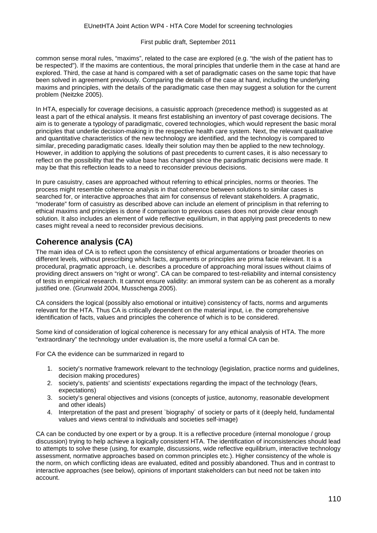common sense moral rules, "maxims", related to the case are explored (e.g. "the wish of the patient has to be respected"). If the maxims are contentious, the moral principles that underlie them in the case at hand are explored. Third, the case at hand is compared with a set of paradigmatic cases on the same topic that have been solved in agreement previously. Comparing the details of the case at hand, including the underlying maxims and principles, with the details of the paradigmatic case then may suggest a solution for the current problem (Neitzke 2005).

In HTA, especially for coverage decisions, a casuistic approach (precedence method) is suggested as at least a part of the ethical analysis. It means first establishing an inventory of past coverage decisions. The aim is to generate a typology of paradigmatic, covered technologies, which would represent the basic moral principles that underlie decision-making in the respective health care system. Next, the relevant qualitative and quantitative characteristics of the new technology are identified, and the technology is compared to similar, preceding paradigmatic cases. Ideally their solution may then be applied to the new technology. However, in addition to applying the solutions of past precedents to current cases, it is also necessary to reflect on the possibility that the value base has changed since the paradigmatic decisions were made. It may be that this reflection leads to a need to reconsider previous decisions.

In pure casuistry, cases are approached without referring to ethical principles, norms or theories. The process might resemble coherence analysis in that coherence between solutions to similar cases is searched for, or interactive approaches that aim for consensus of relevant stakeholders. A pragmatic, "moderate" form of casuistry as described above can include an element of principlism in that referring to ethical maxims and principles is done if comparison to previous cases does not provide clear enough solution. It also includes an element of wide reflective equilibrium, in that applying past precedents to new cases might reveal a need to reconsider previous decisions.

### **Coherence analysis (CA)**

The main idea of CA is to reflect upon the consistency of ethical argumentations or broader theories on different levels, without prescribing which facts, arguments or principles are prima facie relevant. It is a procedural, pragmatic approach, i.e. describes a procedure of approaching moral issues without claims of providing direct answers on "right or wrong". CA can be compared to test-reliability and internal consistency of tests in empirical research. It cannot ensure validity: an immoral system can be as coherent as a morally justified one. (Grunwald 2004, Musschenga 2005).

CA considers the logical (possibly also emotional or intuitive) consistency of facts, norms and arguments relevant for the HTA. Thus CA is critically dependent on the material input, i.e. the comprehensive identification of facts, values and principles the coherence of which is to be considered.

Some kind of consideration of logical coherence is necessary for any ethical analysis of HTA. The more "extraordinary" the technology under evaluation is, the more useful a formal CA can be.

For CA the evidence can be summarized in regard to

- 1. society's normative framework relevant to the technology (legislation, practice norms and guidelines, decision making procedures)
- 2. society's, patients' and scientists' expectations regarding the impact of the technology (fears, expectations)
- 3. society's general objectives and visions (concepts of justice, autonomy, reasonable development and other ideals)
- 4. Interpretation of the past and present `biography´ of society or parts of it (deeply held, fundamental values and views central to individuals and societies self-image)

CA can be conducted by one expert or by a group. It is a reflective procedure (internal monologue / group discussion) trying to help achieve a logically consistent HTA. The identification of inconsistencies should lead to attempts to solve these (using, for example, discussions, wide reflective equilibrium, interactive technology assessment, normative approaches based on common principles etc.). Higher consistency of the whole is the norm, on which conflicting ideas are evaluated, edited and possibly abandoned. Thus and in contrast to interactive approaches (see below), opinions of important stakeholders can but need not be taken into account.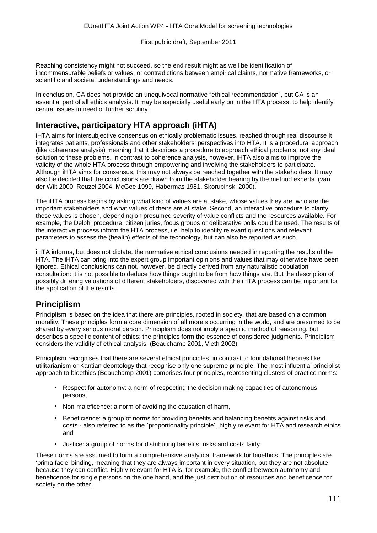Reaching consistency might not succeed, so the end result might as well be identification of incommensurable beliefs or values, or contradictions between empirical claims, normative frameworks, or scientific and societal understandings and needs.

In conclusion, CA does not provide an unequivocal normative "ethical recommendation", but CA is an essential part of all ethics analysis. It may be especially useful early on in the HTA process, to help identify central issues in need of further scrutiny.

### **Interactive, participatory HTA approach (iHTA)**

iHTA aims for intersubjective consensus on ethically problematic issues, reached through real discourse It integrates patients, professionals and other stakeholders' perspectives into HTA. It is a procedural approach (like coherence analysis) meaning that it describes a procedure to approach ethical problems, not any ideal solution to these problems. In contrast to coherence analysis, however, iHTA also aims to improve the validity of the whole HTA process through empowering and involving the stakeholders to participate. Although iHTA aims for consensus, this may not always be reached together with the stakeholders. It may also be decided that the conclusions are drawn from the stakeholder hearing by the method experts. (van der Wilt 2000, Reuzel 2004, McGee 1999, Habermas 1981, Skorupinski 2000).

The iHTA process begins by asking what kind of values are at stake, whose values they are, who are the important stakeholders and what values of theirs are at stake. Second, an interactive procedure to clarify these values is chosen, depending on presumed severity of value conflicts and the resources available. For example, the Delphi procedure, citizen juries, focus groups or deliberative polls could be used. The results of the interactive process inform the HTA process, i.e. help to identify relevant questions and relevant parameters to assess the (health) effects of the technology, but can also be reported as such.

iHTA informs, but does not dictate, the normative ethical conclusions needed in reporting the results of the HTA. The iHTA can bring into the expert group important opinions and values that may otherwise have been ignored. Ethical conclusions can not, however, be directly derived from any naturalistic population consultation: it is not possible to deduce how things ought to be from how things are. But the description of possibly differing valuations of different stakeholders, discovered with the iHTA process can be important for the application of the results.

### **Principlism**

Principlism is based on the idea that there are principles, rooted in society, that are based on a common morality. These principles form a core dimension of all morals occurring in the world, and are presumed to be shared by every serious moral person. Principlism does not imply a specific method of reasoning, but describes a specific content of ethics: the principles form the essence of considered judgments. Principlism considers the validity of ethical analysis. (Beauchamp 2001, Vieth 2002).

Principlism recognises that there are several ethical principles, in contrast to foundational theories like utilitarianism or Kantian deontology that recognise only one supreme principle. The most influential principlist approach to bioethics (Beauchamp 2001) comprises four principles, representing clusters of practice norms:

- Respect for autonomy: a norm of respecting the decision making capacities of autonomous persons,
- Non-maleficence: a norm of avoiding the causation of harm,
- Beneficience: a group of norms for providing benefits and balancing benefits against risks and costs - also referred to as the `proportionality principle´, highly relevant for HTA and research ethics and
- Justice: a group of norms for distributing benefits, risks and costs fairly.

These norms are assumed to form a comprehensive analytical framework for bioethics. The principles are 'prima facie' binding, meaning that they are always important in every situation, but they are not absolute, because they can conflict. Highly relevant for HTA is, for example, the conflict between autonomy and beneficence for single persons on the one hand, and the just distribution of resources and beneficence for society on the other.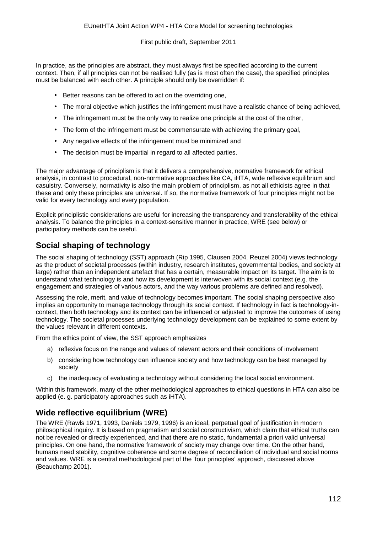In practice, as the principles are abstract, they must always first be specified according to the current context. Then, if all principles can not be realised fully (as is most often the case), the specified principles must be balanced with each other. A principle should only be overridden if:

- Better reasons can be offered to act on the overriding one,
- The moral objective which justifies the infringement must have a realistic chance of being achieved,
- The infringement must be the only way to realize one principle at the cost of the other, ÷.
- The form of the infringement must be commensurate with achieving the primary goal,
- Any negative effects of the infringement must be minimized and
- The decision must be impartial in regard to all affected parties.

The major advantage of principlism is that it delivers a comprehensive, normative framework for ethical analysis, in contrast to procedural, non-normative approaches like CA, iHTA, wide reflexive equilibrium and casuistry. Conversely, normativity is also the main problem of principlism, as not all ethicists agree in that these and only these principles are universal. If so, the normative framework of four principles might not be valid for every technology and every population.

Explicit principlistic considerations are useful for increasing the transparency and transferability of the ethical analysis. To balance the principles in a context-sensitive manner in practice, WRE (see below) or participatory methods can be useful.

### **Social shaping of technology**

The social shaping of technology (SST) approach (Rip 1995, Clausen 2004, Reuzel 2004) views technology as the product of societal processes (within industry, research institutes, governmental bodies, and society at large) rather than an independent artefact that has a certain, measurable impact on its target. The aim is to understand what technology is and how its development is interwoven with its social context (e.g. the engagement and strategies of various actors, and the way various problems are defined and resolved).

Assessing the role, merit, and value of technology becomes important. The social shaping perspective also implies an opportunity to manage technology through its social context. If technology in fact is technology-incontext, then both technology and its context can be influenced or adjusted to improve the outcomes of using technology. The societal processes underlying technology development can be explained to some extent by the values relevant in different contexts.

From the ethics point of view, the SST approach emphasizes

- a) reflexive focus on the range and values of relevant actors and their conditions of involvement
- b) considering how technology can influence society and how technology can be best managed by society
- c) the inadequacy of evaluating a technology without considering the local social environment.

Within this framework, many of the other methodological approaches to ethical questions in HTA can also be applied (e. g. participatory approaches such as iHTA).

#### **Wide reflective equilibrium (WRE)**

The WRE (Rawls 1971, 1993, Daniels 1979, 1996) is an ideal, perpetual goal of justification in modern philosophical inquiry. It is based on pragmatism and social constructivism, which claim that ethical truths can not be revealed or directly experienced, and that there are no static, fundamental a priori valid universal principles. On one hand, the normative framework of society may change over time. On the other hand, humans need stability, cognitive coherence and some degree of reconciliation of individual and social norms and values. WRE is a central methodological part of the 'four principles' approach, discussed above (Beauchamp 2001).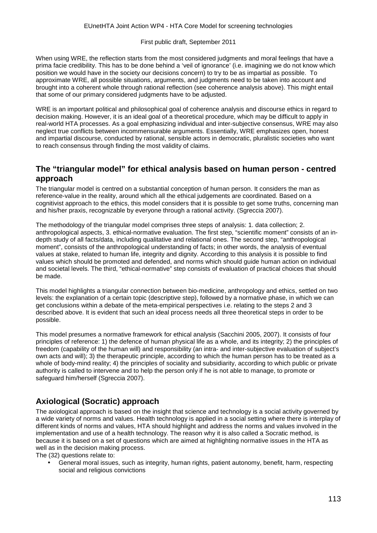When using WRE, the reflection starts from the most considered judgments and moral feelings that have a prima facie credibility. This has to be done behind a 'veil of ignorance' (i.e. imagining we do not know which position we would have in the society our decisions concern) to try to be as impartial as possible. To approximate WRE, all possible situations, arguments, and judgments need to be taken into account and brought into a coherent whole through rational reflection (see coherence analysis above). This might entail that some of our primary considered judgments have to be adjusted.

WRE is an important political and philosophical goal of coherence analysis and discourse ethics in regard to decision making. However, it is an ideal goal of a theoretical procedure, which may be difficult to apply in real-world HTA processes. As a goal emphasizing individual and inter-subjective consensus, WRE may also neglect true conflicts between incommensurable arguments. Essentially, WRE emphasizes open, honest and impartial discourse, conducted by rational, sensible actors in democratic, pluralistic societies who want to reach consensus through finding the most validity of claims.

### **The "triangular model" for ethical analysis based on human person - centred approach**

The triangular model is centred on a substantial conception of human person. It considers the man as reference-value in the reality, around which all the ethical judgements are coordinated. Based on a cognitivist approach to the ethics, this model considers that it is possible to get some truths, concerning man and his/her praxis, recognizable by everyone through a rational activity. (Sgreccia 2007).

The methodology of the triangular model comprises three steps of analysis: 1. data collection; 2. anthropological aspects, 3. ethical-normative evaluation. The first step, "scientific moment" consists of an indepth study of all facts/data, including qualitative and relational ones. The second step, "anthropological moment", consists of the anthropological understanding of facts; in other words, the analysis of eventual values at stake, related to human life, integrity and dignity. According to this analysis it is possible to find values which should be promoted and defended, and norms which should guide human action on individual and societal levels. The third, "ethical-normative" step consists of evaluation of practical choices that should be made.

This model highlights a triangular connection between bio-medicine, anthropology and ethics, settled on two levels: the explanation of a certain topic (descriptive step), followed by a normative phase, in which we can get conclusions within a debate of the meta-empirical perspectives i.e. relating to the steps 2 and 3 described above. It is evident that such an ideal process needs all three theoretical steps in order to be possible.

This model presumes a normative framework for ethical analysis (Sacchini 2005, 2007). It consists of four principles of reference: 1) the defence of human physical life as a whole, and its integrity; 2) the principles of freedom (capability of the human will) and responsibility (an intra- and inter-subjective evaluation of subject's own acts and will); 3) the therapeutic principle, according to which the human person has to be treated as a whole of body-mind reality; 4) the principles of sociality and subsidiarity, according to which public or private authority is called to intervene and to help the person only if he is not able to manage, to promote or safeguard him/herself (Sgreccia 2007).

### **Axiological (Socratic) approach**

The axiological approach is based on the insight that science and technology is a social activity governed by a wide variety of norms and values. Health technology is applied in a social setting where there is interplay of different kinds of norms and values, HTA should highlight and address the norms and values involved in the implementation and use of a health technology. The reason why it is also called a Socratic method, is because it is based on a set of questions which are aimed at highlighting normative issues in the HTA as well as in the decision making process.

The (32) questions relate to:

General moral issues, such as integrity, human rights, patient autonomy, benefit, harm, respecting social and religious convictions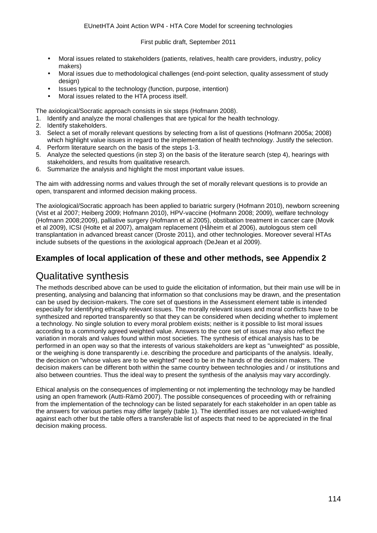- Moral issues related to stakeholders (patients, relatives, health care providers, industry, policy makers)
- Moral issues due to methodological challenges (end-point selection, quality assessment of study design)
- Issues typical to the technology (function, purpose, intention)
- Moral issues related to the HTA process itself.

The axiological/Socratic approach consists in six steps (Hofmann 2008).

- 1. Identify and analyze the moral challenges that are typical for the health technology.
- 2. Identify stakeholders.
- 3. Select a set of morally relevant questions by selecting from a list of questions (Hofmann 2005a; 2008) which highlight value issues in regard to the implementation of health technology. Justify the selection.
- 4. Perform literature search on the basis of the steps 1-3.
- 5. Analyze the selected questions (in step 3) on the basis of the literature search (step 4), hearings with stakeholders, and results from qualitative research.
- 6. Summarize the analysis and highlight the most important value issues.

The aim with addressing norms and values through the set of morally relevant questions is to provide an open, transparent and informed decision making process.

The axiological/Socratic approach has been applied to bariatric surgery (Hofmann 2010), newborn screening (Vist et al 2007; Heiberg 2009; Hofmann 2010), HPV-vaccine (Hofmann 2008; 2009), welfare technology (Hofmann 2008;2009), palliative surgery (Hofmann et al 2005), obstibation treatment in cancer care (Movik et al 2009), ICSI (Holte et al 2007), amalgam replacement (Håheim et al 2006), autologous stem cell transplantation in advanced breast cancer (Droste 2011), and other technologies. Moreover several HTAs include subsets of the questions in the axiological approach (DeJean et al 2009).

#### **Examples of local application of these and other methods, see Appendix 2**

### Qualitative synthesis

The methods described above can be used to guide the elicitation of information, but their main use will be in presenting, analysing and balancing that information so that conclusions may be drawn, and the presentation can be used by decision-makers. The core set of questions in the Assessment element table is intended especially for identifying ethically relevant issues. The morally relevant issues and moral conflicts have to be synthesized and reported transparently so that they can be considered when deciding whether to implement a technology. No single solution to every moral problem exists; neither is it possible to list moral issues according to a commonly agreed weighted value. Answers to the core set of issues may also reflect the variation in morals and values found within most societies. The synthesis of ethical analysis has to be performed in an open way so that the interests of various stakeholders are kept as "unweighted" as possible, or the weighing is done transparently i.e. describing the procedure and participants of the analysis. Ideally, the decision on "whose values are to be weighted" need to be in the hands of the decision makers. The decision makers can be different both within the same country between technologies and / or institutions and also between countries. Thus the ideal way to present the synthesis of the analysis may vary accordingly.

Ethical analysis on the consequences of implementing or not implementing the technology may be handled using an open framework (Autti-Rämö 2007). The possible consequences of proceeding with or refraining from the implementation of the technology can be listed separately for each stakeholder in an open table as the answers for various parties may differ largely (table 1). The identified issues are not valued-weighted against each other but the table offers a transferable list of aspects that need to be appreciated in the final decision making process.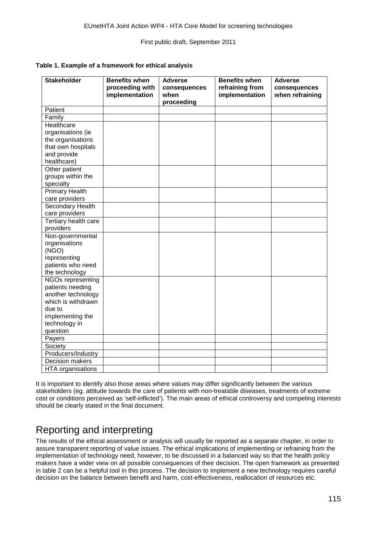|  |  | Table 1. Example of a framework for ethical analysis |
|--|--|------------------------------------------------------|
|--|--|------------------------------------------------------|

| <b>Stakeholder</b>     | <b>Benefits when</b><br>proceeding with<br>implementation | <b>Adverse</b><br>consequences<br>when<br>proceeding | <b>Benefits when</b><br>refraining from<br>implementation | <b>Adverse</b><br>consequences<br>when refraining |
|------------------------|-----------------------------------------------------------|------------------------------------------------------|-----------------------------------------------------------|---------------------------------------------------|
| Patient                |                                                           |                                                      |                                                           |                                                   |
| Family                 |                                                           |                                                      |                                                           |                                                   |
| Healthcare             |                                                           |                                                      |                                                           |                                                   |
| organisations (ie      |                                                           |                                                      |                                                           |                                                   |
| the organisations      |                                                           |                                                      |                                                           |                                                   |
| that own hospitals     |                                                           |                                                      |                                                           |                                                   |
| and provide            |                                                           |                                                      |                                                           |                                                   |
| healthcare)            |                                                           |                                                      |                                                           |                                                   |
| Other patient          |                                                           |                                                      |                                                           |                                                   |
| groups within the      |                                                           |                                                      |                                                           |                                                   |
| specialty              |                                                           |                                                      |                                                           |                                                   |
| <b>Primary Health</b>  |                                                           |                                                      |                                                           |                                                   |
| care providers         |                                                           |                                                      |                                                           |                                                   |
| Secondary Health       |                                                           |                                                      |                                                           |                                                   |
| care providers         |                                                           |                                                      |                                                           |                                                   |
| Tertiary health care   |                                                           |                                                      |                                                           |                                                   |
| providers              |                                                           |                                                      |                                                           |                                                   |
| Non-governmental       |                                                           |                                                      |                                                           |                                                   |
| organisations          |                                                           |                                                      |                                                           |                                                   |
| (NGO)                  |                                                           |                                                      |                                                           |                                                   |
| representing           |                                                           |                                                      |                                                           |                                                   |
| patients who need      |                                                           |                                                      |                                                           |                                                   |
| the technology         |                                                           |                                                      |                                                           |                                                   |
| NGOs representing      |                                                           |                                                      |                                                           |                                                   |
| patients needing       |                                                           |                                                      |                                                           |                                                   |
| another technology     |                                                           |                                                      |                                                           |                                                   |
| which is withdrawn     |                                                           |                                                      |                                                           |                                                   |
| due to                 |                                                           |                                                      |                                                           |                                                   |
| implementing the       |                                                           |                                                      |                                                           |                                                   |
| technology in          |                                                           |                                                      |                                                           |                                                   |
| question               |                                                           |                                                      |                                                           |                                                   |
| Payers                 |                                                           |                                                      |                                                           |                                                   |
| Society                |                                                           |                                                      |                                                           |                                                   |
| Producers/Industry     |                                                           |                                                      |                                                           |                                                   |
| <b>Decision makers</b> |                                                           |                                                      |                                                           |                                                   |
| HTA organisations      |                                                           |                                                      |                                                           |                                                   |

It is important to identify also those areas where values may differ significantly between the various stakeholders (eg. attitude towards the care of patients with non-treatable diseases, treatments of extreme cost or conditions perceived as 'self-inflicted'). The main areas of ethical controversy and competing interests should be clearly stated in the final document.

# Reporting and interpreting

The results of the ethical assessment or analysis will usually be reported as a separate chapter, in order to assure transparent reporting of value issues. The ethical implications of implementing or refraining from the implementation of technology need, however, to be discussed in a balanced way so that the health policy makers have a wider view on all possible consequences of their decision. The open framework as presented in table 2 can be a helpful tool in this process. The decision to implement a new technology requires careful decision on the balance between benefit and harm, cost-effectiveness, reallocation of resources etc.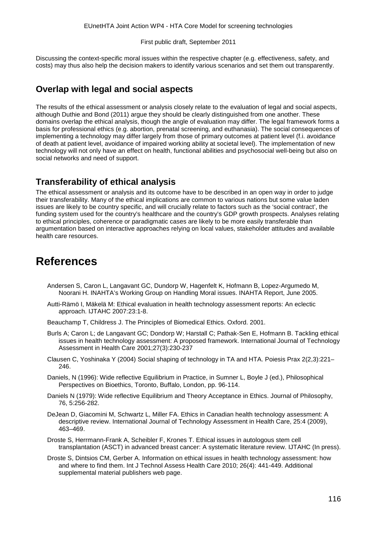Discussing the context-specific moral issues within the respective chapter (e.g. effectiveness, safety, and costs) may thus also help the decision makers to identify various scenarios and set them out transparently.

### **Overlap with legal and social aspects**

The results of the ethical assessment or analysis closely relate to the evaluation of legal and social aspects, although Duthie and Bond (2011) argue they should be clearly distinguished from one another. These domains overlap the ethical analysis, though the angle of evaluation may differ. The legal framework forms a basis for professional ethics (e.g. abortion, prenatal screening, and euthanasia). The social consequences of implementing a technology may differ largely from those of primary outcomes at patient level (f.i. avoidance of death at patient level, avoidance of impaired working ability at societal level). The implementation of new technology will not only have an effect on health, functional abilities and psychosocial well-being but also on social networks and need of support.

#### **Transferability of ethical analysis**

The ethical assessment or analysis and its outcome have to be described in an open way in order to judge their transferability. Many of the ethical implications are common to various nations but some value laden issues are likely to be country specific, and will crucially relate to factors such as the 'social contract', the funding system used for the country's healthcare and the country's GDP growth prospects. Analyses relating to ethical principles, coherence or paradigmatic cases are likely to be more easily transferable than argumentation based on interactive approaches relying on local values, stakeholder attitudes and available health care resources.

### **References**

- Andersen S, Caron L, Langavant GC, Dundorp W, Hagenfelt K, Hofmann B, Lopez-Argumedo M, Noorani H. INAHTA's Working Group on Handling Moral issues. INAHTA Report, June 2005.
- Autti-Rämö I, Mäkelä M: Ethical evaluation in health technology assessment reports: An eclectic approach. IJTAHC 2007:23:1-8.
- Beauchamp T, Childress J. The Principles of Biomedical Ethics. Oxford. 2001.
- Burls A; Caron L; de Langavant GC; Dondorp W; Harstall C; Pathak-Sen E, Hofmann B. Tackling ethical issues in health technology assessment: A proposed framework. International Journal of Technology Assessment in Health Care 2001;27(3):230-237
- Clausen C, Yoshinaka Y (2004) Social shaping of technology in TA and HTA. Poiesis Prax 2(2,3):221– 246.
- Daniels, N (1996): Wide reflective Equilibrium in Practice, in Sumner L, Boyle J (ed.), Philosophical Perspectives on Bioethics, Toronto, Buffalo, London, pp. 96-114.
- Daniels N (1979): Wide reflective Equilibrium and Theory Acceptance in Ethics. Journal of Philosophy, 76, 5:256-282.
- DeJean D, Giacomini M, Schwartz L, Miller FA. Ethics in Canadian health technology assessment: A descriptive review. International Journal of Technology Assessment in Health Care, 25:4 (2009), 463–469.
- Droste S, Herrmann-Frank A, Scheibler F, Krones T. Ethical issues in autologous stem cell transplantation (ASCT) in advanced breast cancer: A systematic literature review. IJTAHC (In press).
- Droste S, Dintsios CM, Gerber A. Information on ethical issues in health technology assessment: how and where to find them. Int J Technol Assess Health Care 2010; 26(4): 441-449. Additional supplemental material publishers web page.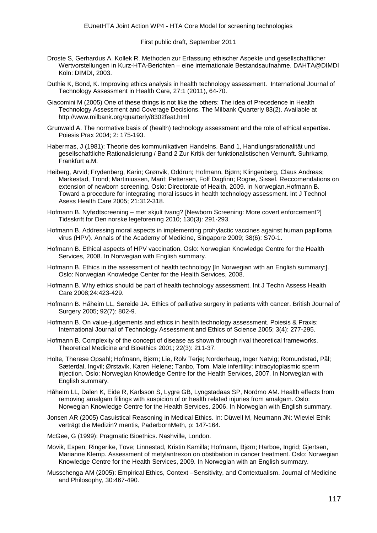- Droste S, Gerhardus A, Kollek R. Methoden zur Erfassung ethischer Aspekte und gesellschaftlicher Wertvorstellungen in Kurz-HTA-Berichten – eine internationale Bestandsaufnahme. DAHTA@DIMDI Köln: DIMDI, 2003.
- Duthie K, Bond, K. Improving ethics analysis in health technology assessment. International Journal of Technology Assessment in Health Care, 27:1 (2011), 64-70.
- Giacomini M (2005) One of these things is not like the others: The idea of Precedence in Health Technology Assessment and Coverage Decisions. The Milbank Quarterly 83(2). Available at http://www.milbank.org/quarterly/8302feat.html
- Grunwald A. The normative basis of (health) technology assessment and the role of ethical expertise. Poiesis Prax 2004; 2: 175-193.
- Habermas, J (1981): Theorie des kommunikativen Handelns. Band 1, Handlungsrationalität und gesellschaftliche Rationalisierung / Band 2 Zur Kritik der funktionalistischen Vernunft. Suhrkamp, Frankfurt a.M.
- Heiberg, Arvid; Frydenberg, Karin; Grønvik, Oddrun; Hofmann, Bjørn; Klingenberg, Claus Andreas; Markestad, Trond; Martiniussen, Marit; Pettersen, Folf Dagfinn; Rogne, Sissel. Reccomendations on extension of newborn screening. Oslo: Directorate of Health, 2009. In Norwegian.Hofmann B. Toward a procedure for integrating moral issues in health technology assessment. Int J Technol Asess Health Care 2005; 21:312-318.
- Hofmann B. Nyfødtscreening mer skjult tvang? [Newborn Screening: More covert enforcement?] Tidsskrift for Den norske legeforening 2010; 130(3): 291-293.
- Hofmann B. Addressing moral aspects in implementing prohylactic vaccines against human papilloma virus (HPV). Annals of the Academy of Medicine, Singapore 2009; 38(6): S70-1.
- Hofmann B. Ethical aspects of HPV vaccination. Oslo: Norwegian Knowledge Centre for the Health Services, 2008. In Norwegian with English summary.
- Hofmann B. Ethics in the assessment of health technology [In Norwegian with an English summary:]. Oslo: Norwegian Knowledge Center for the Health Services, 2008.
- Hofmann B. Why ethics should be part of health technology assessment. Int J Techn Assess Health Care 2008;24:423-429.
- Hofmann B. Håheim LL, Søreide JA. Ethics of palliative surgery in patients with cancer. British Journal of Surgery 2005; 92(7): 802-9.
- Hofmann B. On value-judgements and ethics in health technology assessment. Poiesis & Praxis: International Journal of Technology Assessment and Ethics of Science 2005; 3(4): 277-295.
- Hofmann B. Complexity of the concept of disease as shown through rival theoretical frameworks. Theoretical Medicine and Bioethics 2001; 22(3): 211-37.
- Holte, Therese Opsahl; Hofmann, Bjørn; Lie, Rolv Terje; Norderhaug, Inger Natvig; Romundstad, Pål; Sæterdal, Ingvil; Ørstavik, Karen Helene; Tanbo, Tom. Male infertility: intracytoplasmic sperm injection. Oslo: Norwegian Knowledge Centre for the Health Services, 2007. In Norwegian with English summary.
- Håheim LL, Dalen K, Eide R, Karlsson S, Lygre GB, Lyngstadaas SP, Nordmo AM. Health effects from removing amalgam fillings with suspicion of or health related injuries from amalgam. Oslo: Norwegian Knowledge Centre for the Health Services, 2006. In Norwegian with English summary.
- Jonsen AR (2005) Casuistical Reasoning in Medical Ethics. In: Düwell M, Neumann JN: Wieviel Ethik verträgt die Medizin? mentis, PaderbornMeth, p: 147-164.
- McGee, G (1999): Pragmatic Bioethics. Nashville, London.
- Movik, Espen; Ringerike, Tove; Linnestad, Kristin Kamilla; Hofmann, Bjørn; Harboe, Ingrid; Gjertsen, Marianne Klemp. Assessment of metylantrexon on obstibation in cancer treatment. Oslo: Norwegian Knowledge Centre for the Health Services, 2009. In Norwegian with an English summary.
- Musschenga AM (2005): Empirical Ethics, Context –Sensitivity, and Contextualism. Journal of Medicine and Philosophy, 30:467-490.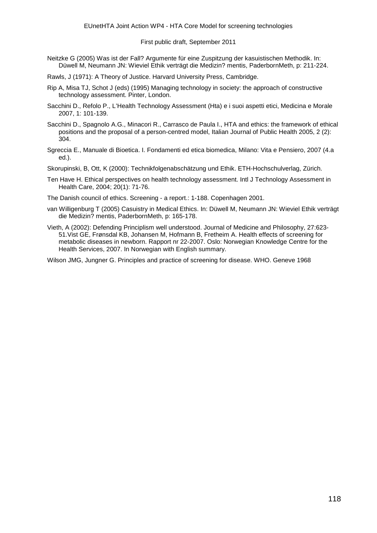- Neitzke G (2005) Was ist der Fall? Argumente für eine Zuspitzung der kasuistischen Methodik. In: Düwell M, Neumann JN: Wieviel Ethik verträgt die Medizin? mentis, PaderbornMeth, p: 211-224.
- Rawls, J (1971): A Theory of Justice. Harvard University Press, Cambridge.
- Rip A, Misa TJ, Schot J (eds) (1995) Managing technology in society: the approach of constructive technology assessment. Pinter, London.
- Sacchini D., Refolo P., L'Health Technology Assessment (Hta) e i suoi aspetti etici, Medicina e Morale 2007, 1: 101-139.
- Sacchini D., Spagnolo A.G., Minacori R., Carrasco de Paula I., HTA and ethics: the framework of ethical positions and the proposal of a person-centred model, Italian Journal of Public Health 2005, 2 (2): 304.
- Sgreccia E., Manuale di Bioetica. I. Fondamenti ed etica biomedica, Milano: Vita e Pensiero, 2007 (4.a ed.).
- Skorupinski, B, Ott, K (2000): Technikfolgenabschätzung und Ethik. ETH-Hochschulverlag, Zürich.
- Ten Have H. Ethical perspectives on health technology assessment. Intl J Technology Assessment in Health Care, 2004; 20(1): 71-76.
- The Danish council of ethics. Screening a report.: 1-188. Copenhagen 2001.
- van Willigenburg T (2005) Casuistry in Medical Ethics. In: Düwell M, Neumann JN: Wieviel Ethik verträgt die Medizin? mentis, PaderbornMeth, p: 165-178.
- Vieth, A (2002): Defending Principlism well understood. Journal of Medicine and Philosophy, 27:623- 51.Vist GE, Frønsdal KB, Johansen M, Hofmann B, Fretheim A. Health effects of screening for metabolic diseases in newborn. Rapport nr 22-2007. Oslo: Norwegian Knowledge Centre for the Health Services, 2007. In Norwegian with English summary.

Wilson JMG, Jungner G. Principles and practice of screening for disease. WHO. Geneve 1968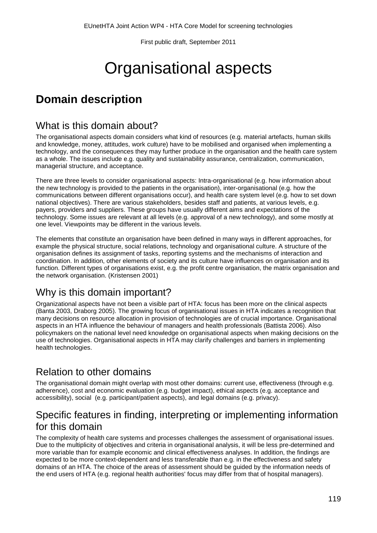# Organisational aspects

# **Domain description**

### What is this domain about?

The organisational aspects domain considers what kind of resources (e.g. material artefacts, human skills and knowledge, money, attitudes, work culture) have to be mobilised and organised when implementing a technology, and the consequences they may further produce in the organisation and the health care system as a whole. The issues include e.g. quality and sustainability assurance, centralization, communication, managerial structure, and acceptance.

There are three levels to consider organisational aspects: Intra-organisational (e.g. how information about the new technology is provided to the patients in the organisation), inter-organisational (e.g. how the communications between different organisations occur), and health care system level (e.g. how to set down national objectives). There are various stakeholders, besides staff and patients, at various levels, e.g. payers, providers and suppliers. These groups have usually different aims and expectations of the technology. Some issues are relevant at all levels (e.g. approval of a new technology), and some mostly at one level. Viewpoints may be different in the various levels.

The elements that constitute an organisation have been defined in many ways in different approaches, for example the physical structure, social relations, technology and organisational culture. A structure of the organisation defines its assignment of tasks, reporting systems and the mechanisms of interaction and coordination. In addition, other elements of society and its culture have influences on organisation and its function. Different types of organisations exist, e.g. the profit centre organisation, the matrix organisation and the network organisation. (Kristensen 2001)

# Why is this domain important?

Organizational aspects have not been a visible part of HTA: focus has been more on the clinical aspects (Banta 2003, Draborg 2005). The growing focus of organisational issues in HTA indicates a recognition that many decisions on resource allocation in provision of technologies are of crucial importance. Organisational aspects in an HTA influence the behaviour of managers and health professionals (Battista 2006). Also policymakers on the national level need knowledge on organisational aspects when making decisions on the use of technologies. Organisational aspects in HTA may clarify challenges and barriers in implementing health technologies.

# Relation to other domains

The organisational domain might overlap with most other domains: current use, effectiveness (through e.g. adherence), cost and economic evaluation (e.g. budget impact), ethical aspects (e.g. acceptance and accessibility), social (e.g. participant/patient aspects), and legal domains (e.g. privacy).

### Specific features in finding, interpreting or implementing information for this domain

The complexity of health care systems and processes challenges the assessment of organisational issues. Due to the multiplicity of objectives and criteria in organisational analysis, it will be less pre-determined and more variable than for example economic and clinical effectiveness analyses. In addition, the findings are expected to be more context-dependent and less transferable than e.g. in the effectiveness and safety domains of an HTA. The choice of the areas of assessment should be guided by the information needs of the end users of HTA (e.g. regional health authorities' focus may differ from that of hospital managers).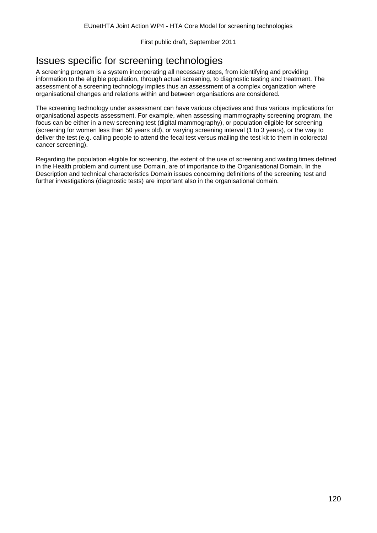# Issues specific for screening technologies

A screening program is a system incorporating all necessary steps, from identifying and providing information to the eligible population, through actual screening, to diagnostic testing and treatment. The assessment of a screening technology implies thus an assessment of a complex organization where organisational changes and relations within and between organisations are considered.

The screening technology under assessment can have various objectives and thus various implications for organisational aspects assessment. For example, when assessing mammography screening program, the focus can be either in a new screening test (digital mammography), or population eligible for screening (screening for women less than 50 years old), or varying screening interval (1 to 3 years), or the way to deliver the test (e.g. calling people to attend the fecal test versus mailing the test kit to them in colorectal cancer screening).

Regarding the population eligible for screening, the extent of the use of screening and waiting times defined in the Health problem and current use Domain, are of importance to the Organisational Domain. In the Description and technical characteristics Domain issues concerning definitions of the screening test and further investigations (diagnostic tests) are important also in the organisational domain.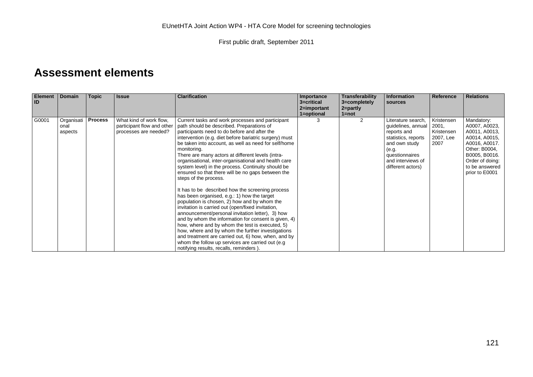# **Assessment elements**

| <b>Element</b><br><b>ID</b> | <b>Domain</b>                 | <b>Topic</b>   | <b>Issue</b>                                                                   | <b>Clarification</b>                                                                                                                                                                                                                                                                                                                                                                                                                                                                                                                                                                                                                                                                                                                                                                                                                                                                                                                                                                                                                                                                                              | Importance<br>3=critical<br>2=important<br>1=optional | Transferability<br>3=completely<br>$2 =$ partly<br>$1 = not$ | <b>Information</b><br>sources                                                                                                                                        | Reference                                              | <b>Relations</b>                                                                                                                                                        |
|-----------------------------|-------------------------------|----------------|--------------------------------------------------------------------------------|-------------------------------------------------------------------------------------------------------------------------------------------------------------------------------------------------------------------------------------------------------------------------------------------------------------------------------------------------------------------------------------------------------------------------------------------------------------------------------------------------------------------------------------------------------------------------------------------------------------------------------------------------------------------------------------------------------------------------------------------------------------------------------------------------------------------------------------------------------------------------------------------------------------------------------------------------------------------------------------------------------------------------------------------------------------------------------------------------------------------|-------------------------------------------------------|--------------------------------------------------------------|----------------------------------------------------------------------------------------------------------------------------------------------------------------------|--------------------------------------------------------|-------------------------------------------------------------------------------------------------------------------------------------------------------------------------|
| G0001                       | Organisati<br>onal<br>aspects | <b>Process</b> | What kind of work flow,<br>participant flow and other<br>processes are needed? | Current tasks and work processes and participant<br>path should be described. Preparations of<br>participants need to do before and after the<br>intervention (e.g. diet before bariatric surgery) must<br>be taken into account, as well as need for self/home<br>monitoring.<br>There are many actors at different levels (intra-<br>organisational, inter-organisational and health care<br>system level) in the process. Continuity should be<br>ensured so that there will be no gaps between the<br>steps of the process.<br>It has to be described how the screening process<br>has been organised, e.g.: 1) how the target<br>population is chosen, 2) how and by whom the<br>invitation is carried out (open/fixed invitation,<br>announcement/personal invitation letter), 3) how<br>and by whom the information for consent is given, 4)<br>how, where and by whom the test is executed, 5)<br>how, where and by whom the further investigations<br>and treatment are carried out, 6) how, when, and by<br>whom the follow up services are carried out (e.g<br>notifying results, recalls, reminders). |                                                       | 2                                                            | Literature search,<br>guidelines, annual<br>reports and<br>statistics, reports<br>and own study<br>(e.g.<br>questionnaires<br>and interviews of<br>different actors) | Kristensen<br>2001,<br>Kristensen<br>2007, Lee<br>2007 | Mandatory:<br>A0007, A0023,<br>A0011, A0013,<br>A0014, A0015,<br>A0016, A0017.<br>Other: B0004,<br>B0005, B0016.<br>Order of doing:<br>to be answered<br>prior to E0001 |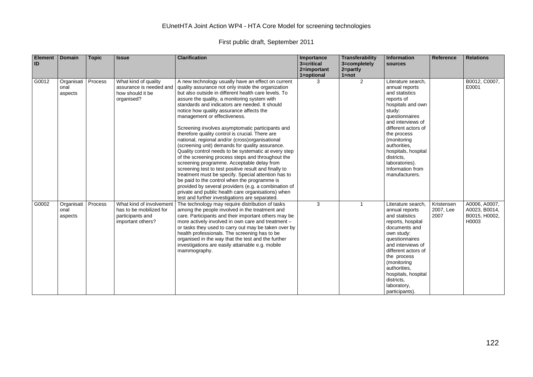| <b>Element</b><br>ID | <b>Domain</b>                 | <b>Topic</b> | <b>Issue</b>                                                                                 | <b>Clarification</b>                                                                                                                                                                                                                                                                                                                                                                                                                                                                                                                                                                                                                                                                                                                                                                                                                                                                                                                                                                                                                                   | Importance<br>3=critical<br>2=important | <b>Transferability</b><br>3=completely<br>$2 = partly$ | Information<br>sources                                                                                                                                                                                                                                                                                       | <b>Reference</b>                | <b>Relations</b>                                         |
|----------------------|-------------------------------|--------------|----------------------------------------------------------------------------------------------|--------------------------------------------------------------------------------------------------------------------------------------------------------------------------------------------------------------------------------------------------------------------------------------------------------------------------------------------------------------------------------------------------------------------------------------------------------------------------------------------------------------------------------------------------------------------------------------------------------------------------------------------------------------------------------------------------------------------------------------------------------------------------------------------------------------------------------------------------------------------------------------------------------------------------------------------------------------------------------------------------------------------------------------------------------|-----------------------------------------|--------------------------------------------------------|--------------------------------------------------------------------------------------------------------------------------------------------------------------------------------------------------------------------------------------------------------------------------------------------------------------|---------------------------------|----------------------------------------------------------|
| G0012                | Organisati<br>onal<br>aspects | Process      | What kind of quality<br>assurance is needed and<br>how should it be<br>organised?            | A new technology usually have an effect on current<br>quality assurance not only inside the organization<br>but also outside in different health care levels. To<br>assure the quality, a monitoring system with<br>standards and indicators are needed. It should<br>notice how quality assurance affects the<br>management or effectiveness.<br>Screening involves asymptomatic participants and<br>therefore quality control is crucial. There are<br>national, regional and/or (cross)organisational<br>(screening unit) demands for quality assurance.<br>Quality control needs to be systematic at every step<br>of the screening process steps and throughout the<br>screening programme. Acceptable delay from<br>screening test to test positive result and finally to<br>treatment must be specify. Special attention has to<br>be paid to the control when the programme is<br>provided by several providers (e.g. a combination of<br>private and public health care organisations) when<br>test and further investigations are separated. | 1=optional<br>3                         | $1 = not$<br>$\overline{2}$                            | Literature search,<br>annual reports<br>and statistics<br>reports of<br>hospitals and own<br>study:<br>questionnaires<br>and interviews of<br>different actors of<br>the process<br>(monitoring<br>authorities.<br>hospitals, hospital<br>districts.<br>laboratories).<br>Information from<br>manufacturers. |                                 | B0012, C0007,<br>E0001                                   |
| G0002                | Organisati<br>onal<br>aspects | Process      | What kind of involvement<br>has to be mobilized for<br>participants and<br>important others? | The technology may require distribution of tasks<br>among the people involved in the treatment and<br>care. Participants and their important others may be<br>more actively involved in own care and treatment -<br>or tasks they used to carry out may be taken over by<br>health professionals. The screening has to be<br>organised in the way that the test and the further<br>investigations are easily attainable e.g. mobile<br>mammography.                                                                                                                                                                                                                                                                                                                                                                                                                                                                                                                                                                                                    | 3                                       | $\overline{1}$                                         | Literature search.<br>annual reports<br>and statistics<br>reports, hospital<br>documents and<br>own study:<br>questionnaires<br>and interviews of<br>different actors of<br>the process<br>(monitoring<br>authorities.<br>hospitals, hospital<br>districts.<br>laboratory,<br>participants).                 | Kristensen<br>2007, Lee<br>2007 | A0006, A0007,<br>A0023, B0014,<br>B0015, H0002,<br>H0003 |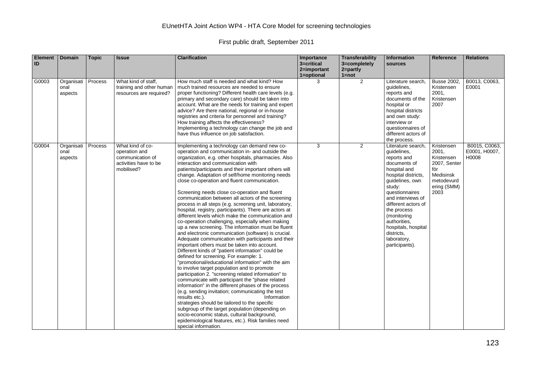| <b>Element</b><br>ID | <b>Domain</b>                 | <b>Topic</b> | <b>Issue</b>                                                                                 | <b>Clarification</b>                                                                                                                                                                                                                                                                                                                                                                                                                                                                                                                                                                                                                                                                                                                                                                                                                                                                                                                                                                                                                                                                                                                                                                                                                                                                                                                                                                                                                                                                                                                                                                                         | Importance<br>3=critical<br>2=important<br>1=optional | Transferability<br>3=completely<br>$2 = partly$<br>$1 = not$ | <b>Information</b><br>sources                                                                                                                                                                                                                                                                                          | Reference                                                                                                  | <b>Relations</b>                        |
|----------------------|-------------------------------|--------------|----------------------------------------------------------------------------------------------|--------------------------------------------------------------------------------------------------------------------------------------------------------------------------------------------------------------------------------------------------------------------------------------------------------------------------------------------------------------------------------------------------------------------------------------------------------------------------------------------------------------------------------------------------------------------------------------------------------------------------------------------------------------------------------------------------------------------------------------------------------------------------------------------------------------------------------------------------------------------------------------------------------------------------------------------------------------------------------------------------------------------------------------------------------------------------------------------------------------------------------------------------------------------------------------------------------------------------------------------------------------------------------------------------------------------------------------------------------------------------------------------------------------------------------------------------------------------------------------------------------------------------------------------------------------------------------------------------------------|-------------------------------------------------------|--------------------------------------------------------------|------------------------------------------------------------------------------------------------------------------------------------------------------------------------------------------------------------------------------------------------------------------------------------------------------------------------|------------------------------------------------------------------------------------------------------------|-----------------------------------------|
| G0003                | Organisati<br>onal<br>aspects | Process      | What kind of staff,<br>training and other human<br>resources are required?                   | How much staff is needed and what kind? How<br>much trained resources are needed to ensure<br>proper functioning? Different health care levels (e.g.<br>primary and secondary care) should be taken into<br>account. What are the needs for training and expert<br>advice? Are there national, regional or in-house<br>registries and criteria for personnel and training?<br>How training affects the effectiveness?<br>Implementing a technology can change the job and<br>have thus influence on job satisfaction.                                                                                                                                                                                                                                                                                                                                                                                                                                                                                                                                                                                                                                                                                                                                                                                                                                                                                                                                                                                                                                                                                        | 3                                                     | 2                                                            | Literature search,<br>quidelines,<br>reports and<br>documents of the<br>hospital or<br>hospital districts<br>and own study:<br>interview or<br>questionnaires of<br>different actors of<br>the process.                                                                                                                | <b>Busse 2002,</b><br>Kristensen<br>2001,<br>Kristensen<br>2007                                            | B0013, C0063,<br>E0001                  |
| G0004                | Organisati<br>onal<br>aspects | Process      | What kind of co-<br>operation and<br>communication of<br>activities have to be<br>mobilised? | Implementing a technology can demand new co-<br>operation and communication in- and outside the<br>organization, e.g. other hospitals, pharmacies. Also<br>interaction and communication with<br>patients/participants and their important others will<br>change. Adaptation of self/home monitoring needs<br>close co-operation and fluent communication.<br>Screening needs close co-operation and fluent<br>communication between all actors of the screening<br>process in all steps (e.g. screening unit, laboratory,<br>hospital, registry, participants). There are actors at<br>different levels which make the communication and<br>co-operation challenging, especially when making<br>up a new screening. The information must be fluent<br>and electronic communication (software) is crucial.<br>Adequate communication with participants and their<br>important others must be taken into account.<br>Different kinds of "patient information" could be<br>defined for screening. For example: 1.<br>"promotional/educational information" with the aim<br>to involve target population and to promote<br>participation 2. "screening related information" to<br>communicate with participant the "phase related<br>information" in the different phases of the process<br>(e.g. sending invitation; communicating the test<br>results etc.).<br>Information<br>strategies should be tailored to the specific<br>subgroup of the target population (depending on<br>socio-economic status, cultural background,<br>epidemiological features, etc.). Risk families need<br>special information. | 3                                                     | $\overline{2}$                                               | Literature search,<br>quidelines.<br>reports and<br>documents of<br>hospital and<br>hospital districts,<br>quidelines, own<br>study:<br>questionnaires<br>and interviews of<br>different actors of<br>the process<br>(monitoring<br>authorities.<br>hospitals, hospital<br>districts.<br>laboratory,<br>participants). | Kristensen<br>2001,<br>Kristensen<br>2007, Senter<br>för<br>Medisinsk<br>metodevurd<br>ering (SMM)<br>2003 | B0015, C0063,<br>E0001, H0007,<br>H0008 |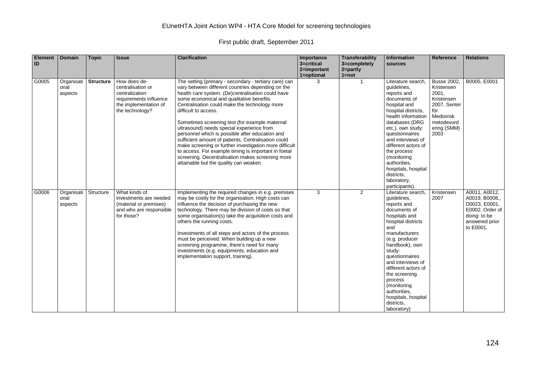| <b>Element</b><br>ID | Domain                        | <b>Topic</b>     | <b>Issue</b>                                                                                                              | <b>Clarification</b>                                                                                                                                                                                                                                                                                                                                                                                                                                                                                                                                                                                                                                                                                           | Importance<br>3=critical<br>2=important<br>1=optional | <b>Transferability</b><br>3=completely<br>2=partly<br>$1 = not$ | Information<br>sources                                                                                                                                                                                                                                                                                                                                     | Reference                                                                                                                        | <b>Relations</b>                                                                                                   |
|----------------------|-------------------------------|------------------|---------------------------------------------------------------------------------------------------------------------------|----------------------------------------------------------------------------------------------------------------------------------------------------------------------------------------------------------------------------------------------------------------------------------------------------------------------------------------------------------------------------------------------------------------------------------------------------------------------------------------------------------------------------------------------------------------------------------------------------------------------------------------------------------------------------------------------------------------|-------------------------------------------------------|-----------------------------------------------------------------|------------------------------------------------------------------------------------------------------------------------------------------------------------------------------------------------------------------------------------------------------------------------------------------------------------------------------------------------------------|----------------------------------------------------------------------------------------------------------------------------------|--------------------------------------------------------------------------------------------------------------------|
| G0005                | Organisati<br>onal<br>aspects | <b>Structure</b> | How does de-<br>centralisation or<br>centralization<br>requirements influence<br>the implementation of<br>the technology? | The setting (primary - secondary - tertiary care) can<br>vary between different countries depending on the<br>health care system. (De)centralisation could have<br>some economical and qualitative benefits.<br>Centralisation could make the technology more<br>difficult to access.<br>Sometimes screening test (for example maternal<br>ultrasound) needs special experience from<br>personnel which is possible after education and<br>sufficient amount of patients. Centralisation could<br>make screening or further investigation more difficult<br>to access. For example timing is important in foetal<br>screening. Decentralisation makes screening more<br>attainable but the quality can weaken. | 3                                                     | $\overline{1}$                                                  | Literature search,<br>guidelines,<br>reports and<br>documents of<br>hospital and<br>hospital districts.<br>health information<br>databases (DRG<br>etc.), own study:<br>questionnaires<br>and interviews of<br>different actors of<br>the process<br>(monitoring<br>authorities.<br>hospitals, hospital<br>districts.<br>laboratory,<br>participants).     | <b>Busse 2002,</b><br>Kristensen<br>2001,<br>Kristensen<br>2007, Senter<br>för<br>Medisinsk<br>metodevurd<br>ering (SMM)<br>2003 | B0005, E0001                                                                                                       |
| G0006                | Organisati<br>onal<br>aspects | Structure        | What kinds of<br>investments are needed<br>(material or premises)<br>and who are responsible<br>for those?                | Implementing the required changes in e.g. premises<br>may be costly for the organisation. High costs can<br>influence the decision of purchasing the new<br>technology. There may be division of costs so that<br>some organisation(s) take the acquisition costs and<br>others the running costs.<br>Investments of all steps and actors of the process<br>must be perceived. When building up a new<br>screening programme, there's need for many<br>investments (e.g. equipments, education and<br>implementation support, training).                                                                                                                                                                       | 3                                                     | $\overline{2}$                                                  | Literature search.<br>quidelines,<br>reports and<br>documents of<br>hospitals and<br>hospital districts<br>and<br>manufacturers<br>(e.g. producer<br>handbook), own<br>study:<br>questionnaires<br>and interviews of<br>different actors of<br>the screening<br>process<br>(monitoring<br>authorities,<br>hospitals, hospital<br>districts.<br>laboratory) | Kristensen<br>2007                                                                                                               | A0011, A0012,<br>A0019, B0008,,<br>D0023, E0001,<br>E0002. Order of<br>doing: to be<br>answered prior<br>to E0001. |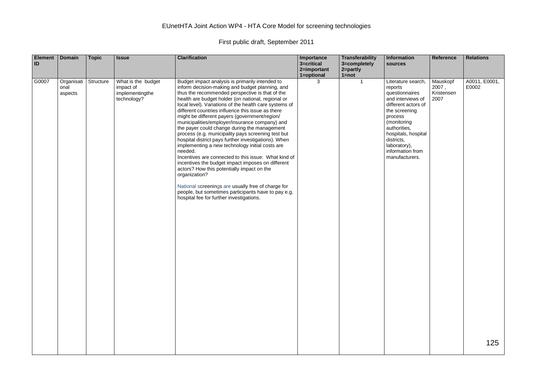| <b>Element</b><br>ID | Domain                        | <b>Topic</b> | <b>Issue</b>                                                      | <b>Clarification</b>                                                                                                                                                                                                                                                                                                                                                                                                                                                                                                                                                                                                                                                                                                                                                                                                                                                                                                                                                                           | Importance<br>3=critical<br>2=important<br>1=optional | Transferability<br>3=completely<br>2=partly<br>$1 = not$ | Information<br>sources                                                                                                                                                                                                                            | Reference                               | <b>Relations</b>       |
|----------------------|-------------------------------|--------------|-------------------------------------------------------------------|------------------------------------------------------------------------------------------------------------------------------------------------------------------------------------------------------------------------------------------------------------------------------------------------------------------------------------------------------------------------------------------------------------------------------------------------------------------------------------------------------------------------------------------------------------------------------------------------------------------------------------------------------------------------------------------------------------------------------------------------------------------------------------------------------------------------------------------------------------------------------------------------------------------------------------------------------------------------------------------------|-------------------------------------------------------|----------------------------------------------------------|---------------------------------------------------------------------------------------------------------------------------------------------------------------------------------------------------------------------------------------------------|-----------------------------------------|------------------------|
| G0007                | Organisati<br>onal<br>aspects | Structure    | What is the budget<br>impact of<br>implementingthe<br>technology? | Budget impact analysis is primarily intended to<br>inform decision-making and budget planning, and<br>thus the recommended perspective is that of the<br>health are budget holder (on national, regional or<br>local level). Variations of the health care systems of<br>different countries influence this issue as there<br>might be different payers (government/region/<br>municipalities/employer/insurance company) and<br>the payer could change during the management<br>process (e.g. municipality pays screening test but<br>hospital district pays further investigations). When<br>implementing a new technology initial costs are<br>needed.<br>Incentives are connected to this issue: What kind of<br>incentives the budget impact imposes on different<br>actors? How this potentially impact on the<br>organization?<br>National screenings are usually free of charge for<br>people, but sometimes participants have to pay e.g.<br>hospital fee for further investigations. | 3                                                     | $\mathbf 1$                                              | Literature search,<br>reports<br>questionnaires<br>and interviews of<br>different actors of<br>the screening<br>process<br>(monitoring<br>authorities,<br>hospitals, hospital<br>districts.<br>laboratory),<br>information from<br>manufacturers. | Mauskopf<br>2007,<br>Kristensen<br>2007 | A0011, E0001,<br>E0002 |
|                      |                               |              |                                                                   |                                                                                                                                                                                                                                                                                                                                                                                                                                                                                                                                                                                                                                                                                                                                                                                                                                                                                                                                                                                                |                                                       |                                                          |                                                                                                                                                                                                                                                   |                                         | 125                    |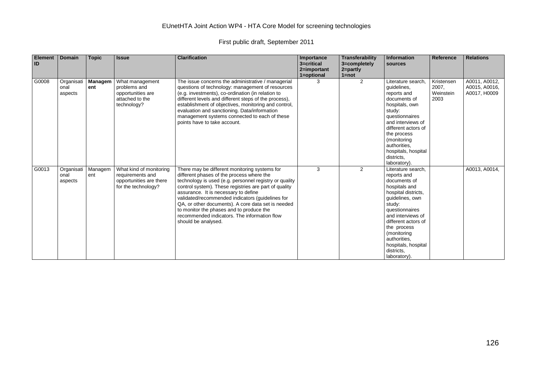| <b>Element</b><br>ID | <b>Domain</b>                 | <b>Topic</b>   | <b>Issue</b>                                                                                  | <b>Clarification</b>                                                                                                                                                                                                                                                                                                                                                                                                                                                               | Importance<br>3=critical<br>2=important<br>1=optional | Transferability<br>3=completely<br>2=partly<br>$1 = not$ | <b>Information</b><br>sources                                                                                                                                                                                                                                                           | Reference                                | <b>Relations</b>                               |
|----------------------|-------------------------------|----------------|-----------------------------------------------------------------------------------------------|------------------------------------------------------------------------------------------------------------------------------------------------------------------------------------------------------------------------------------------------------------------------------------------------------------------------------------------------------------------------------------------------------------------------------------------------------------------------------------|-------------------------------------------------------|----------------------------------------------------------|-----------------------------------------------------------------------------------------------------------------------------------------------------------------------------------------------------------------------------------------------------------------------------------------|------------------------------------------|------------------------------------------------|
| G0008                | Organisati<br>onal<br>aspects | Managem<br>ent | What management<br>problems and<br>opportunities are<br>attached to the<br>technology?        | The issue concerns the administrative / managerial<br>questions of technology: management of resources<br>(e.g. investments), co-ordination (in relation to<br>different levels and different steps of the process),<br>establishment of objectives, monitoring and control,<br>evaluation and sanctioning. Data/information<br>management systems connected to each of these<br>points have to take account.                                                                      | 3                                                     | 2                                                        | Literature search,<br>guidelines,<br>reports and<br>documents of<br>hospitals, own<br>study:<br>questionnaires<br>and interviews of<br>different actors of<br>the process<br>(monitoring<br>authorities.<br>hospitals, hospital<br>districts.<br>laboratory).                           | Kristensen<br>2007,<br>Weinstein<br>2003 | A0011, A0012,<br>A0015, A0016,<br>A0017, H0009 |
| G0013                | Organisati<br>onal<br>aspects | Managem<br>ent | What kind of monitoring<br>requirements and<br>opportunities are there<br>for the technology? | There may be different monitoring systems for<br>different phases of the process where the<br>technology is used (e.g. personnel registry or quality<br>control system). These registries are part of quality<br>assurance. It is necessary to define<br>validated/recommended indicators (quidelines for<br>QA, or other documents). A core data set is needed<br>to monitor the phases and to produce the<br>recommended indicators. The information flow<br>should be analysed. | 3                                                     | $\mathbf{2}$                                             | Literature search,<br>reports and<br>documents of<br>hospitals and<br>hospital districts.<br>quidelines, own<br>study:<br>questionnaires<br>and interviews of<br>different actors of<br>the process<br>(monitoring<br>authorities.<br>hospitals, hospital<br>districts.<br>laboratory). |                                          | A0013, A0014,                                  |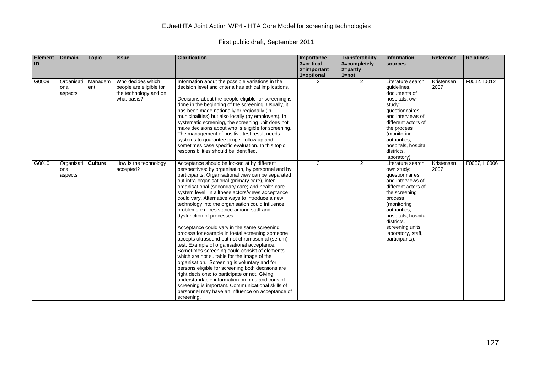| <b>Element</b><br>ID | <b>Domain</b>                 | <b>Topic</b>   | <b>Issue</b>                                                                         | <b>Clarification</b>                                                                                                                                                                                                                                                                                                                                                                                                                                                                                                                                                                                                                                                                                                                                                                                                                                                                                                                                                                                                                                                                                                                  | Importance<br>3=critical<br>2=important<br>1=optional | <b>Transferability</b><br>3=completely<br>2=partly<br>$1 = not$ | Information<br>sources                                                                                                                                                                                                                                     | <b>Reference</b>   | <b>Relations</b> |
|----------------------|-------------------------------|----------------|--------------------------------------------------------------------------------------|---------------------------------------------------------------------------------------------------------------------------------------------------------------------------------------------------------------------------------------------------------------------------------------------------------------------------------------------------------------------------------------------------------------------------------------------------------------------------------------------------------------------------------------------------------------------------------------------------------------------------------------------------------------------------------------------------------------------------------------------------------------------------------------------------------------------------------------------------------------------------------------------------------------------------------------------------------------------------------------------------------------------------------------------------------------------------------------------------------------------------------------|-------------------------------------------------------|-----------------------------------------------------------------|------------------------------------------------------------------------------------------------------------------------------------------------------------------------------------------------------------------------------------------------------------|--------------------|------------------|
| G0009                | Organisati<br>onal<br>aspects | Managem<br>ent | Who decides which<br>people are eligible for<br>the technology and on<br>what basis? | Information about the possible variations in the<br>decision level and criteria has ethical implications.<br>Decisions about the people eligible for screening is<br>done in the beginning of the screening. Usually, it<br>has been made nationally or regionally (in<br>municipalities) but also locally (by employers). In<br>systematic screening, the screening unit does not<br>make decisions about who is eligible for screening.<br>The management of positive test result needs<br>systems to guarantee proper follow up and<br>sometimes case specific evaluation. In this topic<br>responsibilities should be identified.                                                                                                                                                                                                                                                                                                                                                                                                                                                                                                 | $\mathcal{P}$                                         | $\overline{2}$                                                  | Literature search.<br>quidelines,<br>documents of<br>hospitals, own<br>study:<br>questionnaires<br>and interviews of<br>different actors of<br>the process<br>(monitoring<br>authorities.<br>hospitals, hospital<br>districts,<br>laboratory).             | Kristensen<br>2007 | F0012, I0012     |
| G0010                | Organisati<br>onal<br>aspects | <b>Culture</b> | How is the technology<br>accepted?                                                   | Acceptance should be looked at by different<br>perspectives: by organisation, by personnel and by<br>participants. Organisational view can be separated<br>out intra-organisational (primary care), inter-<br>organisational (secondary care) and health care<br>system level. In allthese actors/views acceptance<br>could vary. Alternative ways to introduce a new<br>technology into the organisation could influence<br>problems e.g. resistance among staff and<br>dysfunction of processes.<br>Acceptance could vary in the same screening<br>process for example in foetal screening someone<br>accepts ultrasound but not chromosomal (serum)<br>test. Example of organisational acceptance:<br>Sometimes screening could consist of elements<br>which are not suitable for the image of the<br>organisation. Screening is voluntary and for<br>persons eligible for screening both decisions are<br>right decisions: to participate or not. Giving<br>understandable information on pros and cons of<br>screening is important. Communicational skills of<br>personnel may have an influence on acceptance of<br>screening. | 3                                                     | $\overline{2}$                                                  | Literature search,<br>own study:<br>questionnaires<br>and interviews of<br>different actors of<br>the screening<br>process<br>(monitoring<br>authorities.<br>hospitals, hospital<br>districts.<br>screening units,<br>laboratory, staff,<br>participants). | Kristensen<br>2007 | F0007, H0006     |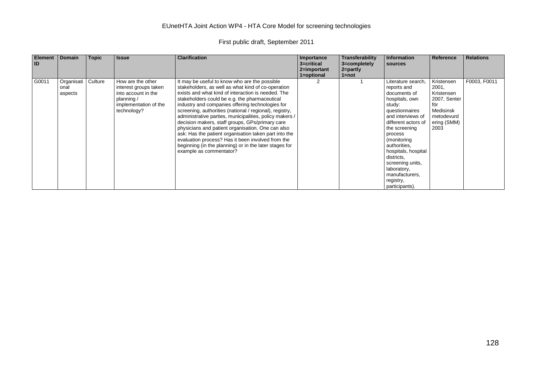| Element<br>ID | <b>Domain</b>                 | <b>Topic</b> | <b>Issue</b>                                                                                                            | <b>Clarification</b>                                                                                                                                                                                                                                                                                                                                                                                                                                                                                                                                                                                                                                                                            | Importance<br>3=critical<br>2=important<br>1=optional | Transferability<br>3=completely<br>$2 = partly$<br>$1 = not$ | Information<br>sources                                                                                                                                                                                                                                                                                                          | Reference                                                                                                  | <b>Relations</b> |
|---------------|-------------------------------|--------------|-------------------------------------------------------------------------------------------------------------------------|-------------------------------------------------------------------------------------------------------------------------------------------------------------------------------------------------------------------------------------------------------------------------------------------------------------------------------------------------------------------------------------------------------------------------------------------------------------------------------------------------------------------------------------------------------------------------------------------------------------------------------------------------------------------------------------------------|-------------------------------------------------------|--------------------------------------------------------------|---------------------------------------------------------------------------------------------------------------------------------------------------------------------------------------------------------------------------------------------------------------------------------------------------------------------------------|------------------------------------------------------------------------------------------------------------|------------------|
| G0011         | Organisati<br>onal<br>aspects | Culture      | How are the other<br>interest groups taken<br>into account in the<br>planning /<br>implementation of the<br>technology? | It may be useful to know who are the possible<br>stakeholders, as well as what kind of co-operation<br>exists and what kind of interaction is needed. The<br>stakeholders could be e.g. the pharmaceutical<br>industry and companies offering technologies for<br>screening, authorities (national / regional), registry,<br>administrative parties, municipalities, policy makers /<br>decision makers, staff groups, GPs/primary care<br>physicians and patient organisation. One can also<br>ask: Has the patient organisation taken part into the<br>evaluation process? Has it been involved from the<br>beginning (in the planning) or in the later stages for<br>example as commentator? |                                                       |                                                              | Literature search.<br>reports and<br>documents of<br>hospitals, own<br>study:<br>questionnaires<br>and interviews of<br>different actors of<br>the screening<br>process<br>(monitoring<br>authorities,<br>hospitals, hospital<br>districts,<br>screening units,<br>laboratory,<br>manufacturers,<br>registry,<br>participants). | Kristensen<br>2001,<br>Kristensen<br>2007, Senter<br>för<br>Medisinsk<br>metodevurd<br>ering (SMM)<br>2003 | F0003, F0011     |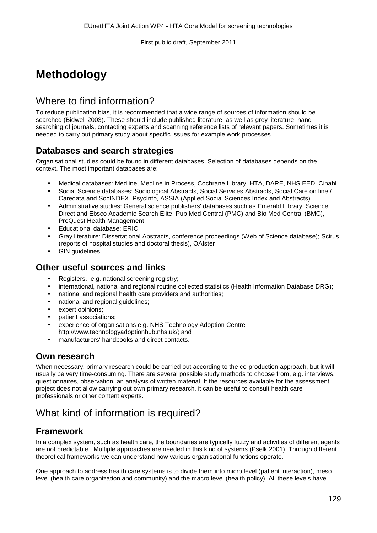# **Methodology**

# Where to find information?

To reduce publication bias, it is recommended that a wide range of sources of information should be searched (Bidwell 2003). These should include published literature, as well as grey literature, hand searching of journals, contacting experts and scanning reference lists of relevant papers. Sometimes it is needed to carry out primary study about specific issues for example work processes.

### **Databases and search strategies**

Organisational studies could be found in different databases. Selection of databases depends on the context. The most important databases are:

- Medical databases: Medline, Medline in Process, Cochrane Library, HTA, DARE, NHS EED, Cinahl
- Social Science databases: Sociological Abstracts, Social Services Abstracts, Social Care on line / Caredata and SocINDEX, PsycInfo, ASSIA (Applied Social Sciences Index and Abstracts)
- Administrative studies: General science publishers' databases such as Emerald Library, Science Direct and Ebsco Academic Search Elite, Pub Med Central (PMC) and Bio Med Central (BMC), ProQuest Health Management
- Educational database: ERIC
- Gray literature: Dissertational Abstracts, conference proceedings (Web of Science database); Scirus (reports of hospital studies and doctoral thesis), OAIster
- GIN guidelines

### **Other useful sources and links**

- Registers, e.g. national screening registry;
- international, national and regional routine collected statistics (Health Information Database DRG);
- national and regional health care providers and authorities;
- national and regional guidelines:
- expert opinions;
- patient associations;
- experience of organisations e.g. NHS Technology Adoption Centre http://www.technologyadoptionhub.nhs.uk/; and
- manufacturers' handbooks and direct contacts.

#### **Own research**

When necessary, primary research could be carried out according to the co-production approach, but it will usually be very time-consuming. There are several possible study methods to choose from, e.g. interviews, questionnaires, observation, an analysis of written material. If the resources available for the assessment project does not allow carrying out own primary research, it can be useful to consult health care professionals or other content experts.

# What kind of information is required?

### **Framework**

In a complex system, such as health care, the boundaries are typically fuzzy and activities of different agents are not predictable. Multiple approaches are needed in this kind of systems (Pselk 2001). Through different theoretical frameworks we can understand how various organisational functions operate.

One approach to address health care systems is to divide them into micro level (patient interaction), meso level (health care organization and community) and the macro level (health policy). All these levels have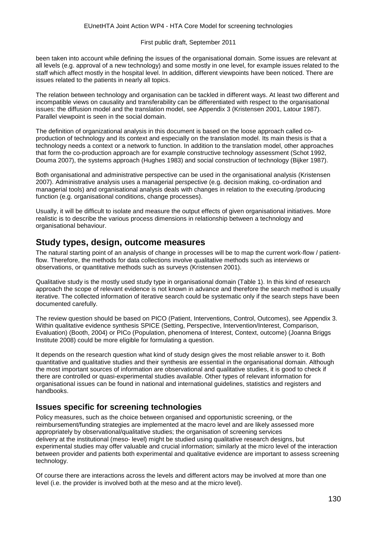been taken into account while defining the issues of the organisational domain. Some issues are relevant at all levels (e.g. approval of a new technology) and some mostly in one level, for example issues related to the staff which affect mostly in the hospital level. In addition, different viewpoints have been noticed. There are issues related to the patients in nearly all topics.

The relation between technology and organisation can be tackled in different ways. At least two different and incompatible views on causality and transferability can be differentiated with respect to the organisational issues: the diffusion model and the translation model, see Appendix 3 (Kristensen 2001, Latour 1987). Parallel viewpoint is seen in the social domain.

The definition of organizational analysis in this document is based on the loose approach called coproduction of technology and its context and especially on the translation model. Its main thesis is that a technology needs a context or a network to function. In addition to the translation model, other approaches that form the co-production approach are for example constructive technology assessment (Schot 1992, Douma 2007), the systems approach (Hughes 1983) and social construction of technology (Bijker 1987).

Both organisational and administrative perspective can be used in the organisational analysis (Kristensen 2007). Administrative analysis uses a managerial perspective (e.g. decision making, co-ordination and managerial tools) and organisational analysis deals with changes in relation to the executing /producing function (e.g. organisational conditions, change processes).

Usually, it will be difficult to isolate and measure the output effects of given organisational initiatives. More realistic is to describe the various process dimensions in relationship between a technology and organisational behaviour.

#### **Study types, design, outcome measures**

The natural starting point of an analysis of change in processes will be to map the current work-flow / patientflow. Therefore, the methods for data collections involve qualitative methods such as interviews or observations, or quantitative methods such as surveys (Kristensen 2001).

Qualitative study is the mostly used study type in organisational domain (Table 1). In this kind of research approach the scope of relevant evidence is not known in advance and therefore the search method is usually iterative. The collected information of iterative search could be systematic only if the search steps have been documented carefully.

The review question should be based on PICO (Patient, Interventions, Control, Outcomes), see Appendix 3. Within qualitative evidence synthesis SPICE (Setting, Perspective, Intervention/Interest, Comparison, Evaluation) (Booth, 2004) or PICo (Population, phenomena of Interest, Context, outcome) (Joanna Briggs Institute 2008) could be more eligible for formulating a question.

It depends on the research question what kind of study design gives the most reliable answer to it. Both quantitative and qualitative studies and their synthesis are essential in the organisational domain. Although the most important sources of information are observational and qualitative studies, it is good to check if there are controlled or quasi-experimental studies available. Other types of relevant information for organisational issues can be found in national and international guidelines, statistics and registers and handbooks.

#### **Issues specific for screening technologies**

Policy measures, such as the choice between organised and opportunistic screening, or the reimbursement/funding strategies are implemented at the macro level and are likely assessed more appropriately by observational/qualitative studies; the organisation of screening services delivery at the institutional (meso- level) might be studied using qualitative research designs, but experimental studies may offer valuable and crucial information; similarly at the micro level of the interaction between provider and patients both experimental and qualitative evidence are important to assess screening technology.

Of course there are interactions across the levels and different actors may be involved at more than one level (i.e. the provider is involved both at the meso and at the micro level).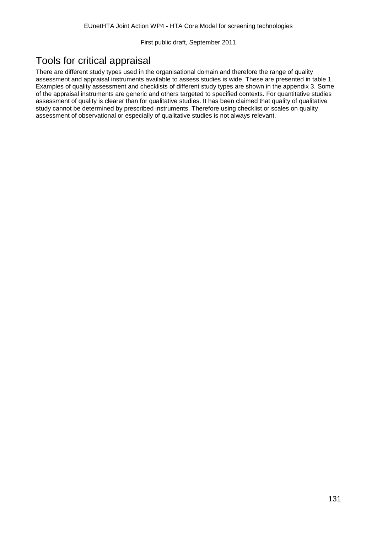# Tools for critical appraisal

There are different study types used in the organisational domain and therefore the range of quality assessment and appraisal instruments available to assess studies is wide. These are presented in table 1. Examples of quality assessment and checklists of different study types are shown in the appendix 3. Some of the appraisal instruments are generic and others targeted to specified contexts. For quantitative studies assessment of quality is clearer than for qualitative studies. It has been claimed that quality of qualitative study cannot be determined by prescribed instruments. Therefore using checklist or scales on quality assessment of observational or especially of qualitative studies is not always relevant.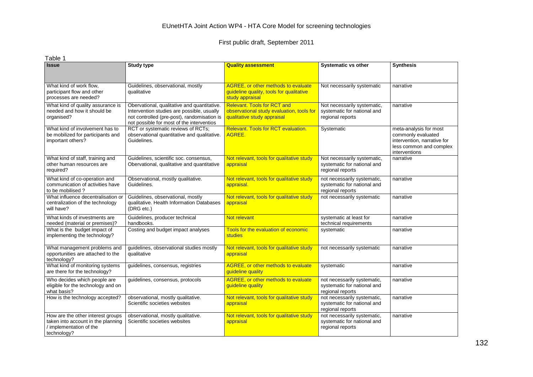| Table 1                                                                                                           |                                                                                                                                                                                       |                                                                                                                |                                                                                |                                                                                                                         |
|-------------------------------------------------------------------------------------------------------------------|---------------------------------------------------------------------------------------------------------------------------------------------------------------------------------------|----------------------------------------------------------------------------------------------------------------|--------------------------------------------------------------------------------|-------------------------------------------------------------------------------------------------------------------------|
| <b>Issue</b>                                                                                                      | <b>Study type</b>                                                                                                                                                                     | <b>Quality assessment</b>                                                                                      | <b>Systematic vs other</b>                                                     | <b>Synthesis</b>                                                                                                        |
| What kind of work flow,<br>participant flow and other<br>processes are needed?                                    | Guidelines, observational, mostly<br>qualitative                                                                                                                                      | <b>AGREE, or other methods to evaluate</b><br>guideline quality, tools for qualitative<br>study appraisal      | Not necessarily systematic                                                     | narrative                                                                                                               |
| What kind of quality assurance is<br>needed and how it should be<br>organised?                                    | Obervational, qualitative and quantitative.<br>Intervention studies are possible, usually<br>not controlled (pre-post), randomisation is<br>not possible for most of the interventios | <b>Relevant. Tools for RCT and</b><br>observational study evaluation, tools for<br>qualitative study appraisal | Not necessarily systematic,<br>systematic for national and<br>regional reports | narrative                                                                                                               |
| What kind of involvement has to<br>be mobilized for participants and<br>important others?                         | RCT or systematic reviews of RCTs;<br>observational quantitative and qualitative.<br>Guidelines.                                                                                      | Relevant. Tools for RCT evaluation.<br>AGREE.                                                                  | Systematic                                                                     | meta-analysis for most<br>commonly evaluated<br>intervention, narrative for<br>less common and complex<br>interventions |
| What kind of staff, training and<br>other human resources are<br>required?                                        | Guidelines, scientific soc. consensus.<br>Obervational, qualitative and quantitative                                                                                                  | Not relevant, tools for qualitative study<br>appraisal                                                         | Not necessarily systematic,<br>systematic for national and<br>regional reports | narrative                                                                                                               |
| What kind of co-operation and<br>communication of activities have<br>to be mobilised?                             | Observational, mostly qualitative.<br>Guidelines.                                                                                                                                     | Not relevant, tools for qualitative study<br>appraisal.                                                        | not necessarily systematic,<br>systematic for national and<br>regional reports | narrative                                                                                                               |
| What influence decentralisation or<br>centralization of the technology<br>will have?                              | Guidelines, observational, mostly<br>qualitative. Health Information Databases<br>(DRG etc.)                                                                                          | Not relevant, tools for qualitative study<br>appraisal                                                         | not necessarily systematic                                                     | narrative                                                                                                               |
| What kinds of investments are<br>needed (material or premises)?                                                   | Guidelines, producer technical<br>handbooks.                                                                                                                                          | Not relevant                                                                                                   | systematic at least for<br>technical requirements                              | narrative                                                                                                               |
| What is the budget impact of<br>implementing the technology?                                                      | Costing and budget impact analyses                                                                                                                                                    | Tools for the evaluation of economic<br>studies                                                                | systematic                                                                     | narrative                                                                                                               |
| What management problems and<br>opportunities are attached to the<br>technology?                                  | guidelines, observational studies mostly<br>qualitative                                                                                                                               | Not relevant, tools for qualitative study<br>appraisal                                                         | not necessarily systematic                                                     | narrative                                                                                                               |
| What kind of monitoring systems<br>are there for the technology?                                                  | quidelines, consensus, registries                                                                                                                                                     | <b>AGREE, or other methods to evaluate</b><br>guideline quality                                                | systematic                                                                     | narrative                                                                                                               |
| Who decides which people are<br>eligible for the technology and on<br>what basis?                                 | guidelines, consensus, protocols                                                                                                                                                      | <b>AGREE, or other methods to evaluate</b><br>guideline quality                                                | not necessarily systematic,<br>systematic for national and<br>regional reports | narrative                                                                                                               |
| How is the technology accepted?                                                                                   | observational, mostly qualitative.<br>Scientific societies websites                                                                                                                   | Not relevant, tools for qualitative study<br>appraisal                                                         | not necessarily systematic,<br>systematic for national and<br>regional reports | narrative                                                                                                               |
| How are the other interest groups<br>taken into account in the planning<br>/ implementation of the<br>technology? | observational, mostly qualitative.<br>Scientific societies websites                                                                                                                   | Not relevant, tools for qualitative study<br>appraisal                                                         | not necessarily systematic,<br>systematic for national and<br>regional reports | narrative                                                                                                               |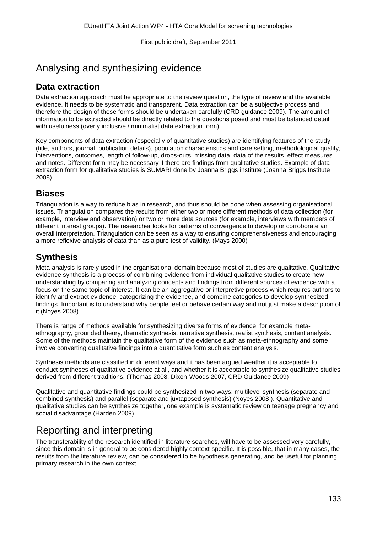# Analysing and synthesizing evidence

### **Data extraction**

Data extraction approach must be appropriate to the review question, the type of review and the available evidence. It needs to be systematic and transparent. Data extraction can be a subjective process and therefore the design of these forms should be undertaken carefully (CRD guidance 2009). The amount of information to be extracted should be directly related to the questions posed and must be balanced detail with usefulness (overly inclusive / minimalist data extraction form).

Key components of data extraction (especially of quantitative studies) are identifying features of the study (title, authors, journal, publication details), population characteristics and care setting, methodological quality, interventions, outcomes, length of follow-up, drops-outs, missing data, data of the results, effect measures and notes. Different form may be necessary if there are findings from qualitative studies. Example of data extraction form for qualitative studies is SUMARI done by Joanna Briggs institute (Joanna Briggs Institute 2008).

### **Biases**

Triangulation is a way to reduce bias in research, and thus should be done when assessing organisational issues. Triangulation compares the results from either two or more different methods of data collection (for example, interview and observation) or two or more data sources (for example, interviews with members of different interest groups). The researcher looks for patterns of convergence to develop or corroborate an overall interpretation. Triangulation can be seen as a way to ensuring comprehensiveness and encouraging a more reflexive analysis of data than as a pure test of validity. (Mays 2000)

### **Synthesis**

Meta-analysis is rarely used in the organisational domain because most of studies are qualitative. Qualitative evidence synthesis is a process of combining evidence from individual qualitative studies to create new understanding by comparing and analyzing concepts and findings from different sources of evidence with a focus on the same topic of interest. It can be an aggregative or interpretive process which requires authors to identify and extract evidence: categorizing the evidence, and combine categories to develop synthesized findings. Important is to understand why people feel or behave certain way and not just make a description of it (Noyes 2008).

There is range of methods available for synthesizing diverse forms of evidence, for example metaethnography, grounded theory, thematic synthesis, narrative synthesis, realist synthesis, content analysis. Some of the methods maintain the qualitative form of the evidence such as meta-ethnography and some involve converting qualitative findings into a quantitative form such as content analysis.

Synthesis methods are classified in different ways and it has been argued weather it is acceptable to conduct syntheses of qualitative evidence at all, and whether it is acceptable to synthesize qualitative studies derived from different traditions. (Thomas 2008, Dixon-Woods 2007, CRD Guidance 2009)

Qualitative and quantitative findings could be synthesized in two ways: multilevel synthesis (separate and combined synthesis) and parallel (separate and juxtaposed synthesis) (Noyes 2008 ). Quantitative and qualitative studies can be synthesize together, one example is systematic review on teenage pregnancy and social disadvantage (Harden 2009)

# Reporting and interpreting

The transferability of the research identified in literature searches, will have to be assessed very carefully, since this domain is in general to be considered highly context-specific. It is possible, that in many cases, the results from the literature review, can be considered to be hypothesis generating, and be useful for planning primary research in the own context.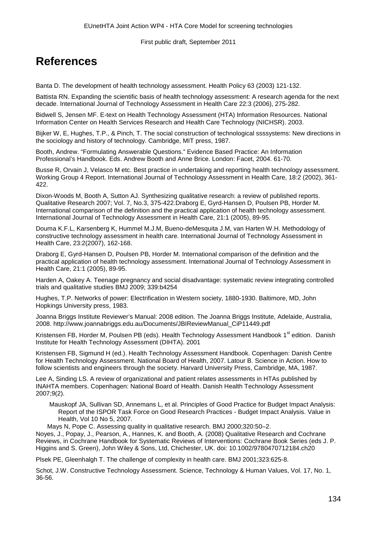# **References**

Banta D. The development of health technology assessment. Health Policy 63 (2003) 121-132.

Battista RN. Expanding the scientific basis of health technology assessment: A research agenda for the next decade. International Journal of Technology Assessment in Health Care 22:3 (2006), 275-282.

Bidwell S, Jensen MF. E-text on Health Technology Assessment (HTA) Information Resources. National Information Center on Health Services Research and Health Care Technology (NICHSR). 2003.

Bijker W, E, Hughes, T.P., & Pinch, T. The social construction of technological ssssystems: New directions in the sociology and history of technology. Cambridge, MIT press, 1987.

Booth, Andrew. "Formulating Answerable Questions." Evidence Based Practice: An Information Professional's Handbook. Eds. Andrew Booth and Anne Brice. London: Facet, 2004. 61-70.

Busse R, Orvain J, Velasco M etc. Best practice in undertaking and reporting health technology assessment. Working Group 4 Report. International Journal of Technology Assessment in Health Care, 18:2 (2002), 361- 422.

Dixon-Woods M, Booth A, Sutton AJ. Synthesizing qualitative research: a review of published reports. Qualitative Research 2007; Vol. 7, No.3, 375-422.Draborg E, Gyrd-Hansen D, Poulsen PB, Horder M. International comparison of the definition and the practical application of health technology assessment. International Journal of Technology Assessment in Health Care, 21:1 (2005), 89-95.

Douma K.F.L, Karsenberg K, Hummel M.J.M, Bueno-deMesquita J.M, van Harten W.H. Methodology of constructive technology assessment in health care. International Journal of Technology Assessment in Health Care, 23:2(2007), 162-168.

Draborg E, Gyrd-Hansen D, Poulsen PB, Horder M. International comparison of the definition and the practical application of health technology assessment. International Journal of Technology Assessment in Health Care, 21:1 (2005), 89-95.

Harden A, Oakey A. Teenage pregnancy and social disadvantage: systematic review integrating controlled trials and qualitative studies BMJ 2009; 339:b4254

Hughes, T.P. Networks of power: Electrification in Western society, 1880-1930. Baltimore, MD, John Hopkings University press, 1983.

Joanna Briggs Institute Reviewer's Manual: 2008 edition. The Joanna Briggs Institute, Adelaide, Australia, 2008. http://www.joannabriggs.edu.au/Documents/JBIReviewManual\_CiP11449.pdf

Kristensen FB, Horder M, Poulsen PB (eds). Health Technology Assessment Handbook 1<sup>st</sup> edition. Danish Institute for Health Technology Assessment (DIHTA). 2001

Kristensen FB, Sigmund H (ed.). Health Technology Assessment Handbook. Copenhagen: Danish Centre for Health Technology Assessment. National Board of Health, 2007. Latour B. Science in Action. How to follow scientists and engineers through the society. Harvard University Press, Cambridge, MA, 1987.

Lee A, Sinding LS. A review of organizational and patient relates assessments in HTAs published by INAHTA members. Copenhagen: National Board of Health. Danish Health Technology Assessment 2007;9(2).

Mauskopf JA, Sullivan SD, Annemans L, et al. Principles of Good Practice for Budget Impact Analysis: Report of the ISPOR Task Force on Good Research Practices - Budget Impact Analysis. Value in Health, Vol 10 No 5, 2007.

Mays N, Pope C. Assessing quality in qualitative research. BMJ 2000;320:50–2.

Noyes, J., Popay, J., Pearson, A., Hannes, K. and Booth, A. (2008) Qualitative Research and Cochrane Reviews, in Cochrane Handbook for Systematic Reviews of Interventions: Cochrane Book Series (eds J. P. Higgins and S. Green), John Wiley & Sons, Ltd, Chichester, UK. doi: 10.1002/9780470712184.ch20

Plsek PE, Gleenhalgh T. The challenge of complexity in health care. BMJ 2001;323:625-8.

Schot, J.W. Constructive Technology Assessment. Science, Technology & Human Values, Vol. 17, No. 1, 36-56.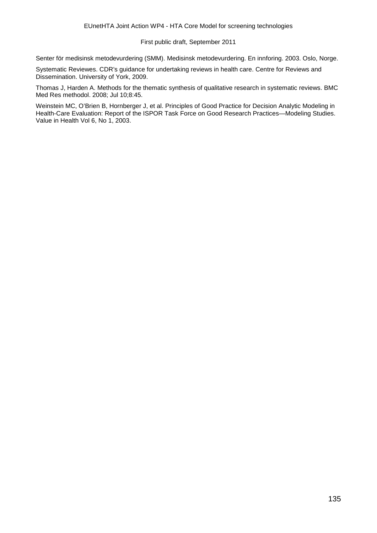Senter för medisinsk metodevurdering (SMM). Medisinsk metodevurdering. En innforing. 2003. Oslo, Norge.

Systematic Reviewes. CDR's guidance for undertaking reviews in health care. Centre for Reviews and Dissemination. University of York, 2009.

Thomas J, Harden A. Methods for the thematic synthesis of qualitative research in systematic reviews. BMC Med Res methodol. 2008; Jul 10;8:45.

Weinstein MC, O'Brien B, Hornberger J, et al. Principles of Good Practice for Decision Analytic Modeling in Health-Care Evaluation: Report of the ISPOR Task Force on Good Research Practices—Modeling Studies. Value in Health Vol 6, No 1, 2003.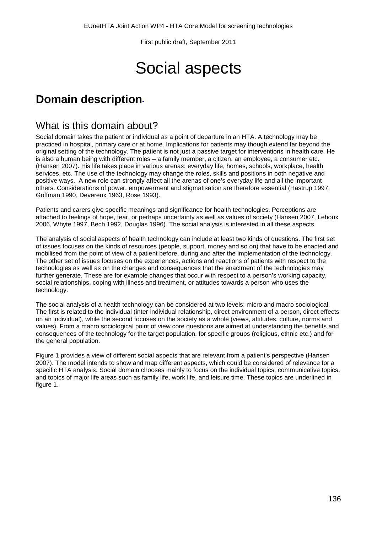# Social aspects

# **Domain description-**

### What is this domain about?

Social domain takes the patient or individual as a point of departure in an HTA. A technology may be practiced in hospital, primary care or at home. Implications for patients may though extend far beyond the original setting of the technology. The patient is not just a passive target for interventions in health care. He is also a human being with different roles – a family member, a citizen, an employee, a consumer etc. (Hansen 2007). His life takes place in various arenas: everyday life, homes, schools, workplace, health services, etc. The use of the technology may change the roles, skills and positions in both negative and positive ways. A new role can strongly affect all the arenas of one's everyday life and all the important others. Considerations of power, empowerment and stigmatisation are therefore essential (Hastrup 1997, Goffman 1990, Devereux 1963, Rose 1993).

Patients and carers give specific meanings and significance for health technologies. Perceptions are attached to feelings of hope, fear, or perhaps uncertainty as well as values of society (Hansen 2007, Lehoux 2006, Whyte 1997, Bech 1992, Douglas 1996). The social analysis is interested in all these aspects.

The analysis of social aspects of health technology can include at least two kinds of questions. The first set of issues focuses on the kinds of resources (people, support, money and so on) that have to be enacted and mobilised from the point of view of a patient before, during and after the implementation of the technology. The other set of issues focuses on the experiences, actions and reactions of patients with respect to the technologies as well as on the changes and consequences that the enactment of the technologies may further generate. These are for example changes that occur with respect to a person's working capacity, social relationships, coping with illness and treatment, or attitudes towards a person who uses the technology.

The social analysis of a health technology can be considered at two levels: micro and macro sociological. The first is related to the individual (inter-individual relationship, direct environment of a person, direct effects on an individual), while the second focuses on the society as a whole (views, attitudes, culture, norms and values). From a macro sociological point of view core questions are aimed at understanding the benefits and consequences of the technology for the target population, for specific groups (religious, ethnic etc.) and for the general population.

Figure 1 provides a view of different social aspects that are relevant from a patient's perspective (Hansen 2007). The model intends to show and map different aspects, which could be considered of relevance for a specific HTA analysis. Social domain chooses mainly to focus on the individual topics, communicative topics, and topics of major life areas such as family life, work life, and leisure time. These topics are underlined in figure 1.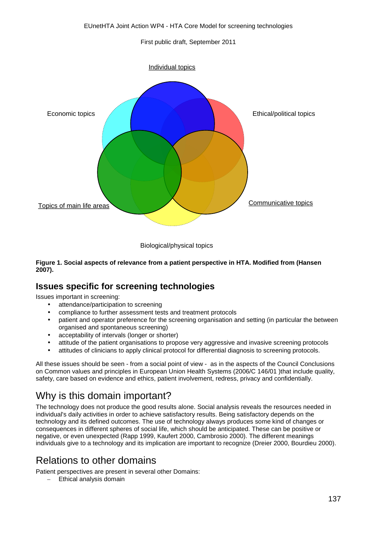

Biological/physical topics

#### **Figure 1. Social aspects of relevance from a patient perspective in HTA. Modified from (Hansen 2007).**

### **Issues specific for screening technologies**

Issues important in screening:

- attendance/participation to screening
- compliance to further assessment tests and treatment protocols
- patient and operator preference for the screening organisation and setting (in particular the between organised and spontaneous screening)
- acceptability of intervals (longer or shorter)
- attitude of the patient organisations to propose very aggressive and invasive screening protocols
- attitudes of clinicians to apply clinical protocol for differential diagnosis to screening protocols.

All these issues should be seen - from a social point of view - as in the aspects of the Council Conclusions on Common values and principles in European Union Health Systems (2006/C 146/01 )that include quality, safety, care based on evidence and ethics, patient involvement, redress, privacy and confidentially.

# Why is this domain important?

The technology does not produce the good results alone. Social analysis reveals the resources needed in individual's daily activities in order to achieve satisfactory results. Being satisfactory depends on the technology and its defined outcomes. The use of technology always produces some kind of changes or consequences in different spheres of social life, which should be anticipated. These can be positive or negative, or even unexpected (Rapp 1999, Kaufert 2000, Cambrosio 2000). The different meanings individuals give to a technology and its implication are important to recognize (Dreier 2000, Bourdieu 2000).

# Relations to other domains

Patient perspectives are present in several other Domains:

– Ethical analysis domain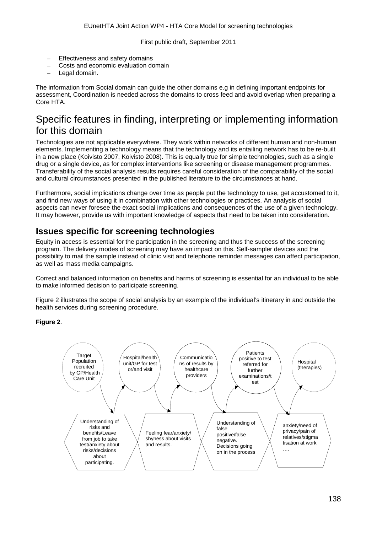- Effectiveness and safety domains
- Costs and economic evaluation domain
- Legal domain.

The information from Social domain can guide the other domains e.g in defining important endpoints for assessment, Coordination is needed across the domains to cross feed and avoid overlap when preparing a Core HTA.

# Specific features in finding, interpreting or implementing information for this domain

Technologies are not applicable everywhere. They work within networks of different human and non-human elements. Implementing a technology means that the technology and its entailing network has to be re-built in a new place (Koivisto 2007, Koivisto 2008). This is equally true for simple technologies, such as a single drug or a single device, as for complex interventions like screening or disease management programmes. Transferability of the social analysis results requires careful consideration of the comparability of the social and cultural circumstances presented in the published literature to the circumstances at hand.

Furthermore, social implications change over time as people put the technology to use, get accustomed to it, and find new ways of using it in combination with other technologies or practices. An analysis of social aspects can never foresee the exact social implications and consequences of the use of a given technology. It may however, provide us with important knowledge of aspects that need to be taken into consideration.

### **Issues specific for screening technologies**

Equity in access is essential for the participation in the screening and thus the success of the screening program. The delivery modes of screening may have an impact on this. Self-sampler devices and the possibility to mail the sample instead of clinic visit and telephone reminder messages can affect participation, as well as mass media campaigns.

Correct and balanced information on benefits and harms of screening is essential for an individual to be able to make informed decision to participate screening.

Figure 2 illustrates the scope of social analysis by an example of the individual's itinerary in and outside the health services during screening procedure.

**Figure 2**.

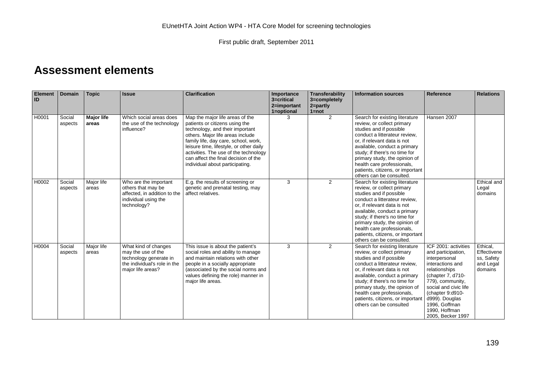# **Assessment elements**

| <b>Element</b><br>ID | <b>Domain</b>     | <b>Topic</b>               | <b>Issue</b>                                                                                                              | <b>Clarification</b>                                                                                                                                                                                                                                                                                                                            | Importance<br>3=critical<br>2=important<br>1=optional | Transferability<br>3=completely<br>$2 = partly$<br>$1 = not$ | <b>Information sources</b>                                                                                                                                                                                                                                                                                                                              | Reference                                                                                                                                                                                                                                                       | <b>Relations</b>                                              |
|----------------------|-------------------|----------------------------|---------------------------------------------------------------------------------------------------------------------------|-------------------------------------------------------------------------------------------------------------------------------------------------------------------------------------------------------------------------------------------------------------------------------------------------------------------------------------------------|-------------------------------------------------------|--------------------------------------------------------------|---------------------------------------------------------------------------------------------------------------------------------------------------------------------------------------------------------------------------------------------------------------------------------------------------------------------------------------------------------|-----------------------------------------------------------------------------------------------------------------------------------------------------------------------------------------------------------------------------------------------------------------|---------------------------------------------------------------|
| H0001                | Social<br>aspects | <b>Major life</b><br>areas | Which social areas does<br>the use of the technology<br>influence?                                                        | Map the major life areas of the<br>patients or citizens using the<br>technology, and their important<br>others. Major life areas include<br>family life, day care, school, work,<br>leisure time, lifestyle, or other daily<br>activities. The use of the technology<br>can affect the final decision of the<br>individual about participating. | 3                                                     | 2                                                            | Search for existing literature<br>review, or collect primary<br>studies and if possible<br>conduct a litterateur review,<br>or, if relevant data is not<br>available, conduct a primary<br>study; if there's no time for<br>primary study, the opinion of<br>health care professionals,<br>patients, citizens, or important<br>others can be consulted. | Hansen 2007                                                                                                                                                                                                                                                     |                                                               |
| H0002                | Social<br>aspects | Major life<br>areas        | Who are the important<br>others that may be<br>affected, in addition to the<br>individual using the<br>technology?        | E.g. the results of screening or<br>genetic and prenatal testing, may<br>affect relatives.                                                                                                                                                                                                                                                      | 3                                                     | 2                                                            | Search for existing literature<br>review, or collect primary<br>studies and if possible<br>conduct a litterateur review.<br>or, if relevant data is not<br>available, conduct a primary<br>study; if there's no time for<br>primary study, the opinion of<br>health care professionals,<br>patients, citizens, or important<br>others can be consulted. |                                                                                                                                                                                                                                                                 | Ethical and<br>Legal<br>domains                               |
| H0004                | Social<br>aspects | Major life<br>areas        | What kind of changes<br>may the use of the<br>technology generate in<br>the individual's role in the<br>major life areas? | This issue is about the patient's<br>social roles and ability to manage<br>and maintain relations with other<br>people in a socially appropriate<br>(associated by the social norms and<br>values defining the role) manner in<br>major life areas.                                                                                             | 3                                                     | 2                                                            | Search for existing literature<br>review, or collect primary<br>studies and if possible<br>conduct a litterateur review,<br>or, if relevant data is not<br>available, conduct a primary<br>study; if there's no time for<br>primary study, the opinion of<br>health care professionals,<br>patients, citizens, or important<br>others can be consulted  | ICF 2001: activities<br>and participation,<br>interpersonal<br>interactions and<br>relationships<br>(chapter 7, d710-<br>779), community,<br>social and civic life<br>(chapter 9:d910-<br>d999). Douglas<br>1996, Goffman<br>1990, Hoffman<br>2005, Becker 1997 | Ethical.<br>Effectivene<br>ss, Safety<br>and Legal<br>domains |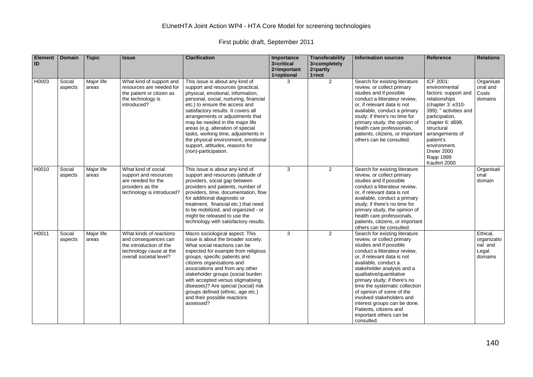| <b>Element</b><br>ID | <b>Domain</b>     | <b>Topic</b>        | <b>Issue</b>                                                                                                                     | <b>Clarification</b>                                                                                                                                                                                                                                                                                                                                                                                                                                                              | Importance<br>3=critical<br>2=important<br>1=optional | <b>Transferability</b><br>3=completely<br>$2 = part$<br>$1 = not$ | <b>Information sources</b>                                                                                                                                                                                                                                                                                                                                                                                                                                               | <b>Reference</b>                                                                                                                                                                                                                                                     | <b>Relations</b>                                       |
|----------------------|-------------------|---------------------|----------------------------------------------------------------------------------------------------------------------------------|-----------------------------------------------------------------------------------------------------------------------------------------------------------------------------------------------------------------------------------------------------------------------------------------------------------------------------------------------------------------------------------------------------------------------------------------------------------------------------------|-------------------------------------------------------|-------------------------------------------------------------------|--------------------------------------------------------------------------------------------------------------------------------------------------------------------------------------------------------------------------------------------------------------------------------------------------------------------------------------------------------------------------------------------------------------------------------------------------------------------------|----------------------------------------------------------------------------------------------------------------------------------------------------------------------------------------------------------------------------------------------------------------------|--------------------------------------------------------|
| H0003                | Social<br>aspects | Major life<br>areas | What kind of support and<br>resources are needed for<br>the patient or citizen as<br>the technology is<br>introduced?            | This issue is about any kind of<br>support and resources (practical,<br>physical, emotional, information,<br>personal, social, nurturing, financial<br>etc.) to ensure the access and<br>satisfactory results. It covers all<br>arrangements or adjustments that<br>may be needed in the major life<br>areas (e.g. alteration of special<br>tasks, working time, adjustments in<br>the physical environment, emotional<br>support, attitudes, reasons for<br>(non)-participation. | 3                                                     | 2                                                                 | Search for existing literature<br>review, or collect primary<br>studies and if possible<br>conduct a litterateur review,<br>or, if relevant data is not<br>available, conduct a primary<br>study; if there's no time for<br>primary study, the opinion of<br>health care professionals,<br>patients, citizens, or important<br>others can be consulted.                                                                                                                  | ICF 2001:<br>environmental<br>factors: support and<br>relationships<br>$(chapter 3: e310-$<br>399); " activities and<br>participation,<br>chapter 6: d698,<br>structural<br>arrangements of<br>patient's<br>environment.<br>Dreier 2000<br>Rapp 1999<br>Kaufert 2000 | Organisati<br>onal and<br>Costs<br>domains             |
| H0010                | Social<br>aspects | Major life<br>areas | What kind of social<br>support and resources<br>are needed for the<br>providers as the<br>technology is introduced?              | This issue is about any kind of<br>support and resources (attitude of<br>providers, social gap between<br>providers and patients, number of<br>providers, time, documentation, flow<br>for additional diagnostic or<br>treatment, financial etc.) that need<br>to be mobilized, and organized - or<br>might be released to use the<br>technology with satisfactory results.                                                                                                       | 3                                                     | 2                                                                 | Search for existing literature<br>review, or collect primary<br>studies and if possible<br>conduct a litterateur review,<br>or, if relevant data is not<br>available, conduct a primary<br>study; if there's no time for<br>primary study, the opinion of<br>health care professionals,<br>patients, citizens, or important<br>others can be consulted.                                                                                                                  |                                                                                                                                                                                                                                                                      | Organisati<br>onal<br>domain                           |
| H0011                | Social<br>aspects | Major life<br>areas | What kinds of reactions<br>and consequences can<br>the introduction of the<br>technology cause at the<br>overall societal level? | Macro sociological aspect: This<br>issue is about the broader society.<br>What social reactions can be<br>expected for example from religious<br>groups, specific patients and<br>citizens organisations and<br>associations and from any other<br>stakeholder groups (social burden<br>with accepted versus stigmatising<br>diseases)? Are special (social) risk<br>groups defined (ethnic, age etc.)<br>and their possible reactions<br>assessed?                               | 3                                                     | 2                                                                 | Search for existing literature<br>review, or collect primary<br>studies and if possible<br>conduct a litterateur review,<br>or, if relevant data is not<br>available, conduct a<br>stakeholder analysis and a<br>qualitative/quantitative<br>primary study; if there's no<br>time the systematic collection<br>of opinion of some of the<br>involved stakeholders and<br>interest groups can be done.<br>Patients, citizens and<br>important others can be<br>consulted. |                                                                                                                                                                                                                                                                      | Ethical,<br>organizatio<br>nal and<br>Legal<br>domains |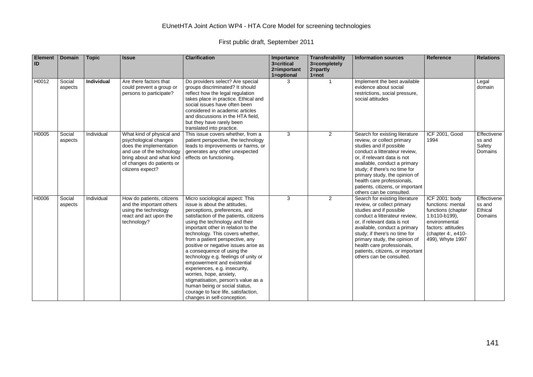| <b>Element</b><br>ID | <b>Domain</b>     | <b>Topic</b>      | <b>Issue</b>                                                                                                                                                                             | <b>Clarification</b>                                                                                                                                                                                                                                                                                                                                                                                                                                                                                                                                                                                                                              | Importance<br>3=critical<br>2=important<br>1=optional | Transferability<br>3=completely<br>$2 =$ partly<br>$1 = not$ | <b>Information sources</b>                                                                                                                                                                                                                                                                                                                              | Reference                                                                                                                                                   | <b>Relations</b>                            |
|----------------------|-------------------|-------------------|------------------------------------------------------------------------------------------------------------------------------------------------------------------------------------------|---------------------------------------------------------------------------------------------------------------------------------------------------------------------------------------------------------------------------------------------------------------------------------------------------------------------------------------------------------------------------------------------------------------------------------------------------------------------------------------------------------------------------------------------------------------------------------------------------------------------------------------------------|-------------------------------------------------------|--------------------------------------------------------------|---------------------------------------------------------------------------------------------------------------------------------------------------------------------------------------------------------------------------------------------------------------------------------------------------------------------------------------------------------|-------------------------------------------------------------------------------------------------------------------------------------------------------------|---------------------------------------------|
| H0012                | Social<br>aspects | <b>Individual</b> | Are there factors that<br>could prevent a group or<br>persons to participate?                                                                                                            | Do providers select? Are special<br>groups discriminated? It should<br>reflect how the legal regulation<br>takes place in practice. Ethical and<br>social issues have often been<br>considered in academic articles<br>and discussions in the HTA field,<br>but they have rarely been<br>translated into practice.                                                                                                                                                                                                                                                                                                                                | 3                                                     | -1                                                           | Implement the best available<br>evidence about social<br>restrictions, social pressure,<br>social attitudes                                                                                                                                                                                                                                             |                                                                                                                                                             | Legal<br>domain                             |
| H0005                | Social<br>aspects | Individual        | What kind of physical and<br>psychological changes<br>does the implementation<br>and use of the technology<br>bring about and what kind<br>of changes do patients or<br>citizens expect? | This issue covers whether, from a<br>patient perspective, the technology<br>leads to improvements or harms, or<br>generates any other unexpected<br>effects on functioning.                                                                                                                                                                                                                                                                                                                                                                                                                                                                       | 3                                                     | 2                                                            | Search for existing literature<br>review, or collect primary<br>studies and if possible<br>conduct a litterateur review.<br>or, if relevant data is not<br>available, conduct a primary<br>study; if there's no time for<br>primary study, the opinion of<br>health care professionals,<br>patients, citizens, or important<br>others can be consulted. | ICF 2001, Good<br>1994                                                                                                                                      | Effectivene<br>ss and<br>Safety<br>Domains  |
| H0006                | Social<br>aspects | Individual        | How do patients, citizens<br>and the important others<br>using the technology<br>react and act upon the<br>technology?                                                                   | Micro sociological aspect: This<br>issue is about the attitudes.<br>perceptions, preferences, and<br>satisfaction of the patients, citizens<br>using the technology and their<br>important other in relation to the<br>technology. This covers whether,<br>from a patient perspective, any<br>positive or negative issues arise as<br>a consequence of using the<br>technology e.g. feelings of unity or<br>empowerment and existential<br>experiences, e.g. insecurity,<br>worries, hope, anxiety,<br>stigmatisation, person's value as a<br>human being or social status,<br>courage to face life, satisfaction,<br>changes in self-conception. | 3                                                     | 2                                                            | Search for existing literature<br>review, or collect primary<br>studies and if possible<br>conduct a litterateur review.<br>or, if relevant data is not<br>available, conduct a primary<br>study; if there's no time for<br>primary study, the opinion of<br>health care professionals,<br>patients, citizens, or important<br>others can be consulted. | ICF 2001: body<br>functions: mental<br>functions (chapter<br>1:b110-b199),<br>environmental<br>factors: attitudes<br>(chapter 4:, e410-<br>499), Whyte 1997 | Effectivene<br>ss and<br>Ethical<br>Domains |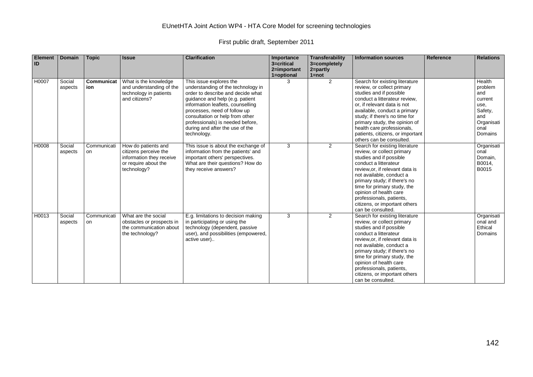| <b>Element</b><br>ID | <b>Domain</b>     | <b>Topic</b>      | <b>Issue</b>                                                                                                    | <b>Clarification</b>                                                                                                                                                                                                                                                                                                                | Importance<br>3=critical<br>2=important<br>1=optional | Transferability<br>3=completely<br>$2 = partly$<br>$1 = not$ | <b>Information sources</b>                                                                                                                                                                                                                                                                                                                                 | <b>Reference</b> | <b>Relations</b>                                                                               |
|----------------------|-------------------|-------------------|-----------------------------------------------------------------------------------------------------------------|-------------------------------------------------------------------------------------------------------------------------------------------------------------------------------------------------------------------------------------------------------------------------------------------------------------------------------------|-------------------------------------------------------|--------------------------------------------------------------|------------------------------------------------------------------------------------------------------------------------------------------------------------------------------------------------------------------------------------------------------------------------------------------------------------------------------------------------------------|------------------|------------------------------------------------------------------------------------------------|
| H0007                | Social<br>aspects | Communicat<br>ion | What is the knowledge<br>and understanding of the<br>technology in patients<br>and citizens?                    | This issue explores the<br>understanding of the technology in<br>order to describe and decide what<br>guidance and help (e.g. patient<br>information leaflets, counselling<br>processes, need of follow up<br>consultation or help from other<br>professionals) is needed before,<br>during and after the use of the<br>technology. | 3                                                     | 2                                                            | Search for existing literature<br>review, or collect primary<br>studies and if possible<br>conduct a litterateur review,<br>or, if relevant data is not<br>available, conduct a primary<br>study; if there's no time for<br>primary study, the opinion of<br>health care professionals,<br>patients, citizens, or important<br>others can be consulted.    |                  | Health<br>problem<br>and<br>current<br>use,<br>Safety,<br>and<br>Organisati<br>onal<br>Domains |
| H0008                | Social<br>aspects | Communicati<br>on | How do patients and<br>citizens perceive the<br>information they receive<br>or require about the<br>technology? | This issue is about the exchange of<br>information from the patients' and<br>important others' perspectives.<br>What are their questions? How do<br>they receive answers?                                                                                                                                                           | 3                                                     | 2                                                            | Search for existing literature<br>review, or collect primary<br>studies and if possible<br>conduct a litterateur<br>review, or, if relevant data is<br>not available, conduct a<br>primary study; if there's no<br>time for primary study, the<br>opinion of health care<br>professionals, patients,<br>citizens, or important others<br>can be consulted. |                  | Organisati<br>onal<br>Domain,<br>B0014,<br>B0015                                               |
| H0013                | Social<br>aspects | Communicati<br>on | What are the social<br>obstacles or prospects in<br>the communication about<br>the technology?                  | E.g. limitations to decision making<br>in participating or using the<br>technology (dependent, passive<br>user), and possibilities (empowered,<br>active user)                                                                                                                                                                      | 3                                                     | 2                                                            | Search for existing literature<br>review, or collect primary<br>studies and if possible<br>conduct a litterateur<br>review, or, if relevant data is<br>not available, conduct a<br>primary study; if there's no<br>time for primary study, the<br>opinion of health care<br>professionals, patients,<br>citizens, or important others<br>can be consulted. |                  | Organisati<br>onal and<br>Ethical<br>Domains                                                   |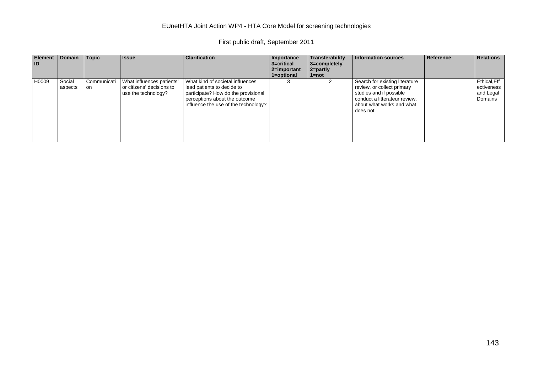| <b>Element</b><br><b>ID</b> | <b>Domain</b>     | Topic              | <b>Issue</b>                                                                  | <b>Clarification</b>                                                                                                                                                           | Importance<br>3=critical<br>2=important<br>1=optional | Transferability<br>3=completely<br>$2 =$ partly<br>1=not | <b>Information sources</b>                                                                                                                                         | Reference | <b>Relations</b>                                   |
|-----------------------------|-------------------|--------------------|-------------------------------------------------------------------------------|--------------------------------------------------------------------------------------------------------------------------------------------------------------------------------|-------------------------------------------------------|----------------------------------------------------------|--------------------------------------------------------------------------------------------------------------------------------------------------------------------|-----------|----------------------------------------------------|
| H0009                       | Social<br>aspects | Communicati<br>on. | What influences patients'<br>or citizens' decisions to<br>use the technology? | What kind of societal influences<br>lead patients to decide to<br>participate? How do the provisional<br>perceptions about the outcome<br>influence the use of the technology? | 3                                                     |                                                          | Search for existing literature<br>review, or collect primary<br>studies and if possible<br>conduct a litterateur review,<br>about what works and what<br>does not. |           | Ethical, Eff<br>ectiveness<br>and Legal<br>Domains |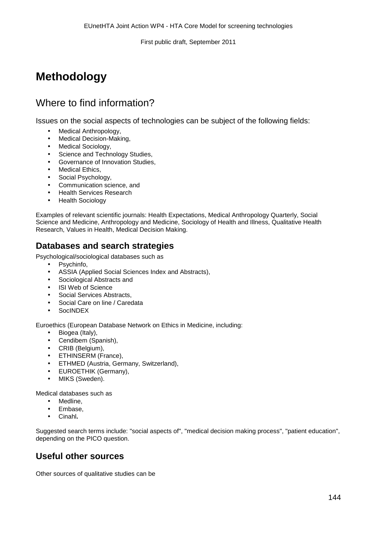# **Methodology**

## Where to find information?

Issues on the social aspects of technologies can be subject of the following fields:

- Medical Anthropology,  $\overline{a}$
- Medical Decision-Making,
- Medical Sociology,  $\overline{a}$
- Science and Technology Studies,
- Governance of Innovation Studies,
- Medical Ethics,
- Social Psychology,
- Communication science, and
- Health Services Research  $\overline{a}$
- Health Sociology  $\overline{a}$

Examples of relevant scientific journals: Health Expectations, Medical Anthropology Quarterly, Social Science and Medicine, Anthropology and Medicine, Sociology of Health and Illness, Qualitative Health Research, Values in Health, Medical Decision Making.

### **Databases and search strategies**

Psychological/sociological databases such as

- Psychinfo,
- ASSIA (Applied Social Sciences Index and Abstracts),
- Sociological Abstracts and
- ISI Web of Science
- Social Services Abstracts,
- Social Care on line / Caredata
- **SocINDEX**

Euroethics (European Database Network on Ethics in Medicine, including:

- Biogea (Italy),
- Cendibem (Spanish),
- CRIB (Belgium),
- ETHINSERM (France),  $\sim$
- ETHMED (Austria, Germany, Switzerland),  $\mathbf{r}$
- EUROETHIK (Germany),
- MIKS (Sweden).

Medical databases such as

- Medline,
- Embase,
- Cinahl**.**

Suggested search terms include: "social aspects of", "medical decision making process", "patient education", depending on the PICO question.

### **Useful other sources**

Other sources of qualitative studies can be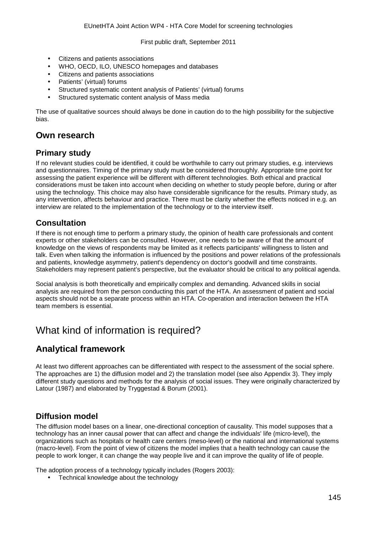- Citizens and patients associations
- WHO, OECD, ILO, UNESCO homepages and databases
- Citizens and patients associations
- Patients' (virtual) forums
- Structured systematic content analysis of Patients' (virtual) forums
- Structured systematic content analysis of Mass media

The use of qualitative sources should always be done in caution do to the high possibility for the subjective bias.

### **Own research**

#### **Primary study**

If no relevant studies could be identified, it could be worthwhile to carry out primary studies, e.g. interviews and questionnaires. Timing of the primary study must be considered thoroughly. Appropriate time point for assessing the patient experience will be different with different technologies. Both ethical and practical considerations must be taken into account when deciding on whether to study people before, during or after using the technology. This choice may also have considerable significance for the results. Primary study, as any intervention, affects behaviour and practice. There must be clarity whether the effects noticed in e.g. an interview are related to the implementation of the technology or to the interview itself.

#### **Consultation**

If there is not enough time to perform a primary study, the opinion of health care professionals and content experts or other stakeholders can be consulted. However, one needs to be aware of that the amount of knowledge on the views of respondents may be limited as it reflects participants' willingness to listen and talk. Even when talking the information is influenced by the positions and power relations of the professionals and patients, knowledge asymmetry, patient's dependency on doctor's goodwill and time constraints. Stakeholders may represent patient's perspective, but the evaluator should be critical to any political agenda.

Social analysis is both theoretically and empirically complex and demanding. Advanced skills in social analysis are required from the person conducting this part of the HTA. An assessment of patient and social aspects should not be a separate process within an HTA. Co-operation and interaction between the HTA team members is essential.

## What kind of information is required?

#### **Analytical framework**

At least two different approaches can be differentiated with respect to the assessment of the social sphere. The approaches are 1) the diffusion model and 2) the translation model (see also Appendix 3). They imply different study questions and methods for the analysis of social issues. They were originally characterized by Latour (1987) and elaborated by Tryggestad & Borum (2001).

#### **Diffusion model**

The diffusion model bases on a linear, one-directional conception of causality. This model supposes that a technology has an inner causal power that can affect and change the individuals' life (micro-level), the organizations such as hospitals or health care centers (meso-level) or the national and international systems (macro-level). From the point of view of citizens the model implies that a health technology can cause the people to work longer, it can change the way people live and it can improve the quality of life of people.

The adoption process of a technology typically includes (Rogers 2003):

Technical knowledge about the technology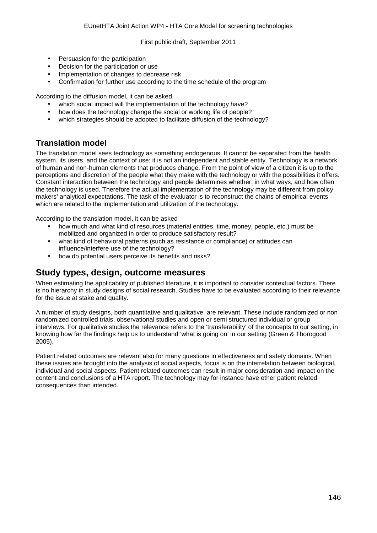- Persuasion for the participation
- Decision for the participation or use
- Implementation of changes to decrease risk
- Confirmation for further use according to the time schedule of the program

According to the diffusion model, it can be asked

- which social impact will the implementation of the technology have?
- how does the technology change the social or working life of people?
- which strategies should be adopted to facilitate diffusion of the technology?

#### **Translation model**

The translation model sees technology as something endogenous. It cannot be separated from the health system, its users, and the context of use; it is not an independent and stable entity. Technology is a network of human and non-human elements that produces change. From the point of view of a citizen it is up to the perceptions and discretion of the people what they make with the technology or with the possibilities it offers. Constant interaction between the technology and people determines whether, in what ways, and how often the technology is used. Therefore the actual implementation of the technology may be different from policy makers' analytical expectations. The task of the evaluator is to reconstruct the chains of empirical events which are related to the implementation and utilization of the technology.

According to the translation model, it can be asked

- how much and what kind of resources (material entities, time, money, people, etc.) must be mobilized and organized in order to produce satisfactory result?
- what kind of behavioral patterns (such as resistance or compliance) or attitudes can influence/interfere use of the technology?
- how do potential users perceive its benefits and risks?

#### **Study types, design, outcome measures**

When estimating the applicability of published literature, it is important to consider contextual factors. There is no hierarchy in study designs of social research. Studies have to be evaluated according to their relevance for the issue at stake and quality.

A number of study designs, both quantitative and qualitative, are relevant. These include randomized or non randomized controlled trials, observational studies and open or semi structured individual or group interviews. For qualitative studies the relevance refers to the 'transferability' of the concepts to our setting, in knowing how far the findings help us to understand 'what is going on' in our setting (Green & Thorogood 2005).

Patient related outcomes are relevant also for many questions in effectiveness and safety domains. When these issues are brought into the analysis of social aspects, focus is on the interrelation between biological, individual and social aspects. Patient related outcomes can result in major consideration and impact on the content and conclusions of a HTA report. The technology may for instance have other patient related consequences than intended.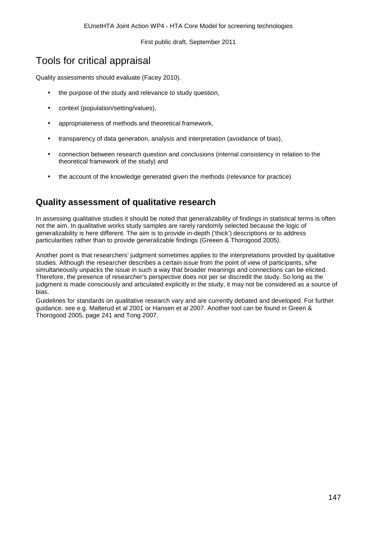## Tools for critical appraisal

Quality assessments should evaluate (Facey 2010).

- $\ddot{\phantom{a}}$ the purpose of the study and relevance to study question,
- context (population/setting/values),
- appropriateness of methods and theoretical framework,  $\overline{a}$
- transparency of data generation, analysis and interpretation (avoidance of bias), J.
- connection between research question and conclusions (internal consistency in relation to the J. theoretical framework of the study) and
- the account of the knowledge generated given the methods (relevance for practice)

## **Quality assessment of qualitative research**

In assessing qualitative studies it should be noted that generalizability of findings in statistical terms is often not the aim. In qualitative works study samples are rarely randomly selected because the logic of generalizability is here different. The aim is to provide in-depth ('thick') descriptions or to address particularities rather than to provide generalizable findings (Greeen & Thorogood 2005).

Another point is that researchers' judgment sometimes applies to the interpretations provided by qualitative studies. Although the researcher describes a certain issue from the point of view of participants, s/he simultaneously unpacks the issue in such a way that broader meanings and connections can be elicited. Therefore, the presence of researcher's perspective does not per se discredit the study. So long as the judgment is made consciously and articulated explicitly in the study, it may not be considered as a source of bias.

Guidelines for standards on qualitative research vary and are currently debated and developed. For further guidance, see e.g. Malterud et al 2001 or Hansen et al 2007. Another tool can be found in Green & Thorogood 2005, page 241 and Tong 2007.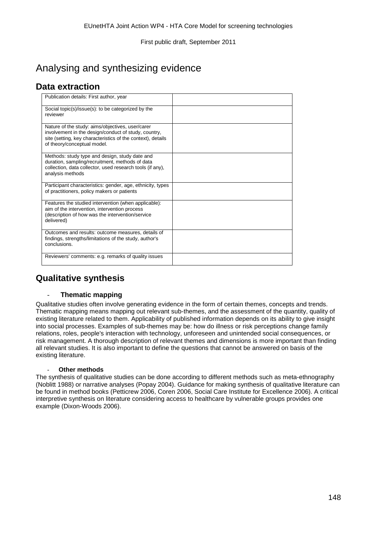# Analysing and synthesizing evidence

## **Data extraction**

| Publication details: First author, year                                                                                                                                                                |  |
|--------------------------------------------------------------------------------------------------------------------------------------------------------------------------------------------------------|--|
| Social topic(s)/issue(s): to be categorized by the<br>reviewer                                                                                                                                         |  |
| Nature of the study: aims/objectives, user/carer<br>involvement in the design/conduct of study, country,<br>site (setting, key characteristics of the context), details<br>of theory/conceptual model. |  |
| Methods: study type and design, study date and<br>duration, sampling/recruitment, methods of data<br>collection, data collector, used research tools (if any),<br>analysis methods                     |  |
| Participant characteristics: gender, age, ethnicity, types<br>of practitioners, policy makers or patients                                                                                              |  |
| Features the studied intervention (when applicable):<br>aim of the intervention, intervention process<br>(description of how was the intervention/service<br>delivered)                                |  |
| Outcomes and results: outcome measures, details of<br>findings, strengths/limitations of the study, author's<br>conclusions.                                                                           |  |
| Reviewers' comments: e.g. remarks of quality issues                                                                                                                                                    |  |

## **Qualitative synthesis**

#### - **Thematic mapping**

Qualitative studies often involve generating evidence in the form of certain themes, concepts and trends. Thematic mapping means mapping out relevant sub-themes, and the assessment of the quantity, quality of existing literature related to them. Applicability of published information depends on its ability to give insight into social processes. Examples of sub-themes may be: how do illness or risk perceptions change family relations, roles, people's interaction with technology, unforeseen and unintended social consequences, or risk management. A thorough description of relevant themes and dimensions is more important than finding all relevant studies. It is also important to define the questions that cannot be answered on basis of the existing literature.

#### **Other methods**

The synthesis of qualitative studies can be done according to different methods such as meta-ethnography (Noblitt 1988) or narrative analyses (Popay 2004). Guidance for making synthesis of qualitative literature can be found in method books (Petticrew 2006, Coren 2006, Social Care Institute for Excellence 2006). A critical interpretive synthesis on literature considering access to healthcare by vulnerable groups provides one example (Dixon-Woods 2006).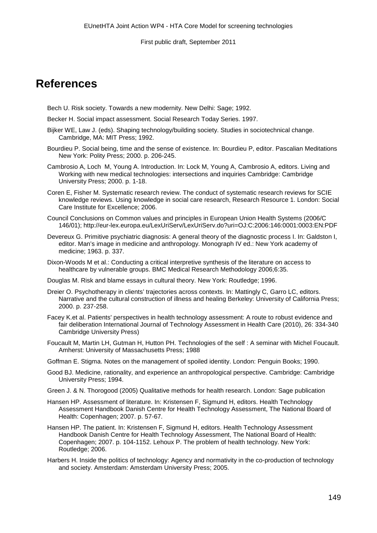## **References**

- Bech U. Risk society. Towards a new modernity. New Delhi: Sage; 1992.
- Becker H. Social impact assessment. Social Research Today Series. 1997.
- Bijker WE, Law J. (eds). Shaping technology/building society. Studies in sociotechnical change. Cambridge, MA: MIT Press; 1992.
- Bourdieu P. Social being, time and the sense of existence. In: Bourdieu P, editor. Pascalian Meditations New York: Polity Press; 2000. p. 206-245.
- Cambrosio A, Loch M, Young A. Introduction. In: Lock M, Young A, Cambrosio A, editors. Living and Working with new medical technologies: intersections and inquiries Cambridge: Cambridge University Press; 2000. p. 1-18.
- Coren E, Fisher M. Systematic research review. The conduct of systematic research reviews for SCIE knowledge reviews. Using knowledge in social care research, Research Resource 1. London: Social Care Institute for Excellence; 2006.
- Council Conclusions on Common values and principles in European Union Health Systems (2006/C 146/01); http://eur-lex.europa.eu/LexUriServ/LexUriServ.do?uri=OJ:C:2006:146:0001:0003:EN:PDF
- Devereux G. Primitive psychiatric diagnosis: A general theory of the diagnostic process I. In: Galdston I, editor. Man's image in medicine and anthropology. Monograph IV ed.: New York academy of medicine; 1963. p. 337.
- Dixon-Woods M et al.: Conducting a critical interpretive synthesis of the literature on access to healthcare by vulnerable groups. BMC Medical Research Methodology 2006;6:35.
- Douglas M. Risk and blame essays in cultural theory. New York: Routledge; 1996.
- Dreier O. Psychotherapy in clients' trajectories across contexts. In: Mattingly C, Garro LC, editors. Narrative and the cultural construction of illness and healing Berkeley: University of California Press; 2000. p. 237-258.
- Facey K.et al. Patients' perspectives in health technology assessment: A route to robust evidence and fair deliberation [International Journal of Technology Assessment in Health Care \(](http://www.foreignpolicybulletinmonitor.com/action/displayJournal?jid=THC)2010), 26: 334-340 Cambridge University Press)
- Foucault M, Martin LH, Gutman H, Hutton PH. Technologies of the self : A seminar with Michel Foucault. Amherst: University of Massachusetts Press; 1988
- Goffman E. Stigma. Notes on the management of spoiled identity. London: Penguin Books; 1990.
- Good BJ. Medicine, rationality, and experience an anthropological perspective. Cambridge: Cambridge University Press; 1994.
- Green J. & N. Thorogood (2005) Qualitative methods for health research. London: Sage publication
- Hansen HP. Assessment of literature. In: Kristensen F, Sigmund H, editors. Health Technology Assessment Handbook Danish Centre for Health Technology Assessment, The National Board of Health: Copenhagen; 2007. p. 57-67.
- Hansen HP. The patient. In: Kristensen F, Sigmund H, editors. Health Technology Assessment Handbook Danish Centre for Health Technology Assessment, The National Board of Health: Copenhagen; 2007. p. 104-1152. Lehoux P. The problem of health technology. New York: Routledge; 2006.
- Harbers H. Inside the politics of technology: Agency and normativity in the co-production of technology and society. Amsterdam: Amsterdam University Press; 2005.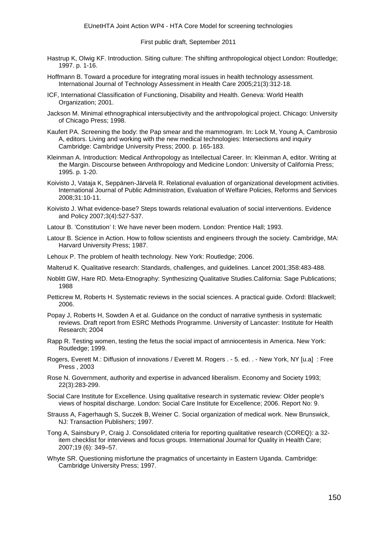- Hastrup K, Olwig KF. Introduction. Siting culture: The shifting anthropological object London: Routledge; 1997. p. 1-16.
- Hoffmann B. Toward a procedure for integrating moral issues in health technology assessment. International Journal of Technology Assessment in Health Care 2005;21(3):312-18.
- ICF, International Classification of Functioning, Disability and Health. Geneva: World Health Organization; 2001.
- Jackson M. Minimal ethnographical intersubjectivity and the anthropological project. Chicago: University of Chicago Press; 1998.
- Kaufert PA. Screening the body: the Pap smear and the mammogram. In: Lock M, Young A, Cambrosio A, editors. Living and working with the new medical technologies: Intersections and inquiry Cambridge: Cambridge University Press; 2000. p. 165-183.
- Kleinman A. Introduction: Medical Anthropology as Intellectual Career. In: Kleinman A, editor. Writing at the Margin. Discourse between Anthropology and Medicine London: University of California Press; 1995. p. 1-20.
- Koivisto J, Vataja K, Seppänen-Järvelä R. Relational evaluation of organizational development activities. International Journal of Public Administration, Evaluation of Welfare Policies, Reforms and Services 2008;31:10-11.
- Koivisto J. What evidence-base? Steps towards relational evaluation of social interventions. Evidence and Policy 2007;3(4):527-537.
- Latour B. 'Constitution' I: We have never been modern. London: Prentice Hall; 1993.
- Latour B. Science in Action. How to follow scientists and engineers through the society. Cambridge, MA: Harvard University Press; 1987.
- Lehoux P. The problem of health technology. New York: Routledge; 2006.
- Malterud K. Qualitative research: Standards, challenges, and guidelines. Lancet 2001;358:483-488.
- Noblitt GW, Hare RD. Meta-Etnography: Synthesizing Qualitative Studies.California: Sage Publications; 1988
- Petticrew M, Roberts H. Systematic reviews in the social sciences. A practical guide. Oxford: Blackwell; 2006.
- Popay J, Roberts H, Sowden A et al. Guidance on the conduct of narrative synthesis in systematic reviews. Draft report from ESRC Methods Programme. University of Lancaster: Institute for Health Research; 2004
- Rapp R. Testing women, testing the fetus the social impact of amniocentesis in America. New York: Routledge; 1999.
- Rogers, Everett M.: Diffusion of innovations / Everett M. Rogers . 5. ed. . New York, NY [u.a] : Free Press , 2003
- Rose N. Government, authority and expertise in advanced liberalism. Economy and Society 1993; 22(3):283-299.
- Social Care Institute for Excellence. Using qualitative research in systematic review: Older people's views of hospital discharge. London: Social Care Institute for Excellence; 2006. Report No: 9.
- Strauss A, Fagerhaugh S, Suczek B, Weiner C. Social organization of medical work. New Brunswick, NJ: Transaction Publishers; 1997.
- Tong A, Sainsbury P, Craig J. Consolidated criteria for reporting qualitative research (COREQ): a 32 item checklist for interviews and focus groups. International Journal for Quality in Health Care; 2007;19 (6): 349–57.
- Whyte SR. Questioning misfortune the pragmatics of uncertainty in Eastern Uganda. Cambridge: Cambridge University Press; 1997.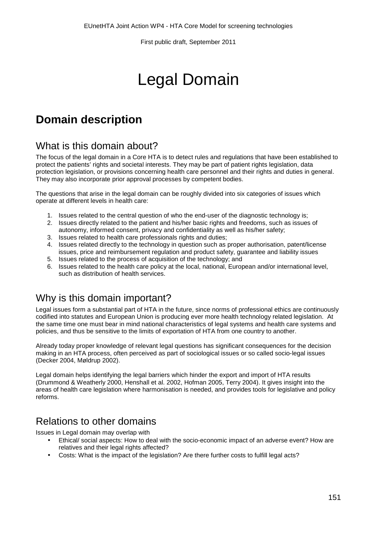# Legal Domain

# **Domain description**

## What is this domain about?

The focus of the legal domain in a Core HTA is to detect rules and regulations that have been established to protect the patients' rights and societal interests. They may be part of patient rights legislation, data protection legislation, or provisions concerning health care personnel and their rights and duties in general. They may also incorporate prior approval processes by competent bodies.

The questions that arise in the legal domain can be roughly divided into six categories of issues which operate at different levels in health care:

- 1. Issues related to the central question of who the end-user of the diagnostic technology is;
- 2. Issues directly related to the patient and his/her basic rights and freedoms, such as issues of autonomy, informed consent, privacy and confidentiality as well as his/her safety;
- 3. Issues related to health care professionals rights and duties;
- 4. Issues related directly to the technology in question such as proper authorisation, patent/license issues, price and reimbursement regulation and product safety, guarantee and liability issues
- 5. Issues related to the process of acquisition of the technology; and 6. Issues related to the health care policy at the local, national, Europ
- 6. Issues related to the health care policy at the local, national, European and/or international level, such as distribution of health services.

## Why is this domain important?

Legal issues form a substantial part of HTA in the future, since norms of professional ethics are continuously codified into statutes and European Union is producing ever more health technology related legislation. At the same time one must bear in mind national characteristics of legal systems and health care systems and policies, and thus be sensitive to the limits of exportation of HTA from one country to another.

Already today proper knowledge of relevant legal questions has significant consequences for the decision making in an HTA process, often perceived as part of sociological issues or so called socio-legal issues (Decker 2004, Møldrup 2002).

Legal domain helps identifying the legal barriers which hinder the export and import of HTA results (Drummond & Weatherly 2000, Henshall et al. 2002, Hofman 2005, Terry 2004). It gives insight into the areas of health care legislation where harmonisation is needed, and provides tools for legislative and policy reforms.

## Relations to other domains

Issues in Legal domain may overlap with

- Ethical/ social aspects: How to deal with the socio-economic impact of an adverse event? How are relatives and their legal rights affected?
- Costs: What is the impact of the legislation? Are there further costs to fulfill legal acts?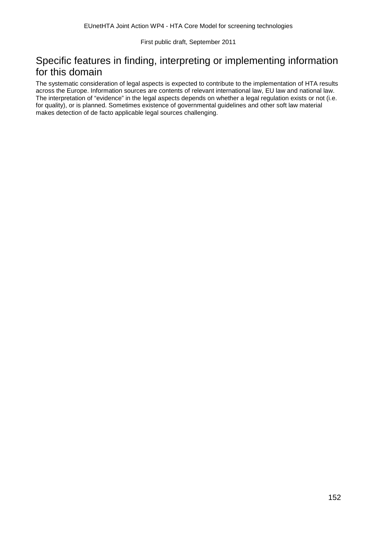## Specific features in finding, interpreting or implementing information for this domain

The systematic consideration of legal aspects is expected to contribute to the implementation of HTA results across the Europe. Information sources are contents of relevant international law, EU law and national law. The interpretation of "evidence" in the legal aspects depends on whether a legal regulation exists or not (i.e. for quality), or is planned. Sometimes existence of governmental guidelines and other soft law material makes detection of de facto applicable legal sources challenging.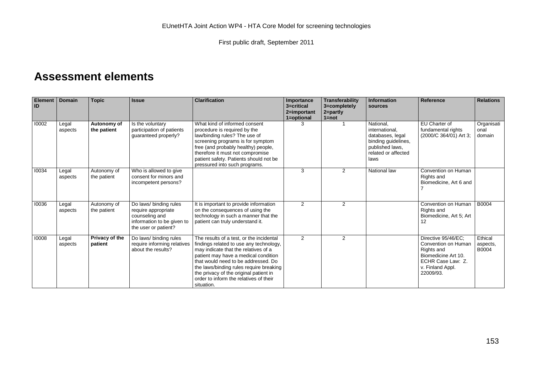## **Assessment elements**

| Element  <br>ID | <b>Domain</b>    | <b>Topic</b>               | <b>Issue</b>                                                                                                          | <b>Clarification</b>                                                                                                                                                                                                                                                                                                                                    | Importance<br>3=critical<br>2=important | Transferability<br>3=completely<br>$2 = partly$<br>$1 = not$ | <b>Information</b><br>sources                                                                                            | Reference                                                                                                                             | <b>Relations</b>             |
|-----------------|------------------|----------------------------|-----------------------------------------------------------------------------------------------------------------------|---------------------------------------------------------------------------------------------------------------------------------------------------------------------------------------------------------------------------------------------------------------------------------------------------------------------------------------------------------|-----------------------------------------|--------------------------------------------------------------|--------------------------------------------------------------------------------------------------------------------------|---------------------------------------------------------------------------------------------------------------------------------------|------------------------------|
| 10002           | Legal<br>aspects | Autonomy of<br>the patient | Is the voluntary<br>participation of patients<br>guaranteed properly?                                                 | What kind of informed consent<br>procedure is required by the<br>law/binding rules? The use of<br>screening programs is for symptom<br>free (and probably healthy) people,<br>therefore it must not compromise<br>patient safety. Patients should not be<br>pressured into such programs.                                                               | 1=optional<br>3                         |                                                              | National.<br>international,<br>databases, legal<br>binding guidelines,<br>published laws,<br>related or affected<br>laws | EU Charter of<br>fundamental rights<br>(2000/C 364/01) Art 3;                                                                         | Organisati<br>onal<br>domain |
| 10034           | Legal<br>aspects | Autonomy of<br>the patient | Who is allowed to give<br>consent for minors and<br>incompetent persons?                                              |                                                                                                                                                                                                                                                                                                                                                         | 3                                       | 2                                                            | National law                                                                                                             | Convention on Human<br>Rights and<br>Biomedicine, Art 6 and                                                                           |                              |
| 10036           | Legal<br>aspects | Autonomy of<br>the patient | Do laws/ binding rules<br>require appropriate<br>counseling and<br>information to be given to<br>the user or patient? | It is important to provide information<br>on the consequences of using the<br>technology in such a manner that the<br>patient can truly understand it.                                                                                                                                                                                                  | 2                                       | 2                                                            |                                                                                                                          | Convention on Human<br>Rights and<br>Biomedicine, Art 5; Art<br>12                                                                    | <b>B0004</b>                 |
| 10008           | Legal<br>aspects | Privacy of the<br>patient  | Do laws/ binding rules<br>require informing relatives<br>about the results?                                           | The results of a test, or the incidental<br>findings related to use any technology,<br>may indicate that the relatives of a<br>patient may have a medical condition<br>that would need to be addressed. Do<br>the laws/binding rules require breaking<br>the privacy of the original patient in<br>order to inform the relatives of their<br>situation. | 2                                       | 2                                                            |                                                                                                                          | Directive 95/46/EC;<br>Convention on Human<br>Rights and<br>Biomedicine Art 10.<br>ECHR Case Law: Z.<br>v. Finland Appl.<br>22009/93. | Ethical<br>aspects,<br>B0004 |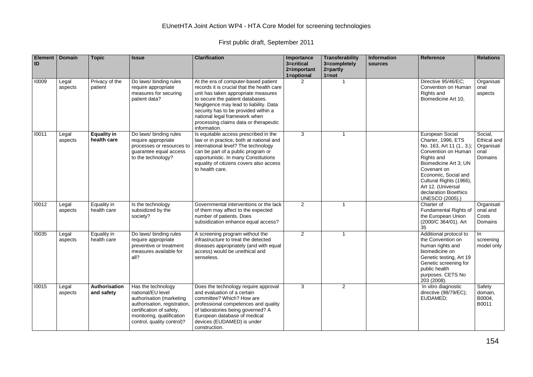#### EUnetHTA Joint Action WP4 - HTA Core Model for screening technologies

First public draft, September 2011

| Element<br>ID | <b>Domain</b>    | <b>Topic</b>                      | <b>Issue</b>                                                                                                                                                                               | <b>Clarification</b>                                                                                                                                                                                                                                                                                                                      | Importance<br>3=critical<br>2=important<br>1=optional | <b>Transferability</b><br>3=completely<br>2=partly<br>$1 = not$ | <b>Information</b><br>sources | Reference                                                                                                                                                                                                                                                                   | <b>Relations</b>                                        |
|---------------|------------------|-----------------------------------|--------------------------------------------------------------------------------------------------------------------------------------------------------------------------------------------|-------------------------------------------------------------------------------------------------------------------------------------------------------------------------------------------------------------------------------------------------------------------------------------------------------------------------------------------|-------------------------------------------------------|-----------------------------------------------------------------|-------------------------------|-----------------------------------------------------------------------------------------------------------------------------------------------------------------------------------------------------------------------------------------------------------------------------|---------------------------------------------------------|
| 10009         | Legal<br>aspects | Privacy of the<br>patient         | Do laws/ binding rules<br>require appropriate<br>measures for securing<br>patient data?                                                                                                    | At the era of computer-based patient<br>records it is crucial that the health care<br>unit has taken appropriate measures<br>to secure the patient databases.<br>Negligence may lead to liability. Data<br>security has to be provided within a<br>national legal framework when<br>processing claims data or therapeutic<br>information. | $\overline{2}$                                        | $\mathbf{1}$                                                    |                               | Directive 95/46/EC:<br>Convention on Human<br>Rights and<br>Biomedicine Art 10,                                                                                                                                                                                             | Organisati<br>onal<br>aspects                           |
| 10011         | Legal<br>aspects | <b>Equality in</b><br>health care | Do laws/ binding rules<br>require appropriate<br>processes or resources to<br>quarantee equal access<br>to the technology?                                                                 | Is equitable access prescribed in the<br>law or in practice, both at national and<br>international level? The technology<br>can be part of a public program or<br>opportunistic. In many Constitutions<br>equality of citizens covers also access<br>to health care.                                                                      | $\overline{3}$                                        | $\mathbf{1}$                                                    |                               | European Social<br>Charter, 1996, ETS<br>No. 163, Art 11 (1., 3.);<br>Convention on Human<br>Rights and<br>Biomedicine Art 3; UN<br>Covenant on<br>Economic, Social and<br>Cultural Rights (1966),<br>Art 12. (Universal<br>declaration Bioethics<br><b>UNESCO (2005).)</b> | Social.<br>Ethical and<br>Organisati<br>onal<br>Domains |
| 10012         | Legal<br>aspects | Equality in<br>health care        | Is the technology<br>subsidized by the<br>society?                                                                                                                                         | Governmental interventions or the lack<br>of them may affect to the expected<br>number of patients. Does<br>subsidization enhance equal access?                                                                                                                                                                                           | $\overline{2}$                                        | $\mathbf{1}$                                                    |                               | Charter of<br><b>Fundamental Rights of</b><br>the European Union<br>(2000/C 364/01). Art<br>35                                                                                                                                                                              | Organisati<br>onal and<br>Costs<br>Domains              |
| 10035         | Legal<br>aspects | Equality in<br>health care        | Do laws/ binding rules<br>require appropriate<br>preventive or treatment<br>measures available for<br>all?                                                                                 | A screening program without the<br>infrastructure to treat the detected<br>diseases appropriately (and with equal<br>access) would be unethical and<br>senseless.                                                                                                                                                                         | $\overline{2}$                                        | $\mathbf{1}$                                                    |                               | Additional protocol to<br>the Convention on<br>human rights and<br>biomedicine on<br>Genetic testing, Art 19<br>Genetic screening for<br>public health<br>purposes. CETS No<br>203 (2008).                                                                                  | In<br>screening<br>model only                           |
| 10015         | Legal<br>aspects | Authorisation<br>and safety       | Has the technology<br>national/EU level<br>authorisation (marketing<br>authorisation, registration,<br>certification of safety,<br>monitoring, qualification<br>control, quality control)? | Does the technology require approval<br>and evaluation of a certain<br>committee? Which? How are<br>professional competences and quality<br>of laboratories being governed? A<br>European database of medical<br>devices (EUDAMED) is under<br>construction.                                                                              | 3                                                     | $\overline{2}$                                                  |                               | In vitro diagnostic<br>directive (98/79/EC);<br>EUDAMED;                                                                                                                                                                                                                    | Safety<br>domain,<br>B0004,<br>B0011                    |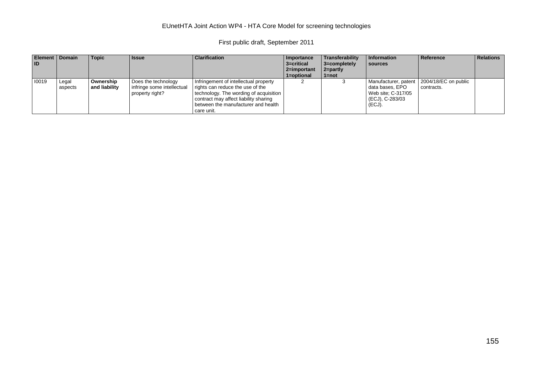#### EUnetHTA Joint Action WP4 - HTA Core Model for screening technologies

First public draft, September 2011

| <b>Element   Domain</b><br>l ID |                  | <b>Topic</b>               | <b>I</b> ssue                                                        | <b>Clarification</b>                                                                                                                                                                                              | Importance<br>3=critical<br>2=important<br>1=optional | Transferability<br>3=completely<br>$2 = part$<br>1=not | Information<br>sources                                             | Reference                                                 | <b>Relations</b> |
|---------------------------------|------------------|----------------------------|----------------------------------------------------------------------|-------------------------------------------------------------------------------------------------------------------------------------------------------------------------------------------------------------------|-------------------------------------------------------|--------------------------------------------------------|--------------------------------------------------------------------|-----------------------------------------------------------|------------------|
| 10019                           | Legal<br>aspects | Ownership<br>and liability | Does the technology<br>infringe some intellectual<br>property right? | Infringement of intellectual property<br>rights can reduce the use of the<br>technology. The wording of acquisition<br>contract may affect liability sharing<br>between the manufacturer and health<br>care unit. |                                                       |                                                        | data bases, EPO<br>Web site: C-317/05<br>(ECJ), C-283/03<br>(ECJ). | Manufacturer, patent   2004/18/EC on public<br>contracts. |                  |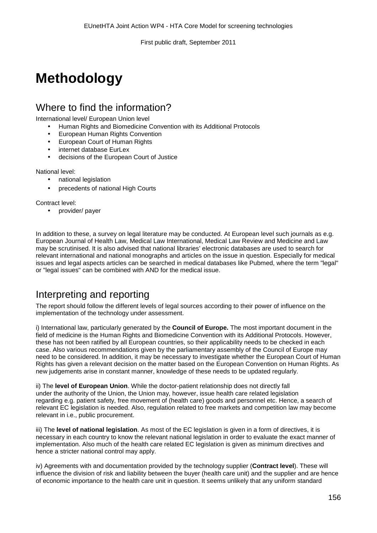# **Methodology**

## Where to find the information?

International level/ European Union level

- Human Rights and Biomedicine Convention with its Additional Protocols
- European Human Rights Convention
- European Court of Human Rights
- internet database EurLex
- decisions of the European Court of Justice

#### National level:

- national legislation
- precedents of national High Courts

Contract level:

provider/ payer

In addition to these, a survey on legal literature may be conducted. At European level such journals as e.g. European Journal of Health Law, Medical Law International, Medical Law Review and Medicine and Law may be scrutinised. It is also advised that national libraries' electronic databases are used to search for relevant international and national monographs and articles on the issue in question. Especially for medical issues and legal aspects articles can be searched in medical databases like Pubmed, where the term "legal" or "legal issues" can be combined with AND for the medical issue.

## Interpreting and reporting

The report should follow the different levels of legal sources according to their power of influence on the implementation of the technology under assessment.

i) International law, particularly generated by the **Council of Europe.** The most important document in the field of medicine is the Human Rights and Biomedicine Convention with its Additional Protocols. However, these has not been ratified by all European countries, so their applicability needs to be checked in each case. Also various recommendations given by the parliamentary assembly of the Council of Europe may need to be considered. In addition, it may be necessary to investigate whether the European Court of Human Rights has given a relevant decision on the matter based on the European Convention on Human Rights. As new judgements arise in constant manner, knowledge of these needs to be updated regularly.

ii) The **level of European Union**. While the doctor-patient relationship does not directly fall under the authority of the Union, the Union may, however, issue health care related legislation regarding e.g. patient safety, free movement of (health care) goods and personnel etc. Hence, a search of relevant EC legislation is needed. Also, regulation related to free markets and competition law may become relevant in i.e., public procurement.

iii) The **level of national legislation**. As most of the EC legislation is given in a form of directives, it is necessary in each country to know the relevant national legislation in order to evaluate the exact manner of implementation. Also much of the health care related EC legislation is given as minimum directives and hence a stricter national control may apply.

iv) Agreements with and documentation provided by the technology supplier (**Contract level**). These will influence the division of risk and liability between the buyer (health care unit) and the supplier and are hence of economic importance to the health care unit in question. It seems unlikely that any uniform standard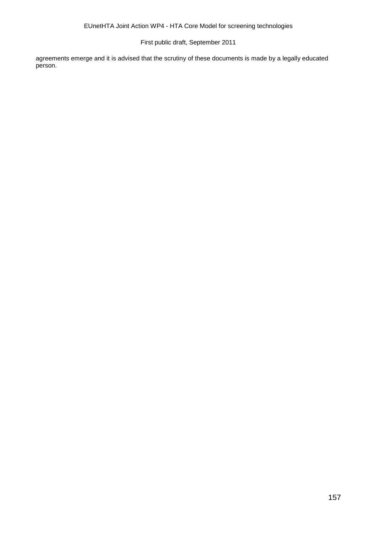agreements emerge and it is advised that the scrutiny of these documents is made by a legally educated person.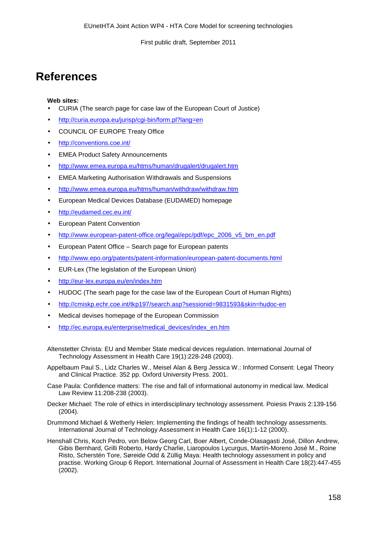## **References**

#### **Web sites:**

- CURIA (The search page for case law of the European Court of Justice)
- <http://curia.europa.eu/jurisp/cgi-bin/form.pl?lang=en>
- COUNCIL OF EUROPE Treaty Office
- <http://conventions.coe.int/>
- EMEA Product Safety Announcements
- <http://www.emea.europa.eu/htms/human/drugalert/drugalert.htm>
- EMEA Marketing Authorisation Withdrawals and Suspensions
- <http://www.emea.europa.eu/htms/human/withdraw/withdraw.htm>
- European Medical Devices Database (EUDAMED) homepage
- <http://eudamed.cec.eu.int/>
- European Patent Convention
- [http://www.european-patent-office.org/legal/epc/pdf/epc\\_2006\\_v5\\_bm\\_en.pdf](http://www.european-patent-office.org/legal/epc/pdf/epc_2006_v5_bm_en.pdf)
- European Patent Office Search page for European patents
- <http://www.epo.org/patents/patent-information/european-patent-documents.html>
- EUR-Lex (The legislation of the European Union)
- <http://eur-lex.europa.eu/en/index.htm>
- HUDOC (The searh page for the case law of the European Court of Human Rights)
- <http://cmiskp.echr.coe.int/tkp197/search.asp?sessionid=9831593&skin=hudoc-en>
- Medical devises homepage of the European Commission
- [http://ec.europa.eu/enterprise/medical\\_devices/index\\_en.htm](http://ec.europa.eu/enterprise/medical_devices/index_en.htm)
- Altenstetter Christa: EU and Member State medical devices regulation. International Journal of Technology Assessment in Health Care 19(1):228-248 (2003).
- Appelbaum Paul S., Lidz Charles W., Meisel Alan & Berg Jessica W.: Informed Consent: Legal Theory and Clinical Practice. 352 pp. Oxford University Press. 2001.
- Case Paula: Confidence matters: The rise and fall of informational autonomy in medical law. Medical Law Review 11:208-238 (2003).
- Decker Michael: The role of ethics in interdisciplinary technology assessment. Poiesis Praxis 2:139-156 (2004).
- Drummond Michael & Wetherly Helen: Implementing the findings of health technology assessments. International Journal of Technology Assessment in Health Care 16(1):1-12 (2000).
- Henshall Chris, Koch Pedro, von Below Georg Carl, Boer Albert, Conde-Olasagasti José, Dillon Andrew, Gibis Bernhard, Grilli Roberto, Hardy Charlie, Liaropoulos Lycurgus, Martín-Moreno José M., Roine Risto, Scherstén Tore, Søreide Odd & Züllig Maya: Health technology assessment in policy and practise. Working Group 6 Report. International Journal of Assessment in Health Care 18(2):447-455 (2002).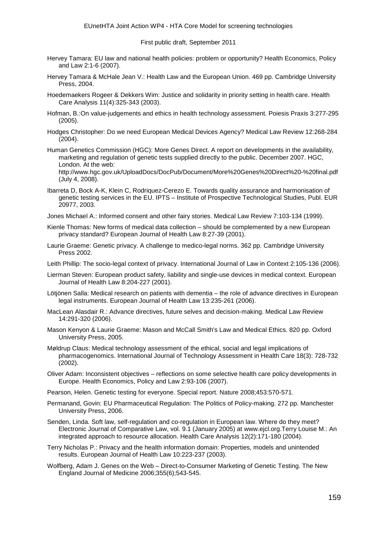- Hervey Tamara: EU law and national health policies: problem or opportunity? Health Economics, Policy and Law 2:1-6 (2007).
- Hervey Tamara & McHale Jean V.: Health Law and the European Union. 469 pp. Cambridge University Press, 2004.
- Hoedemaekers Rogeer & Dekkers Wim: Justice and solidarity in priority setting in health care. Health Care Analysis 11(4):325-343 (2003).
- Hofman, B.:On value-judgements and ethics in health technology assessment. Poiesis Praxis 3:277-295 (2005).
- Hodges Christopher: Do we need European Medical Devices Agency? Medical Law Review 12:268-284 (2004).

Human Genetics Commission (HGC): More Genes Direct. A report on developments in the availability, marketing and regulation of genetic tests supplied directly to the public. December 2007. HGC, London. At the web:

<http://www.hgc.gov.uk/UploadDocs/DocPub/Document/More%20Genes%20Direct%20-%20final.pdf> (July 4, 2008).

- Ibarreta D, Bock A-K, Klein C, Rodriquez-Cerezo E. Towards quality assurance and harmonisation of genetic testing services in the EU. IPTS – Institute of Prospective Technological Studies, Publ. EUR 20977, 2003.
- Jones Michael A.: Informed consent and other fairy stories. Medical Law Review 7:103-134 (1999).
- Kienle Thomas: New forms of medical data collection should be complemented by a new European privacy standard? European Journal of Health Law 8:27-39 (2001).
- Laurie Graeme: Genetic privacy. A challenge to medico-legal norms. 362 pp. Cambridge University Press 2002.
- Leith Phillip: The socio-legal context of privacy. International Journal of Law in Context 2:105-136 (2006).
- Lierman Steven: European product safety, liability and single-use devices in medical context. European Journal of Health Law 8:204-227 (2001).
- Lötjönen Salla: Medical research on patients with dementia the role of advance directives in European legal instruments. European Journal of Health Law 13:235-261 (2006).
- MacLean Alasdair R.: Advance directives, future selves and decision-making. Medical Law Review 14:291-320 (2006).
- Mason Kenyon & Laurie Graeme: Mason and McCall Smith's Law and Medical Ethics. 820 pp. Oxford University Press, 2005.
- Møldrup Claus: Medical technology assessment of the ethical, social and legal implications of pharmacogenomics. International Journal of Technology Assessment in Health Care 18(3): 728-732 (2002).
- Oliver Adam: Inconsistent objectives reflections on some selective health care policy developments in Europe. Health Economics, Policy and Law 2:93-106 (2007).
- Pearson, Helen. Genetic testing for everyone. Special report. Nature 2008;453:570-571.
- Permanand, Govin: EU Pharmaceutical Regulation: The Politics of Policy-making. 272 pp. Manchester University Press, 2006.
- Senden, Linda. Soft law, self-regulation and co-regulation in European law. Where do they meet? Electronic Journal of Comparative Law, vol. 9.1 (January 2005) at [www.ejcl.org.T](http://www.ejcl.org/)erry Louise M.: An integrated approach to resource allocation. Health Care Analysis 12(2):171-180 (2004).
- Terry Nicholas P.: Privacy and the health information domain: Properties, models and unintended results. European Journal of Health Law 10:223-237 (2003).
- Wolfberg, Adam J. Genes on the Web Direct-to-Consumer Marketing of Genetic Testing. The New England Journal of Medicine 2006;355(6);543-545.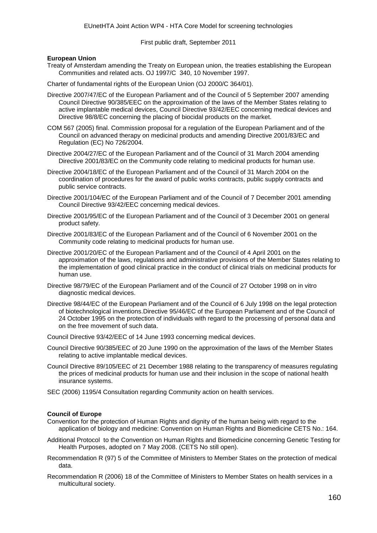#### **European Union**

Treaty of Amsterdam amending the Treaty on European union, the treaties establishing the European Communities and related acts. OJ 1997/C 340, 10 November 1997.

Charter of fundamental rights of the European Union (OJ 2000/C 364/01).

- Directive 2007/47/EC of the European Parliament and of the Council of 5 September 2007 amending Council Directive 90/385/EEC on the approximation of the laws of the Member States relating to active implantable medical devices, Council Directive 93/42/EEC concerning medical devices and Directive 98/8/EC concerning the placing of biocidal products on the market.
- COM 567 (2005) final. Commission proposal for a regulation of the European Parliament and of the Council on advanced therapy on medicinal products and amending Directive 2001/83/EC and Regulation (EC) No 726/2004.
- Directive 2004/27/EC of the European Parliament and of the Council of 31 March 2004 amending Directive 2001/83/EC on the Community code relating to medicinal products for human use.
- Directive 2004/18/EC of the European Parliament and of the Council of 31 March 2004 on the coordination of procedures for the award of public works contracts, public supply contracts and public service contracts.
- Directive 2001/104/EC of the European Parliament and of the Council of 7 December 2001 amending Council Directive 93/42/EEC concerning medical devices.
- Directive 2001/95/EC of the European Parliament and of the Council of 3 December 2001 on general product safety.
- Directive 2001/83/EC of the European Parliament and of the Council of 6 November 2001 on the Community code relating to medicinal products for human use.
- Directive 2001/20/EC of the European Parliament and of the Council of 4 April 2001 on the approximation of the laws, regulations and administrative provisions of the Member States relating to the implementation of good clinical practice in the conduct of clinical trials on medicinal products for human use.
- Directive 98/79/EC of the European Parliament and of the Council of 27 October 1998 on in vitro diagnostic medical devices.
- Directive 98/44/EC of the European Parliament and of the Council of 6 July 1998 on the legal protection of biotechnological inventions.Directive 95/46/EC of the European Parliament and of the Council of 24 October 1995 on the protection of individuals with regard to the processing of personal data and on the free movement of such data.
- Council Directive 93/42/EEC of 14 June 1993 concerning medical devices.
- Council Directive 90/385/EEC of 20 June 1990 on the approximation of the laws of the Member States relating to active implantable medical devices.
- Council Directive 89/105/EEC of 21 December 1988 relating to the transparency of measures regulating the prices of medicinal products for human use and their inclusion in the scope of national health insurance systems.
- SEC (2006) 1195/4 Consultation regarding Community action on health services.

#### **Council of Europe**

- Convention for the protection of Human Rights and dignity of the human being with regard to the application of biology and medicine: Convention on Human Rights and Biomedicine CETS No.: 164.
- Additional Protocol [to the Convention on Human Rights and Biomedicine concerning Genetic Testing for](http://conventions.coe.int/Treaty/EN/Treaties/Html/TestGen.htm)  [Health Purposes,](http://conventions.coe.int/Treaty/EN/Treaties/Html/TestGen.htm) adopted on 7 May 2008. (CETS No still open).
- Recommendation R (97) 5 of the Committee of Ministers to Member States on the protection of medical data.
- Recommendation R (2006) 18 of the Committee of Ministers to Member States on health services in a multicultural society.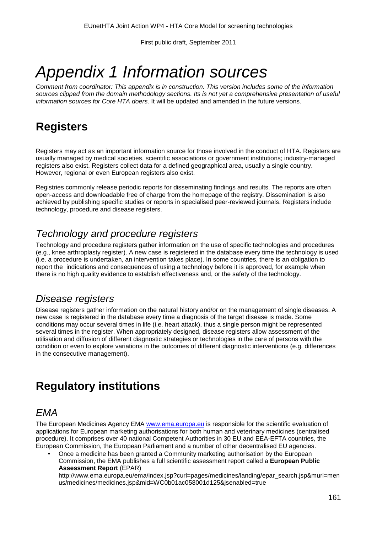# *Appendix 1 Information sources*

*Comment from coordinator: This appendix is in construction. This version includes some of the information*  sources clipped from the domain methodology sections. Its is not yet a comprehensive presentation of useful *information sources for Core HTA doers*. It will be updated and amended in the future versions.

# **Registers**

Registers may act as an important information source for those involved in the conduct of HTA. Registers are usually managed by medical societies, scientific associations or government institutions; industry-managed registers also exist. Registers collect data for a defined geographical area, usually a single country. However, regional or even European registers also exist.

Registries commonly release periodic reports for disseminating findings and results. The reports are often open-access and downloadable free of charge from the homepage of the registry. Dissemination is also achieved by publishing specific studies or reports in specialised peer-reviewed journals. Registers include technology, procedure and disease registers.

## *Technology and procedure registers*

Technology and procedure registers gather information on the use of specific technologies and procedures (e.g., knee arthroplasty register). A new case is registered in the database every time the technology is used (i.e. a procedure is undertaken, an intervention takes place). In some countries, there is an obligation to report the indications and consequences of using a technology before it is approved, for example when there is no high quality evidence to establish effectiveness and, or the safety of the technology.

## *Disease registers*

Disease registers gather information on the natural history and/or on the management of single diseases. A new case is registered in the database every time a diagnosis of the target disease is made. Some conditions may occur several times in life (i.e. heart attack), thus a single person might be represented several times in the register. When appropriately designed, disease registers allow assessment of the utilisation and diffusion of different diagnostic strategies or technologies in the care of persons with the condition or even to explore variations in the outcomes of different diagnostic interventions (e.g. differences in the consecutive management).

# **Regulatory institutions**

## *EMA*

The European Medicines Agency EMA [www.ema.europa.eu](http://www.ema.europa.eu/) is responsible for the scientific evaluation of applications for European marketing authorisations for both human and veterinary medicines (centralised procedure). It comprises over 40 national Competent Authorities in 30 EU and EEA-EFTA countries, the European Commission, the European Parliament and a number of other decentralised EU agencies.

Once a medicine has been granted a Community marketing authorisation by the European Commission, the EMA publishes a full scientific assessment report called a **European Public Assessment Report** (EPAR)

[http://www.ema.europa.eu/ema/index.jsp?curl=pages/medicines/landing/epar\\_search.jsp&murl=men](http://www.ema.europa.eu/ema/index.jsp?curl=pages/medicines/landing/epar_search.jsp&murl=menus/medicines/medicines.jsp&mid=WC0b01ac058001d125&jsenabled=true) [us/medicines/medicines.jsp&mid=WC0b01ac058001d125&jsenabled=true](http://www.ema.europa.eu/ema/index.jsp?curl=pages/medicines/landing/epar_search.jsp&murl=menus/medicines/medicines.jsp&mid=WC0b01ac058001d125&jsenabled=true)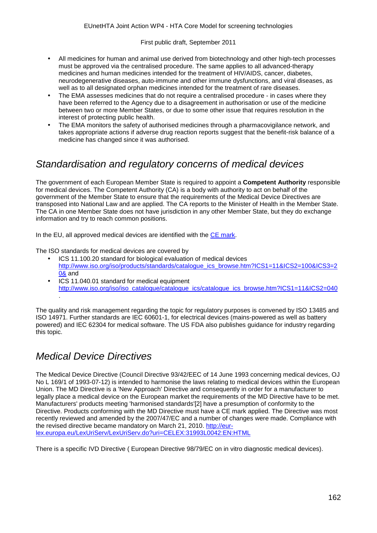- All medicines for human and animal use derived from biotechnology and other high-tech processes must be approved via the centralised procedure. The same applies to all advanced-therapy medicines and human medicines intended for the treatment of HIV/AIDS, cancer, diabetes, neurodegenerative diseases, auto-immune and other immune dysfunctions, and viral diseases, as well as to all designated orphan medicines intended for the treatment of rare diseases.
- The EMA assesses medicines that do not require a centralised procedure in cases where they have been referred to the Agency due to a disagreement in authorisation or use of the medicine between two or more Member States, or due to some other issue that requires resolution in the interest of protecting public health.
- The EMA monitors the safety of authorised medicines through a pharmacovigilance network, and takes appropriate actions if adverse drug reaction reports suggest that the benefit-risk balance of a medicine has changed since it was authorised.

## *Standardisation and regulatory concerns of medical devices*

The government of each European Member State is required to appoint a **Competent Authority** responsible for medical devices. The Competent Authority (CA) is a body with authority to act on behalf of the government of the Member State to ensure that the requirements of the Medical Device Directives are transposed into National Law and are applied. The CA reports to the Minister of Health in the Member State. The CA in one Member State does not have jurisdiction in any other Member State, but they do exchange information and try to reach common positions.

In the EU, all approved medical devices are identified with the [CE mark.](http://en.wikipedia.org/wiki/CE_mark)

The ISO standards for medical devices are covered by

- ICS 11.100.20 standard for biological evaluation of medical devices [http://www.iso.org/iso/products/standards/catalogue\\_ics\\_browse.htm?ICS1=11&ICS2=100&ICS3=2](http://www.iso.org/iso/products/standards/catalogue_ics_browse.htm?ICS1=11&ICS2=100&ICS3=20&) [0&](http://www.iso.org/iso/products/standards/catalogue_ics_browse.htm?ICS1=11&ICS2=100&ICS3=20&) and
- l. ICS 11.040.01 standard for medical equipment [http://www.iso.org/iso/iso\\_catalogue/catalogue\\_ics/catalogue\\_ics\\_browse.htm?ICS1=11&ICS2=040](http://www.iso.org/iso/iso_catalogue/catalogue_ics/catalogue_ics_browse.htm?ICS1=11&ICS2=040) .

The quality and risk management regarding the topic for regulatory purposes is convened by ISO 13485 and ISO 14971. Further standards are IEC 60601-1, for electrical devices (mains-powered as well as battery powered) and IEC 62304 for medical software. The US FDA also publishes guidance for industry regarding this topic.

## *Medical Device Directives*

The Medical Device Directive (Council Directive 93/42/EEC of 14 June 1993 concerning medical devices, OJ No L 169/1 of 1993-07-12) is intended to harmonise the laws relating to medical devices within the European Union. The MD Directive is a 'New Approach' Directive and consequently in order for a manufacturer to legally place a medical device on the European market the requirements of the MD Directive have to be met. Manufacturers' products meeting 'harmonised standards'[2] have a presumption of conformity to the Directive. Products conforming with the MD Directive must have a CE mark applied. The Directive was most recently reviewed and amended by the 2007/47/EC and a number of changes were made. Compliance with the revised directive became mandatory on March 21, 2010. [http://eur](http://eur-lex.europa.eu/LexUriServ/LexUriServ.do?uri=CELEX:31993L0042:EN:HTML)[lex.europa.eu/LexUriServ/LexUriServ.do?uri=CELEX:31993L0042:EN:HTML](http://eur-lex.europa.eu/LexUriServ/LexUriServ.do?uri=CELEX:31993L0042:EN:HTML)

There is a specific IVD Directive ( European Directive 98/79/EC on in vitro diagnostic medical devices).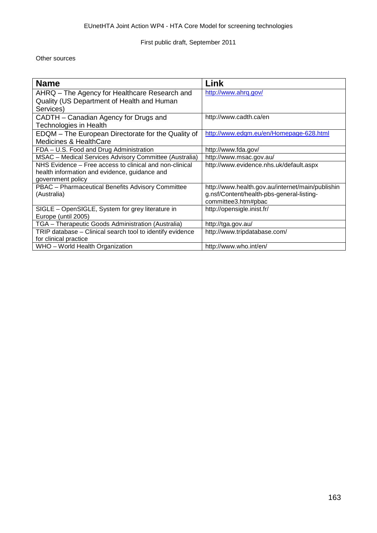Other sources

| <b>Name</b>                                               | Link                                             |
|-----------------------------------------------------------|--------------------------------------------------|
| AHRQ – The Agency for Healthcare Research and             | http://www.ahrq.gov/                             |
| Quality (US Department of Health and Human                |                                                  |
| Services)                                                 |                                                  |
| CADTH – Canadian Agency for Drugs and                     | http://www.cadth.ca/en                           |
| Technologies in Health                                    |                                                  |
| EDQM - The European Directorate for the Quality of        | http://www.edgm.eu/en/Homepage-628.html          |
| <b>Medicines &amp; HealthCare</b>                         |                                                  |
| FDA - U.S. Food and Drug Administration                   | http://www.fda.gov/                              |
| MSAC - Medical Services Advisory Committee (Australia)    | http://www.msac.gov.au/                          |
| NHS Evidence – Free access to clinical and non-clinical   | http://www.evidence.nhs.uk/default.aspx          |
| health information and evidence, guidance and             |                                                  |
| government policy                                         |                                                  |
| PBAC - Pharmaceutical Benefits Advisory Committee         | http://www.health.gov.au/internet/main/publishin |
| (Australia)                                               | g.nsf/Content/health-pbs-general-listing-        |
|                                                           | committee3.htm#pbac                              |
| SIGLE - OpenSIGLE, System for grey literature in          | http://opensigle.inist.fr/                       |
| Europe (until 2005)                                       |                                                  |
| TGA - Therapeutic Goods Administration (Australia)        | http://tga.gov.au/                               |
| TRIP database - Clinical search tool to identify evidence | http://www.tripdatabase.com/                     |
| for clinical practice                                     |                                                  |
| WHO - World Health Organization                           | http://www.who.int/en/                           |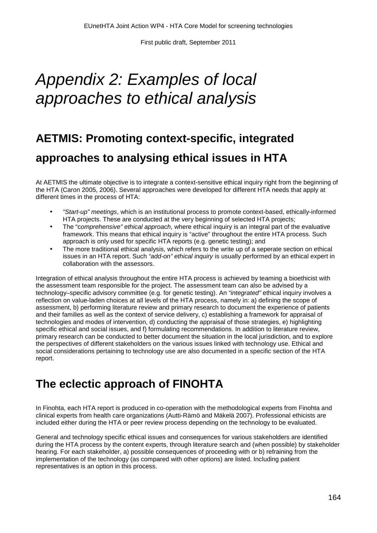# *Appendix 2: Examples of local approaches to ethical analysis*

# **AETMIS: Promoting context-specific, integrated approaches to analysing ethical issues in HTA**

At AETMIS the ultimate objective is to integrate a context-sensitive ethical inquiry right from the beginning of the HTA (Caron 2005, 2006). Several approaches were developed for different HTA needs that apply at different times in the process of HTA:

- *"Start-up" meetings*, which is an institutional process to promote context-based, ethically-informed HTA projects. These are conducted at the very beginning of selected HTA projects;
- The "c*omprehensive" ethical approach*, where ethical inquiry is an integral part of the evaluative framework. This means that ethical inquiry is "active" throughout the entire HTA process. Such approach is only used for specific HTA reports (e.g. genetic testing); and
- The more traditional ethical analysis, which refers to the write up of a seperate section on ethical issues in an HTA report. Such *"add-on" ethical inquiry* is usually performed by an ethical expert in collaboration with the assessors.

Integration of ethical analysis throughout the entire HTA process is achieved by teaming a bioethicist with the assessment team responsible for the project. The assessment team can also be advised by a technology–specific advisory committee (e.g. for genetic testing). An *"integrated"* ethical inquiry involves a reflection on value-laden choices at all levels of the HTA process, namely in: a) defining the scope of assessment, b) performing literature review and primary research to document the experience of patients and their families as well as the context of service delivery, c) establishing a framework for appraisal of technologies and modes of intervention, d) conducting the appraisal of those strategies, e) highlighting specific ethical and social issues, and f) formulating recommendations. In addition to literature review, primary research can be conducted to better document the situation in the local jurisdiction, and to explore the perspectives of different stakeholders on the various issues linked with technology use. Ethical and social considerations pertaining to technology use are also documented in a specific section of the HTA report.

# **The eclectic approach of FINOHTA**

In Finohta, each HTA report is produced in co-operation with the methodological experts from Finohta and clinical experts from health care organizations (Autti-Rämö and Mäkelä 2007). Professional ethicists are included either during the HTA or peer review process depending on the technology to be evaluated.

General and technology specific ethical issues and consequences for various stakeholders are identified during the HTA process by the content experts, through literature search and (when possible) by stakeholder hearing. For each stakeholder, a) possible consequences of proceeding with or b) refraining from the implementation of the technology (as compared with other options) are listed. Including patient representatives is an option in this process.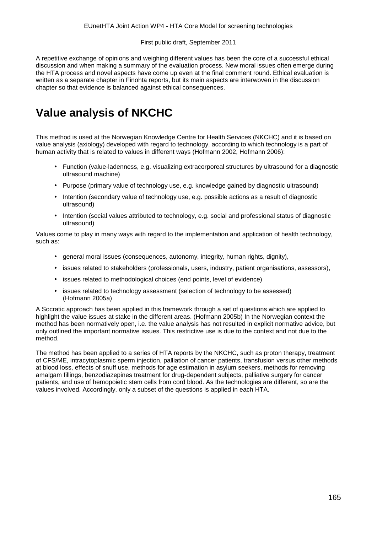A repetitive exchange of opinions and weighing different values has been the core of a successful ethical discussion and when making a summary of the evaluation process. New moral issues often emerge during the HTA process and novel aspects have come up even at the final comment round. Ethical evaluation is written as a separate chapter in Finohta reports, but its main aspects are interwoven in the discussion chapter so that evidence is balanced against ethical consequences.

# **Value analysis of NKCHC**

This method is used at the Norwegian Knowledge Centre for Health Services (NKCHC) and it is based on value analysis (axiology) developed with regard to technology, according to which technology is a part of human activity that is related to values in different ways (Hofmann 2002, Hofmann 2006):

- Function (value-ladenness, e.g. visualizing extracorporeal structures by ultrasound for a diagnostic ultrasound machine)
- Purpose (primary value of technology use, e.g. knowledge gained by diagnostic ultrasound)  $\mathbf{r}$
- Intention (secondary value of technology use, e.g. possible actions as a result of diagnostic ultrasound)
- Intention (social values attributed to technology, e.g. social and professional status of diagnostic ultrasound)

Values come to play in many ways with regard to the implementation and application of health technology, such as:

- general moral issues (consequences, autonomy, integrity, human rights, dignity),
- issues related to stakeholders (professionals, users, industry, patient organisations, assessors),  $\mathcal{L}^{\mathcal{L}}$
- issues related to methodological choices (end points, level of evidence)
- issues related to technology assessment (selection of technology to be assessed) (Hofmann 2005a)

A Socratic approach has been applied in this framework through a set of questions which are applied to highlight the value issues at stake in the different areas. (Hofmann 2005b) In the Norwegian context the method has been normatively open, i.e. the value analysis has not resulted in explicit normative advice, but only outlined the important normative issues. This restrictive use is due to the context and not due to the method.

The method has been applied to a series of HTA reports by the NKCHC, such as proton therapy, treatment of CFS/ME, intracytoplasmic sperm injection, palliation of cancer patients, transfusion versus other methods at blood loss, effects of snuff use, methods for age estimation in asylum seekers, methods for removing amalgam fillings, benzodiazepines treatment for drug-dependent subjects, palliative surgery for cancer patients, and use of hemopoietic stem cells from cord blood. As the technologies are different, so are the values involved. Accordingly, only a subset of the questions is applied in each HTA.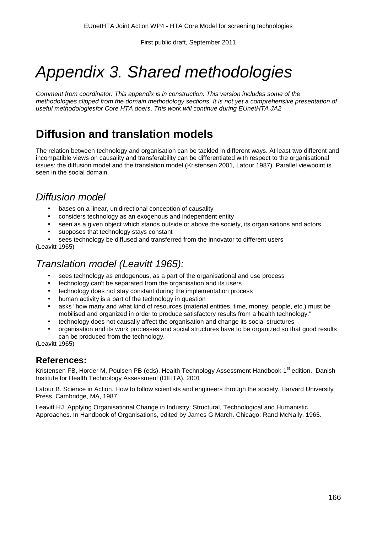# *Appendix 3. Shared methodologies*

*Comment from coordinator: This appendix is in construction. This version includes some of the methodologies clipped from the domain methodology sections. It is not yet a comprehensive presentation of useful methodologiesfor Core HTA doers*. *This work will continue during EUnetHTA JA2*

# **Diffusion and translation models**

The relation between technology and organisation can be tackled in different ways. At least two different and incompatible views on causality and transferability can be differentiated with respect to the organisational issues: the diffusion model and the translation model (Kristensen 2001, Latour 1987). Parallel viewpoint is seen in the social domain.

## *Diffusion model*

- bases on a linear, unidirectional conception of causality
- considers technology as an exogenous and independent entity
- seen as a given object which stands outside or above the society, its organisations and actors
- supposes that technology stays constant
- sees technology be diffused and transferred from the innovator to different users

(Leavitt 1965)

## *Translation model (Leavitt 1965):*

- sees technology as endogenous, as a part of the organisational and use process
- technology can't be separated from the organisation and its users
- technology does not stay constant during the implementation process  $\overline{a}$
- human activity is a part of the technology in question
- asks "how many and what kind of resources (material entities, time, money, people, etc.) must be mobilised and organized in order to produce satisfactory results from a health technology."
- technology does not causally affect the organisation and change its social structures
- organisation and its work processes and social structures have to be organized so that good results can be produced from the technology.

(Leavitt 1965)

## **References:**

Kristensen FB, Horder M, Poulsen PB (eds). Health Technology Assessment Handbook 1<sup>st</sup> edition. Danish Institute for Health Technology Assessment (DIHTA). 2001

Latour B. Science in Action. How to follow scientists and engineers through the society. Harvard University Press, Cambridge, MA, 1987

Leavitt HJ. Applying Organisational Change in Industry: Structural, Technological and Humanistic Approaches. In Handbook of Organisations, edited by James G March. Chicago: Rand McNally. 1965.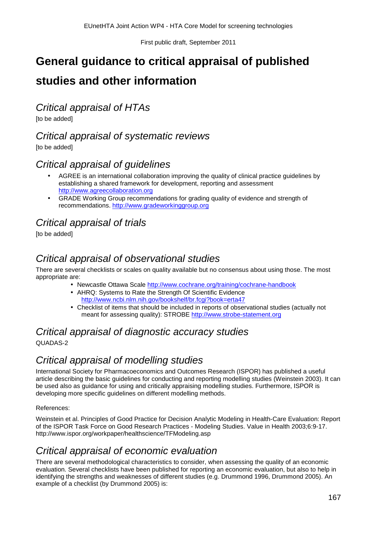# **General guidance to critical appraisal of published**

## **studies and other information**

*Critical appraisal of HTAs*

[to be added]

## *Critical appraisal of systematic reviews*

[to be added]

## *Critical appraisal of guidelines*

- AGREE is an international collaboration improving the quality of clinical practice guidelines by establishing a shared framework for development, reporting and assessment [http://www.agreecollaboration.org](http://www.agreecollaboration.org/)
- GRADE Working Group recommendations for grading quality of evidence and strength of recommendations. [http://www.gradeworkinggroup.org](http://www.gradeworkinggroup.org/)

## *Critical appraisal of trials*

[to be added]

## *Critical appraisal of observational studies*

There are several checklists or scales on quality available but no consensus about using those. The most appropriate are:

- . Newcastle Ottawa Scale<http://www.cochrane.org/training/cochrane-handbook>
- AHRQ: Systems to Rate the Strength Of Scientific Evidence <http://www.ncbi.nlm.nih.gov/bookshelf/br.fcgi?book=erta47>
- Checklist of items that should be included in reports of observational studies (actually not meant for assessing quality): STROBE [http://www.strobe-statement.org](http://www.strobe-statement.org/)

# *Critical appraisal of diagnostic accuracy studies*

QUADAS-2

## *Critical appraisal of modelling studies*

International Society for Pharmacoeconomics and Outcomes Research (ISPOR) has published a useful article describing the basic guidelines for conducting and reporting modelling studies (Weinstein 2003). It can be used also as guidance for using and critically appraising modelling studies. Furthermore, ISPOR is developing more specific guidelines on different modelling methods.

#### References:

Weinstein et al. Principles of Good Practice for Decision Analytic Modeling in Health-Care Evaluation: Report of the ISPOR Task Force on Good Research Practices - Modeling Studies. Value in Health 2003;6:9-17. <http://www.ispor.org/workpaper/healthscience/TFModeling.asp>

## *Critical appraisal of economic evaluation*

There are several methodological characteristics to consider, when assessing the quality of an economic evaluation. Several checklists have been published for reporting an economic evaluation, but also to help in identifying the strengths and weaknesses of different studies (e.g. Drummond 1996, Drummond 2005). An example of a checklist (by Drummond 2005) is: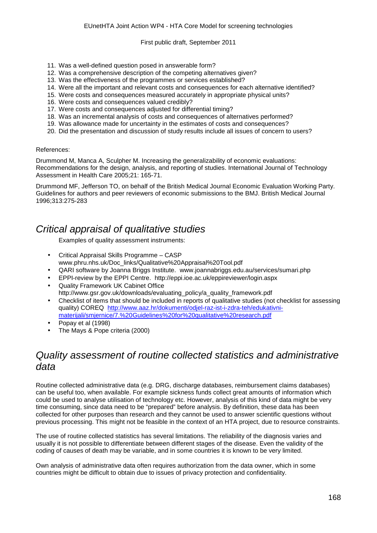- 11. Was a well-defined question posed in answerable form?
- 12. Was a comprehensive description of the competing alternatives given?
- 13. Was the effectiveness of the programmes or services established?
- 14. Were all the important and relevant costs and consequences for each alternative identified?
- 15. Were costs and consequences measured accurately in appropriate physical units?
- 16. Were costs and consequences valued credibly?
- 17. Were costs and consequences adjusted for differential timing?
- 18. Was an incremental analysis of costs and consequences of alternatives performed?
- 19. Was allowance made for uncertainty in the estimates of costs and consequences?
- 20. Did the presentation and discussion of study results include all issues of concern to users?

#### References:

Drummond M, Manca A, Sculpher M. Increasing the generalizability of economic evaluations: Recommendations for the design, analysis, and reporting of studies. International Journal of Technology Assessment in Health Care 2005;21: 165-71.

Drummond MF, Jefferson TO, on behalf of the British Medical Journal Economic Evaluation Working Party. Guidelines for authors and peer reviewers of economic submissions to the BMJ. British Medical Journal 1996;313:275-283

## *Critical appraisal of qualitative studies*

Examples of quality assessment instruments:

- Critical Appraisal Skills Programme CASP [www.phru.nhs.uk/Doc\\_links/Qualitative%20Appraisal%20Tool.pdf](http://www.phru.nhs.uk/Doc_links/Qualitative%20Appraisal%20Tool.pdf)
- QARI software by Joanna Briggs Institute. [www.joannabriggs.edu.au/services/sumari.php](http://www.joannabriggs.edu.au/services/sumari.php)
- EPPI-review by the EPPI Centre. <http://eppi.ioe.ac.uk/eppireviewer/login.aspx>
- Quality Framework UK Cabinet Office
- [http://www.gsr.gov.uk/downloads/evaluating\\_policy/a\\_quality\\_framework.pdf](http://www.gsr.gov.uk/downloads/evaluating_policy/a_quality_framework.pdf)
- Checklist of items that should be included in reports of qualitative studies (not checklist for assessing quality) COREQ [http://www.aaz.hr/dokumenti/odjel-raz-ist-i-zdra-teh/edukativni](http://www.aaz.hr/dokumenti/odjel-raz-ist-i-zdra-teh/edukativni-materijali/smjernice/7.%20Guidelines%20for%20qualitative%20research.pdf)[materijali/smjernice/7.%20Guidelines%20for%20qualitative%20research.pdf](http://www.aaz.hr/dokumenti/odjel-raz-ist-i-zdra-teh/edukativni-materijali/smjernice/7.%20Guidelines%20for%20qualitative%20research.pdf)
- Popay et al (1998)
- The Mays & Pope criteria (2000)

## *Quality assessment of routine collected statistics and administrative data*

Routine collected administrative data (e.g. DRG, discharge databases, reimbursement claims databases) can be useful too, when available. For example sickness funds collect great amounts of information which could be used to analyse utilisation of technology etc. However, analysis of this kind of data might be very time consuming, since data need to be "prepared" before analysis. By definition, these data has been collected for other purposes than research and they cannot be used to answer scientific questions without previous processing. This might not be feasible in the context of an HTA project, due to resource constraints.

The use of routine collected statistics has several limitations. The reliability of the diagnosis varies and usually it is not possible to differentiate between different stages of the disease. Even the validity of the coding of causes of death may be variable, and in some countries it is known to be very limited.

Own analysis of administrative data often requires authorization from the data owner, which in some countries might be difficult to obtain due to issues of privacy protection and confidentiality.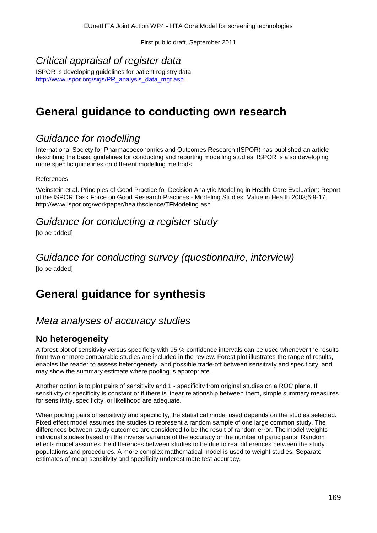## *Critical appraisal of register data*

ISPOR is developing guidelines for patient registry data: [http://www.ispor.org/sigs/PR\\_analysis\\_data\\_mgt.asp](http://www.ispor.org/sigs/PR_analysis_data_mgt.asp)

# **General guidance to conducting own research**

## *Guidance for modelling*

International Society for Pharmacoeconomics and Outcomes Research (ISPOR) has published an article describing the basic guidelines for conducting and reporting modelling studies. ISPOR is also developing more specific guidelines on different modelling methods.

References

Weinstein et al. Principles of Good Practice for Decision Analytic Modeling in Health-Care Evaluation: Report of the ISPOR Task Force on Good Research Practices - Modeling Studies. Value in Health 2003;6:9-17. http://www.ispor.org/workpaper/healthscience/TFModeling.asp

## *Guidance for conducting a register study*

[to be added]

#### *Guidance for conducting survey (questionnaire, interview)* [to be added]

# **General guidance for synthesis**

## *Meta analyses of accuracy studies*

## **No heterogeneity**

A forest plot of sensitivity versus specificity with 95 % confidence intervals can be used whenever the results from two or more comparable studies are included in the review. Forest plot illustrates the range of results, enables the reader to assess heterogeneity, and possible trade-off between sensitivity and specificity, and may show the summary estimate where pooling is appropriate.

Another option is to plot pairs of sensitivity and 1 - specificity from original studies on a ROC plane. If sensitivity or specificity is constant or if there is linear relationship between them, simple summary measures for sensitivity, specificity, or likelihood are adequate.

When pooling pairs of sensitivity and specificity, the statistical model used depends on the studies selected. Fixed effect model assumes the studies to represent a random sample of one large common study. The differences between study outcomes are considered to be the result of random error. The model weights individual studies based on the inverse variance of the accuracy or the number of participants. Random effects model assumes the differences between studies to be due to real differences between the study populations and procedures. A more complex mathematical model is used to weight studies. Separate estimates of mean sensitivity and specificity underestimate test accuracy.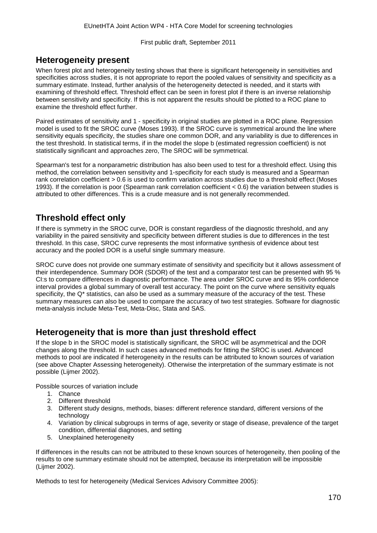### **Heterogeneity present**

When forest plot and heterogeneity testing shows that there is significant heterogeneity in sensitivities and specificities across studies, it is not appropriate to report the pooled values of sensitivity and specificity as a summary estimate. Instead, further analysis of the heterogeneity detected is needed, and it starts with examining of threshold effect. Threshold effect can be seen in forest plot if there is an inverse relationship between sensitivity and specificity. If this is not apparent the results should be plotted to a ROC plane to examine the threshold effect further.

Paired estimates of sensitivity and 1 - specificity in original studies are plotted in a ROC plane. Regression model is used to fit the SROC curve (Moses 1993). If the SROC curve is symmetrical around the line where sensitivity equals specificity, the studies share one common DOR, and any variability is due to differences in the test threshold. In statistical terms, if in the model the slope b (estimated regression coefficient) is not statistically significant and approaches zero, The SROC will be symmetrical.

Spearman's test for a nonparametric distribution has also been used to test for a threshold effect. Using this method, the correlation between sensitivity and 1-specificity for each study is measured and a Spearman rank correlation coefficient > 0.6 is used to confirm variation across studies due to a threshold effect (Moses 1993). If the correlation is poor (Spearman rank correlation coefficient < 0.6) the variation between studies is attributed to other differences. This is a crude measure and is not generally recommended.

## **Threshold effect only**

If there is symmetry in the SROC curve, DOR is constant regardless of the diagnostic threshold, and any variability in the paired sensitivity and specificity between different studies is due to differences in the test threshold. In this case, SROC curve represents the most informative synthesis of evidence about test accuracy and the pooled DOR is a useful single summary measure.

SROC curve does not provide one summary estimate of sensitivity and specificity but it allows assessment of their interdependence. Summary DOR (SDOR) of the test and a comparator test can be presented with 95 % CI:s to compare differences in diagnostic performance. The area under SROC curve and its 95% confidence interval provides a global summary of overall test accuracy. The point on the curve where sensitivity equals specificity, the Q\* statistics, can also be used as a summary measure of the accuracy of the test. These summary measures can also be used to compare the accuracy of two test strategies. Software for diagnostic meta-analysis include Meta-Test, Meta-Disc, Stata and SAS.

## **Heterogeneity that is more than just threshold effect**

If the slope b in the SROC model is statistically significant, the SROC will be asymmetrical and the DOR changes along the threshold. In such cases advanced methods for fitting the SROC is used. Advanced methods to pool are indicated if heterogeneity in the results can be attributed to known sources of variation (see above Chapter Assessing heterogeneity). Otherwise the interpretation of the summary estimate is not possible (Lijmer 2002).

Possible sources of variation include

- 1. Chance
- 2. Different threshold
- 3. Different study designs, methods, biases: different reference standard, different versions of the technology
- 4. Variation by clinical subgroups in terms of age, severity or stage of disease, prevalence of the target condition, differential diagnoses, and setting
- 5. Unexplained heterogeneity

If differences in the results can not be attributed to these known sources of heterogeneity, then pooling of the results to one summary estimate should not be attempted, because its interpretation will be impossible (Lijmer 2002).

Methods to test for heterogeneity (Medical Services Advisory Committee 2005):